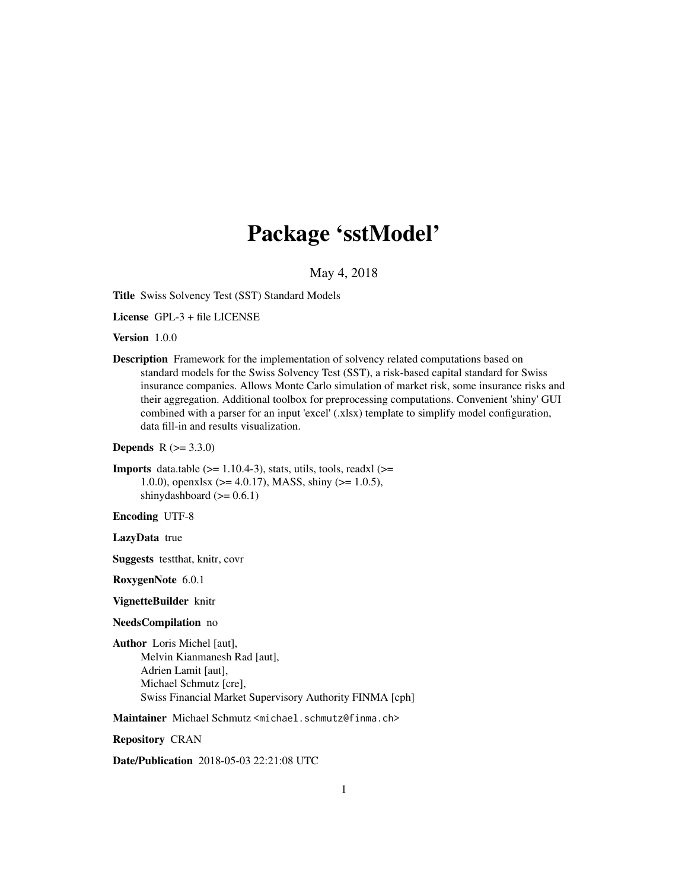# Package 'sstModel'

May 4, 2018

Title Swiss Solvency Test (SST) Standard Models

License GPL-3 + file LICENSE

Version 1.0.0

Description Framework for the implementation of solvency related computations based on standard models for the Swiss Solvency Test (SST), a risk-based capital standard for Swiss insurance companies. Allows Monte Carlo simulation of market risk, some insurance risks and their aggregation. Additional toolbox for preprocessing computations. Convenient 'shiny' GUI combined with a parser for an input 'excel' (.xlsx) template to simplify model configuration, data fill-in and results visualization.

```
Depends R (= 3.3.0)
```

```
Imports data.table (>= 1.10.4-3), stats, utils, tools, readxl (>=1.0.0), openxlsx (> = 4.0.17), MASS, shiny (>= 1.0.5),
      shinydashboard (>= 0.6.1)
```
Encoding UTF-8

LazyData true

Suggests testthat, knitr, covr

RoxygenNote 6.0.1

VignetteBuilder knitr

#### NeedsCompilation no

Author Loris Michel [aut], Melvin Kianmanesh Rad [aut], Adrien Lamit [aut], Michael Schmutz [cre], Swiss Financial Market Supervisory Authority FINMA [cph]

Maintainer Michael Schmutz <michael.schmutz@finma.ch>

Repository CRAN

Date/Publication 2018-05-03 22:21:08 UTC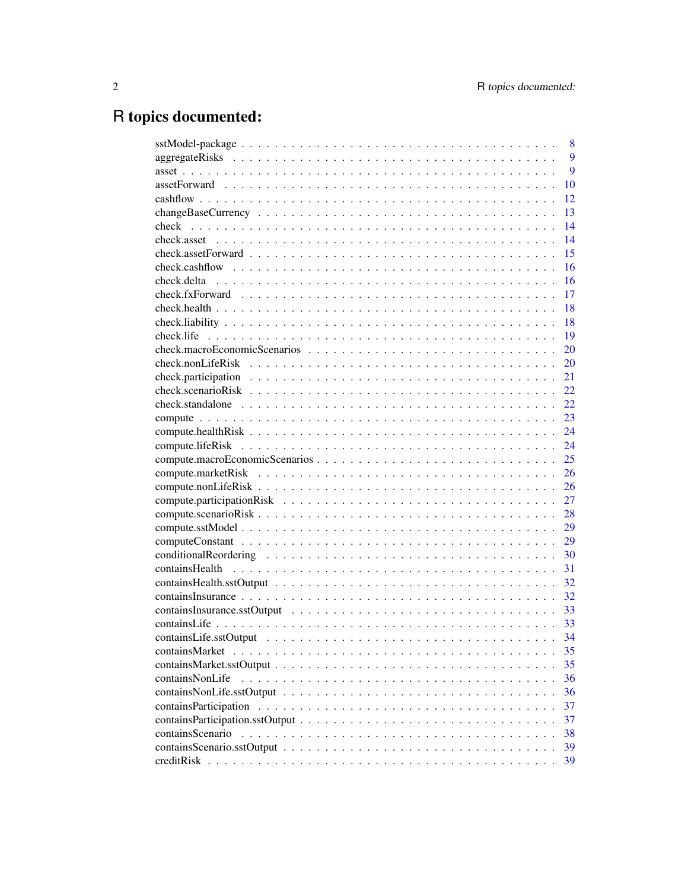# R topics documented:

|                  | 8    |
|------------------|------|
|                  | 9    |
|                  | 9    |
|                  | 10   |
|                  | 12   |
|                  | 13   |
| check            | 14   |
|                  | 14   |
|                  | 15   |
|                  | 16   |
|                  | 16   |
|                  | 17   |
|                  | 18   |
|                  | 18   |
| check.life       | 19   |
|                  | 20   |
|                  | 20   |
|                  | 21   |
|                  | 22   |
|                  | 22   |
|                  | 23   |
|                  | 24   |
|                  | 24   |
|                  | 25   |
|                  | 26   |
|                  | 26   |
|                  | 27   |
|                  | 28   |
|                  | 29   |
|                  | 29   |
|                  | 30   |
|                  | 31   |
|                  | 32   |
|                  | 32   |
|                  | 33   |
|                  |      |
|                  | - 34 |
|                  |      |
|                  | 35   |
|                  | 35   |
| containsNonLife  | 36   |
|                  | 36   |
|                  | 37   |
|                  | 37   |
| containsScenario | 38   |
|                  | 39   |
|                  | 39   |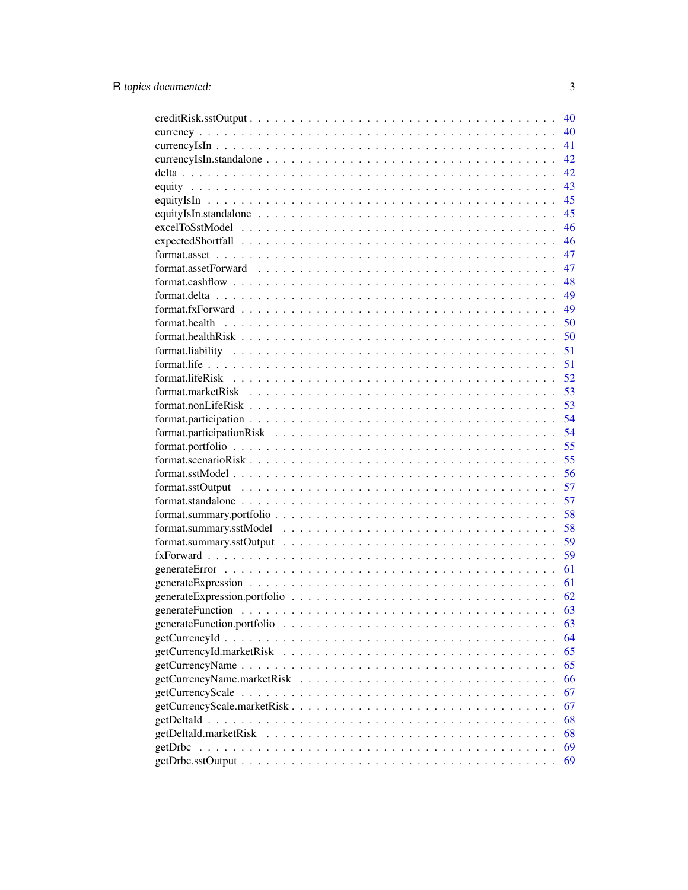|                                                                                                                | 40 |
|----------------------------------------------------------------------------------------------------------------|----|
|                                                                                                                | 40 |
|                                                                                                                | 41 |
|                                                                                                                | 42 |
|                                                                                                                | 42 |
|                                                                                                                | 43 |
|                                                                                                                | 45 |
|                                                                                                                | 45 |
|                                                                                                                | 46 |
|                                                                                                                | 46 |
|                                                                                                                | 47 |
|                                                                                                                | 47 |
|                                                                                                                | 48 |
|                                                                                                                | 49 |
|                                                                                                                | 49 |
|                                                                                                                | 50 |
|                                                                                                                | 50 |
|                                                                                                                | 51 |
|                                                                                                                | 51 |
|                                                                                                                | 52 |
| format.marketRisk $\ldots \ldots \ldots \ldots \ldots \ldots \ldots \ldots \ldots \ldots \ldots \ldots \ldots$ | 53 |
|                                                                                                                | 53 |
|                                                                                                                | 54 |
|                                                                                                                | 54 |
|                                                                                                                | 55 |
|                                                                                                                | 55 |
|                                                                                                                | 56 |
|                                                                                                                | 57 |
| format.standalone $\ldots \ldots \ldots \ldots \ldots \ldots \ldots \ldots \ldots \ldots \ldots \ldots \ldots$ | 57 |
|                                                                                                                | 58 |
|                                                                                                                | 58 |
|                                                                                                                | 59 |
|                                                                                                                | 59 |
|                                                                                                                | 61 |
|                                                                                                                | 61 |
|                                                                                                                | 62 |
|                                                                                                                | 63 |
|                                                                                                                | 63 |
|                                                                                                                | 64 |
|                                                                                                                | 65 |
|                                                                                                                | 65 |
|                                                                                                                | 66 |
|                                                                                                                | 67 |
|                                                                                                                | 67 |
|                                                                                                                | 68 |
|                                                                                                                | 68 |
| getDrbc                                                                                                        | 69 |
|                                                                                                                | 69 |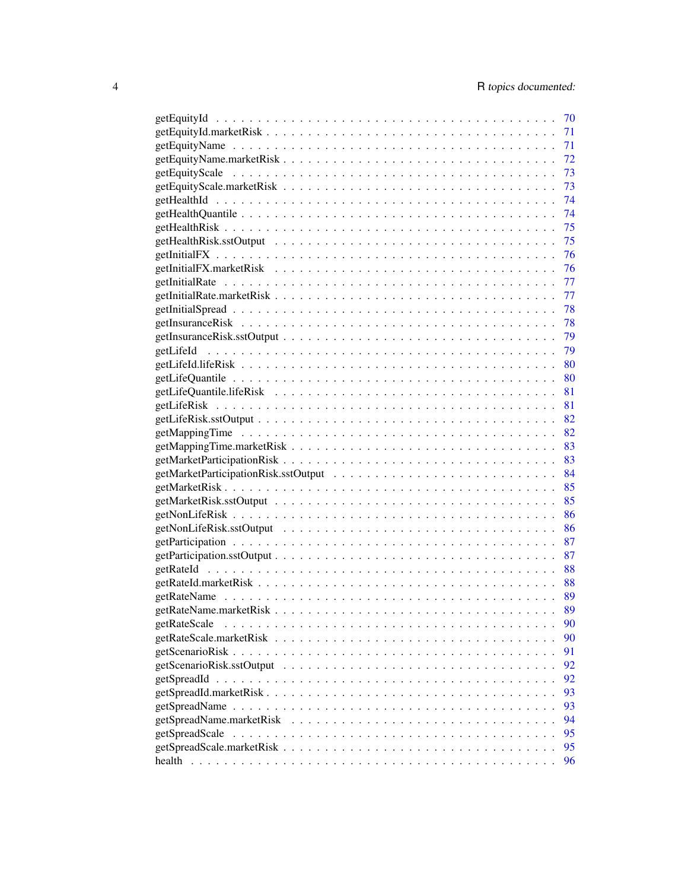|              | 70 |
|--------------|----|
|              | 71 |
|              | 71 |
|              | 72 |
|              | 73 |
|              | 73 |
|              | 74 |
|              | 74 |
|              | 75 |
|              | 75 |
|              | 76 |
|              | 76 |
|              | 77 |
|              | 77 |
|              | 78 |
|              | 78 |
|              | 79 |
|              | 79 |
|              |    |
|              | 80 |
|              | 80 |
|              | 81 |
|              | 81 |
|              | 82 |
|              | 82 |
|              | 83 |
|              | 83 |
|              | 84 |
|              | 85 |
|              | 85 |
|              | 86 |
|              | 86 |
|              | 87 |
|              | 87 |
|              | 88 |
|              | 88 |
|              | 89 |
|              | 89 |
| getRateScale | 90 |
|              | 90 |
|              | 91 |
|              | 92 |
|              | 92 |
|              | 93 |
|              | 93 |
|              | 94 |
|              | 95 |
|              | 95 |
|              | 96 |
|              |    |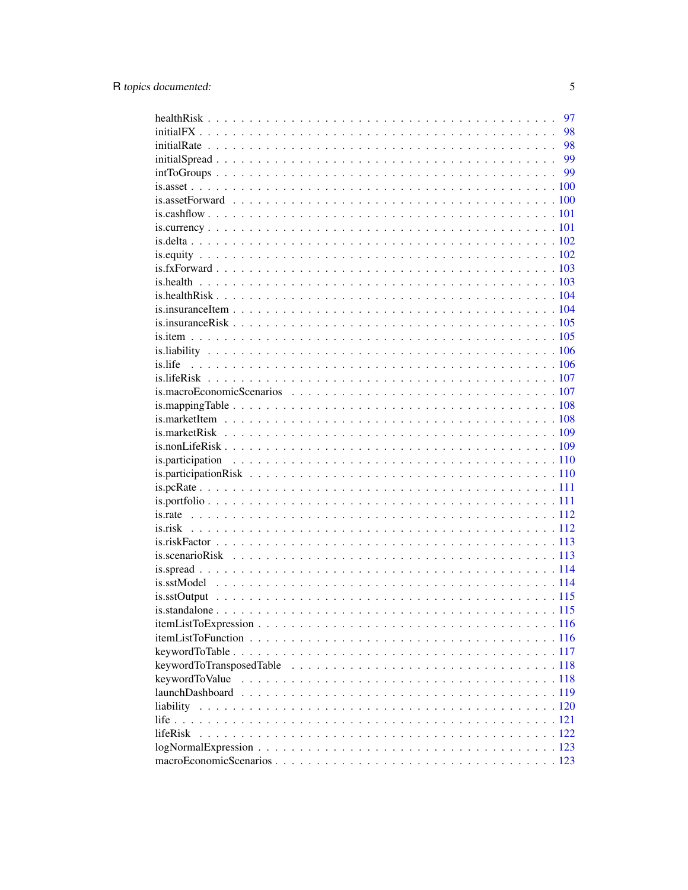|                                                                                                                    | 97 |
|--------------------------------------------------------------------------------------------------------------------|----|
|                                                                                                                    | 98 |
|                                                                                                                    | 98 |
|                                                                                                                    |    |
|                                                                                                                    |    |
|                                                                                                                    |    |
|                                                                                                                    |    |
|                                                                                                                    |    |
|                                                                                                                    |    |
|                                                                                                                    |    |
|                                                                                                                    |    |
|                                                                                                                    |    |
|                                                                                                                    |    |
|                                                                                                                    |    |
| is insurance Item.                                                                                                 |    |
|                                                                                                                    |    |
|                                                                                                                    |    |
|                                                                                                                    |    |
|                                                                                                                    |    |
|                                                                                                                    |    |
|                                                                                                                    |    |
|                                                                                                                    |    |
|                                                                                                                    |    |
|                                                                                                                    |    |
|                                                                                                                    |    |
|                                                                                                                    |    |
|                                                                                                                    |    |
|                                                                                                                    |    |
|                                                                                                                    |    |
|                                                                                                                    |    |
|                                                                                                                    |    |
|                                                                                                                    |    |
|                                                                                                                    |    |
|                                                                                                                    |    |
|                                                                                                                    |    |
|                                                                                                                    |    |
|                                                                                                                    |    |
|                                                                                                                    |    |
|                                                                                                                    |    |
|                                                                                                                    |    |
| keywordToTransposedTable $\ldots \ldots \ldots \ldots \ldots \ldots \ldots \ldots \ldots \ldots \ldots \ldots 118$ |    |
| keywordToValue                                                                                                     |    |
|                                                                                                                    |    |
|                                                                                                                    |    |
|                                                                                                                    |    |
| <i>lifeRisk</i>                                                                                                    |    |
| $logNormalExpression \ldots \ldots \ldots \ldots \ldots \ldots \ldots \ldots \ldots \ldots \ldots \ldots 123$      |    |
|                                                                                                                    |    |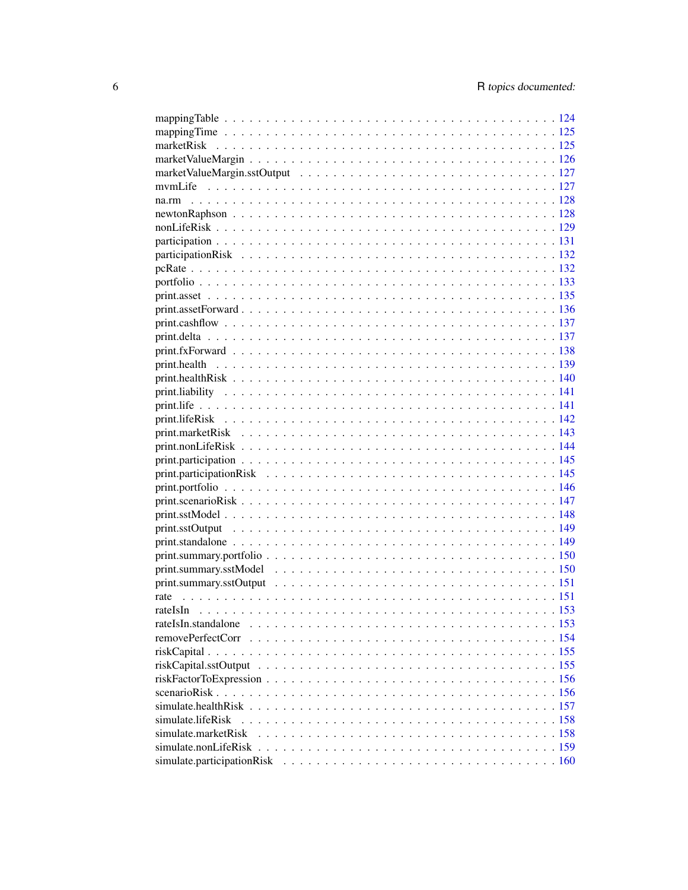| rate                |  |
|---------------------|--|
|                     |  |
| rateIsIn.standalone |  |
|                     |  |
|                     |  |
|                     |  |
|                     |  |
|                     |  |
|                     |  |
| simulate.lifeRisk   |  |
|                     |  |
|                     |  |
|                     |  |
|                     |  |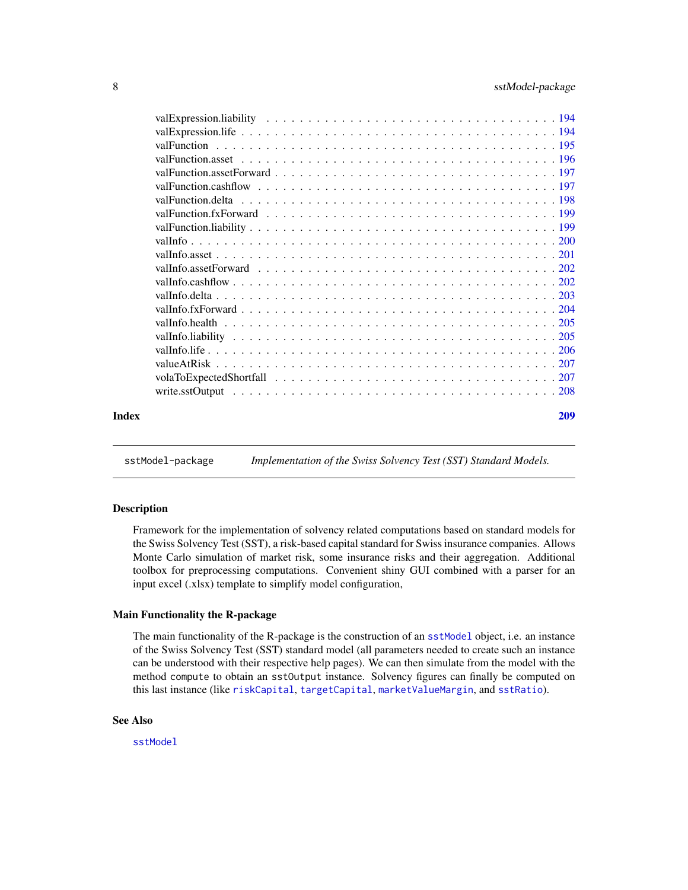<span id="page-7-0"></span>

| Index | 209 |
|-------|-----|

sstModel-package *Implementation of the Swiss Solvency Test (SST) Standard Models.*

#### Description

Framework for the implementation of solvency related computations based on standard models for the Swiss Solvency Test (SST), a risk-based capital standard for Swiss insurance companies. Allows Monte Carlo simulation of market risk, some insurance risks and their aggregation. Additional toolbox for preprocessing computations. Convenient shiny GUI combined with a parser for an input excel (.xlsx) template to simplify model configuration,

#### Main Functionality the R-package

The main functionality of the R-package is the construction of an [sstModel](#page-163-1) object, i.e. an instance of the Swiss Solvency Test (SST) standard model (all parameters needed to create such an instance can be understood with their respective help pages). We can then simulate from the model with the method compute to obtain an sstOutput instance. Solvency figures can finally be computed on this last instance (like [riskCapital](#page-154-1), [targetCapital](#page-186-1), [marketValueMargin](#page-125-1), and [sstRatio](#page-165-1)).

#### See Also

[sstModel](#page-163-1)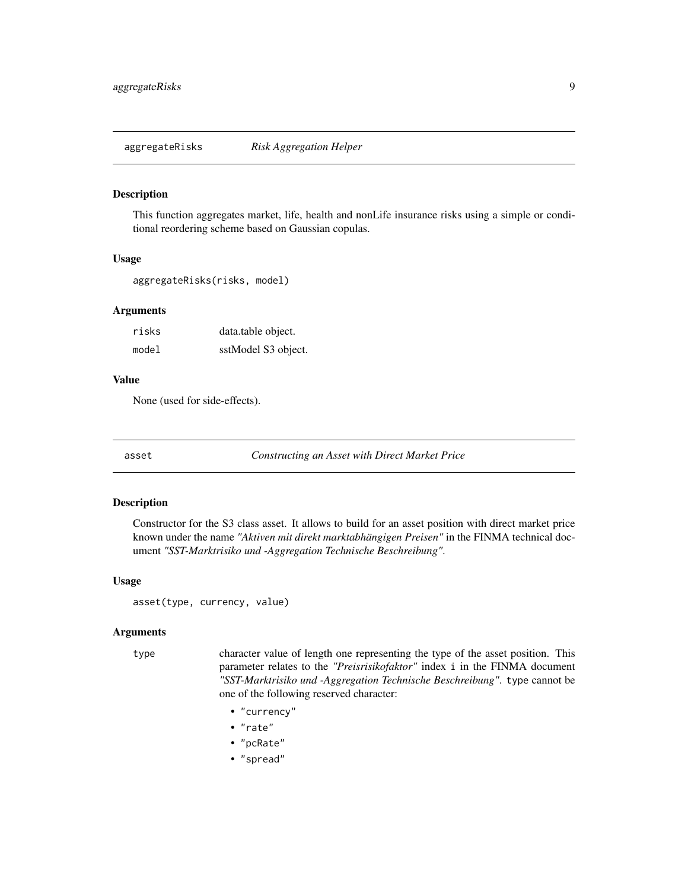#### <span id="page-8-0"></span>Description

This function aggregates market, life, health and nonLife insurance risks using a simple or conditional reordering scheme based on Gaussian copulas.

#### Usage

aggregateRisks(risks, model)

#### Arguments

| risks | data.table object.  |
|-------|---------------------|
| model | sstModel S3 object. |

#### Value

None (used for side-effects).

<span id="page-8-1"></span>asset *Constructing an Asset with Direct Market Price*

#### Description

Constructor for the S3 class asset. It allows to build for an asset position with direct market price known under the name *"Aktiven mit direkt marktabhängigen Preisen"* in the FINMA technical document *"SST-Marktrisiko und -Aggregation Technische Beschreibung"*.

#### Usage

asset(type, currency, value)

#### Arguments

type character value of length one representing the type of the asset position. This parameter relates to the *"Preisrisikofaktor"* index i in the FINMA document *"SST-Marktrisiko und -Aggregation Technische Beschreibung"*. type cannot be one of the following reserved character:

- "currency"
- "rate"
- "pcRate"
- "spread"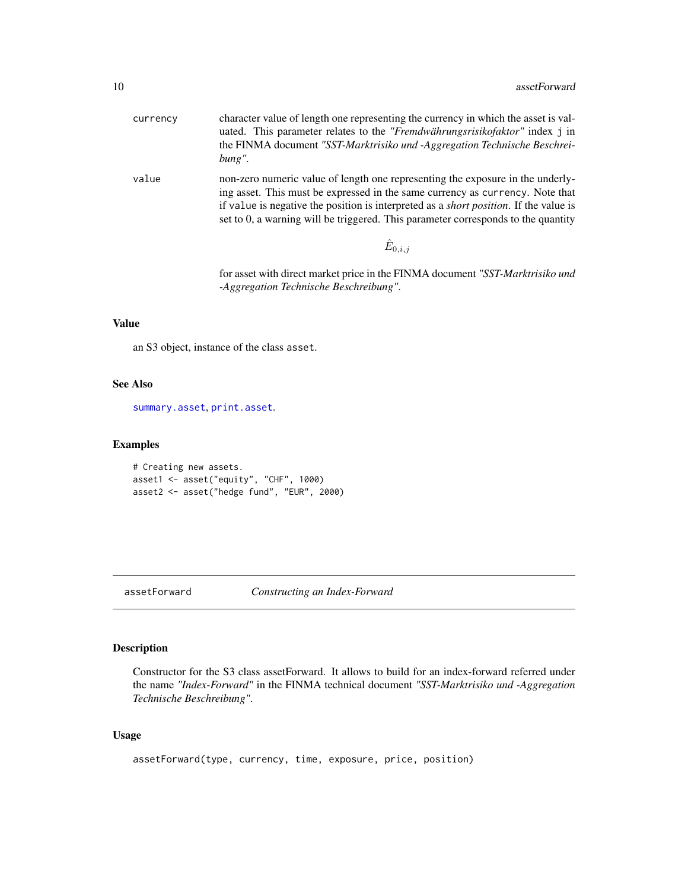<span id="page-9-0"></span>

| currency | character value of length one representing the currency in which the asset is val-<br>uated. This parameter relates to the <i>"Fremdwährungsrisikofaktor"</i> index j in<br>the FINMA document "SST-Marktrisiko und -Aggregation Technische Beschrei-<br>$bung''$ .                                                                                   |
|----------|-------------------------------------------------------------------------------------------------------------------------------------------------------------------------------------------------------------------------------------------------------------------------------------------------------------------------------------------------------|
| value    | non-zero numeric value of length one representing the exposure in the underly-<br>ing asset. This must be expressed in the same currency as currency. Note that<br>if value is negative the position is interpreted as a <i>short position</i> . If the value is<br>set to 0, a warning will be triggered. This parameter corresponds to the quantity |
|          | $\hat{E}_{0,i,i}$                                                                                                                                                                                                                                                                                                                                     |

for asset with direct market price in the FINMA document *"SST-Marktrisiko und -Aggregation Technische Beschreibung"*.

## Value

an S3 object, instance of the class asset.

## See Also

[summary.asset](#page-169-1), [print.asset](#page-134-1).

## Examples

```
# Creating new assets.
asset1 <- asset("equity", "CHF", 1000)
asset2 <- asset("hedge fund", "EUR", 2000)
```
## assetForward *Constructing an Index-Forward*

## Description

Constructor for the S3 class assetForward. It allows to build for an index-forward referred under the name *"Index-Forward"* in the FINMA technical document *"SST-Marktrisiko und -Aggregation Technische Beschreibung"*.

```
assetForward(type, currency, time, exposure, price, position)
```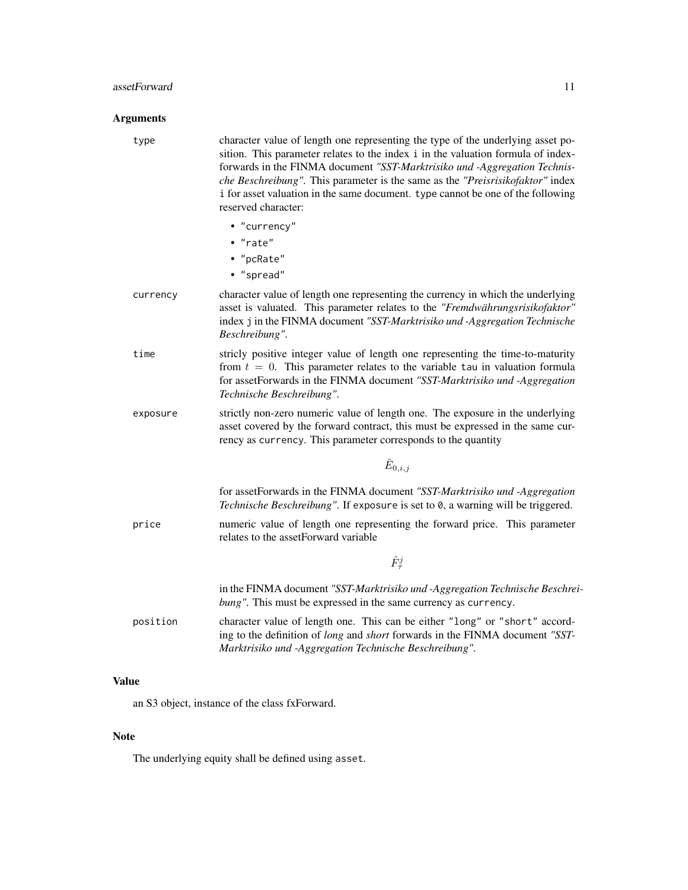#### assetForward 11

#### Arguments

type character value of length one representing the type of the underlying asset position. This parameter relates to the index i in the valuation formula of indexforwards in the FINMA document *"SST-Marktrisiko und -Aggregation Technische Beschreibung"*. This parameter is the same as the *"Preisrisikofaktor"* index i for asset valuation in the same document. type cannot be one of the following reserved character:

• "currency" • "rate" • "pcRate" • "spread" currency character value of length one representing the currency in which the underlying asset is valuated. This parameter relates to the *"Fremdwährungsrisikofaktor"* index j in the FINMA document *"SST-Marktrisiko und -Aggregation Technische Beschreibung"*. time stricly positive integer value of length one representing the time-to-maturity from  $t = 0$ . This parameter relates to the variable tau in valuation formula for assetForwards in the FINMA document *"SST-Marktrisiko und -Aggregation Technische Beschreibung"*. exposure strictly non-zero numeric value of length one. The exposure in the underlying asset covered by the forward contract, this must be expressed in the same currency as currency. This parameter corresponds to the quantity  $\hat{E}_{0,i,j}$ for assetForwards in the FINMA document *"SST-Marktrisiko und -Aggregation Technische Beschreibung"*. If exposure is set to 0, a warning will be triggered. price numeric value of length one representing the forward price. This parameter relates to the assetForward variable  $\hat{F}^j_\tau$ in the FINMA document *"SST-Marktrisiko und -Aggregation Technische Beschreibung"*. This must be expressed in the same currency as currency. position character value of length one. This can be either "long" or "short" according to the definition of *long* and *short* forwards in the FINMA document *"SST-*

*Marktrisiko und -Aggregation Technische Beschreibung"*.

#### Value

an S3 object, instance of the class fxForward.

#### **Note**

The underlying equity shall be defined using asset.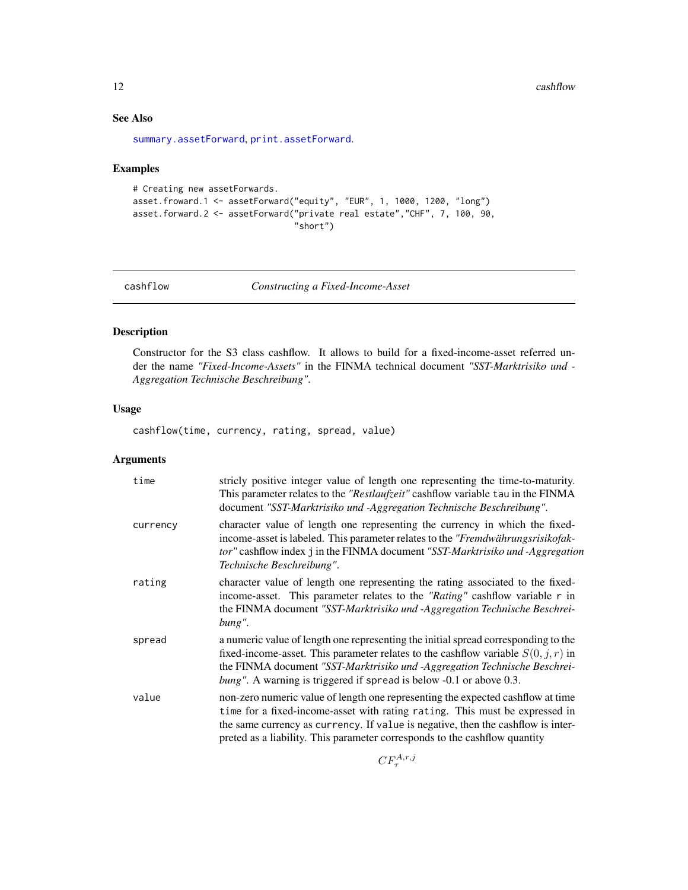<span id="page-11-0"></span>12 cashflow cashflow cashflow cashflow cashflow cashflow cashflow cashflow cashflow cashflow cashflow cashflow cashflow cashflow cashflow cashflow cashflow cashflow cashflow cashflow cashflow cashflow cashflow cashflow cas

## See Also

[summary.assetForward](#page-170-1), [print.assetForward](#page-135-1).

#### Examples

```
# Creating new assetForwards.
asset.froward.1 <- assetForward("equity", "EUR", 1, 1000, 1200, "long")
asset.forward.2 <- assetForward("private real estate","CHF", 7, 100, 90,
                                "short")
```
<span id="page-11-1"></span>

cashflow *Constructing a Fixed-Income-Asset*

#### Description

Constructor for the S3 class cashflow. It allows to build for a fixed-income-asset referred under the name *"Fixed-Income-Assets"* in the FINMA technical document *"SST-Marktrisiko und - Aggregation Technische Beschreibung"*.

## Usage

cashflow(time, currency, rating, spread, value)

## Arguments

| time     | stricly positive integer value of length one representing the time-to-maturity.<br>This parameter relates to the "Restlaufzeit" cashflow variable tau in the FINMA<br>document "SST-Marktrisiko und -Aggregation Technische Beschreibung".                                                                                       |
|----------|----------------------------------------------------------------------------------------------------------------------------------------------------------------------------------------------------------------------------------------------------------------------------------------------------------------------------------|
| currency | character value of length one representing the currency in which the fixed-<br>income-asset is labeled. This parameter relates to the "Fremdwährungsrisikofak-<br>tor" cashflow index j in the FINMA document "SST-Marktrisiko und -Aggregation<br>Technische Beschreibung".                                                     |
| rating   | character value of length one representing the rating associated to the fixed-<br>income-asset. This parameter relates to the "Rating" cashflow variable r in<br>the FINMA document "SST-Marktrisiko und -Aggregation Technische Beschrei-<br>bung".                                                                             |
| spread   | a numeric value of length one representing the initial spread corresponding to the<br>fixed-income-asset. This parameter relates to the cashflow variable $S(0, j, r)$ in<br>the FINMA document "SST-Marktrisiko und -Aggregation Technische Beschrei-<br>bung". A warning is triggered if spread is below -0.1 or above 0.3.    |
| value    | non-zero numeric value of length one representing the expected cashflow at time<br>time for a fixed-income-asset with rating rating. This must be expressed in<br>the same currency as currency. If value is negative, then the cashflow is inter-<br>preted as a liability. This parameter corresponds to the cashflow quantity |
|          |                                                                                                                                                                                                                                                                                                                                  |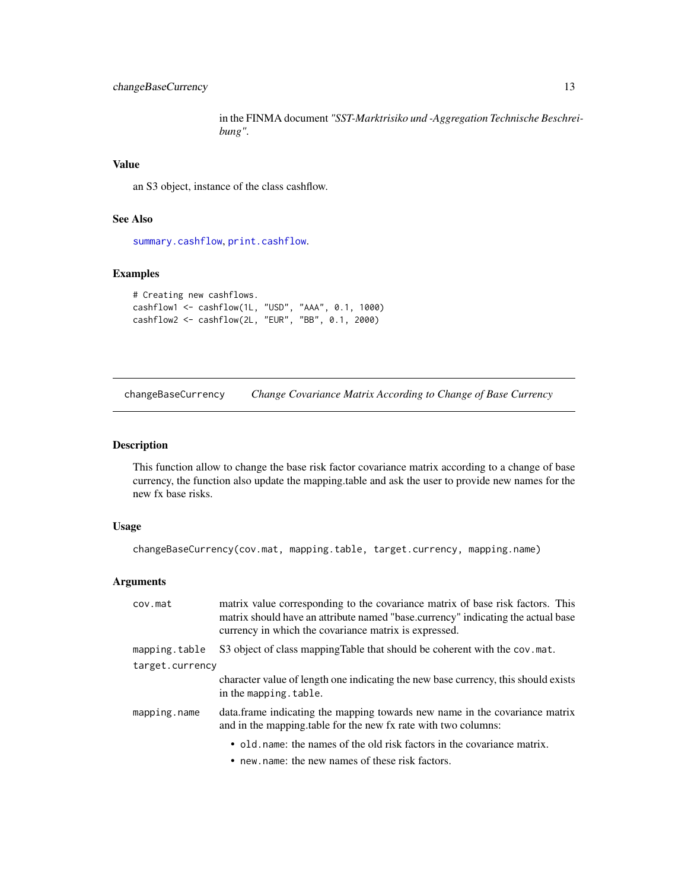## <span id="page-12-0"></span>changeBaseCurrency 13

in the FINMA document *"SST-Marktrisiko und -Aggregation Technische Beschreibung"*.

#### Value

an S3 object, instance of the class cashflow.

## See Also

[summary.cashflow](#page-170-2), [print.cashflow](#page-136-1).

#### Examples

```
# Creating new cashflows.
cashflow1 <- cashflow(1L, "USD", "AAA", 0.1, 1000)
cashflow2 <- cashflow(2L, "EUR", "BB", 0.1, 2000)
```
changeBaseCurrency *Change Covariance Matrix According to Change of Base Currency*

## Description

This function allow to change the base risk factor covariance matrix according to a change of base currency, the function also update the mapping.table and ask the user to provide new names for the new fx base risks.

#### Usage

```
changeBaseCurrency(cov.mat, mapping.table, target.currency, mapping.name)
```
## Arguments

| cov.mat         | matrix value corresponding to the covariance matrix of base risk factors. This<br>matrix should have an attribute named "base.currency" indicating the actual base<br>currency in which the covariance matrix is expressed. |
|-----------------|-----------------------------------------------------------------------------------------------------------------------------------------------------------------------------------------------------------------------------|
| mapping.table   | S3 object of class mapping Table that should be coherent with the cov. mat.                                                                                                                                                 |
| target.currency |                                                                                                                                                                                                                             |
|                 | character value of length one indicating the new base currency, this should exists<br>in the mapping. table.                                                                                                                |
| mapping.name    | data. frame indicating the mapping towards new name in the covariance matrix<br>and in the mapping table for the new fx rate with two columns:                                                                              |
|                 | • old name: the names of the old risk factors in the covariance matrix.                                                                                                                                                     |
|                 | • new name: the new names of these risk factors.                                                                                                                                                                            |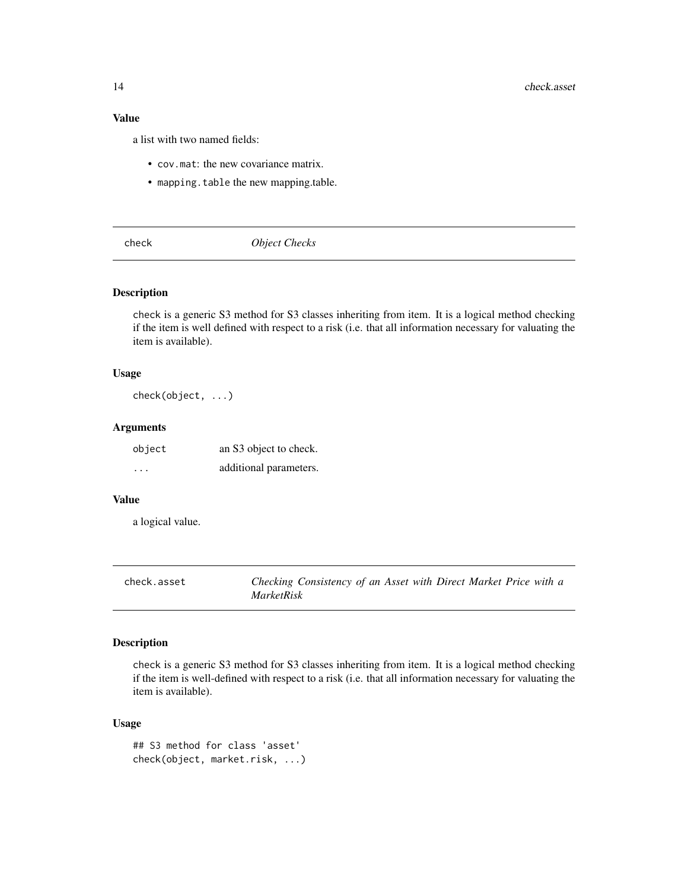#### <span id="page-13-0"></span>Value

a list with two named fields:

- cov.mat: the new covariance matrix.
- mapping.table the new mapping.table.

<span id="page-13-1"></span>check *Object Checks*

#### Description

check is a generic S3 method for S3 classes inheriting from item. It is a logical method checking if the item is well defined with respect to a risk (i.e. that all information necessary for valuating the item is available).

#### Usage

check(object, ...)

#### Arguments

| object  | an S3 object to check. |
|---------|------------------------|
| $\cdot$ | additional parameters. |

#### Value

a logical value.

| check.asset | Checking Consistency of an Asset with Direct Market Price with a |
|-------------|------------------------------------------------------------------|
|             | <i>MarketRisk</i>                                                |

## Description

check is a generic S3 method for S3 classes inheriting from item. It is a logical method checking if the item is well-defined with respect to a risk (i.e. that all information necessary for valuating the item is available).

```
## S3 method for class 'asset'
check(object, market.risk, ...)
```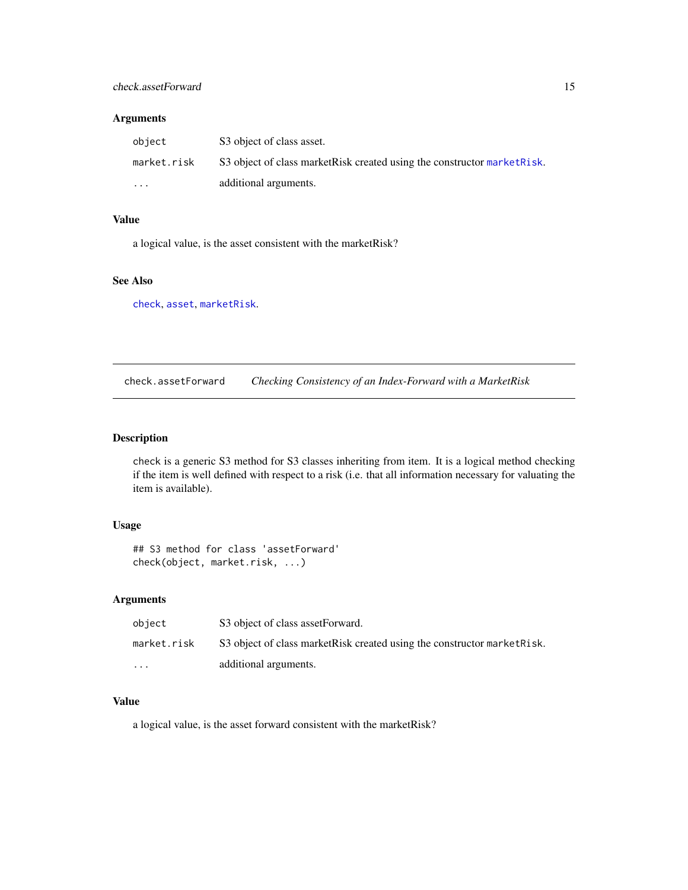#### <span id="page-14-0"></span>Arguments

| object      | S3 object of class asset.                                                 |
|-------------|---------------------------------------------------------------------------|
| market.risk | S3 object of class market Risk created using the constructor market Risk. |
| $\cdot$     | additional arguments.                                                     |

## Value

a logical value, is the asset consistent with the marketRisk?

## See Also

[check](#page-13-1), [asset](#page-8-1), [marketRisk](#page-124-1).

check.assetForward *Checking Consistency of an Index-Forward with a MarketRisk*

## Description

check is a generic S3 method for S3 classes inheriting from item. It is a logical method checking if the item is well defined with respect to a risk (i.e. that all information necessary for valuating the item is available).

## Usage

```
## S3 method for class 'assetForward'
check(object, market.risk, ...)
```
#### Arguments

| object                  | S3 object of class assetForward.                                          |
|-------------------------|---------------------------------------------------------------------------|
| market.risk             | S3 object of class market Risk created using the constructor market Risk. |
| $\cdot$ $\cdot$ $\cdot$ | additional arguments.                                                     |

#### Value

a logical value, is the asset forward consistent with the marketRisk?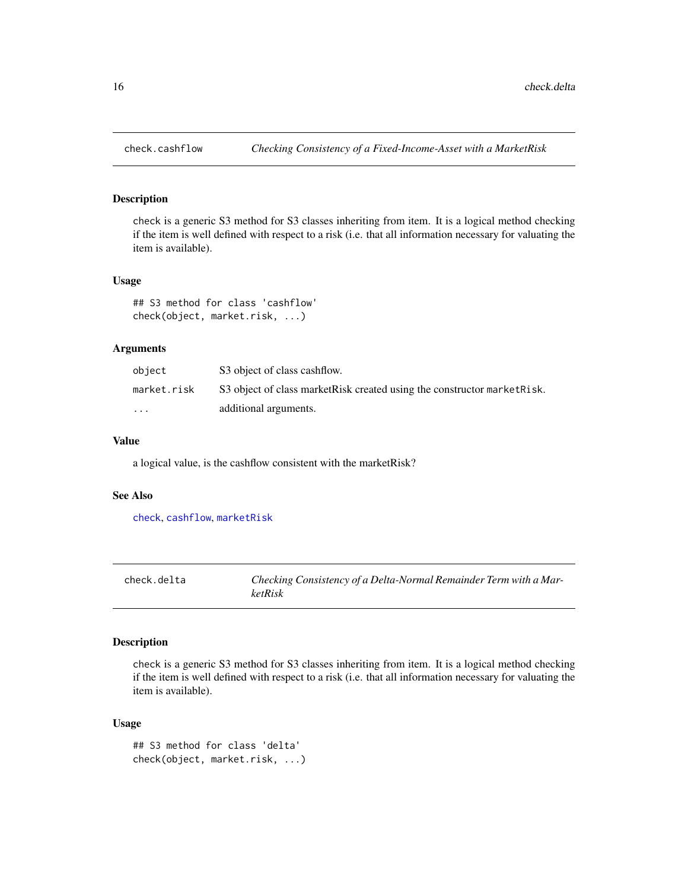<span id="page-15-0"></span>

#### Description

check is a generic S3 method for S3 classes inheriting from item. It is a logical method checking if the item is well defined with respect to a risk (i.e. that all information necessary for valuating the item is available).

#### Usage

## S3 method for class 'cashflow' check(object, market.risk, ...)

#### Arguments

| obiect      | S3 object of class cashflow.                                              |
|-------------|---------------------------------------------------------------------------|
| market.risk | S3 object of class market Risk created using the constructor market Risk. |
| $\cdot$     | additional arguments.                                                     |

#### Value

a logical value, is the cashflow consistent with the marketRisk?

#### See Also

[check](#page-13-1), [cashflow](#page-11-1), [marketRisk](#page-124-1)

check.delta *Checking Consistency of a Delta-Normal Remainder Term with a MarketRisk*

## Description

check is a generic S3 method for S3 classes inheriting from item. It is a logical method checking if the item is well defined with respect to a risk (i.e. that all information necessary for valuating the item is available).

```
## S3 method for class 'delta'
check(object, market.risk, ...)
```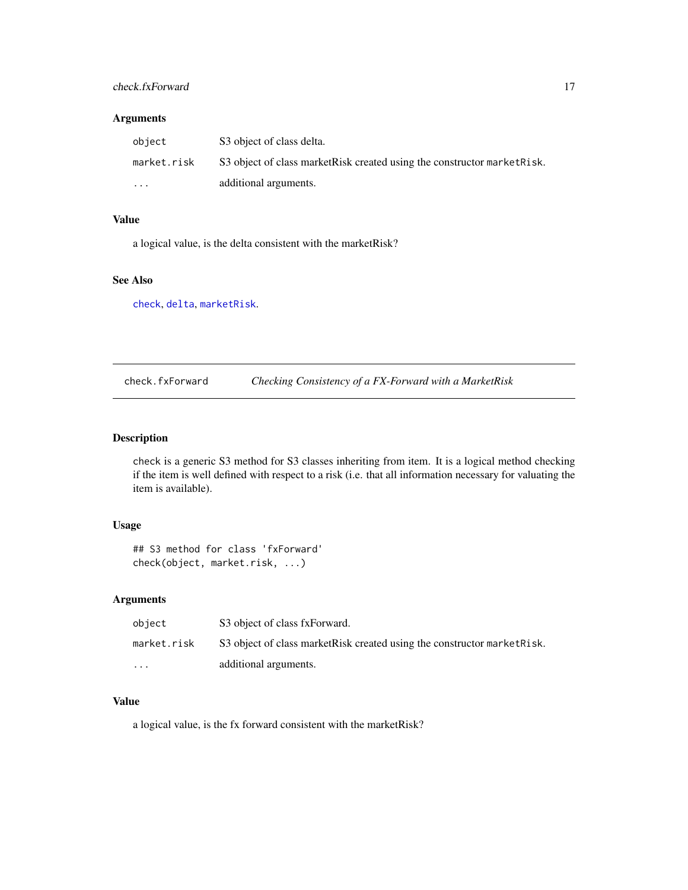#### <span id="page-16-0"></span>check.fxForward 17

#### Arguments

| object      | S3 object of class delta.                                                 |
|-------------|---------------------------------------------------------------------------|
| market.risk | S3 object of class market Risk created using the constructor market Risk. |
| $\cdot$     | additional arguments.                                                     |

## Value

a logical value, is the delta consistent with the marketRisk?

## See Also

[check](#page-13-1), [delta](#page-41-1), [marketRisk](#page-124-1).

check.fxForward *Checking Consistency of a FX-Forward with a MarketRisk*

## Description

check is a generic S3 method for S3 classes inheriting from item. It is a logical method checking if the item is well defined with respect to a risk (i.e. that all information necessary for valuating the item is available).

## Usage

```
## S3 method for class 'fxForward'
check(object, market.risk, ...)
```
#### Arguments

| object                  | S3 object of class fxForward.                                             |
|-------------------------|---------------------------------------------------------------------------|
| market.risk             | S3 object of class market Risk created using the constructor market Risk. |
| $\cdot$ $\cdot$ $\cdot$ | additional arguments.                                                     |

#### Value

a logical value, is the fx forward consistent with the marketRisk?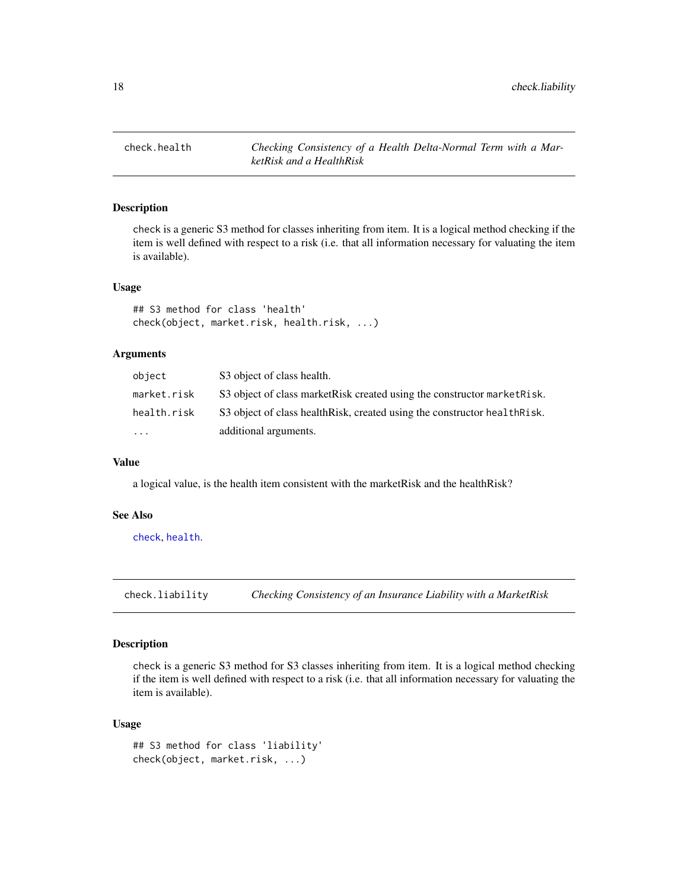<span id="page-17-0"></span>check.health *Checking Consistency of a Health Delta-Normal Term with a MarketRisk and a HealthRisk*

#### Description

check is a generic S3 method for classes inheriting from item. It is a logical method checking if the item is well defined with respect to a risk (i.e. that all information necessary for valuating the item is available).

#### Usage

## S3 method for class 'health' check(object, market.risk, health.risk, ...)

#### Arguments

| object      | S3 object of class health.                                                 |
|-------------|----------------------------------------------------------------------------|
| market.risk | S3 object of class market Risk created using the constructor market Risk.  |
| health.risk | S3 object of class health Risk, created using the constructor health Risk. |
| $\ddotsc$   | additional arguments.                                                      |

#### Value

a logical value, is the health item consistent with the marketRisk and the healthRisk?

#### See Also

[check](#page-13-1), [health](#page-95-1).

check.liability *Checking Consistency of an Insurance Liability with a MarketRisk*

#### Description

check is a generic S3 method for S3 classes inheriting from item. It is a logical method checking if the item is well defined with respect to a risk (i.e. that all information necessary for valuating the item is available).

```
## S3 method for class 'liability'
check(object, market.risk, ...)
```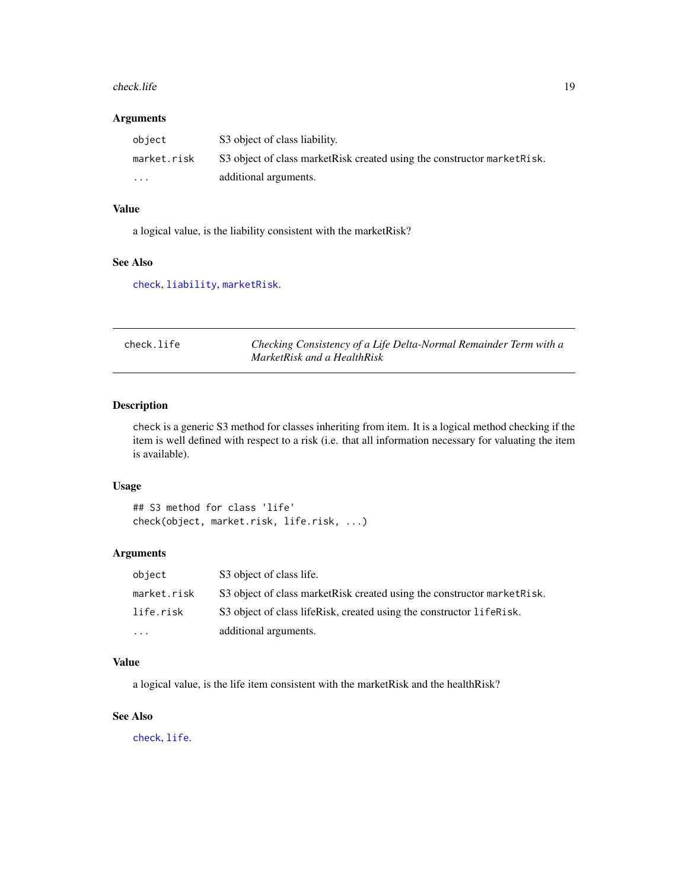#### <span id="page-18-0"></span>check.life 19

#### Arguments

| obiect      | S3 object of class liability.                                             |
|-------------|---------------------------------------------------------------------------|
| market.risk | S3 object of class market Risk created using the constructor market Risk. |
| $\cdots$    | additional arguments.                                                     |

#### Value

a logical value, is the liability consistent with the marketRisk?

#### See Also

[check](#page-13-1), [liability](#page-119-1), [marketRisk](#page-124-1).

| check.life | Checking Consistency of a Life Delta-Normal Remainder Term with a |
|------------|-------------------------------------------------------------------|
|            | MarketRisk and a HealthRisk                                       |

## Description

check is a generic S3 method for classes inheriting from item. It is a logical method checking if the item is well defined with respect to a risk (i.e. that all information necessary for valuating the item is available).

## Usage

```
## S3 method for class 'life'
check(object, market.risk, life.risk, ...)
```
## Arguments

| object      | S3 object of class life.                                                  |
|-------------|---------------------------------------------------------------------------|
| market.risk | S3 object of class market Risk created using the constructor market Risk. |
| life.risk   | S3 object of class lifeRisk, created using the constructor lifeRisk.      |
| .           | additional arguments.                                                     |

## Value

a logical value, is the life item consistent with the marketRisk and the healthRisk?

## See Also

[check](#page-13-1), [life](#page-120-1).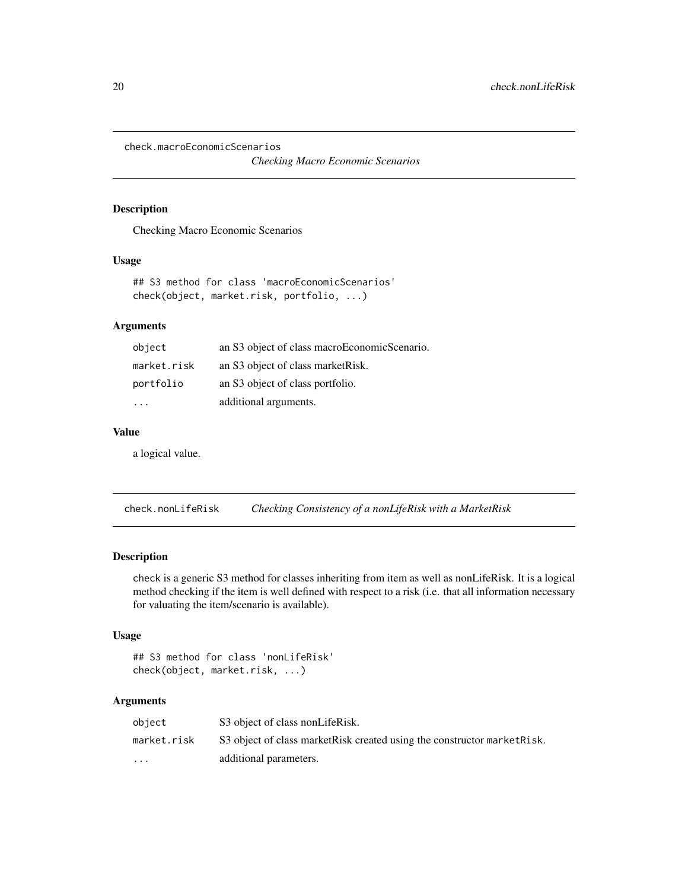<span id="page-19-0"></span>check.macroEconomicScenarios

*Checking Macro Economic Scenarios*

#### Description

Checking Macro Economic Scenarios

#### Usage

```
## S3 method for class 'macroEconomicScenarios'
check(object, market.risk, portfolio, ...)
```
#### Arguments

| object      | an S3 object of class macroEconomicScenario. |
|-------------|----------------------------------------------|
| market.risk | an S3 object of class market Risk.           |
| portfolio   | an S3 object of class portfolio.             |
|             | additional arguments.                        |

## Value

a logical value.

check.nonLifeRisk *Checking Consistency of a nonLifeRisk with a MarketRisk*

#### Description

check is a generic S3 method for classes inheriting from item as well as nonLifeRisk. It is a logical method checking if the item is well defined with respect to a risk (i.e. that all information necessary for valuating the item/scenario is available).

#### Usage

```
## S3 method for class 'nonLifeRisk'
check(object, market.risk, ...)
```
## Arguments

| object                  | S3 object of class nonLifeRisk.                                           |
|-------------------------|---------------------------------------------------------------------------|
| market.risk             | S3 object of class market Risk created using the constructor market Risk. |
| $\cdot$ $\cdot$ $\cdot$ | additional parameters.                                                    |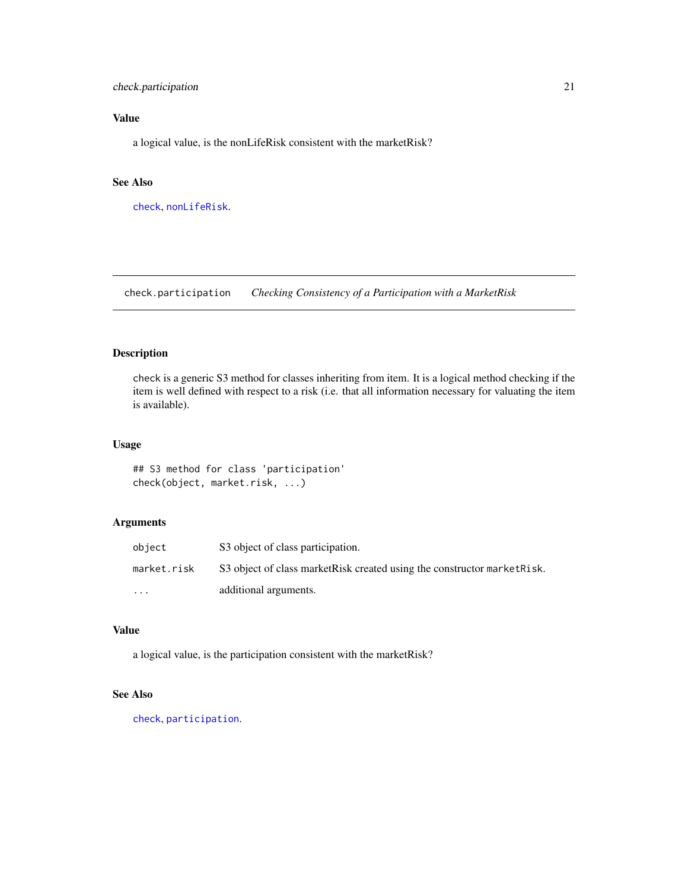## <span id="page-20-0"></span>check.participation 21

## Value

a logical value, is the nonLifeRisk consistent with the marketRisk?

#### See Also

[check](#page-13-1), [nonLifeRisk](#page-128-1).

check.participation *Checking Consistency of a Participation with a MarketRisk*

## Description

check is a generic S3 method for classes inheriting from item. It is a logical method checking if the item is well defined with respect to a risk (i.e. that all information necessary for valuating the item is available).

## Usage

## S3 method for class 'participation' check(object, market.risk, ...)

## Arguments

| object      | S3 object of class participation.                                         |
|-------------|---------------------------------------------------------------------------|
| market.risk | S3 object of class market Risk created using the constructor market Risk. |
| $\cdot$     | additional arguments.                                                     |

## Value

a logical value, is the participation consistent with the marketRisk?

#### See Also

[check](#page-13-1), [participation](#page-130-1).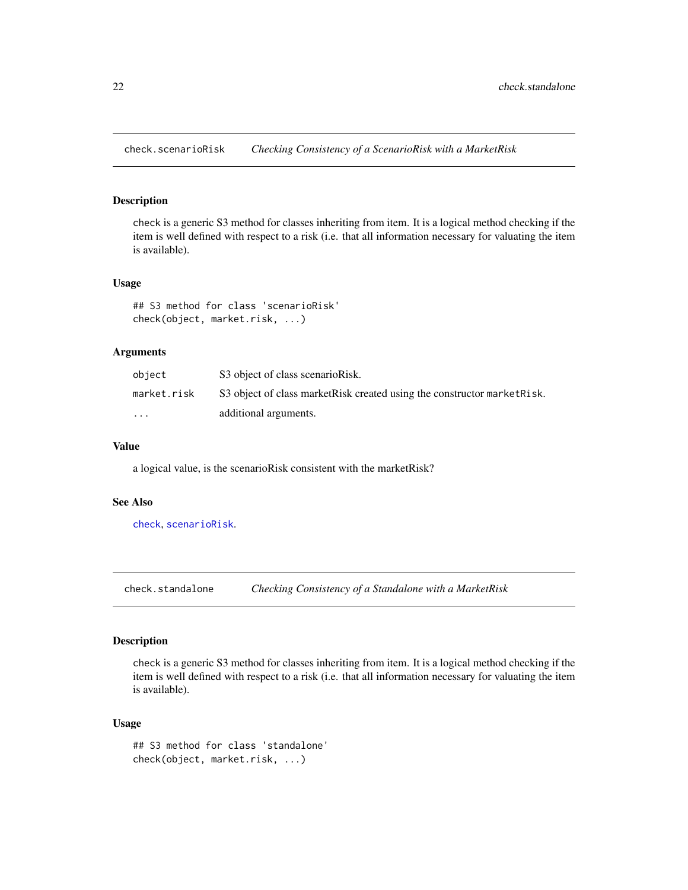<span id="page-21-0"></span>check.scenarioRisk *Checking Consistency of a ScenarioRisk with a MarketRisk*

#### Description

check is a generic S3 method for classes inheriting from item. It is a logical method checking if the item is well defined with respect to a risk (i.e. that all information necessary for valuating the item is available).

#### Usage

## S3 method for class 'scenarioRisk' check(object, market.risk, ...)

## Arguments

| object      | S3 object of class scenarioRisk.                                          |
|-------------|---------------------------------------------------------------------------|
| market.risk | S3 object of class market Risk created using the constructor market Risk. |
| $\cdots$    | additional arguments.                                                     |

#### Value

a logical value, is the scenarioRisk consistent with the marketRisk?

#### See Also

[check](#page-13-1), [scenarioRisk](#page-155-1).

check.standalone *Checking Consistency of a Standalone with a MarketRisk*

#### Description

check is a generic S3 method for classes inheriting from item. It is a logical method checking if the item is well defined with respect to a risk (i.e. that all information necessary for valuating the item is available).

```
## S3 method for class 'standalone'
check(object, market.risk, ...)
```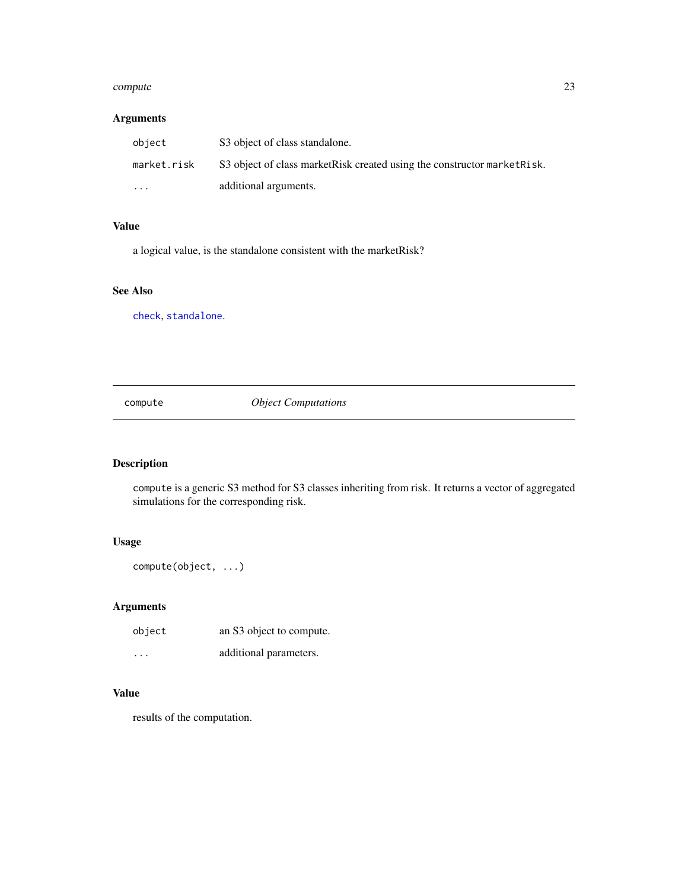#### <span id="page-22-0"></span>compute 23

## Arguments

| object      | S3 object of class standalone.                                            |
|-------------|---------------------------------------------------------------------------|
| market.risk | S3 object of class market Risk created using the constructor market Risk. |
| $\cdots$    | additional arguments.                                                     |

## Value

a logical value, is the standalone consistent with the marketRisk?

## See Also

[check](#page-13-1), [standalone](#page-166-1).

<span id="page-22-1"></span>compute *Object Computations*

## Description

compute is a generic S3 method for S3 classes inheriting from risk. It returns a vector of aggregated simulations for the corresponding risk.

## Usage

compute(object, ...)

## Arguments

| object  | an S3 object to compute. |
|---------|--------------------------|
| $\cdot$ | additional parameters.   |

## Value

results of the computation.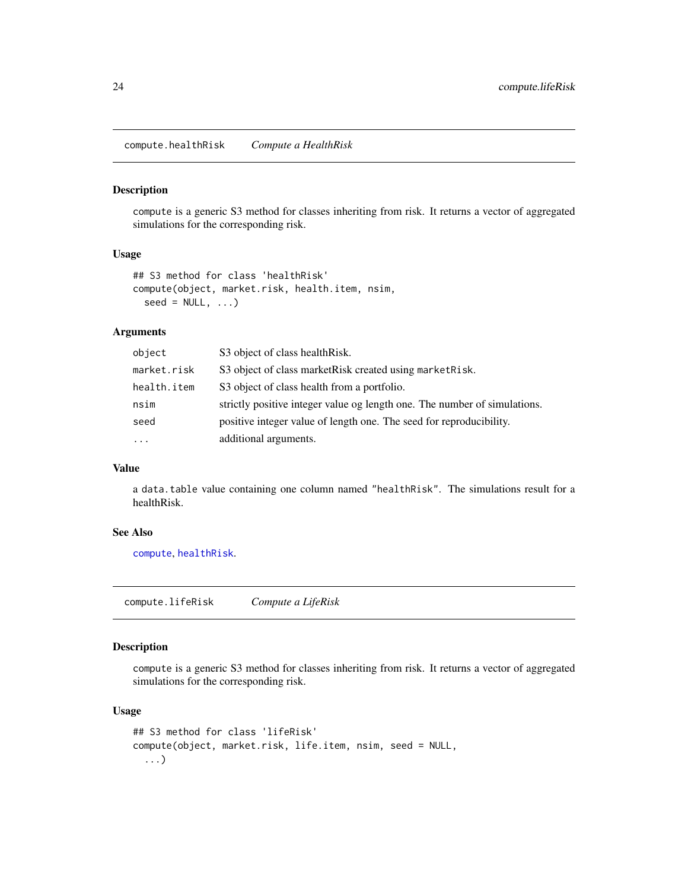<span id="page-23-0"></span>compute.healthRisk *Compute a HealthRisk*

#### Description

compute is a generic S3 method for classes inheriting from risk. It returns a vector of aggregated simulations for the corresponding risk.

#### Usage

```
## S3 method for class 'healthRisk'
compute(object, market.risk, health.item, nsim,
  seed = NULL, ...
```
#### Arguments

| object      | S3 object of class healthRisk.                                            |
|-------------|---------------------------------------------------------------------------|
| market.risk | S3 object of class market Risk created using market Risk.                 |
| health.item | S3 object of class health from a portfolio.                               |
| nsim        | strictly positive integer value og length one. The number of simulations. |
| seed        | positive integer value of length one. The seed for reproducibility.       |
| $\cdot$     | additional arguments.                                                     |
|             |                                                                           |

#### Value

a data.table value containing one column named "healthRisk". The simulations result for a healthRisk.

## See Also

[compute](#page-22-1), [healthRisk](#page-96-1).

compute.lifeRisk *Compute a LifeRisk*

#### Description

compute is a generic S3 method for classes inheriting from risk. It returns a vector of aggregated simulations for the corresponding risk.

```
## S3 method for class 'lifeRisk'
compute(object, market.risk, life.item, nsim, seed = NULL,
  ...)
```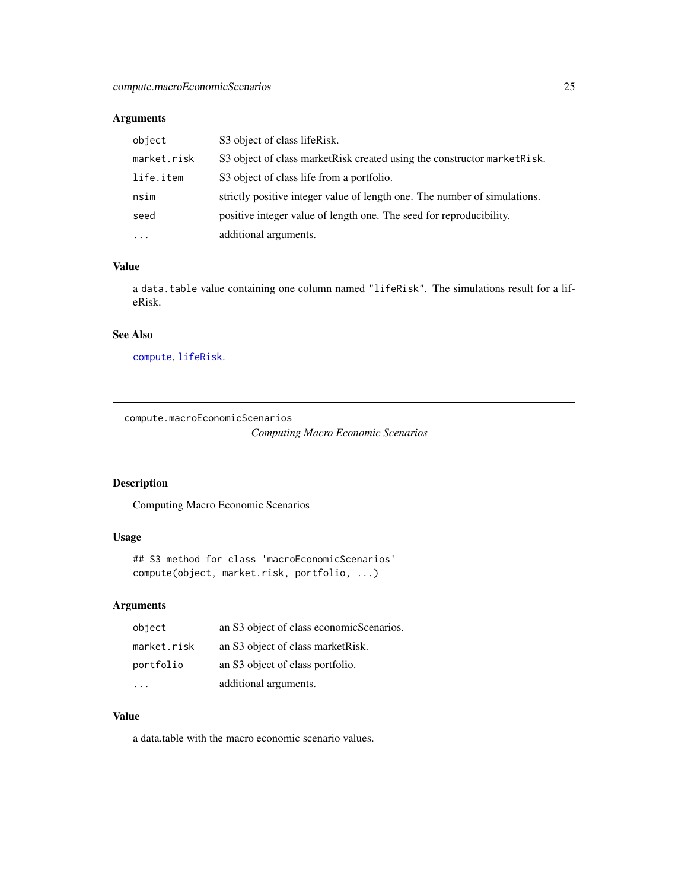## <span id="page-24-0"></span>Arguments

| object      | S3 object of class lifeRisk.                                              |
|-------------|---------------------------------------------------------------------------|
| market.risk | S3 object of class market Risk created using the constructor market Risk. |
| life.item   | S3 object of class life from a portfolio.                                 |
| nsim        | strictly positive integer value of length one. The number of simulations. |
| seed        | positive integer value of length one. The seed for reproducibility.       |
| $\cdot$     | additional arguments.                                                     |

## Value

a data.table value containing one column named "lifeRisk". The simulations result for a lifeRisk.

## See Also

[compute](#page-22-1), [lifeRisk](#page-121-1).

compute.macroEconomicScenarios

*Computing Macro Economic Scenarios*

## Description

Computing Macro Economic Scenarios

## Usage

## S3 method for class 'macroEconomicScenarios' compute(object, market.risk, portfolio, ...)

## Arguments

| object      | an S3 object of class economicScenarios. |
|-------------|------------------------------------------|
| market.risk | an S3 object of class market Risk.       |
| portfolio   | an S3 object of class portfolio.         |
|             | additional arguments.                    |

#### Value

a data.table with the macro economic scenario values.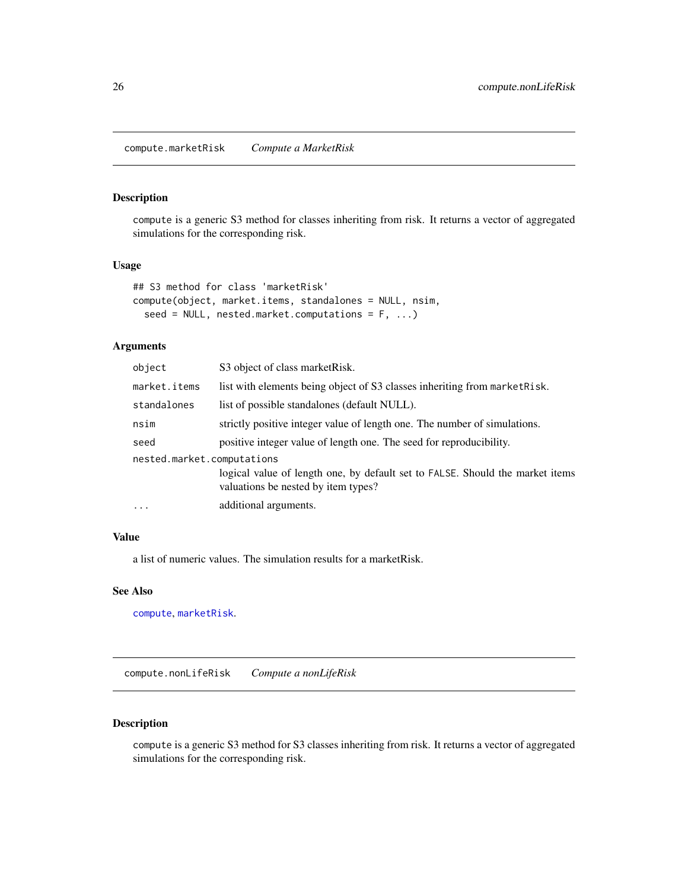<span id="page-25-0"></span>compute.marketRisk *Compute a MarketRisk*

## Description

compute is a generic S3 method for classes inheriting from risk. It returns a vector of aggregated simulations for the corresponding risk.

## Usage

```
## S3 method for class 'marketRisk'
compute(object, market.items, standalones = NULL, nsim,
  seed = NULL, nested.market.computations = F, ...)
```
## Arguments

| object                     | S3 object of class market Risk.                                                                                      |
|----------------------------|----------------------------------------------------------------------------------------------------------------------|
| market.items               | list with elements being object of S3 classes inheriting from market Risk.                                           |
| standalones                | list of possible standalones (default NULL).                                                                         |
| nsim                       | strictly positive integer value of length one. The number of simulations.                                            |
| seed                       | positive integer value of length one. The seed for reproducibility.                                                  |
| nested.market.computations |                                                                                                                      |
|                            | logical value of length one, by default set to FALSE. Should the market items<br>valuations be nested by item types? |
| $\cdots$                   | additional arguments.                                                                                                |

#### Value

a list of numeric values. The simulation results for a marketRisk.

#### See Also

[compute](#page-22-1), [marketRisk](#page-124-1).

compute.nonLifeRisk *Compute a nonLifeRisk*

## Description

compute is a generic S3 method for S3 classes inheriting from risk. It returns a vector of aggregated simulations for the corresponding risk.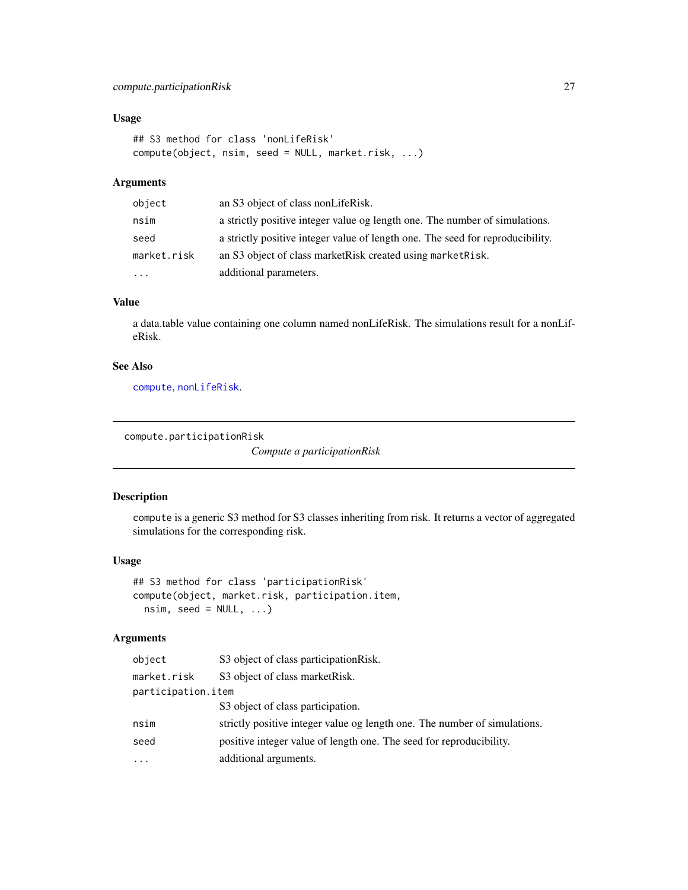## <span id="page-26-0"></span>compute.participationRisk 27

## Usage

```
## S3 method for class 'nonLifeRisk'
compute(object, nsim, seed = NULL, market.risk, ...)
```
#### Arguments

| object      | an S3 object of class nonLifeRisk.                                             |
|-------------|--------------------------------------------------------------------------------|
| nsim        | a strictly positive integer value og length one. The number of simulations.    |
| seed        | a strictly positive integer value of length one. The seed for reproducibility. |
| market.risk | an S3 object of class market Risk created using market Risk.                   |
| $\cdots$    | additional parameters.                                                         |

#### Value

a data.table value containing one column named nonLifeRisk. The simulations result for a nonLifeRisk.

## See Also

[compute](#page-22-1), [nonLifeRisk](#page-128-1).

```
compute.participationRisk
```
*Compute a participationRisk*

#### Description

compute is a generic S3 method for S3 classes inheriting from risk. It returns a vector of aggregated simulations for the corresponding risk.

#### Usage

```
## S3 method for class 'participationRisk'
compute(object, market.risk, participation.item,
 nsim, seed = NULL, ...)
```
#### Arguments

| object             | S3 object of class participation Risk.                                    |
|--------------------|---------------------------------------------------------------------------|
| market.risk        | S3 object of class marketRisk.                                            |
| participation.item |                                                                           |
|                    | S3 object of class participation.                                         |
| nsim               | strictly positive integer value og length one. The number of simulations. |
| seed               | positive integer value of length one. The seed for reproducibility.       |
| $\cdots$           | additional arguments.                                                     |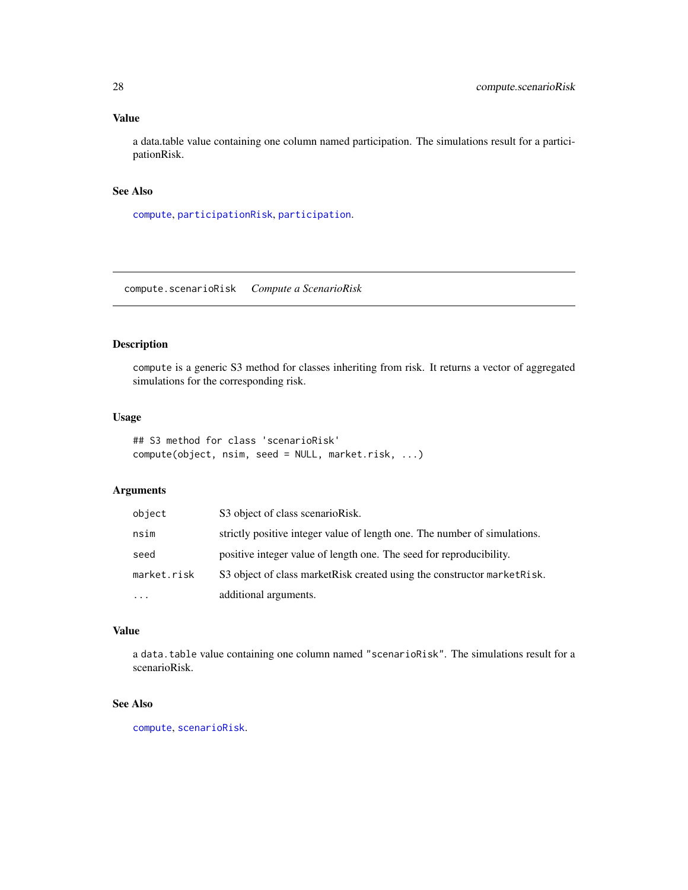## <span id="page-27-0"></span>Value

a data.table value containing one column named participation. The simulations result for a participationRisk.

## See Also

[compute](#page-22-1), [participationRisk](#page-131-1), [participation](#page-130-1).

compute.scenarioRisk *Compute a ScenarioRisk*

## Description

compute is a generic S3 method for classes inheriting from risk. It returns a vector of aggregated simulations for the corresponding risk.

#### Usage

```
## S3 method for class 'scenarioRisk'
compute(object, nsim, seed = NULL, market.risk, ...)
```
#### Arguments

| object      | S3 object of class scenarioRisk.                                          |
|-------------|---------------------------------------------------------------------------|
| nsim        | strictly positive integer value of length one. The number of simulations. |
| seed        | positive integer value of length one. The seed for reproducibility.       |
| market.risk | S3 object of class market Risk created using the constructor market Risk. |
| $\cdots$    | additional arguments.                                                     |

## Value

a data.table value containing one column named "scenarioRisk". The simulations result for a scenarioRisk.

## See Also

[compute](#page-22-1), [scenarioRisk](#page-155-1).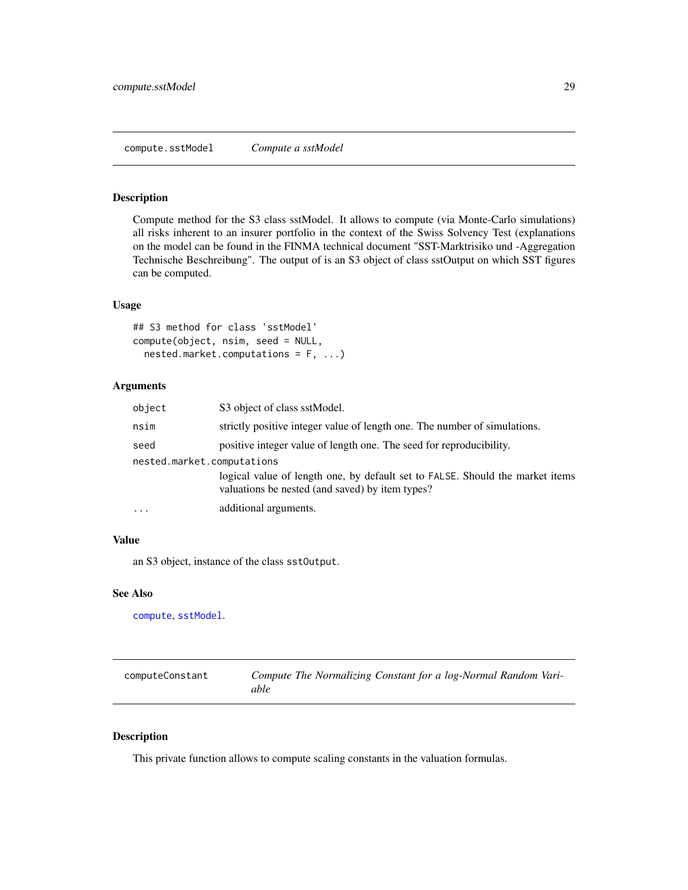## <span id="page-28-0"></span>Description

Compute method for the S3 class sstModel. It allows to compute (via Monte-Carlo simulations) all risks inherent to an insurer portfolio in the context of the Swiss Solvency Test (explanations on the model can be found in the FINMA technical document "SST-Marktrisiko und -Aggregation Technische Beschreibung". The output of is an S3 object of class sstOutput on which SST figures can be computed.

#### Usage

```
## S3 method for class 'sstModel'
compute(object, nsim, seed = NULL,
  nested.market.computations = F, ...)
```
#### Arguments

| object                     | S3 object of class sstModel.                                                                                                     |
|----------------------------|----------------------------------------------------------------------------------------------------------------------------------|
| nsim                       | strictly positive integer value of length one. The number of simulations.                                                        |
| seed                       | positive integer value of length one. The seed for reproducibility.                                                              |
| nested.market.computations |                                                                                                                                  |
|                            | logical value of length one, by default set to FALSE. Should the market items<br>valuations be nested (and saved) by item types? |
| $\ddotsc$                  | additional arguments.                                                                                                            |

#### Value

an S3 object, instance of the class sstOutput.

#### See Also

[compute](#page-22-1), [sstModel](#page-163-1).

| computeConstant | Compute The Normalizing Constant for a log-Normal Random Vari- |
|-----------------|----------------------------------------------------------------|
|                 | able                                                           |

#### Description

This private function allows to compute scaling constants in the valuation formulas.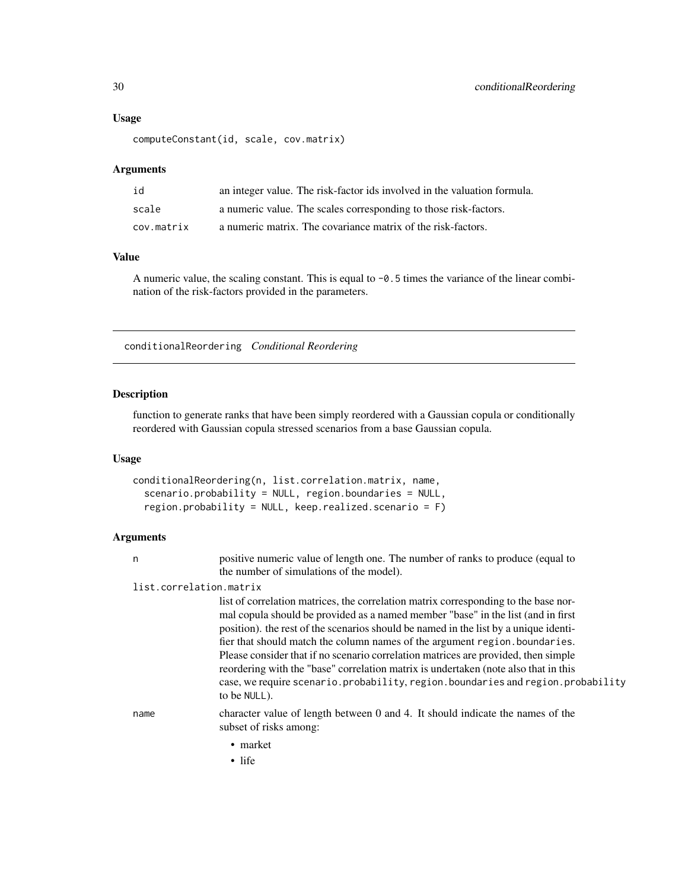#### <span id="page-29-0"></span>Usage

```
computeConstant(id, scale, cov.matrix)
```
#### **Arguments**

| id         | an integer value. The risk-factor ids involved in the valuation formula. |
|------------|--------------------------------------------------------------------------|
| scale      | a numeric value. The scales corresponding to those risk-factors.         |
| cov.matrix | a numeric matrix. The covariance matrix of the risk-factors.             |

#### Value

A numeric value, the scaling constant. This is equal to  $-0.5$  times the variance of the linear combination of the risk-factors provided in the parameters.

conditionalReordering *Conditional Reordering*

#### Description

function to generate ranks that have been simply reordered with a Gaussian copula or conditionally reordered with Gaussian copula stressed scenarios from a base Gaussian copula.

#### Usage

```
conditionalReordering(n, list.correlation.matrix, name,
  scenario.probability = NULL, region.boundaries = NULL,
  region.probability = NULL, keep.realized.scenario = F)
```
#### Arguments

n positive numeric value of length one. The number of ranks to produce (equal to the number of simulations of the model).

#### list.correlation.matrix

list of correlation matrices, the correlation matrix corresponding to the base normal copula should be provided as a named member "base" in the list (and in first position). the rest of the scenarios should be named in the list by a unique identifier that should match the column names of the argument region.boundaries. Please consider that if no scenario correlation matrices are provided, then simple reordering with the "base" correlation matrix is undertaken (note also that in this case, we require scenario.probability, region.boundaries and region.probability to be NULL).

name character value of length between 0 and 4. It should indicate the names of the subset of risks among:

- market
- life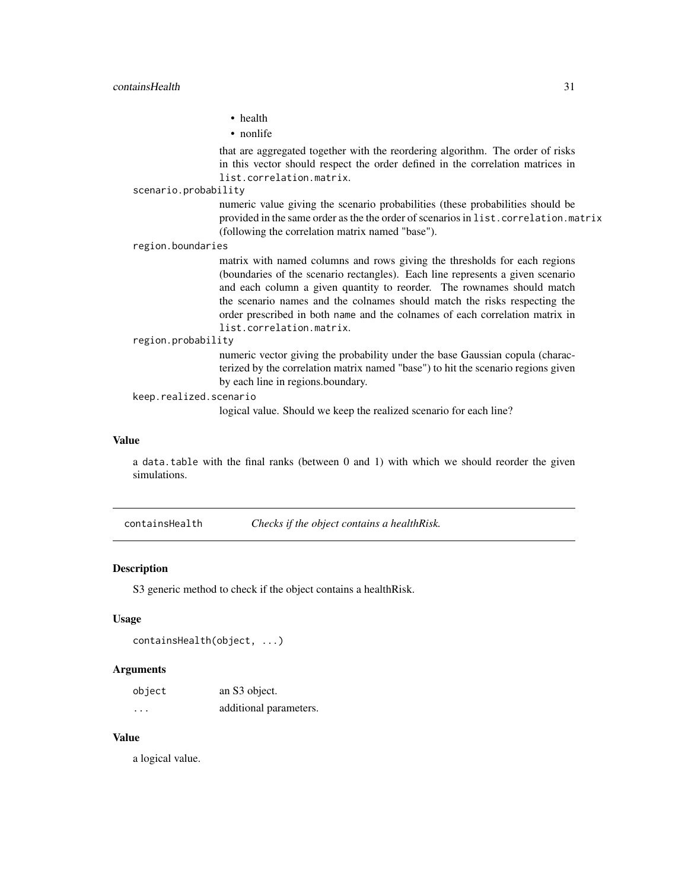#### <span id="page-30-0"></span>containsHealth 31

• health

• nonlife

that are aggregated together with the reordering algorithm. The order of risks in this vector should respect the order defined in the correlation matrices in list.correlation.matrix.

scenario.probability

numeric value giving the scenario probabilities (these probabilities should be provided in the same order as the the order of scenarios in list.correlation.matrix (following the correlation matrix named "base").

region.boundaries

matrix with named columns and rows giving the thresholds for each regions (boundaries of the scenario rectangles). Each line represents a given scenario and each column a given quantity to reorder. The rownames should match the scenario names and the colnames should match the risks respecting the order prescribed in both name and the colnames of each correlation matrix in list.correlation.matrix.

#### region.probability

numeric vector giving the probability under the base Gaussian copula (characterized by the correlation matrix named "base") to hit the scenario regions given by each line in regions.boundary.

#### keep.realized.scenario

logical value. Should we keep the realized scenario for each line?

#### Value

a data.table with the final ranks (between 0 and 1) with which we should reorder the given simulations.

<span id="page-30-1"></span>containsHealth *Checks if the object contains a healthRisk.*

#### Description

S3 generic method to check if the object contains a healthRisk.

#### Usage

```
containsHealth(object, ...)
```
#### Arguments

| object  | an S3 object.          |
|---------|------------------------|
| $\cdot$ | additional parameters. |

#### Value

a logical value.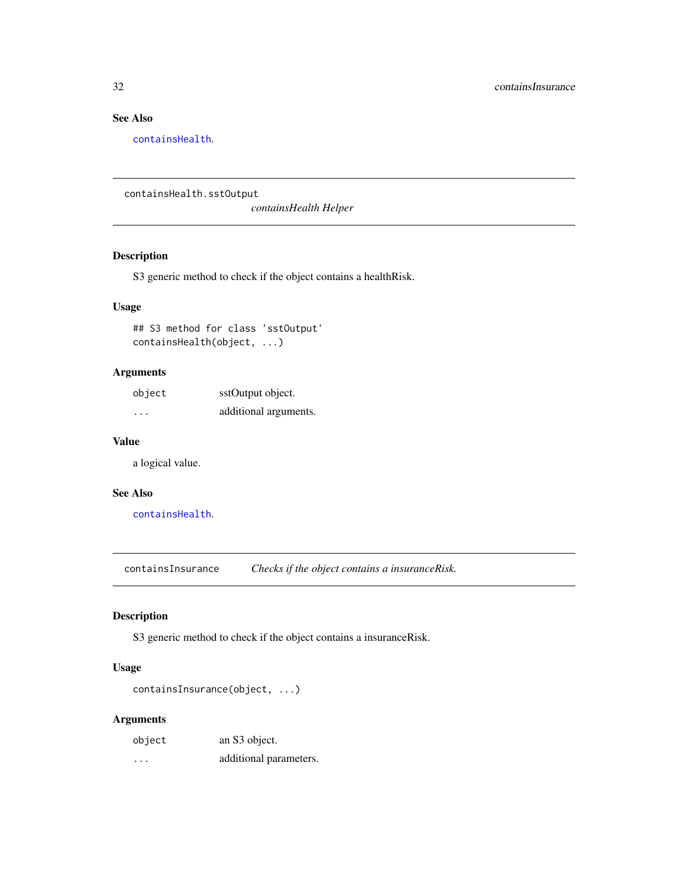## See Also

[containsHealth](#page-30-1).

containsHealth.sstOutput

*containsHealth Helper*

#### Description

S3 generic method to check if the object contains a healthRisk.

#### Usage

## S3 method for class 'sstOutput' containsHealth(object, ...)

#### Arguments

| object   | sstOutput object.     |
|----------|-----------------------|
| $\cdots$ | additional arguments. |

#### Value

a logical value.

#### See Also

[containsHealth](#page-30-1).

<span id="page-31-1"></span>containsInsurance *Checks if the object contains a insuranceRisk.*

#### Description

S3 generic method to check if the object contains a insuranceRisk.

#### Usage

```
containsInsurance(object, ...)
```
## Arguments

| object | an S3 object.          |
|--------|------------------------|
| .      | additional parameters. |

<span id="page-31-0"></span>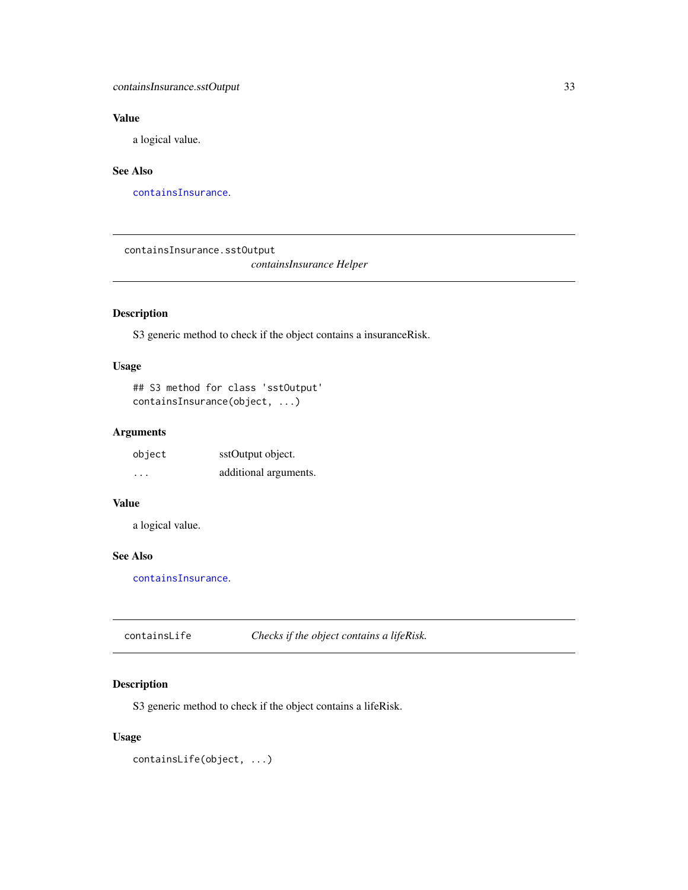## <span id="page-32-0"></span>containsInsurance.sstOutput 33

## Value

a logical value.

## See Also

[containsInsurance](#page-31-1).

containsInsurance.sstOutput

*containsInsurance Helper*

## Description

S3 generic method to check if the object contains a insuranceRisk.

## Usage

## S3 method for class 'sstOutput' containsInsurance(object, ...)

## Arguments

| object   | sstOutput object.     |
|----------|-----------------------|
| $\cdots$ | additional arguments. |

## Value

a logical value.

## See Also

[containsInsurance](#page-31-1).

<span id="page-32-1"></span>

| containsLife | Checks if the object contains a lifeRisk. |
|--------------|-------------------------------------------|
|--------------|-------------------------------------------|

## Description

S3 generic method to check if the object contains a lifeRisk.

```
containsLife(object, ...)
```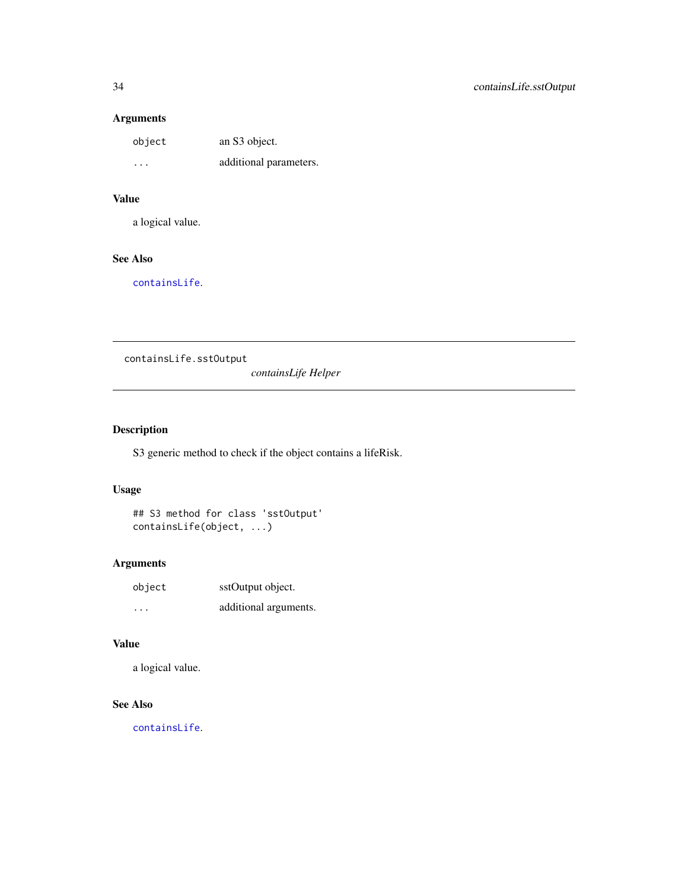## <span id="page-33-0"></span>Arguments

| object  | an S3 object.          |
|---------|------------------------|
| $\cdot$ | additional parameters. |

## Value

a logical value.

## See Also

[containsLife](#page-32-1).

containsLife.sstOutput

*containsLife Helper*

## Description

S3 generic method to check if the object contains a lifeRisk.

#### Usage

```
## S3 method for class 'sstOutput'
containsLife(object, ...)
```
## Arguments

| object | sstOutput object.     |  |
|--------|-----------------------|--|
| .      | additional arguments. |  |

## Value

a logical value.

## See Also

[containsLife](#page-32-1).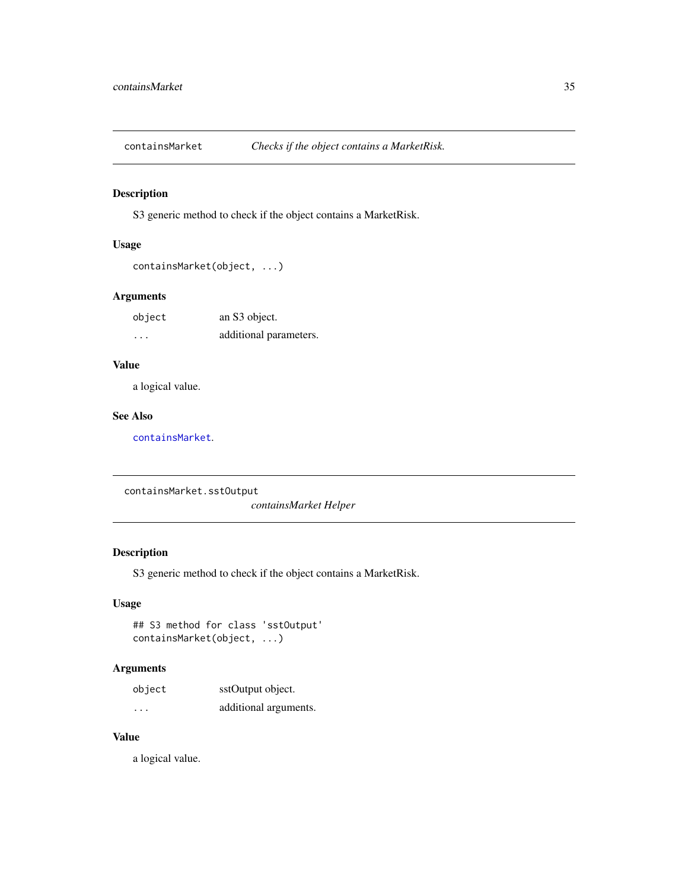<span id="page-34-1"></span><span id="page-34-0"></span>

## Description

S3 generic method to check if the object contains a MarketRisk.

## Usage

```
containsMarket(object, ...)
```
## Arguments

| object | an S3 object.          |
|--------|------------------------|
| .      | additional parameters. |

## Value

a logical value.

#### See Also

[containsMarket](#page-34-1).

containsMarket.sstOutput

*containsMarket Helper*

## Description

S3 generic method to check if the object contains a MarketRisk.

#### Usage

```
## S3 method for class 'sstOutput'
containsMarket(object, ...)
```
#### Arguments

| object  | sstOutput object.     |
|---------|-----------------------|
| $\cdot$ | additional arguments. |

## Value

a logical value.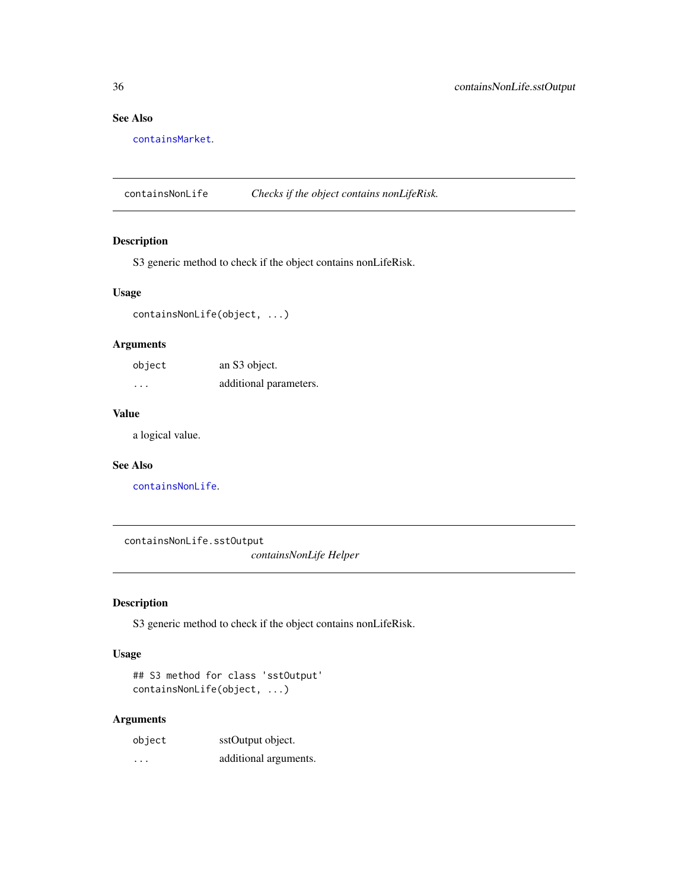## See Also

[containsMarket](#page-34-1).

<span id="page-35-1"></span>containsNonLife *Checks if the object contains nonLifeRisk.*

## Description

S3 generic method to check if the object contains nonLifeRisk.

## Usage

containsNonLife(object, ...)

## Arguments

| object | an S3 object.          |
|--------|------------------------|
| .      | additional parameters. |

#### Value

a logical value.

#### See Also

[containsNonLife](#page-35-1).

containsNonLife.sstOutput

*containsNonLife Helper*

## Description

S3 generic method to check if the object contains nonLifeRisk.

#### Usage

```
## S3 method for class 'sstOutput'
containsNonLife(object, ...)
```
## Arguments

| object | sstOutput object.     |
|--------|-----------------------|
| .      | additional arguments. |

<span id="page-35-0"></span>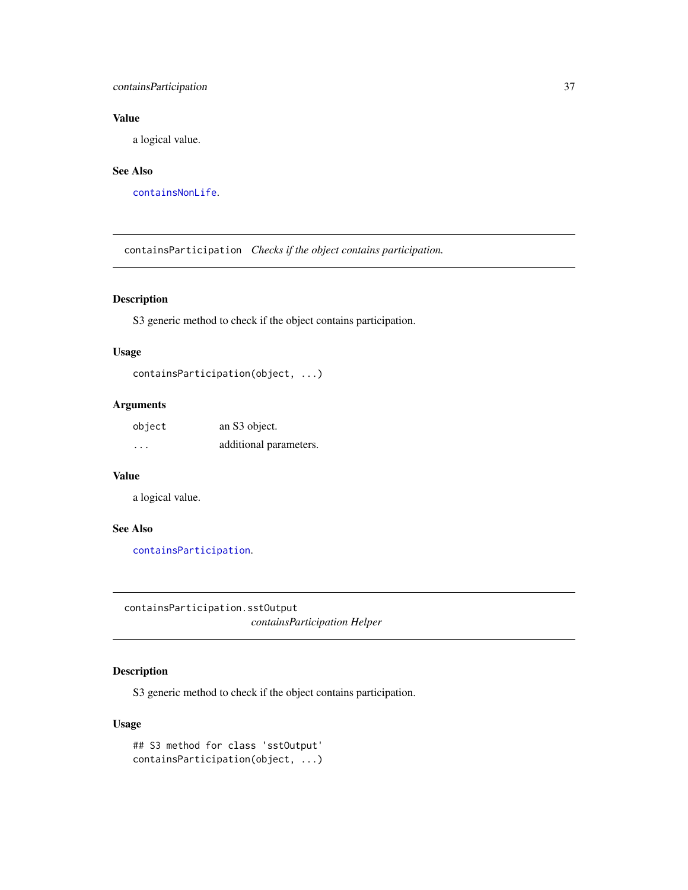# containsParticipation 37

# Value

a logical value.

# See Also

[containsNonLife](#page-35-0).

<span id="page-36-0"></span>containsParticipation *Checks if the object contains participation.*

# Description

S3 generic method to check if the object contains participation.

# Usage

```
containsParticipation(object, ...)
```
# Arguments

| object   | an S3 object.          |
|----------|------------------------|
| $\cdots$ | additional parameters. |

# Value

a logical value.

## See Also

[containsParticipation](#page-36-0).

containsParticipation.sstOutput

*containsParticipation Helper*

# Description

S3 generic method to check if the object contains participation.

# Usage

```
## S3 method for class 'sstOutput'
containsParticipation(object, ...)
```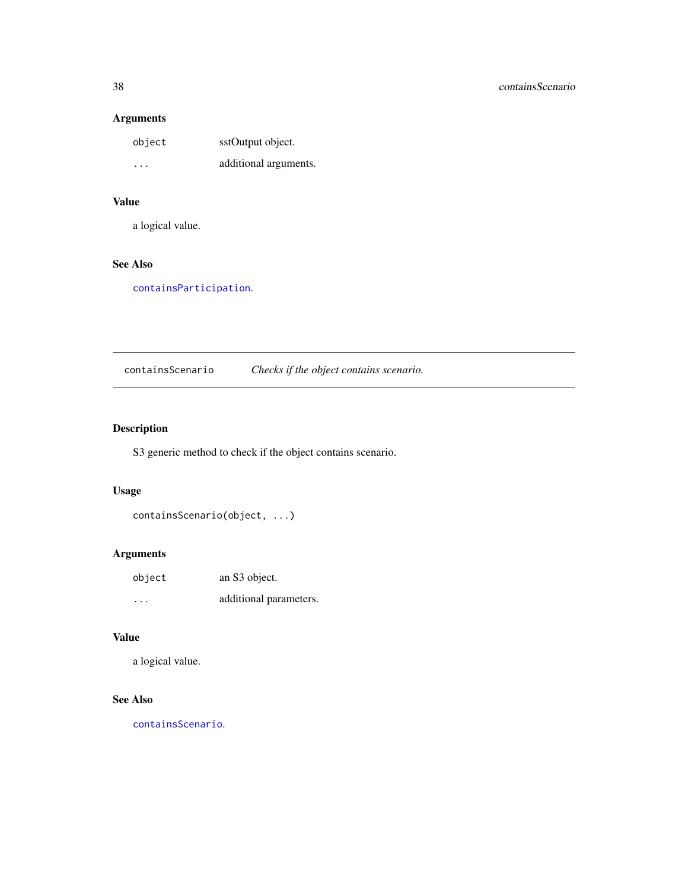| object | sstOutput object.     |
|--------|-----------------------|
| .      | additional arguments. |

# Value

a logical value.

# See Also

[containsParticipation](#page-36-0).

<span id="page-37-0"></span>containsScenario *Checks if the object contains scenario.*

# Description

S3 generic method to check if the object contains scenario.

# Usage

```
containsScenario(object, ...)
```
# Arguments

| object  | an S3 object.          |
|---------|------------------------|
| $\cdot$ | additional parameters. |

# Value

a logical value.

# See Also

[containsScenario](#page-37-0).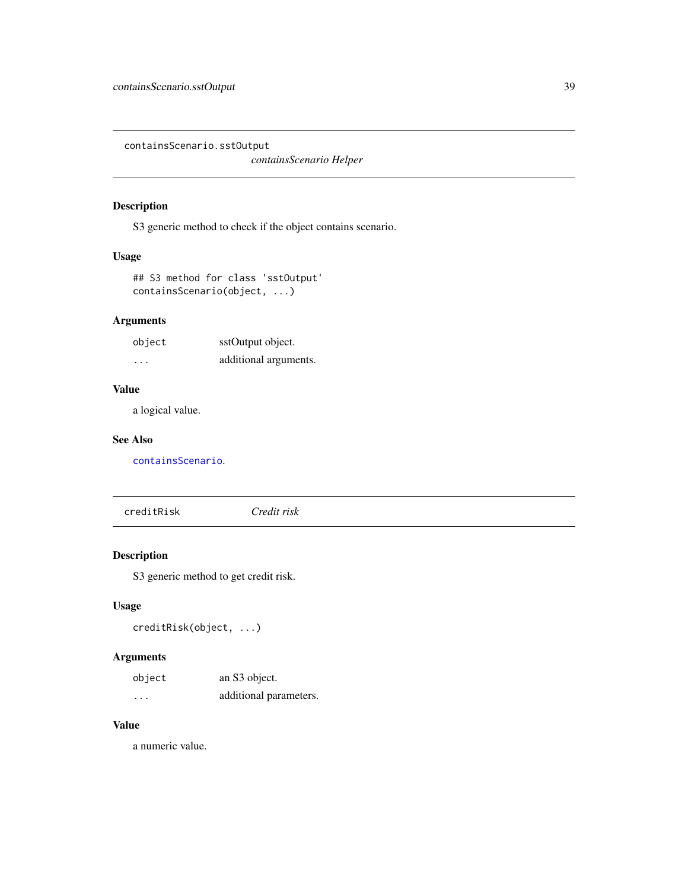containsScenario.sstOutput

*containsScenario Helper*

# Description

S3 generic method to check if the object contains scenario.

# Usage

## S3 method for class 'sstOutput' containsScenario(object, ...)

# Arguments

| object  | sstOutput object.     |
|---------|-----------------------|
| $\cdot$ | additional arguments. |

# Value

a logical value.

#### See Also

[containsScenario](#page-37-0).

<span id="page-38-0"></span>creditRisk *Credit risk*

# Description

S3 generic method to get credit risk.

# Usage

creditRisk(object, ...)

# Arguments

| object   | an S3 object.          |
|----------|------------------------|
| $\cdots$ | additional parameters. |

# Value

a numeric value.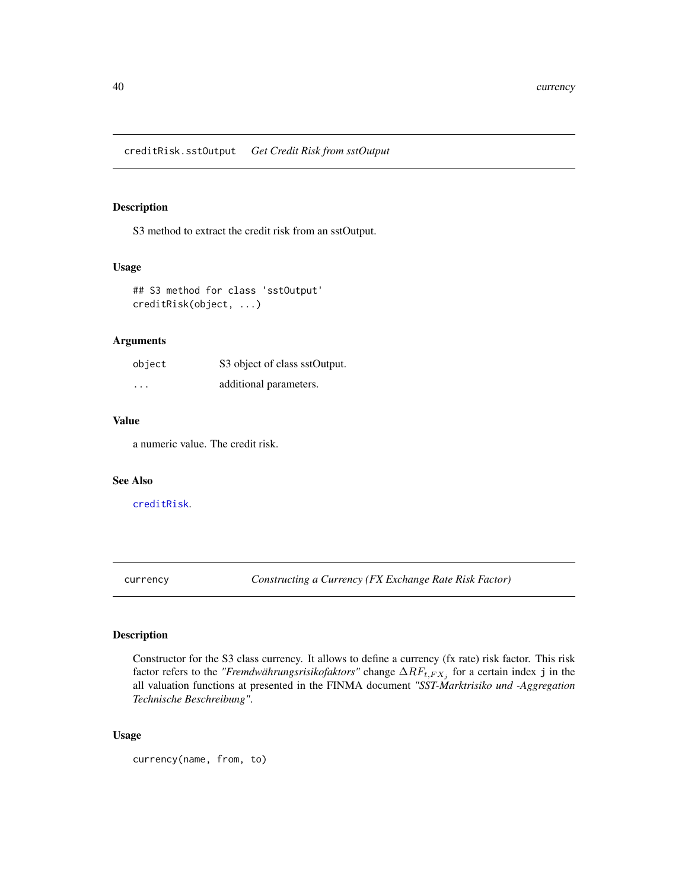creditRisk.sstOutput *Get Credit Risk from sstOutput*

# Description

S3 method to extract the credit risk from an sstOutput.

## Usage

```
## S3 method for class 'sstOutput'
creditRisk(object, ...)
```
# Arguments

| object               | S3 object of class sstOutput. |
|----------------------|-------------------------------|
| $\ddot{\phantom{0}}$ | additional parameters.        |

# Value

a numeric value. The credit risk.

#### See Also

#### [creditRisk](#page-38-0).

currency *Constructing a Currency (FX Exchange Rate Risk Factor)*

#### Description

Constructor for the S3 class currency. It allows to define a currency (fx rate) risk factor. This risk factor refers to the *"Fremdwährungsrisikofaktors"* change  $\Delta RF_{t, FX_j}$  for a certain index j in the all valuation functions at presented in the FINMA document *"SST-Marktrisiko und -Aggregation Technische Beschreibung"*.

# Usage

currency(name, from, to)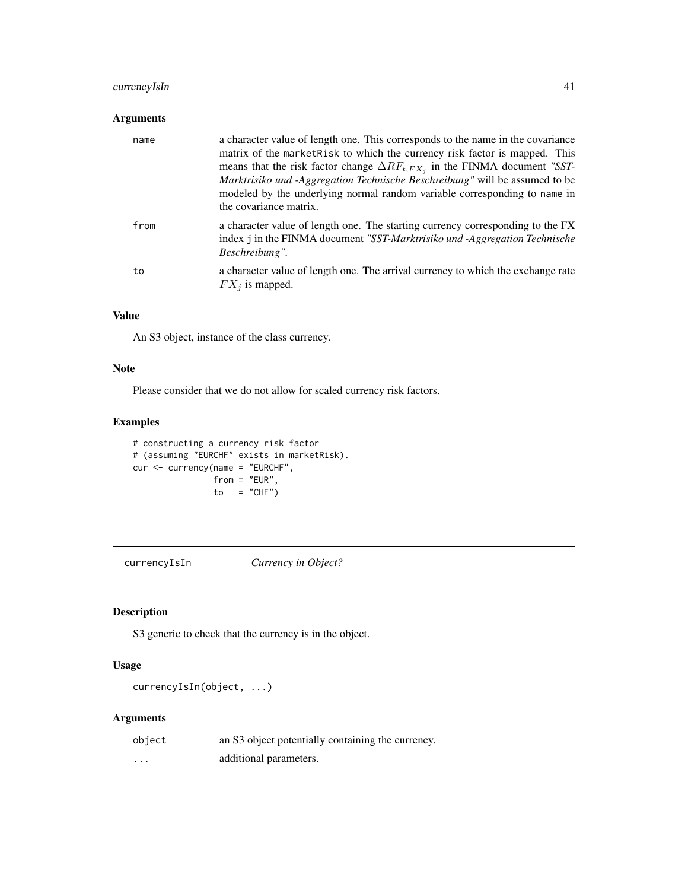# currencyIsIn 41

# Arguments

| name | a character value of length one. This corresponds to the name in the covariance<br>matrix of the market Risk to which the currency risk factor is mapped. This<br>means that the risk factor change $\Delta RF_{t, FX}$ in the FINMA document "SST-<br>Marktrisiko und -Aggregation Technische Beschreibung" will be assumed to be<br>modeled by the underlying normal random variable corresponding to name in<br>the covariance matrix. |
|------|-------------------------------------------------------------------------------------------------------------------------------------------------------------------------------------------------------------------------------------------------------------------------------------------------------------------------------------------------------------------------------------------------------------------------------------------|
| from | a character value of length one. The starting currency corresponding to the FX<br>index j in the FINMA document "SST-Marktrisiko und -Aggregation Technische<br>Beschreibung".                                                                                                                                                                                                                                                            |
| to   | a character value of length one. The arrival currency to which the exchange rate<br>$FX_i$ is mapped.                                                                                                                                                                                                                                                                                                                                     |

# Value

An S3 object, instance of the class currency.

#### Note

Please consider that we do not allow for scaled currency risk factors.

#### Examples

```
# constructing a currency risk factor
# (assuming "EURCHF" exists in marketRisk).
cur <- currency(name = "EURCHF",
               from = "EUR",to = "CHF")
```
<span id="page-40-0"></span>currencyIsIn *Currency in Object?*

# Description

S3 generic to check that the currency is in the object.

# Usage

```
currencyIsIn(object, ...)
```

| object   | an S3 object potentially containing the currency. |
|----------|---------------------------------------------------|
| $\cdots$ | additional parameters.                            |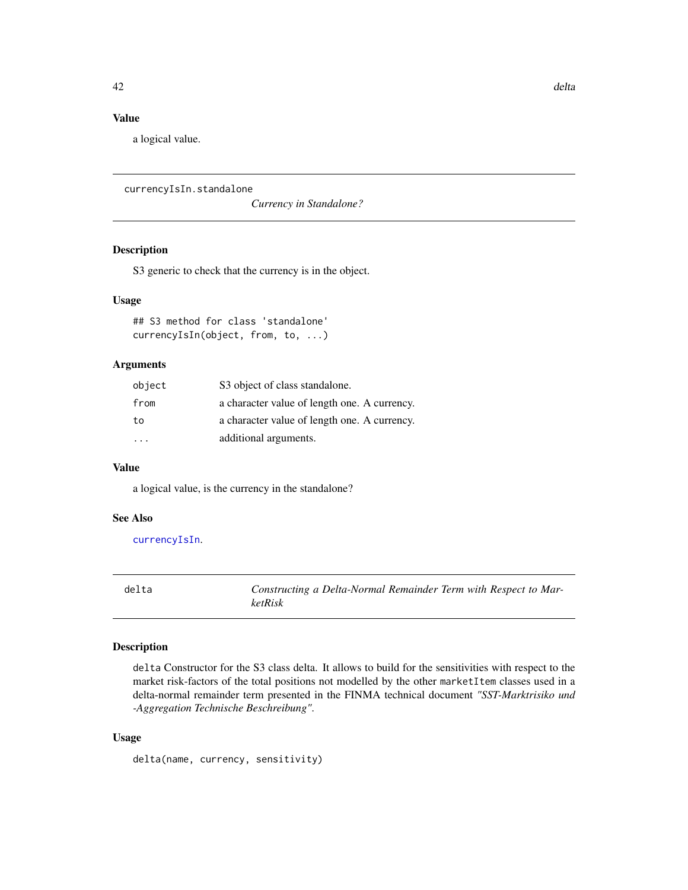# Value

a logical value.

```
currencyIsIn.standalone
```
*Currency in Standalone?*

### Description

S3 generic to check that the currency is in the object.

#### Usage

## S3 method for class 'standalone' currencyIsIn(object, from, to, ...)

# Arguments

| object    | S3 object of class standalone.               |
|-----------|----------------------------------------------|
| from      | a character value of length one. A currency. |
| to        | a character value of length one. A currency. |
| $\cdot$ . | additional arguments.                        |

#### Value

a logical value, is the currency in the standalone?

## See Also

[currencyIsIn](#page-40-0).

<span id="page-41-0"></span>delta *Constructing a Delta-Normal Remainder Term with Respect to MarketRisk*

#### Description

delta Constructor for the S3 class delta. It allows to build for the sensitivities with respect to the market risk-factors of the total positions not modelled by the other marketItem classes used in a delta-normal remainder term presented in the FINMA technical document *"SST-Marktrisiko und -Aggregation Technische Beschreibung"*.

#### Usage

delta(name, currency, sensitivity)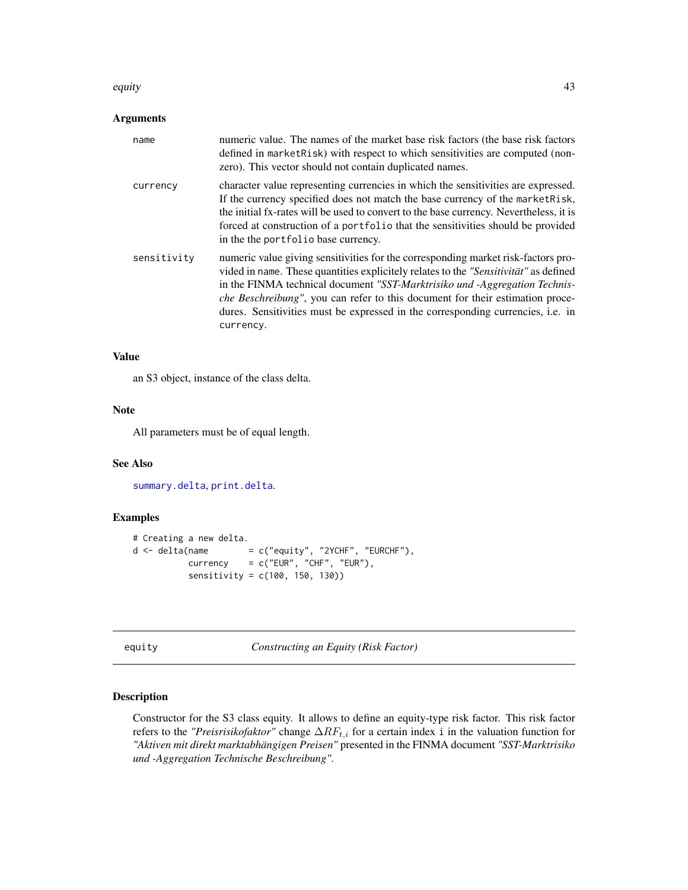#### equity that a set of the contract of the contract of the contract of the contract of the contract of the contract of the contract of the contract of the contract of the contract of the contract of the contract of the contr

#### Arguments

| name        | numeric value. The names of the market base risk factors (the base risk factors<br>defined in marketRisk) with respect to which sensitivities are computed (non-<br>zero). This vector should not contain duplicated names.                                                                                                                                                                                                                             |
|-------------|---------------------------------------------------------------------------------------------------------------------------------------------------------------------------------------------------------------------------------------------------------------------------------------------------------------------------------------------------------------------------------------------------------------------------------------------------------|
| currency    | character value representing currencies in which the sensitivities are expressed.<br>If the currency specified does not match the base currency of the market Risk,<br>the initial fx-rates will be used to convert to the base currency. Nevertheless, it is<br>forced at construction of a portfolio that the sensitivities should be provided<br>in the the portfolio base currency.                                                                 |
| sensitivity | numeric value giving sensitivities for the corresponding market risk-factors pro-<br>vided in name. These quantities explicitely relates to the "Sensitivität" as defined<br>in the FINMA technical document "SST-Marktrisiko und -Aggregation Technis-<br><i>che Beschreibung"</i> , you can refer to this document for their estimation proce-<br>dures. Sensitivities must be expressed in the corresponding currencies, <i>i.e.</i> in<br>currency. |

#### Value

an S3 object, instance of the class delta.

#### Note

All parameters must be of equal length.

# See Also

[summary.delta](#page-171-0), [print.delta](#page-136-0).

# Examples

```
# Creating a new delta.
d \leq - \text{delta}(\text{name} \leq c("equity", "2YCHF", "EURCHF"),currency = c("EUR", "CHF", "EUR"),
           sensitivity = c(100, 150, 130))
```
equity *Constructing an Equity (Risk Factor)*

#### Description

Constructor for the S3 class equity. It allows to define an equity-type risk factor. This risk factor refers to the *"Preisrisikofaktor"* change  $\Delta RF_{t,i}$  for a certain index i in the valuation function for *"Aktiven mit direkt marktabhängigen Preisen"* presented in the FINMA document *"SST-Marktrisiko und -Aggregation Technische Beschreibung"*.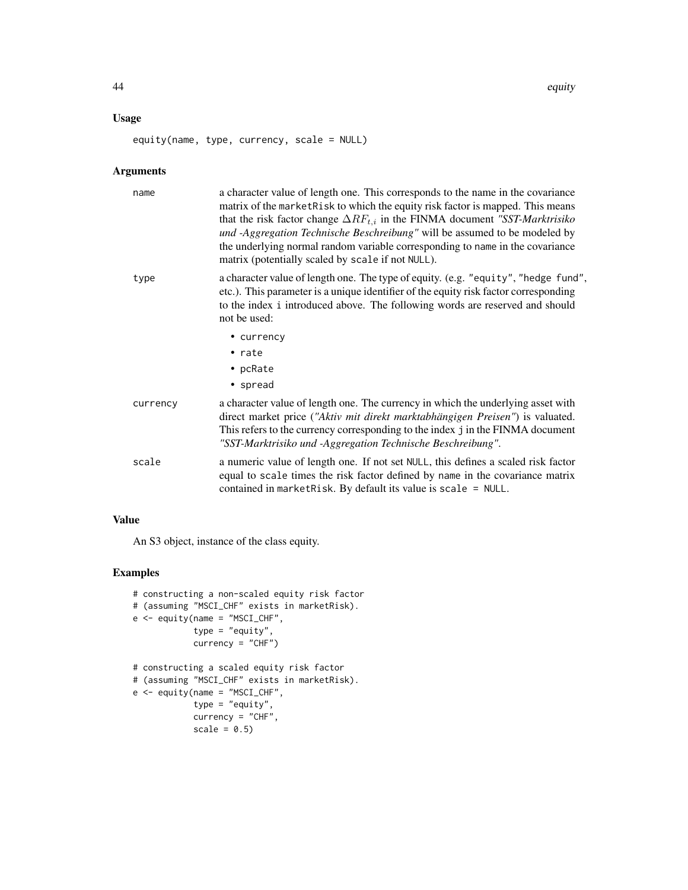# Usage

equity(name, type, currency, scale = NULL)

# Arguments

| name     | a character value of length one. This corresponds to the name in the covariance<br>matrix of the market Risk to which the equity risk factor is mapped. This means<br>that the risk factor change $\Delta RF_{t,i}$ in the FINMA document "SST-Marktrisiko"<br>und -Aggregation Technische Beschreibung" will be assumed to be modeled by<br>the underlying normal random variable corresponding to name in the covariance<br>matrix (potentially scaled by scale if not NULL). |
|----------|---------------------------------------------------------------------------------------------------------------------------------------------------------------------------------------------------------------------------------------------------------------------------------------------------------------------------------------------------------------------------------------------------------------------------------------------------------------------------------|
| type     | a character value of length one. The type of equity. (e.g. "equity", "hedge fund",<br>etc.). This parameter is a unique identifier of the equity risk factor corresponding<br>to the index i introduced above. The following words are reserved and should<br>not be used:                                                                                                                                                                                                      |
|          | • currency                                                                                                                                                                                                                                                                                                                                                                                                                                                                      |
|          | $\cdot$ rate                                                                                                                                                                                                                                                                                                                                                                                                                                                                    |
|          | • pcRate                                                                                                                                                                                                                                                                                                                                                                                                                                                                        |
|          | • spread                                                                                                                                                                                                                                                                                                                                                                                                                                                                        |
| currency | a character value of length one. The currency in which the underlying asset with<br>direct market price ("Aktiv mit direkt marktabhängigen Preisen") is valuated.<br>This refers to the currency corresponding to the index j in the FINMA document<br>"SST-Marktrisiko und -Aggregation Technische Beschreibung".                                                                                                                                                              |
| scale    | a numeric value of length one. If not set NULL, this defines a scaled risk factor<br>equal to scale times the risk factor defined by name in the covariance matrix<br>contained in market Risk. By default its value is scale = $NULL$ .                                                                                                                                                                                                                                        |

# Value

An S3 object, instance of the class equity.

# Examples

```
# constructing a non-scaled equity risk factor
# (assuming "MSCI_CHF" exists in marketRisk).
e <- equity(name = "MSCI_CHF",
           type = "equity",
            currency = "CHF")
# constructing a scaled equity risk factor
# (assuming "MSCI_CHF" exists in marketRisk).
e <- equity(name = "MSCI_CHF",
            type = "equity",
            currency = "CHF",
            scale = 0.5)
```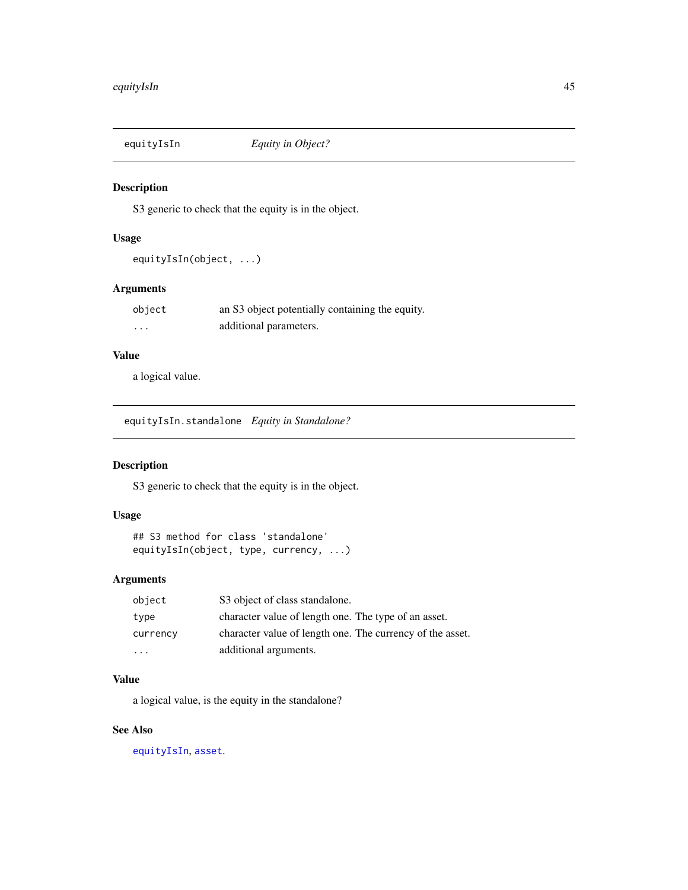<span id="page-44-0"></span>

#### Description

S3 generic to check that the equity is in the object.

# Usage

equityIsIn(object, ...)

# Arguments

| object   | an S3 object potentially containing the equity. |
|----------|-------------------------------------------------|
| $\cdots$ | additional parameters.                          |

# Value

a logical value.

equityIsIn.standalone *Equity in Standalone?*

# Description

S3 generic to check that the equity is in the object.

# Usage

```
## S3 method for class 'standalone'
equityIsIn(object, type, currency, ...)
```
# Arguments

| object                  | S3 object of class standalone.                            |
|-------------------------|-----------------------------------------------------------|
| type                    | character value of length one. The type of an asset.      |
| currency                | character value of length one. The currency of the asset. |
| $\cdot$ $\cdot$ $\cdot$ | additional arguments.                                     |

#### Value

a logical value, is the equity in the standalone?

# See Also

[equityIsIn](#page-44-0), [asset](#page-8-0).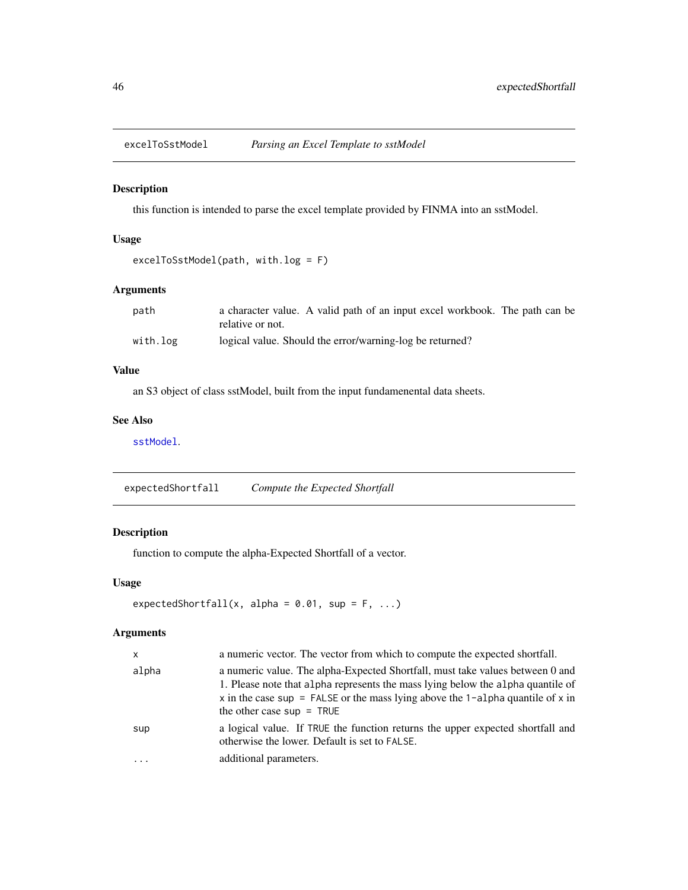<span id="page-45-0"></span>

#### Description

this function is intended to parse the excel template provided by FINMA into an sstModel.

#### Usage

```
excelToSstModel(path, with.log = F)
```
# Arguments

| path     | a character value. A valid path of an input excel workbook. The path can be |
|----------|-----------------------------------------------------------------------------|
|          | relative or not.                                                            |
| with.log | logical value. Should the error/warning-log be returned?                    |

#### Value

an S3 object of class sstModel, built from the input fundamenental data sheets.

# See Also

[sstModel](#page-163-0).

expectedShortfall *Compute the Expected Shortfall*

# Description

function to compute the alpha-Expected Shortfall of a vector.

#### Usage

```
expectedShortfall(x, alpha = 0.01, sup = F, ...)
```

| $\mathsf{x}$ | a numeric vector. The vector from which to compute the expected shortfall.                                                                                                                                                                                                        |
|--------------|-----------------------------------------------------------------------------------------------------------------------------------------------------------------------------------------------------------------------------------------------------------------------------------|
| alpha        | a numeric value. The alpha-Expected Shortfall, must take values between 0 and<br>1. Please note that alpha represents the mass lying below the alpha quantile of<br>x in the case sup = FALSE or the mass lying above the 1-alpha quantile of x in<br>the other case $sup = TRUE$ |
| sup          | a logical value. If TRUE the function returns the upper expected shortfall and<br>otherwise the lower. Default is set to FALSE.                                                                                                                                                   |
| $\cdots$     | additional parameters.                                                                                                                                                                                                                                                            |
|              |                                                                                                                                                                                                                                                                                   |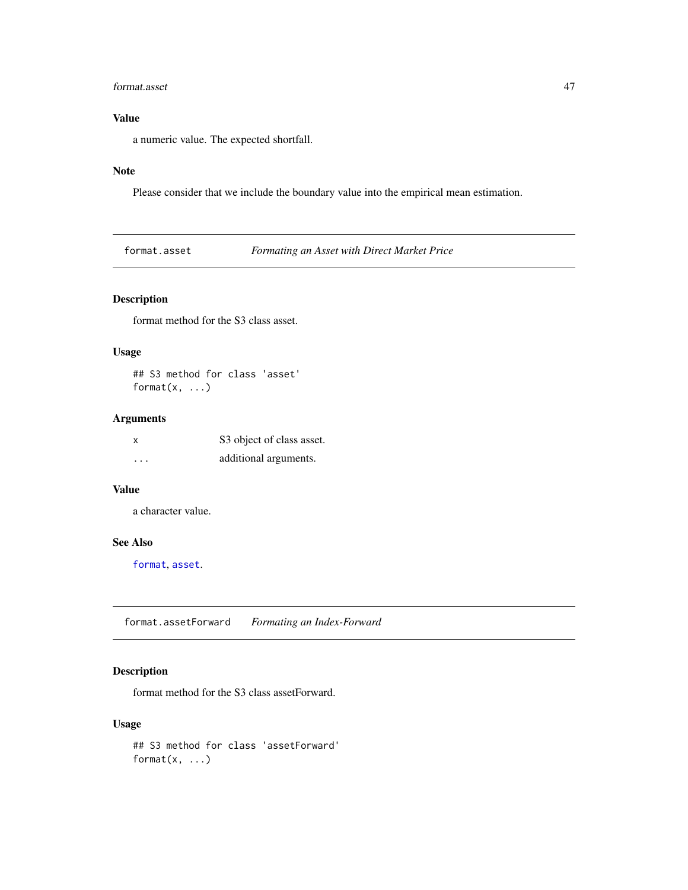#### format.asset 47

# Value

a numeric value. The expected shortfall.

# Note

Please consider that we include the boundary value into the empirical mean estimation.

format.asset *Formating an Asset with Direct Market Price*

# Description

format method for the S3 class asset.

# Usage

## S3 method for class 'asset' format $(x, \ldots)$ 

# Arguments

| x        | S3 object of class asset. |
|----------|---------------------------|
| $\cdots$ | additional arguments.     |

#### Value

a character value.

## See Also

[format](#page-0-0), [asset](#page-8-0).

format.assetForward *Formating an Index-Forward*

# Description

format method for the S3 class assetForward.

# Usage

## S3 method for class 'assetForward' format(x, ...)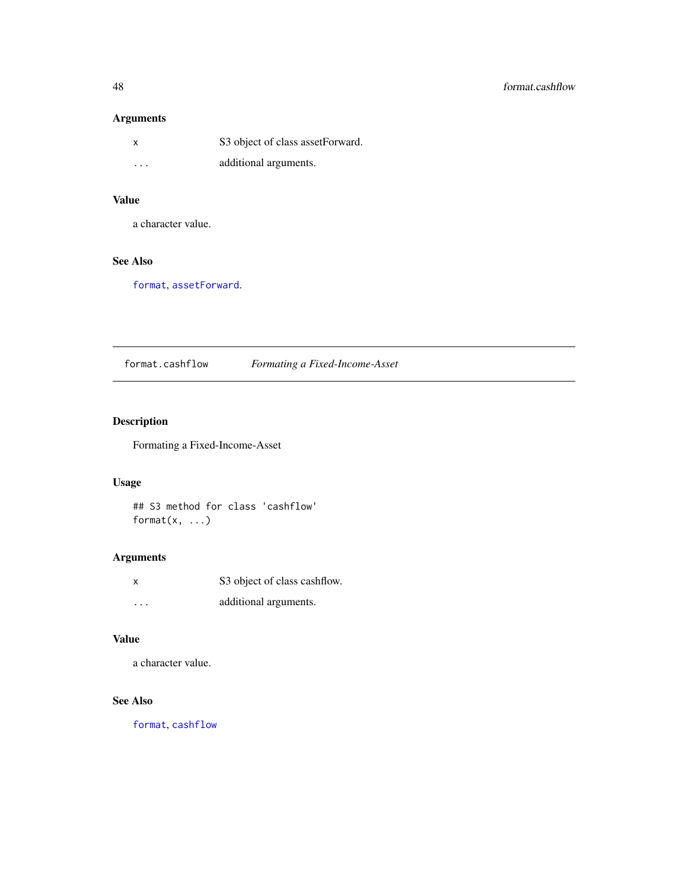| $\boldsymbol{\mathsf{x}}$ | S3 object of class asset Forward. |
|---------------------------|-----------------------------------|
| $\cdot$ $\cdot$ $\cdot$   | additional arguments.             |

# Value

a character value.

# See Also

[format](#page-0-0), [assetForward](#page-9-0).

format.cashflow *Formating a Fixed-Income-Asset*

# Description

Formating a Fixed-Income-Asset

# Usage

## S3 method for class 'cashflow' format $(x, \ldots)$ 

# Arguments

| X | S3 object of class cashflow. |
|---|------------------------------|
| . | additional arguments.        |

# Value

a character value.

# See Also

[format](#page-0-0), [cashflow](#page-11-0)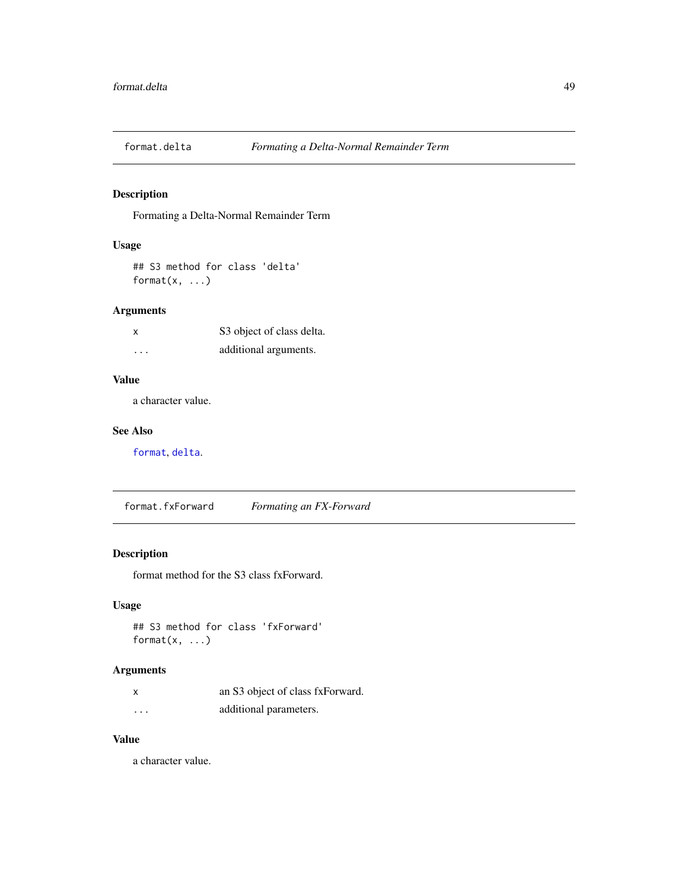# Description

Formating a Delta-Normal Remainder Term

## Usage

## S3 method for class 'delta' format $(x, \ldots)$ 

# Arguments

| x                       | S3 object of class delta. |
|-------------------------|---------------------------|
| $\cdot$ $\cdot$ $\cdot$ | additional arguments.     |

#### Value

a character value.

#### See Also

[format](#page-0-0), [delta](#page-41-0).

format.fxForward *Formating an FX-Forward*

# Description

format method for the S3 class fxForward.

# Usage

## S3 method for class 'fxForward' format(x, ...)

# Arguments

| X        | an S3 object of class fxForward. |
|----------|----------------------------------|
| $\cdots$ | additional parameters.           |

## Value

a character value.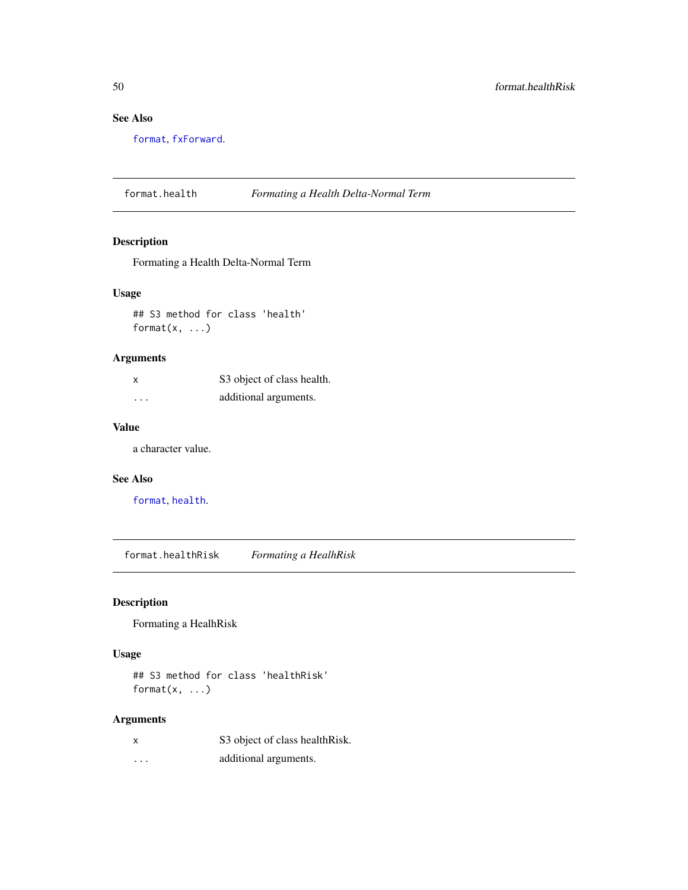# See Also

[format](#page-0-0), [fxForward](#page-58-0).

format.health *Formating a Health Delta-Normal Term*

# Description

Formating a Health Delta-Normal Term

#### Usage

## S3 method for class 'health' format $(x, \ldots)$ 

# Arguments

| X        | S3 object of class health. |
|----------|----------------------------|
| $\cdots$ | additional arguments.      |

# Value

a character value.

# See Also

[format](#page-0-0), [health](#page-95-0).

format.healthRisk *Formating a HealhRisk*

# Description

Formating a HealhRisk

## Usage

## S3 method for class 'healthRisk' format $(x, \ldots)$ 

| x        | S3 object of class health Risk. |
|----------|---------------------------------|
| $\cdots$ | additional arguments.           |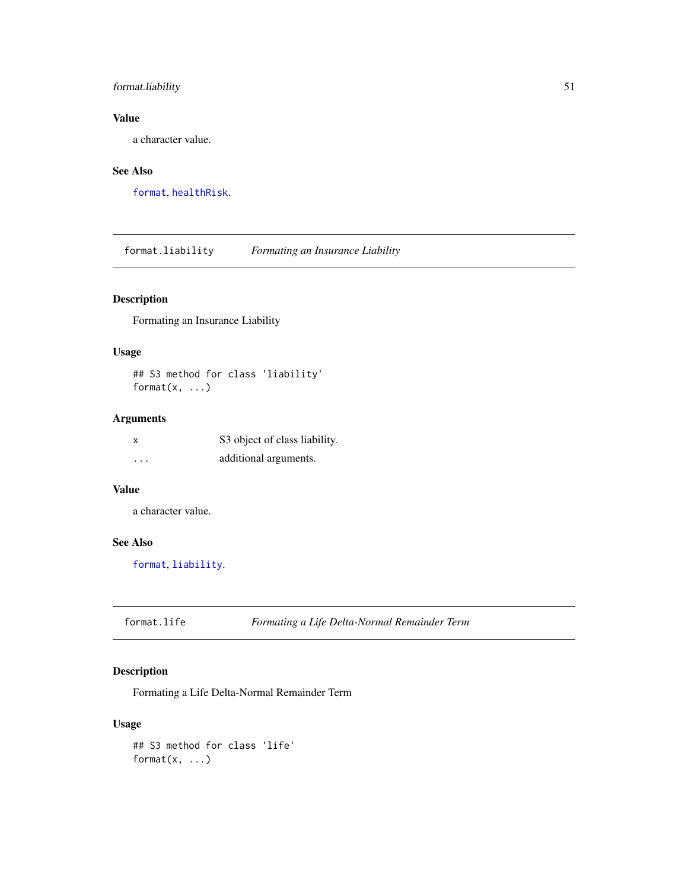# format.liability 51

# Value

a character value.

# See Also

[format](#page-0-0), [healthRisk](#page-96-0).

format.liability *Formating an Insurance Liability*

# Description

Formating an Insurance Liability

# Usage

## S3 method for class 'liability' format $(x, \ldots)$ 

# Arguments

| x        | S3 object of class liability. |
|----------|-------------------------------|
| $\cdots$ | additional arguments.         |

#### Value

a character value.

## See Also

[format](#page-0-0), [liability](#page-119-0).

format.life *Formating a Life Delta-Normal Remainder Term*

# Description

Formating a Life Delta-Normal Remainder Term

## Usage

```
## S3 method for class 'life'
format(x, ...)
```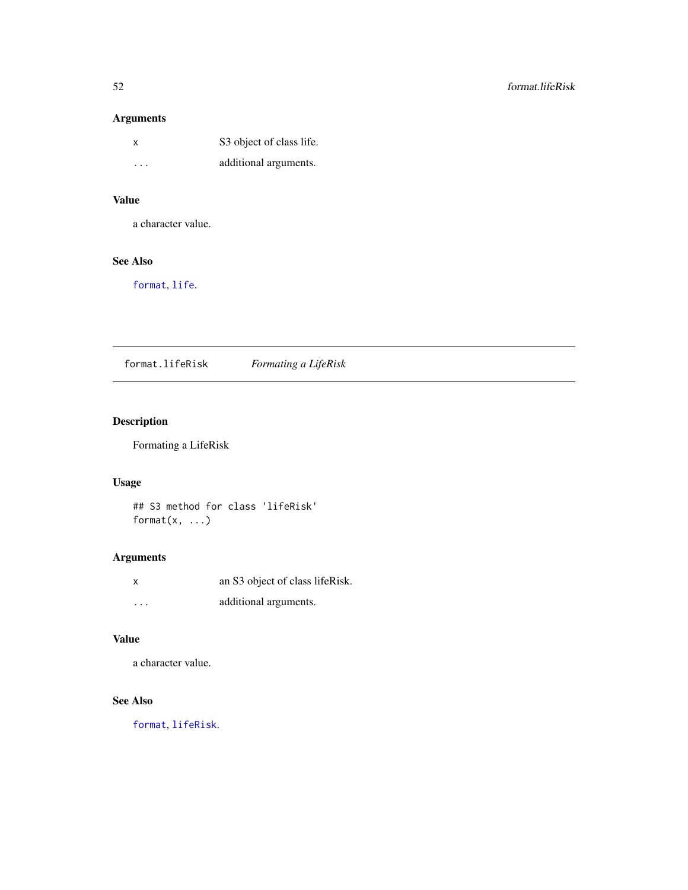| X                       | S3 object of class life. |
|-------------------------|--------------------------|
| $\cdot$ $\cdot$ $\cdot$ | additional arguments.    |

# Value

a character value.

# See Also

[format](#page-0-0), [life](#page-120-0).

format.lifeRisk *Formating a LifeRisk*

# Description

Formating a LifeRisk

# Usage

## S3 method for class 'lifeRisk' format $(x, \ldots)$ 

# Arguments

| x        | an S3 object of class lifeRisk. |
|----------|---------------------------------|
| $\cdots$ | additional arguments.           |

# Value

a character value.

# See Also

[format](#page-0-0), [lifeRisk](#page-121-0).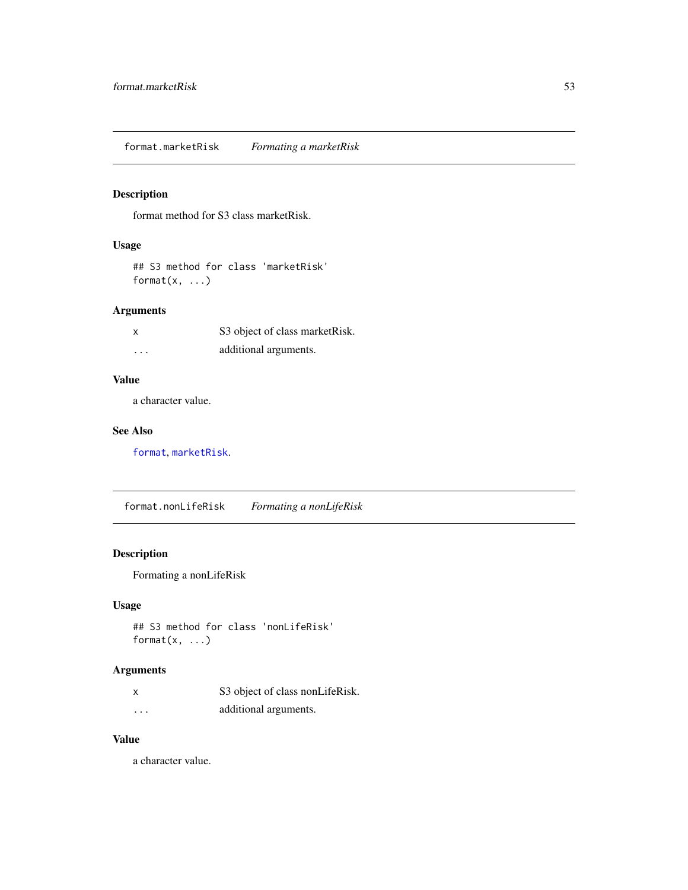format.marketRisk *Formating a marketRisk*

# Description

format method for S3 class marketRisk.

# Usage

```
## S3 method for class 'marketRisk'
format(x, \ldots)
```
# Arguments

| X        | S3 object of class market Risk. |
|----------|---------------------------------|
| $\cdots$ | additional arguments.           |

# Value

a character value.

## See Also

[format](#page-0-0), [marketRisk](#page-124-0).

format.nonLifeRisk *Formating a nonLifeRisk*

# Description

Formating a nonLifeRisk

# Usage

## S3 method for class 'nonLifeRisk' format(x, ...)

# Arguments

|                         | S3 object of class nonLifeRisk. |
|-------------------------|---------------------------------|
| $\cdot$ $\cdot$ $\cdot$ | additional arguments.           |

#### Value

a character value.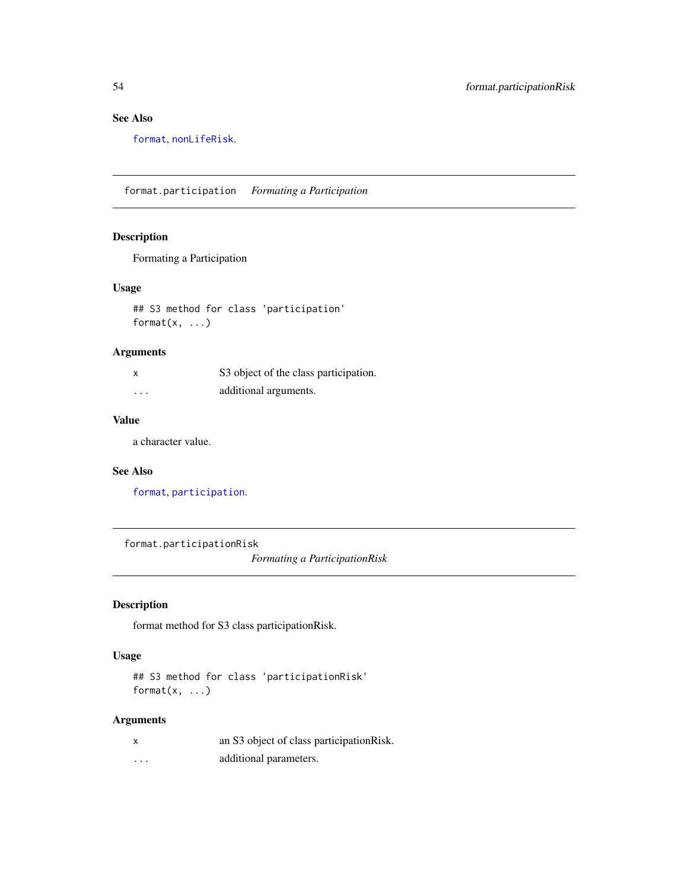# See Also

[format](#page-0-0), [nonLifeRisk](#page-128-0).

format.participation *Formating a Participation*

#### Description

Formating a Participation

#### Usage

## S3 method for class 'participation' format $(x, \ldots)$ 

# Arguments

| X        | S3 object of the class participation. |
|----------|---------------------------------------|
| $\cdots$ | additional arguments.                 |

# Value

a character value.

# See Also

[format](#page-0-0), [participation](#page-130-0).

format.participationRisk

*Formating a ParticipationRisk*

# Description

format method for S3 class participationRisk.

## Usage

```
## S3 method for class 'participationRisk'
format(x, \ldots)
```

| X        | an S3 object of class participation Risk. |
|----------|-------------------------------------------|
| $\cdots$ | additional parameters.                    |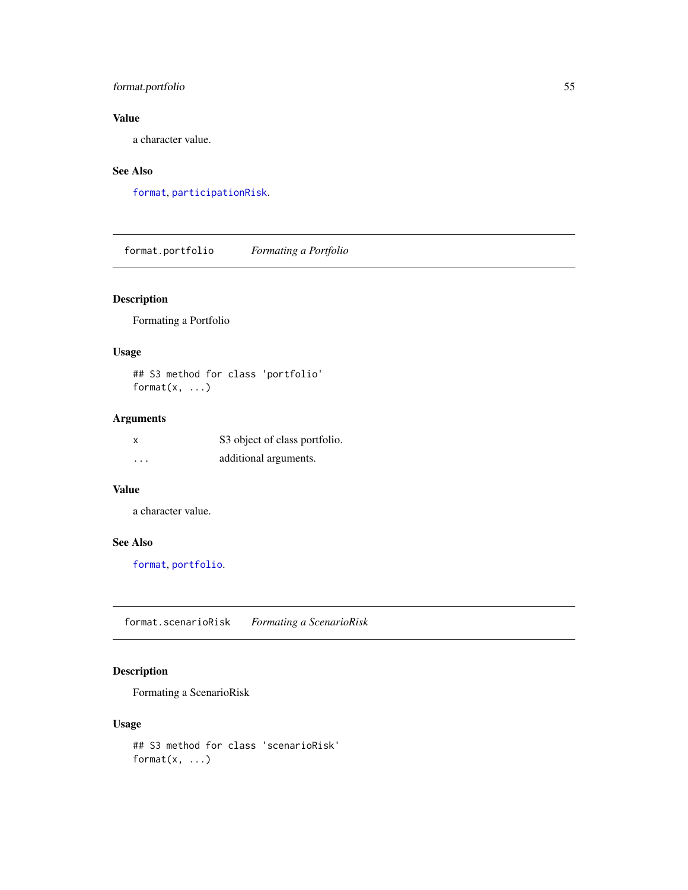# format.portfolio 55

# Value

a character value.

# See Also

[format](#page-0-0), [participationRisk](#page-131-0).

format.portfolio *Formating a Portfolio*

# Description

Formating a Portfolio

# Usage

## S3 method for class 'portfolio' format $(x, \ldots)$ 

# Arguments

| x       | S3 object of class portfolio. |
|---------|-------------------------------|
| $\cdot$ | additional arguments.         |

#### Value

a character value.

## See Also

[format](#page-0-0), [portfolio](#page-132-0).

format.scenarioRisk *Formating a ScenarioRisk*

# Description

Formating a ScenarioRisk

## Usage

```
## S3 method for class 'scenarioRisk'
format(x, ...)
```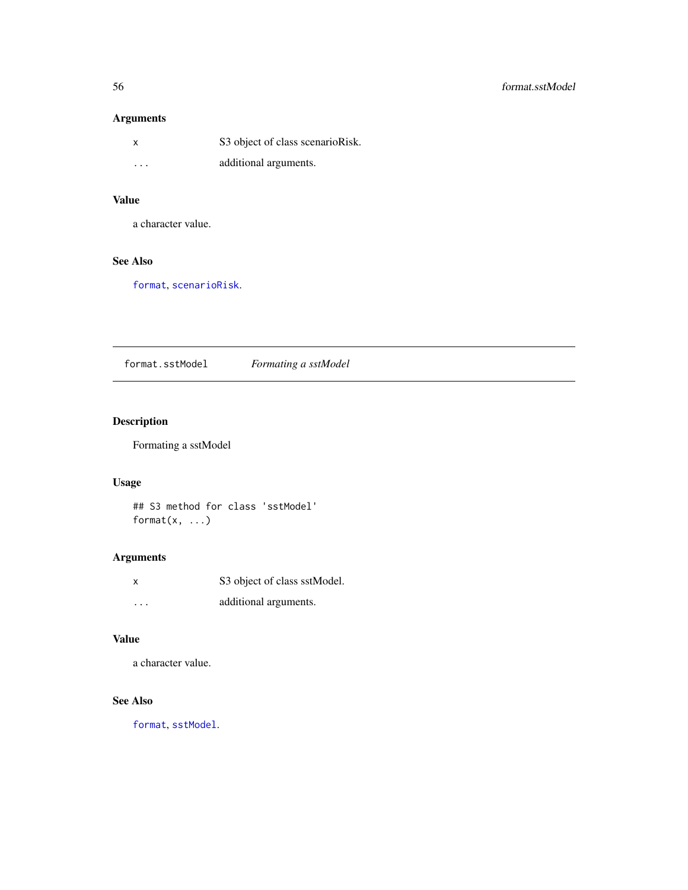| $\boldsymbol{\mathsf{x}}$ | S3 object of class scenarioRisk. |
|---------------------------|----------------------------------|
| $\cdots$                  | additional arguments.            |

# Value

a character value.

# See Also

[format](#page-0-0), [scenarioRisk](#page-155-0).

format.sstModel *Formating a sstModel*

# Description

Formating a sstModel

# Usage

## S3 method for class 'sstModel' format $(x, \ldots)$ 

# Arguments

| x        | S3 object of class sstModel. |
|----------|------------------------------|
| $\cdots$ | additional arguments.        |

# Value

a character value.

# See Also

[format](#page-0-0), [sstModel](#page-163-0).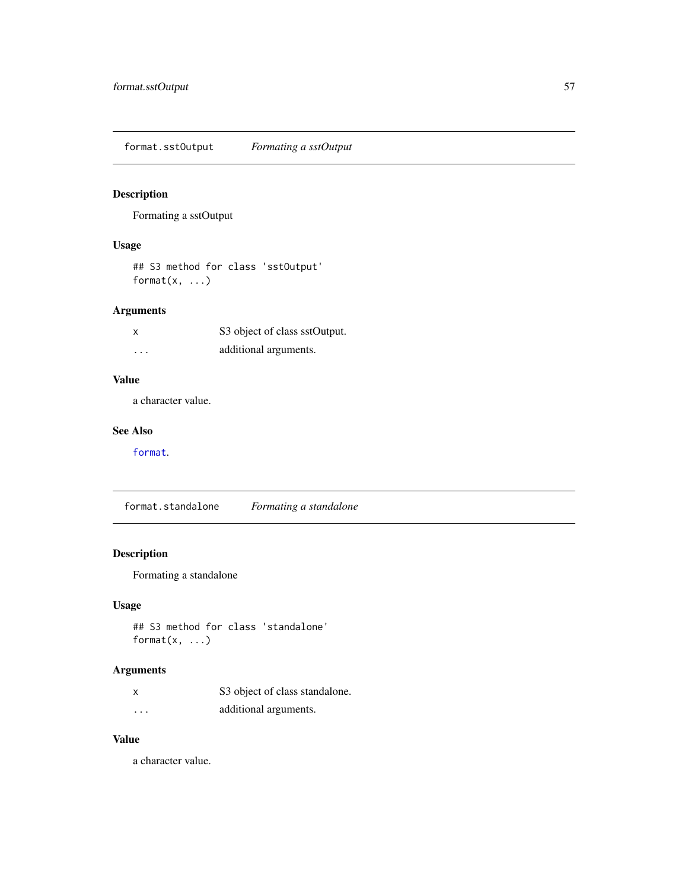format.sstOutput *Formating a sstOutput*

# Description

Formating a sstOutput

# Usage

## S3 method for class 'sstOutput' format $(x, \ldots)$ 

# Arguments

| x       | S3 object of class sstOutput. |
|---------|-------------------------------|
| $\cdot$ | additional arguments.         |

# Value

a character value.

#### See Also

[format](#page-0-0).

format.standalone *Formating a standalone*

# Description

Formating a standalone

# Usage

## S3 method for class 'standalone' format(x, ...)

# Arguments

| X        | S3 object of class standalone. |
|----------|--------------------------------|
| $\cdots$ | additional arguments.          |

## Value

a character value.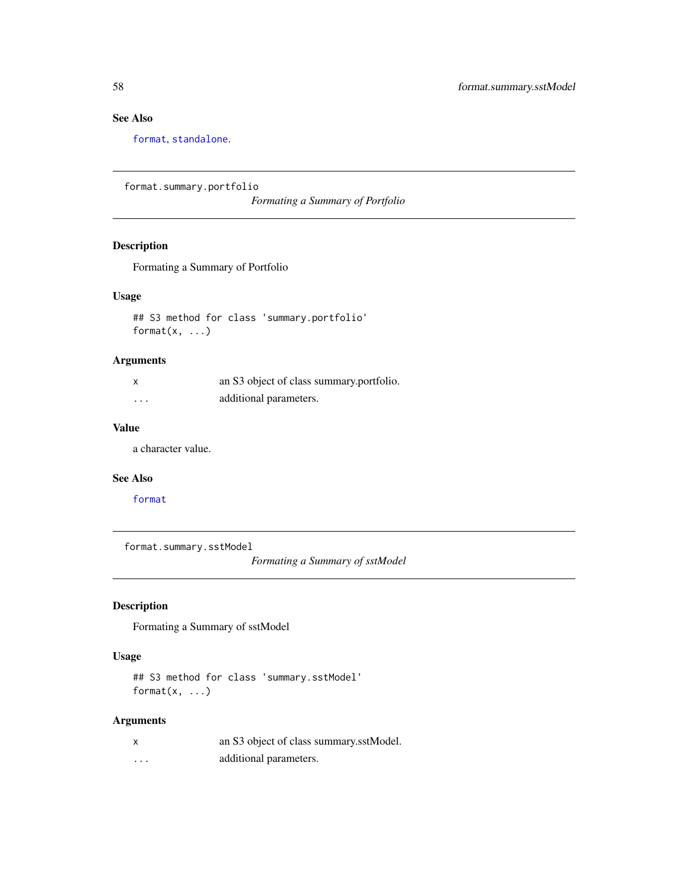# See Also

[format](#page-0-0), [standalone](#page-166-0).

```
format.summary.portfolio
```
*Formating a Summary of Portfolio*

# Description

Formating a Summary of Portfolio

# Usage

## S3 method for class 'summary.portfolio' format $(x, \ldots)$ 

# Arguments

| x | an S3 object of class summary portfolio. |
|---|------------------------------------------|
| . | additional parameters.                   |

# Value

a character value.

#### See Also

[format](#page-0-0)

format.summary.sstModel

*Formating a Summary of sstModel*

# Description

Formating a Summary of sstModel

## Usage

```
## S3 method for class 'summary.sstModel'
format(x, \ldots)
```

| x | an S3 object of class summary.sstModel. |
|---|-----------------------------------------|
| . | additional parameters.                  |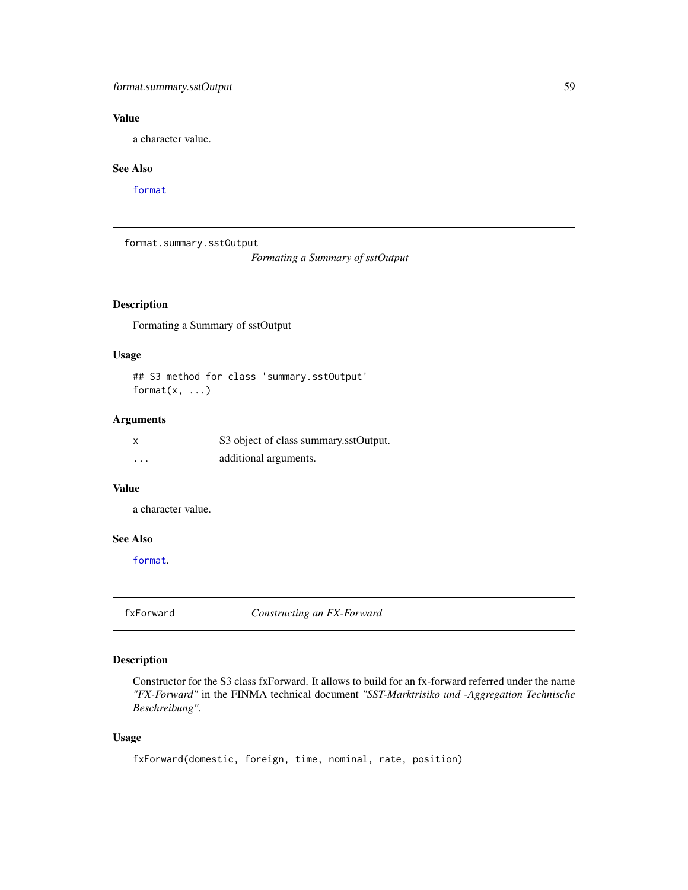# format.summary.sstOutput 59

# Value

a character value.

#### See Also

[format](#page-0-0)

format.summary.sstOutput

*Formating a Summary of sstOutput*

# Description

Formating a Summary of sstOutput

#### Usage

## S3 method for class 'summary.sstOutput' format $(x, \ldots)$ 

# Arguments

| X        | S3 object of class summary.sstOutput. |
|----------|---------------------------------------|
| $\cdots$ | additional arguments.                 |

# Value

a character value.

# See Also

[format](#page-0-0).

<span id="page-58-0"></span>fxForward *Constructing an FX-Forward*

# Description

Constructor for the S3 class fxForward. It allows to build for an fx-forward referred under the name *"FX-Forward"* in the FINMA technical document *"SST-Marktrisiko und -Aggregation Technische Beschreibung"*.

#### Usage

```
fxForward(domestic, foreign, time, nominal, rate, position)
```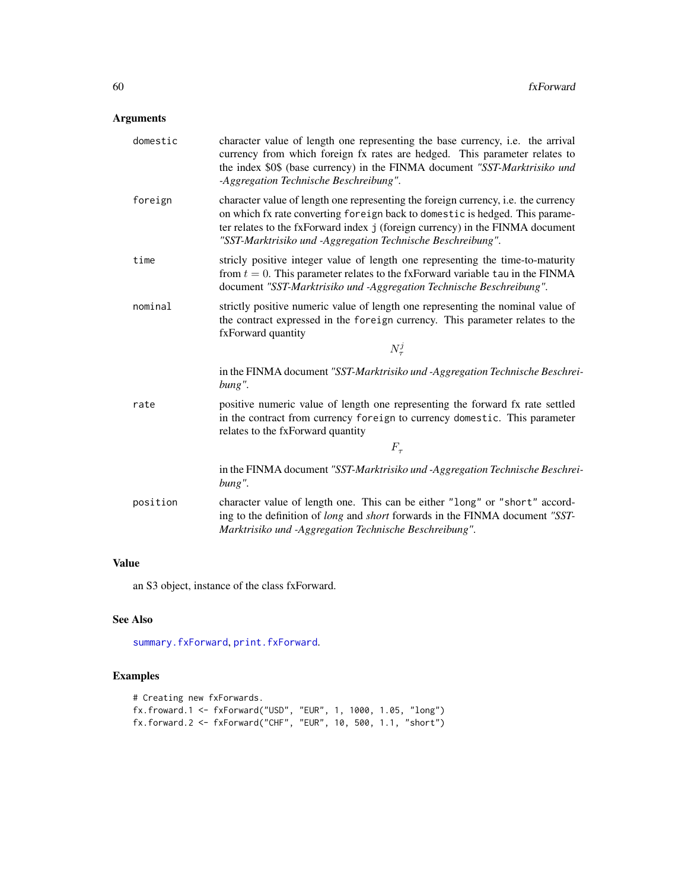| domestic | character value of length one representing the base currency, <i>i.e.</i> the arrival<br>currency from which foreign fx rates are hedged. This parameter relates to<br>the index \$0\$ (base currency) in the FINMA document "SST-Marktrisiko und<br>-Aggregation Technische Beschreibung".                        |
|----------|--------------------------------------------------------------------------------------------------------------------------------------------------------------------------------------------------------------------------------------------------------------------------------------------------------------------|
| foreign  | character value of length one representing the foreign currency, i.e. the currency<br>on which fx rate converting foreign back to domestic is hedged. This parame-<br>ter relates to the fxForward index j (foreign currency) in the FINMA document<br>"SST-Marktrisiko und -Aggregation Technische Beschreibung". |
| time     | stricly positive integer value of length one representing the time-to-maturity<br>from $t = 0$ . This parameter relates to the fxForward variable tau in the FINMA<br>document "SST-Marktrisiko und -Aggregation Technische Beschreibung".                                                                         |
| nominal  | strictly positive numeric value of length one representing the nominal value of<br>the contract expressed in the foreign currency. This parameter relates to the<br>fxForward quantity                                                                                                                             |
|          | $N^j_\tau$                                                                                                                                                                                                                                                                                                         |
|          | in the FINMA document "SST-Marktrisiko und -Aggregation Technische Beschrei-<br>bung".                                                                                                                                                                                                                             |
| rate     | positive numeric value of length one representing the forward fx rate settled<br>in the contract from currency foreign to currency domestic. This parameter<br>relates to the fxForward quantity                                                                                                                   |
|          | $F_{\tau}$                                                                                                                                                                                                                                                                                                         |
|          | in the FINMA document "SST-Marktrisiko und -Aggregation Technische Beschrei-<br>bung".                                                                                                                                                                                                                             |
| position | character value of length one. This can be either "long" or "short" accord-<br>ing to the definition of long and short forwards in the FINMA document "SST-<br>Marktrisiko und -Aggregation Technische Beschreibung".                                                                                              |

# Value

an S3 object, instance of the class fxForward.

# See Also

[summary.fxForward](#page-172-0), [print.fxForward](#page-137-0).

# Examples

```
# Creating new fxForwards.
fx.froward.1 <- fxForward("USD", "EUR", 1, 1000, 1.05, "long")
fx.forward.2 <- fxForward("CHF", "EUR", 10, 500, 1.1, "short")
```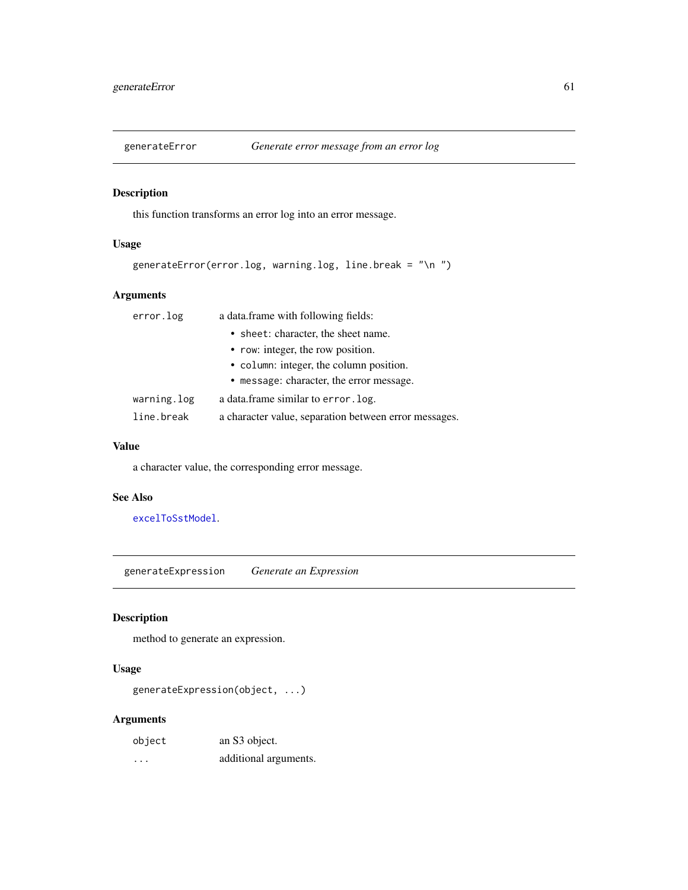# Description

this function transforms an error log into an error message.

# Usage

```
generateError(error.log, warning.log, line.break = "\n ")
```
# Arguments

| error.log   | a data.frame with following fields:                   |
|-------------|-------------------------------------------------------|
|             | • sheet: character, the sheet name.                   |
|             | • row: integer, the row position.                     |
|             | • column: integer, the column position.               |
|             | • message: character, the error message.              |
| warning.log | a data frame similar to error. log.                   |
| line.break  | a character value, separation between error messages. |

## Value

a character value, the corresponding error message.

# See Also

[excelToSstModel](#page-45-0).

generateExpression *Generate an Expression*

# Description

method to generate an expression.

# Usage

generateExpression(object, ...)

| object | an S3 object.         |
|--------|-----------------------|
| .      | additional arguments. |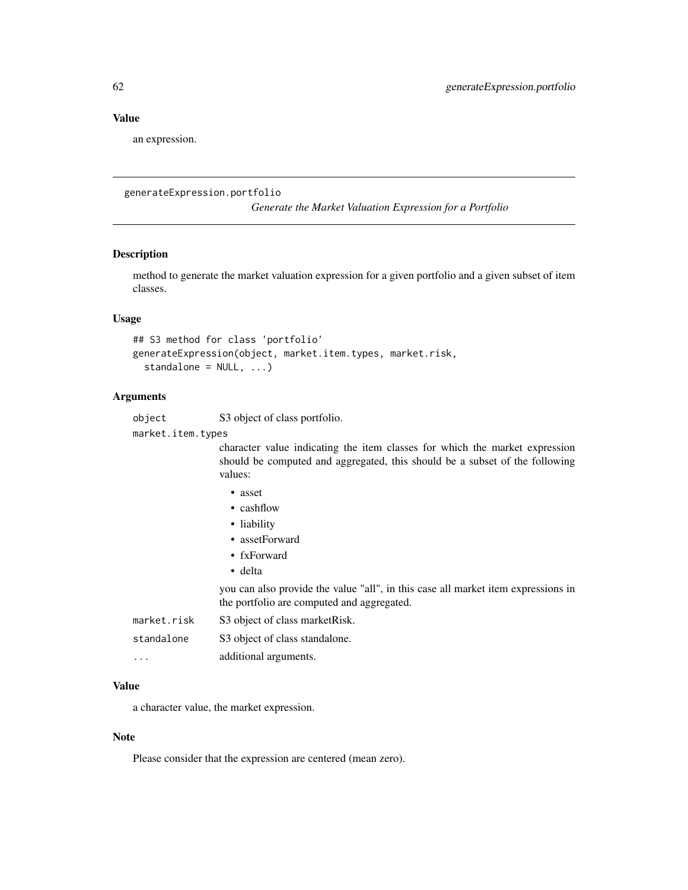### Value

an expression.

#### generateExpression.portfolio

*Generate the Market Valuation Expression for a Portfolio*

# Description

method to generate the market valuation expression for a given portfolio and a given subset of item classes.

#### Usage

```
## S3 method for class 'portfolio'
generateExpression(object, market.item.types, market.risk,
  standalone = NULL, ...)
```
#### Arguments

| object | S3 object of class portfolio. |  |
|--------|-------------------------------|--|
|--------|-------------------------------|--|

market.item.types

character value indicating the item classes for which the market expression should be computed and aggregated, this should be a subset of the following values:

- cashflow
- liability
- assetForward
- fxForward
- delta

you can also provide the value "all", in this case all market item expressions in the portfolio are computed and aggregated.

| market.risk             | S3 object of class market Risk. |
|-------------------------|---------------------------------|
| standalone              | S3 object of class standalone.  |
| $\cdot$ $\cdot$ $\cdot$ | additional arguments.           |

#### Value

a character value, the market expression.

#### Note

Please consider that the expression are centered (mean zero).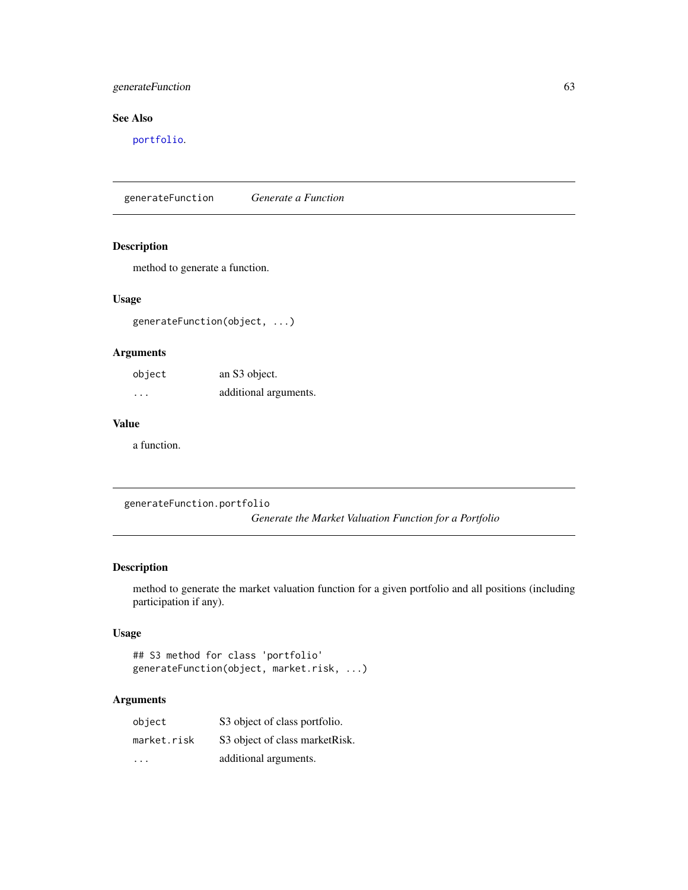# generateFunction 63

# See Also

[portfolio](#page-132-0).

generateFunction *Generate a Function*

# Description

method to generate a function.

#### Usage

generateFunction(object, ...)

# Arguments

| object               | an S3 object.         |
|----------------------|-----------------------|
| $\ddot{\phantom{0}}$ | additional arguments. |

#### Value

a function.

generateFunction.portfolio *Generate the Market Valuation Function for a Portfolio*

# Description

method to generate the market valuation function for a given portfolio and all positions (including participation if any).

# Usage

```
## S3 method for class 'portfolio'
generateFunction(object, market.risk, ...)
```

| object      | S3 object of class portfolio.   |
|-------------|---------------------------------|
| market.risk | S3 object of class market Risk. |
| .           | additional arguments.           |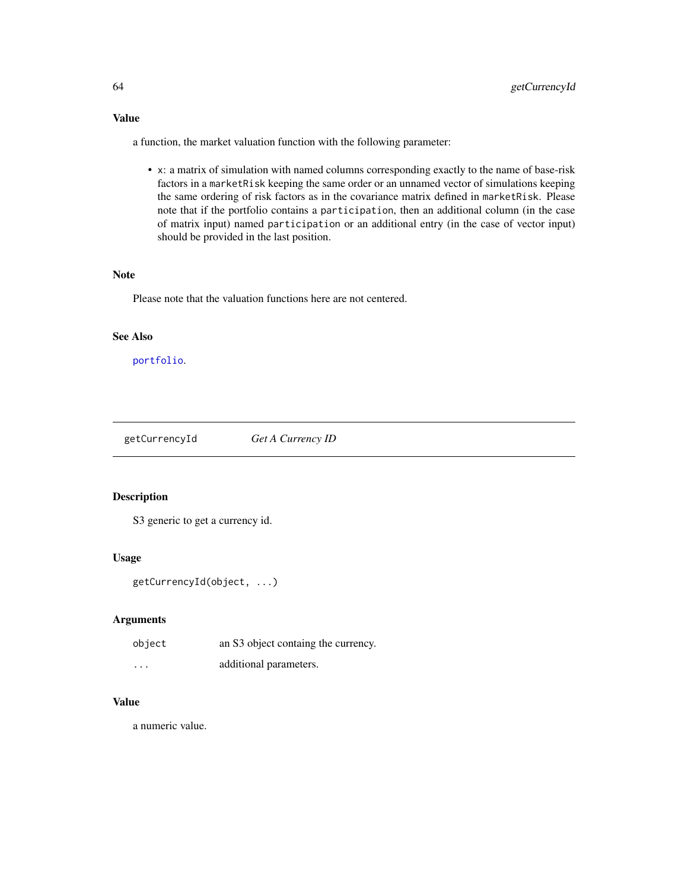a function, the market valuation function with the following parameter:

• x: a matrix of simulation with named columns corresponding exactly to the name of base-risk factors in a marketRisk keeping the same order or an unnamed vector of simulations keeping the same ordering of risk factors as in the covariance matrix defined in marketRisk. Please note that if the portfolio contains a participation, then an additional column (in the case of matrix input) named participation or an additional entry (in the case of vector input) should be provided in the last position.

#### Note

Please note that the valuation functions here are not centered.

#### See Also

[portfolio](#page-132-0).

<span id="page-63-0"></span>getCurrencyId *Get A Currency ID*

#### Description

S3 generic to get a currency id.

#### Usage

```
getCurrencyId(object, ...)
```
# Arguments

| object | an S3 object containg the currency. |
|--------|-------------------------------------|
| .      | additional parameters.              |

# Value

a numeric value.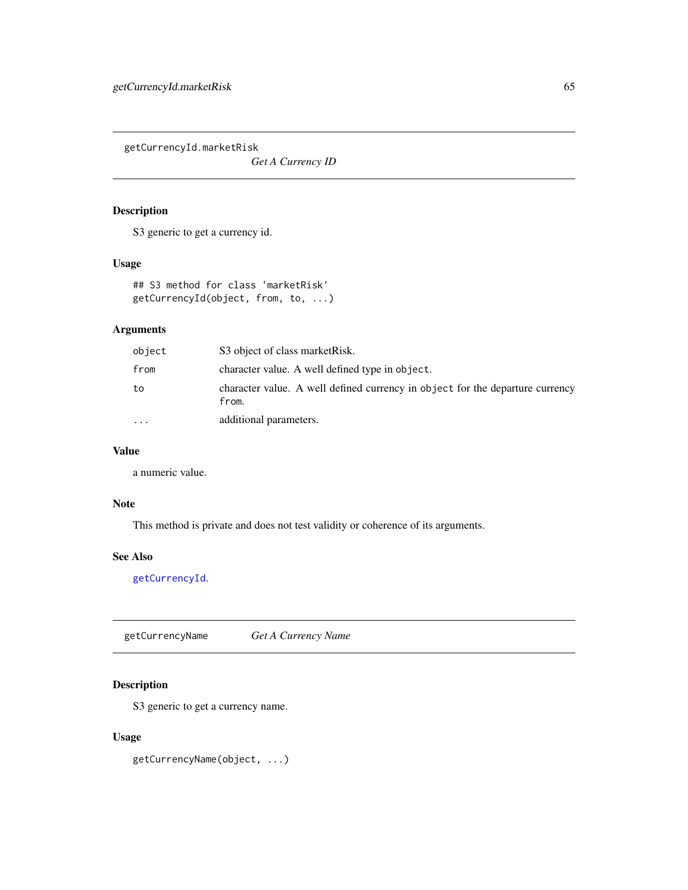getCurrencyId.marketRisk

*Get A Currency ID*

#### Description

S3 generic to get a currency id.

#### Usage

```
## S3 method for class 'marketRisk'
getCurrencyId(object, from, to, ...)
```
# Arguments

| object    | S3 object of class market Risk.                                                        |
|-----------|----------------------------------------------------------------------------------------|
| from      | character value. A well defined type in object.                                        |
| to        | character value. A well defined currency in object for the departure currency<br>from. |
| $\ddotsc$ | additional parameters.                                                                 |

# Value

a numeric value.

## Note

This method is private and does not test validity or coherence of its arguments.

# See Also

[getCurrencyId](#page-63-0).

<span id="page-64-0"></span>getCurrencyName *Get A Currency Name*

# Description

S3 generic to get a currency name.

## Usage

getCurrencyName(object, ...)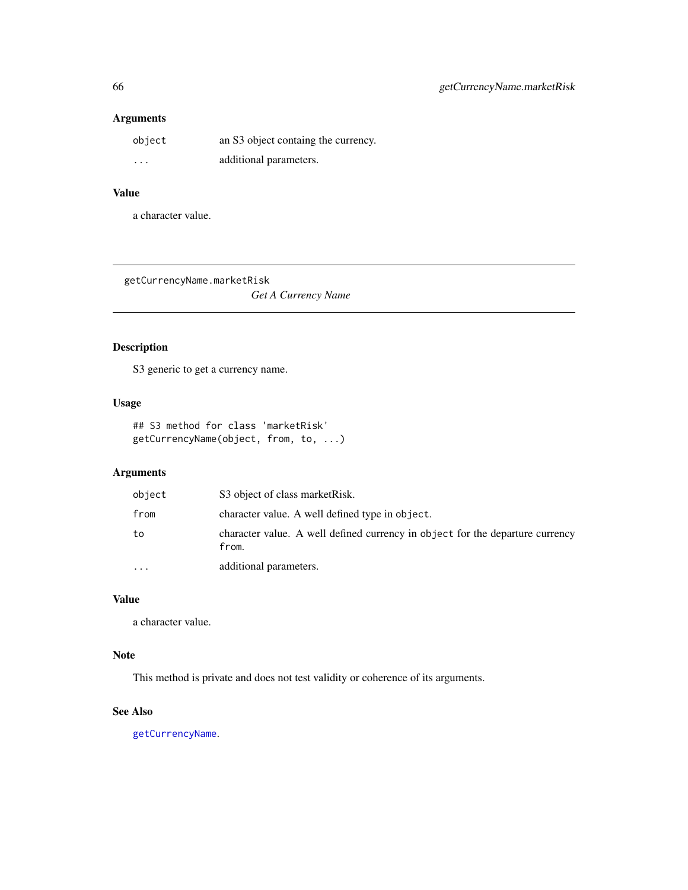| object   | an S3 object containg the currency. |
|----------|-------------------------------------|
| $\cdots$ | additional parameters.              |

# Value

a character value.

getCurrencyName.marketRisk

*Get A Currency Name*

# Description

S3 generic to get a currency name.

#### Usage

## S3 method for class 'marketRisk' getCurrencyName(object, from, to, ...)

# Arguments

| object    | S3 object of class market Risk.                                                        |
|-----------|----------------------------------------------------------------------------------------|
| from      | character value. A well defined type in object.                                        |
| to        | character value. A well defined currency in object for the departure currency<br>from. |
| $\ddotsc$ | additional parameters.                                                                 |

# Value

a character value.

## Note

This method is private and does not test validity or coherence of its arguments.

# See Also

[getCurrencyName](#page-64-0).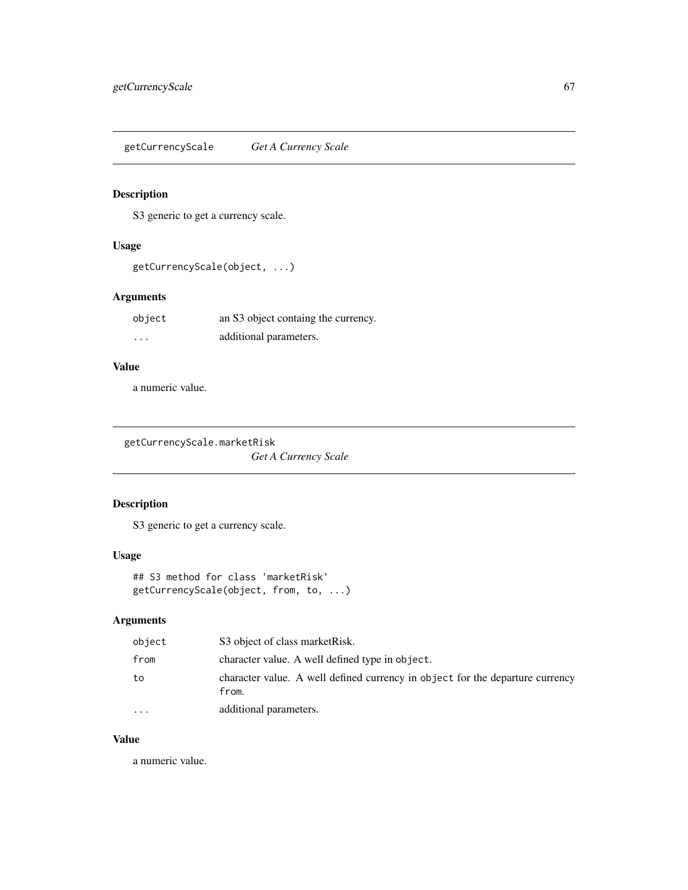<span id="page-66-0"></span>getCurrencyScale *Get A Currency Scale*

# Description

S3 generic to get a currency scale.

# Usage

```
getCurrencyScale(object, ...)
```
# Arguments

| object   | an S3 object containg the currency. |
|----------|-------------------------------------|
| $\cdots$ | additional parameters.              |

# Value

a numeric value.

getCurrencyScale.marketRisk *Get A Currency Scale*

# Description

S3 generic to get a currency scale.

# Usage

```
## S3 method for class 'marketRisk'
getCurrencyScale(object, from, to, ...)
```
# Arguments

| object    | S3 object of class market Risk.                                                        |
|-----------|----------------------------------------------------------------------------------------|
| from      | character value. A well defined type in object.                                        |
| to        | character value. A well defined currency in object for the departure currency<br>from. |
| $\ddotsc$ | additional parameters.                                                                 |

# Value

a numeric value.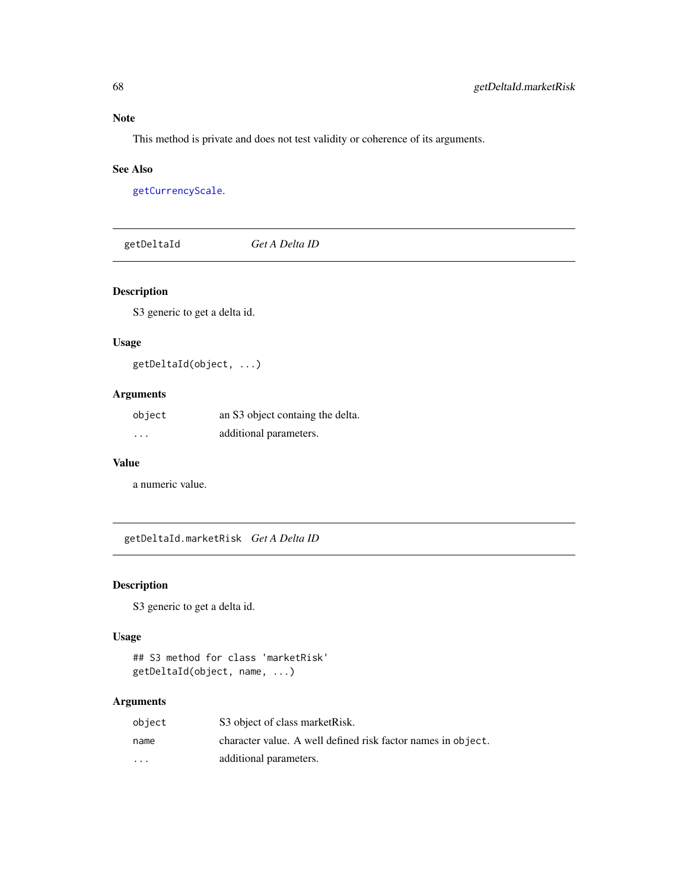# Note

This method is private and does not test validity or coherence of its arguments.

#### See Also

[getCurrencyScale](#page-66-0).

<span id="page-67-0"></span>

| getDeltaId | Get A Delta ID |  |  |
|------------|----------------|--|--|
|------------|----------------|--|--|

# Description

S3 generic to get a delta id.

# Usage

getDeltaId(object, ...)

# Arguments

| object   | an S3 object containg the delta. |
|----------|----------------------------------|
| $\cdots$ | additional parameters.           |

## Value

a numeric value.

getDeltaId.marketRisk *Get A Delta ID*

# Description

S3 generic to get a delta id.

# Usage

```
## S3 method for class 'marketRisk'
getDeltaId(object, name, ...)
```

| object                  | S3 object of class market Risk.                              |
|-------------------------|--------------------------------------------------------------|
| name                    | character value. A well defined risk factor names in object. |
| $\cdot$ $\cdot$ $\cdot$ | additional parameters.                                       |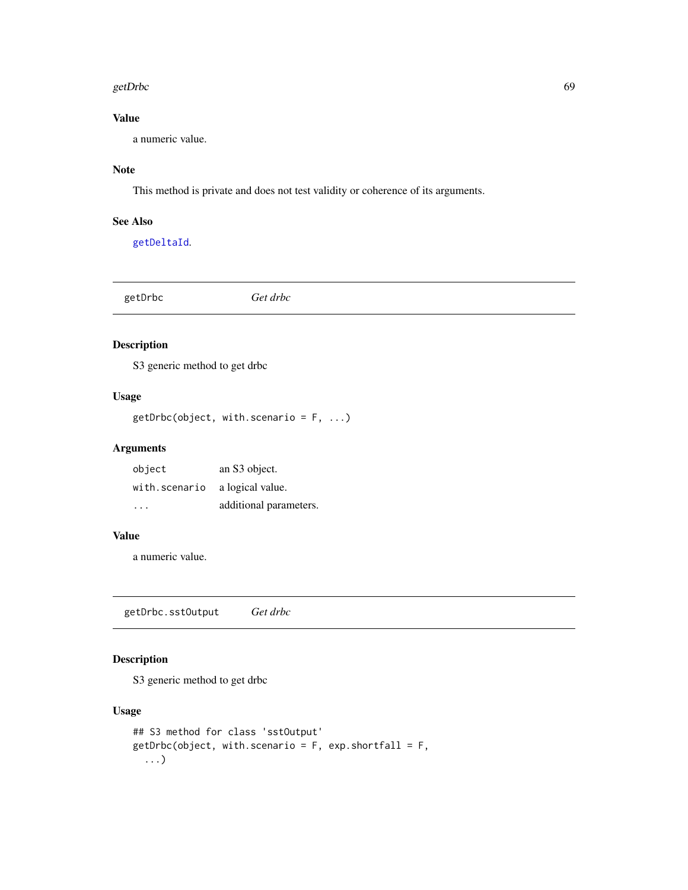#### getDrbc 69

# Value

a numeric value.

# Note

This method is private and does not test validity or coherence of its arguments.

#### See Also

[getDeltaId](#page-67-0).

<span id="page-68-0"></span>getDrbc *Get drbc*

# Description

S3 generic method to get drbc

# Usage

getDrbc(object, with.scenario = F, ...)

# Arguments

| object        | an S3 object.          |
|---------------|------------------------|
| with.scenario | a logical value.       |
| .             | additional parameters. |

#### Value

a numeric value.

getDrbc.sstOutput *Get drbc*

# Description

S3 generic method to get drbc

# Usage

```
## S3 method for class 'sstOutput'
getDrbc(object, with.scenario = F, exp.shortfall = F,
  ...)
```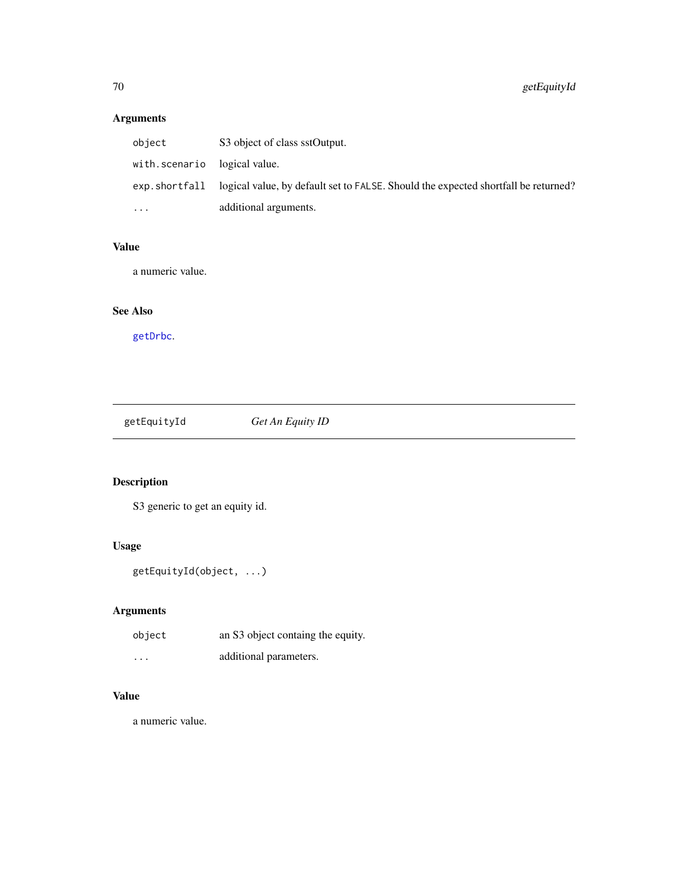| object                       | S3 object of class sstOutput.                                                                      |
|------------------------------|----------------------------------------------------------------------------------------------------|
| with.scenario logical value. |                                                                                                    |
|                              | exp. short fall logical value, by default set to FALSE. Should the expected shortfall be returned? |
| $\cdots$                     | additional arguments.                                                                              |

# Value

a numeric value.

# See Also

[getDrbc](#page-68-0).

<span id="page-69-0"></span>getEquityId *Get An Equity ID*

# Description

S3 generic to get an equity id.

# Usage

```
getEquityId(object, ...)
```
# Arguments

| object   | an S3 object containg the equity. |
|----------|-----------------------------------|
| $\cdots$ | additional parameters.            |

# Value

a numeric value.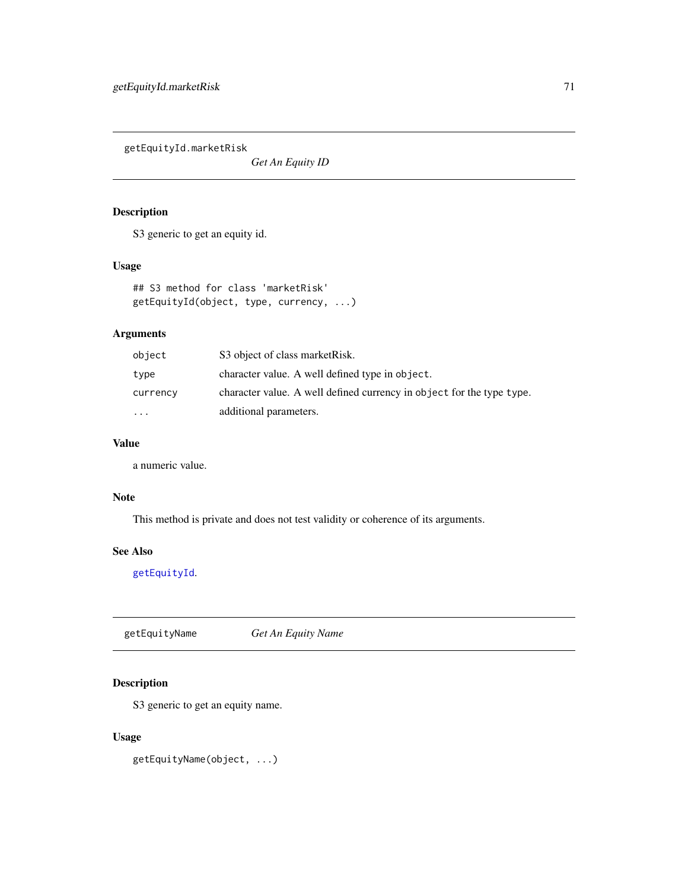getEquityId.marketRisk

*Get An Equity ID*

# Description

S3 generic to get an equity id.

## Usage

```
## S3 method for class 'marketRisk'
getEquityId(object, type, currency, ...)
```
# Arguments

| object   | S3 object of class market Risk.                                       |
|----------|-----------------------------------------------------------------------|
| type     | character value. A well defined type in object.                       |
| currency | character value. A well defined currency in object for the type type. |
| $\cdots$ | additional parameters.                                                |

#### Value

a numeric value.

# Note

This method is private and does not test validity or coherence of its arguments.

# See Also

[getEquityId](#page-69-0).

<span id="page-70-0"></span>getEquityName *Get An Equity Name*

# Description

S3 generic to get an equity name.

#### Usage

getEquityName(object, ...)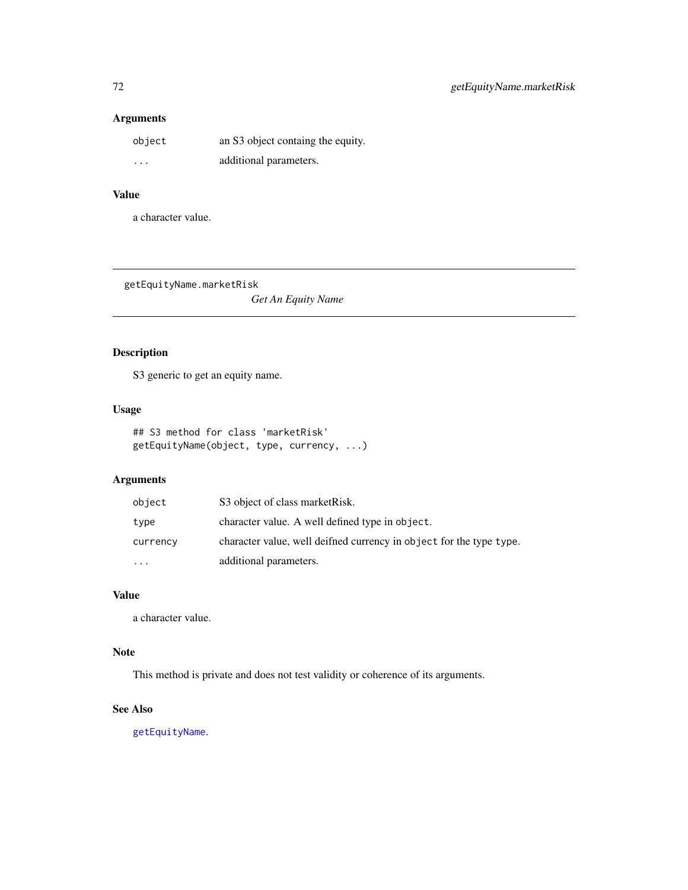| object   | an S3 object containg the equity. |
|----------|-----------------------------------|
| $\cdots$ | additional parameters.            |

# Value

a character value.

getEquityName.marketRisk

*Get An Equity Name*

# Description

S3 generic to get an equity name.

#### Usage

```
## S3 method for class 'marketRisk'
getEquityName(object, type, currency, ...)
```
# Arguments

| object                  | S3 object of class market Risk.                                     |
|-------------------------|---------------------------------------------------------------------|
| type                    | character value. A well defined type in object.                     |
| currency                | character value, well deifned currency in object for the type type. |
| $\cdot$ $\cdot$ $\cdot$ | additional parameters.                                              |

# Value

a character value.

# Note

This method is private and does not test validity or coherence of its arguments.

## See Also

[getEquityName](#page-70-0).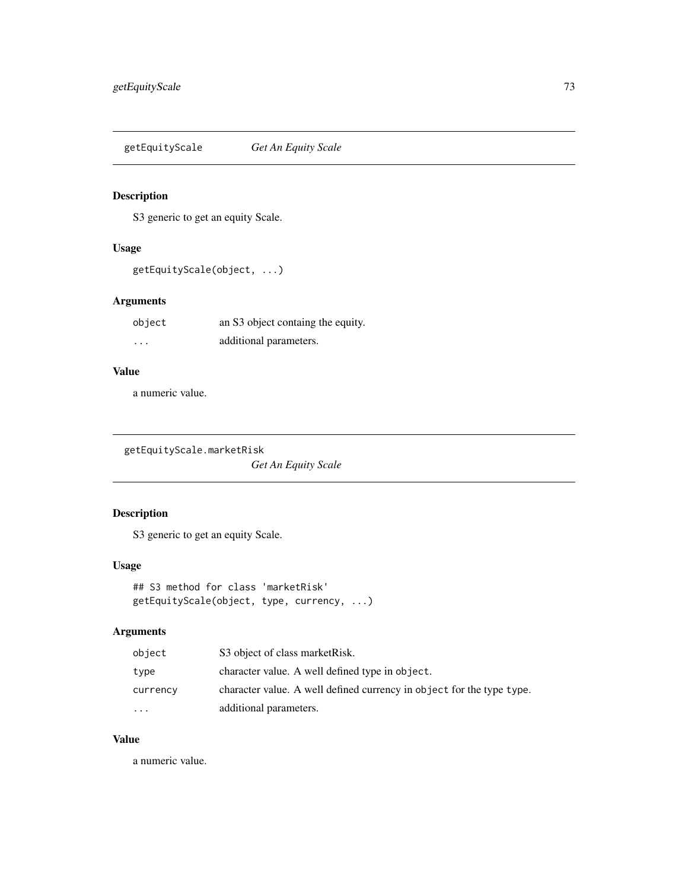<span id="page-72-0"></span>getEquityScale *Get An Equity Scale*

## Description

S3 generic to get an equity Scale.

# Usage

getEquityScale(object, ...)

## Arguments

| object   | an S3 object containg the equity. |
|----------|-----------------------------------|
| $\cdots$ | additional parameters.            |

## Value

a numeric value.

getEquityScale.marketRisk

*Get An Equity Scale*

# Description

S3 generic to get an equity Scale.

## Usage

```
## S3 method for class 'marketRisk'
getEquityScale(object, type, currency, ...)
```
## Arguments

| object    | S3 object of class market Risk.                                       |
|-----------|-----------------------------------------------------------------------|
| type      | character value. A well defined type in object.                       |
| currency  | character value. A well defined currency in object for the type type. |
| $\ddotsc$ | additional parameters.                                                |

## Value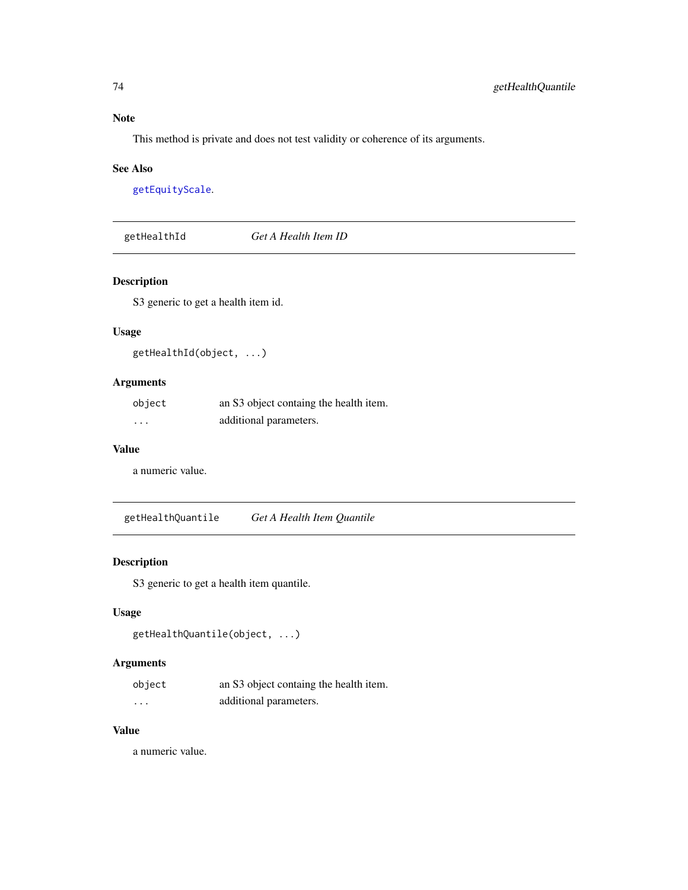Note

This method is private and does not test validity or coherence of its arguments.

#### See Also

[getEquityScale](#page-72-0).

getHealthId *Get A Health Item ID*

## Description

S3 generic to get a health item id.

#### Usage

```
getHealthId(object, ...)
```
## Arguments

| object | an S3 object containg the health item. |
|--------|----------------------------------------|
| .      | additional parameters.                 |

#### Value

a numeric value.

getHealthQuantile *Get A Health Item Quantile*

# Description

S3 generic to get a health item quantile.

#### Usage

```
getHealthQuantile(object, ...)
```
## Arguments

| object   | an S3 object containg the health item. |
|----------|----------------------------------------|
| $\cdots$ | additional parameters.                 |

## Value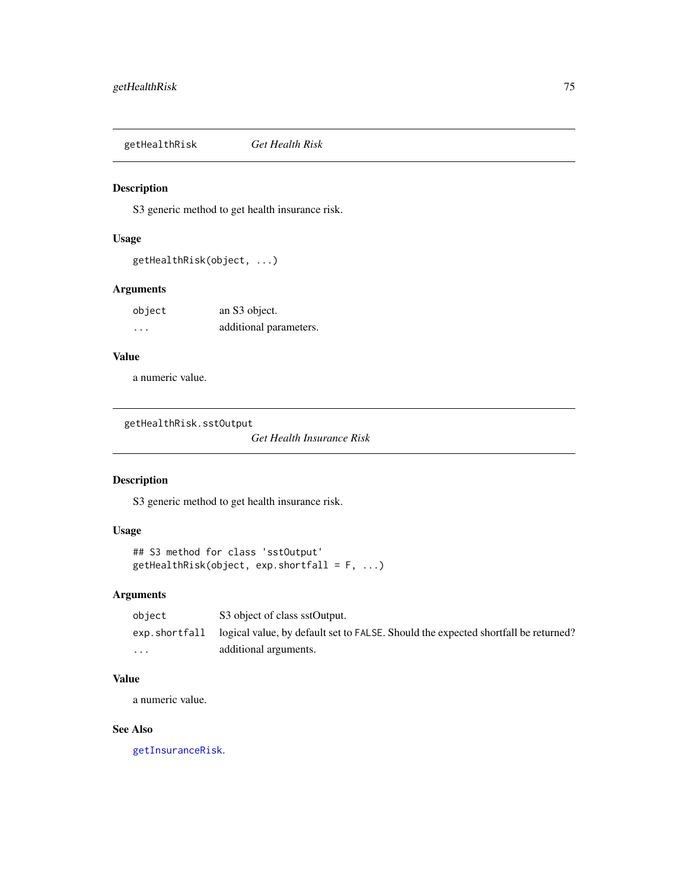getHealthRisk *Get Health Risk*

## Description

S3 generic method to get health insurance risk.

### Usage

```
getHealthRisk(object, ...)
```
## Arguments

| object | an S3 object.          |
|--------|------------------------|
| .      | additional parameters. |

## Value

a numeric value.

getHealthRisk.sstOutput

*Get Health Insurance Risk*

## Description

S3 generic method to get health insurance risk.

## Usage

```
## S3 method for class 'sstOutput'
getHealthRisk(object, exp.shortfall = F, ...)
```
## Arguments

| object                  | S3 object of class sstOutput.                                                                     |
|-------------------------|---------------------------------------------------------------------------------------------------|
|                         | exp. shortfall logical value, by default set to FALSE. Should the expected shortfall be returned? |
| $\cdot$ $\cdot$ $\cdot$ | additional arguments.                                                                             |

## Value

a numeric value.

## See Also

[getInsuranceRisk](#page-77-0).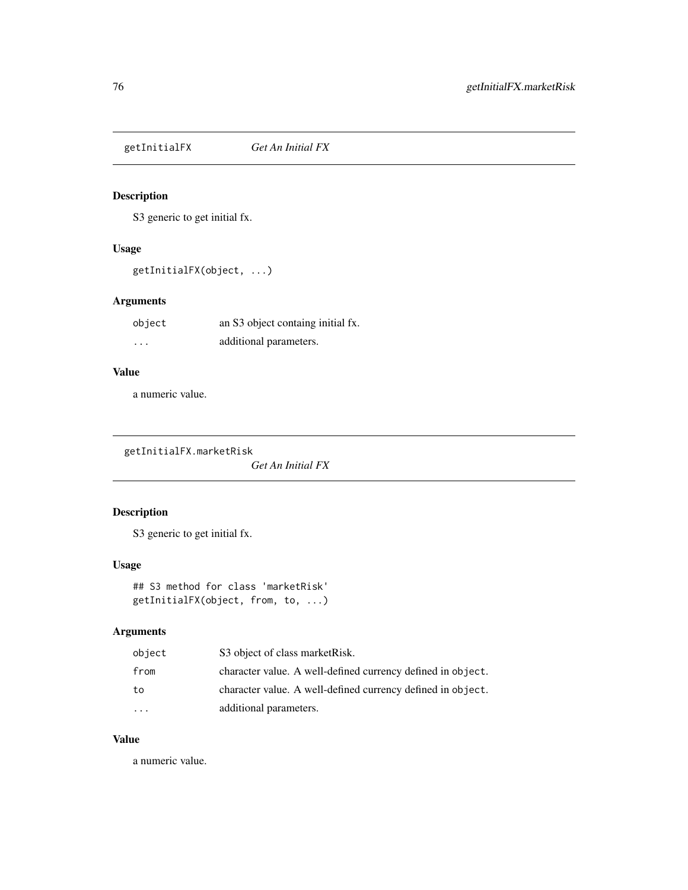<span id="page-75-0"></span>getInitialFX *Get An Initial FX*

## Description

S3 generic to get initial fx.

## Usage

getInitialFX(object, ...)

## Arguments

| object | an S3 object containg initial fx. |
|--------|-----------------------------------|
| .      | additional parameters.            |

## Value

a numeric value.

getInitialFX.marketRisk

*Get An Initial FX*

# Description

S3 generic to get initial fx.

## Usage

```
## S3 method for class 'marketRisk'
getInitialFX(object, from, to, ...)
```
# Arguments

| object | S3 object of class market Risk.                             |
|--------|-------------------------------------------------------------|
| from   | character value. A well-defined currency defined in object. |
| to     | character value. A well-defined currency defined in object. |
|        | additional parameters.                                      |

#### Value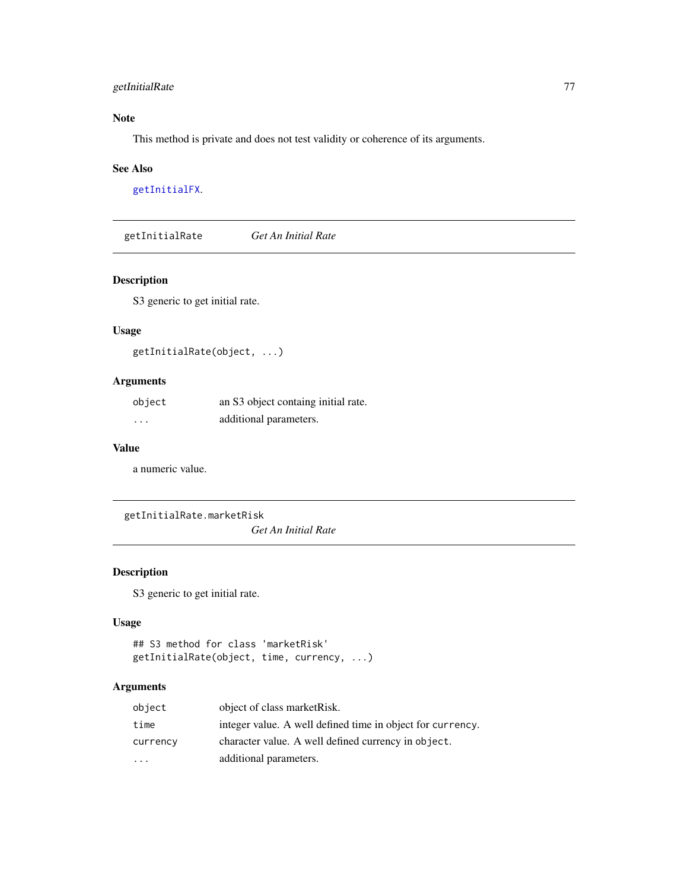## getInitialRate 77

## Note

This method is private and does not test validity or coherence of its arguments.

#### See Also

[getInitialFX](#page-75-0).

<span id="page-76-0"></span>getInitialRate *Get An Initial Rate*

## Description

S3 generic to get initial rate.

### Usage

getInitialRate(object, ...)

## Arguments

| object | an S3 object containg initial rate. |
|--------|-------------------------------------|
| .      | additional parameters.              |

#### Value

a numeric value.

getInitialRate.marketRisk

*Get An Initial Rate*

## Description

S3 generic to get initial rate.

### Usage

```
## S3 method for class 'marketRisk'
getInitialRate(object, time, currency, ...)
```

| object   | object of class market Risk.                               |
|----------|------------------------------------------------------------|
| time     | integer value. A well defined time in object for currency. |
| currency | character value. A well defined currency in object.        |
| $\cdot$  | additional parameters.                                     |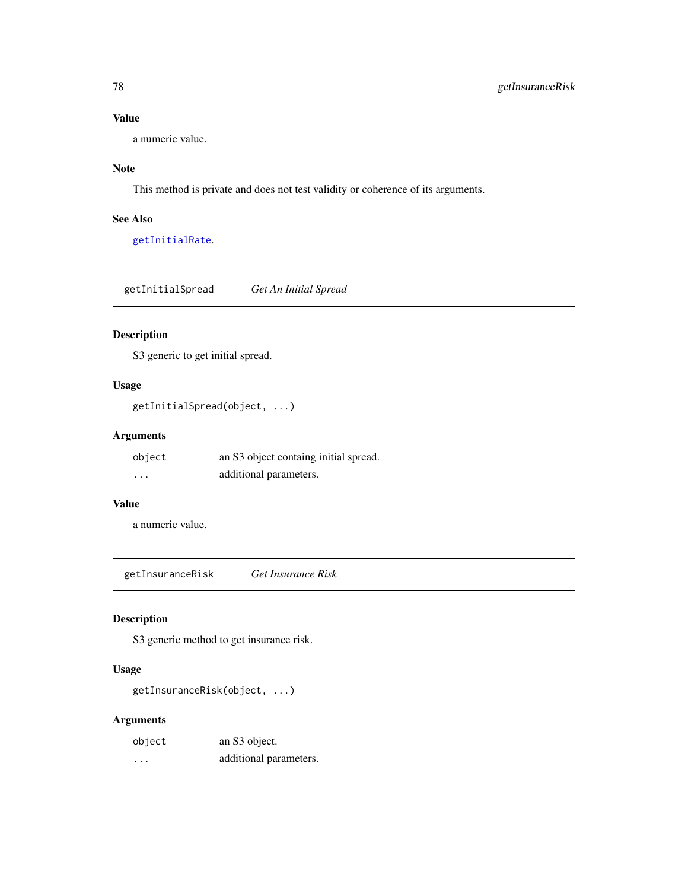a numeric value.

## Note

This method is private and does not test validity or coherence of its arguments.

## See Also

[getInitialRate](#page-76-0).

getInitialSpread *Get An Initial Spread*

## Description

S3 generic to get initial spread.

### Usage

getInitialSpread(object, ...)

## Arguments

| object | an S3 object containg initial spread. |
|--------|---------------------------------------|
| .      | additional parameters.                |

# Value

a numeric value.

<span id="page-77-0"></span>getInsuranceRisk *Get Insurance Risk*

# Description

S3 generic method to get insurance risk.

### Usage

getInsuranceRisk(object, ...)

| object | an S3 object.          |
|--------|------------------------|
| .      | additional parameters. |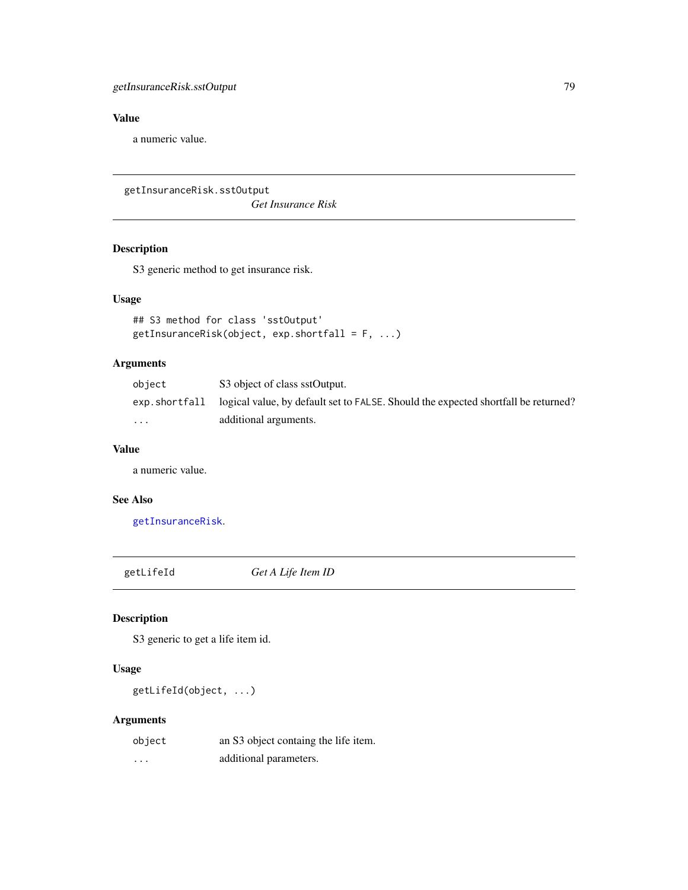a numeric value.

getInsuranceRisk.sstOutput

*Get Insurance Risk*

## Description

S3 generic method to get insurance risk.

#### Usage

```
## S3 method for class 'sstOutput'
getInsuranceRisk(object, exp.shortfall = F, ...)
```
## Arguments

| object                  | S3 object of class sstOutput.                                                      |
|-------------------------|------------------------------------------------------------------------------------|
| exp.shortfall           | logical value, by default set to FALSE. Should the expected shortfall be returned? |
| $\cdot$ $\cdot$ $\cdot$ | additional arguments.                                                              |

#### Value

a numeric value.

## See Also

[getInsuranceRisk](#page-77-0).

<span id="page-78-0"></span>getLifeId *Get A Life Item ID*

# Description

S3 generic to get a life item id.

# Usage

getLifeId(object, ...)

| object   | an S3 object containg the life item. |
|----------|--------------------------------------|
| $\cdots$ | additional parameters.               |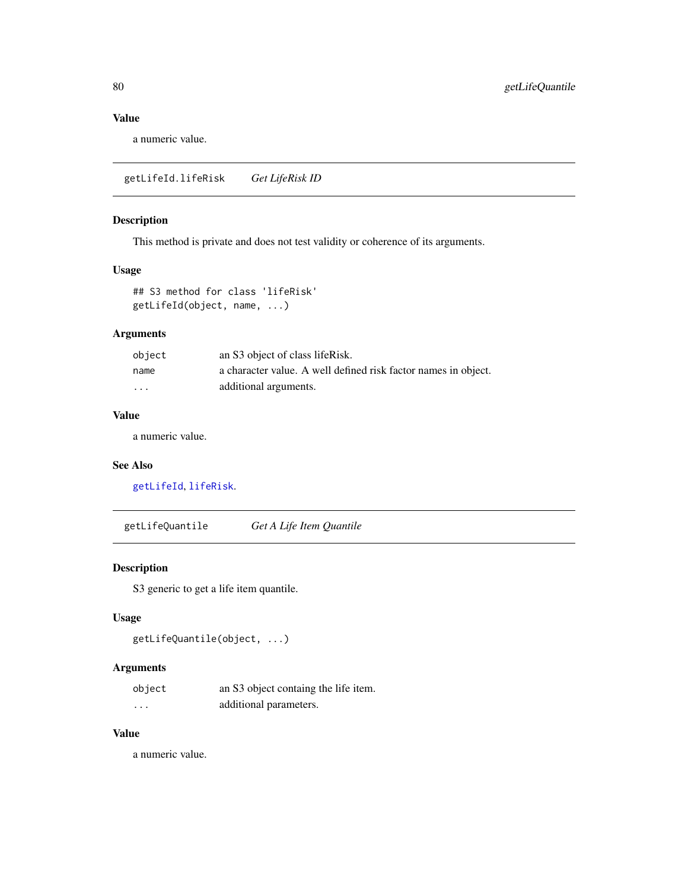a numeric value.

getLifeId.lifeRisk *Get LifeRisk ID*

## Description

This method is private and does not test validity or coherence of its arguments.

## Usage

## S3 method for class 'lifeRisk' getLifeId(object, name, ...)

# Arguments

| object  | an S3 object of class lifeRisk.                                |
|---------|----------------------------------------------------------------|
| name    | a character value. A well defined risk factor names in object. |
| $\cdot$ | additional arguments.                                          |

## Value

a numeric value.

#### See Also

[getLifeId](#page-78-0), [lifeRisk](#page-121-0).

<span id="page-79-0"></span>getLifeQuantile *Get A Life Item Quantile*

## Description

S3 generic to get a life item quantile.

## Usage

```
getLifeQuantile(object, ...)
```
### Arguments

| object   | an S3 object containg the life item. |
|----------|--------------------------------------|
| $\cdots$ | additional parameters.               |

## Value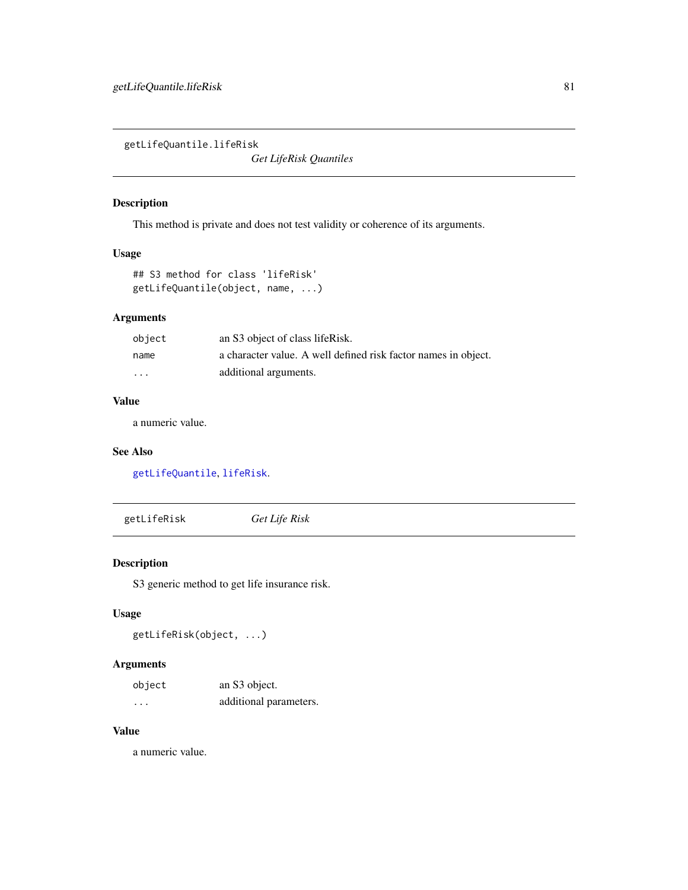getLifeQuantile.lifeRisk

*Get LifeRisk Quantiles*

# Description

This method is private and does not test validity or coherence of its arguments.

# Usage

```
## S3 method for class 'lifeRisk'
getLifeQuantile(object, name, ...)
```
## Arguments

| object | an S3 object of class lifeRisk.                                |
|--------|----------------------------------------------------------------|
| name   | a character value. A well defined risk factor names in object. |
| .      | additional arguments.                                          |

## Value

a numeric value.

#### See Also

[getLifeQuantile](#page-79-0), [lifeRisk](#page-121-0).

getLifeRisk *Get Life Risk*

## Description

S3 generic method to get life insurance risk.

### Usage

getLifeRisk(object, ...)

## Arguments

| object   | an S3 object.          |
|----------|------------------------|
| $\cdots$ | additional parameters. |

# Value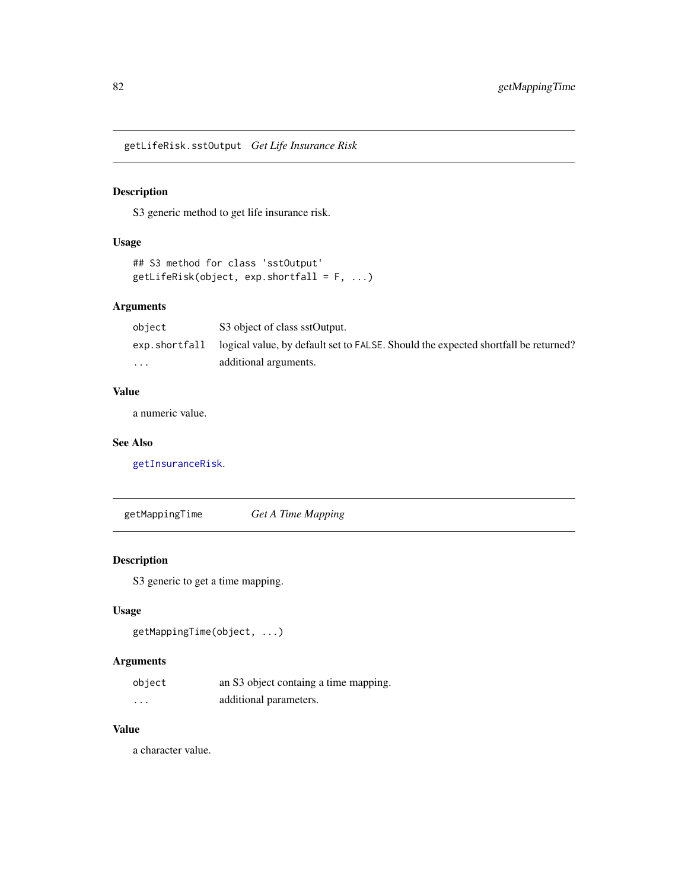getLifeRisk.sstOutput *Get Life Insurance Risk*

## Description

S3 generic method to get life insurance risk.

### Usage

```
## S3 method for class 'sstOutput'
getLifeRisk(object, exp.shortfall = F, ...)
```
## Arguments

| object        | S3 object of class sstOutput.                                                      |
|---------------|------------------------------------------------------------------------------------|
| exp.shortfall | logical value, by default set to FALSE. Should the expected shortfall be returned? |
| $\cdot$       | additional arguments.                                                              |

### Value

a numeric value.

### See Also

[getInsuranceRisk](#page-77-0).

<span id="page-81-0"></span>getMappingTime *Get A Time Mapping*

## Description

S3 generic to get a time mapping.

## Usage

```
getMappingTime(object, ...)
```
# Arguments

| object | an S3 object containg a time mapping. |
|--------|---------------------------------------|
| .      | additional parameters.                |

## Value

a character value.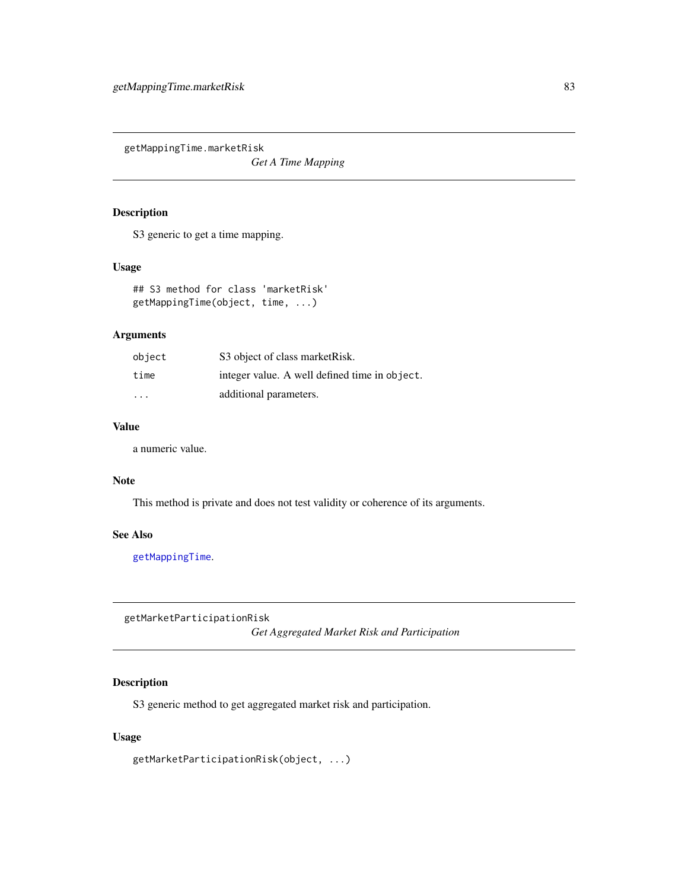getMappingTime.marketRisk

*Get A Time Mapping*

### Description

S3 generic to get a time mapping.

#### Usage

## S3 method for class 'marketRisk' getMappingTime(object, time, ...)

### Arguments

| object                  | S3 object of class market Risk.               |
|-------------------------|-----------------------------------------------|
| time                    | integer value. A well defined time in object. |
| $\cdot$ $\cdot$ $\cdot$ | additional parameters.                        |

### Value

a numeric value.

#### Note

This method is private and does not test validity or coherence of its arguments.

## See Also

[getMappingTime](#page-81-0).

getMarketParticipationRisk

*Get Aggregated Market Risk and Participation*

## Description

S3 generic method to get aggregated market risk and participation.

### Usage

getMarketParticipationRisk(object, ...)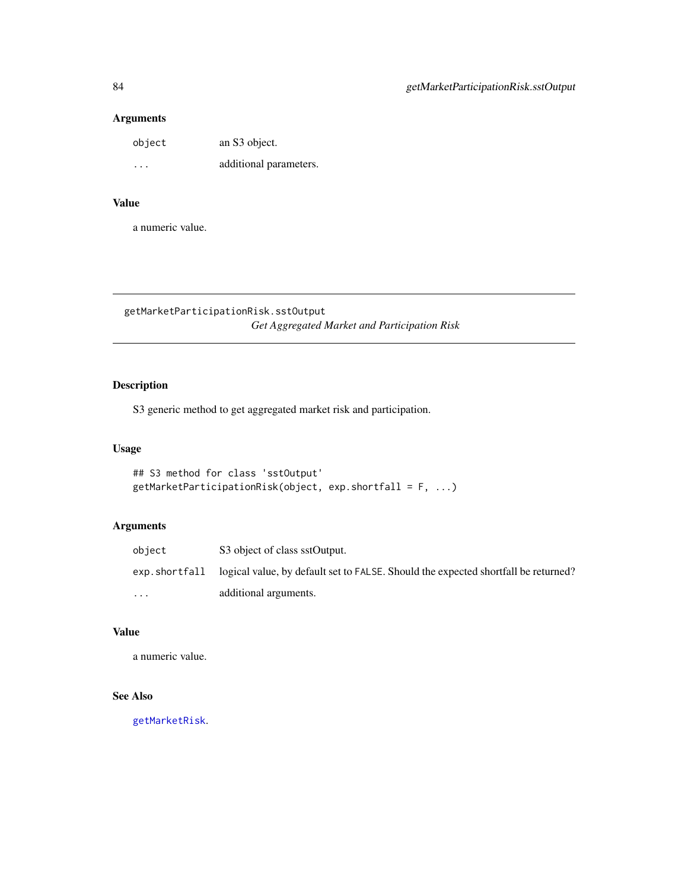## Arguments

| object | an S3 object.          |
|--------|------------------------|
| .      | additional parameters. |

#### Value

a numeric value.

getMarketParticipationRisk.sstOutput *Get Aggregated Market and Participation Risk*

## Description

S3 generic method to get aggregated market risk and participation.

## Usage

```
## S3 method for class 'sstOutput'
getMarketParticipationRisk(object, exp.shortfall = F, ...)
```
## Arguments

| obiect  | S3 object of class sstOutput.                                                                      |
|---------|----------------------------------------------------------------------------------------------------|
|         | exp. short fall logical value, by default set to FALSE. Should the expected shortfall be returned? |
| $\cdot$ | additional arguments.                                                                              |

#### Value

a numeric value.

# See Also

[getMarketRisk](#page-84-0).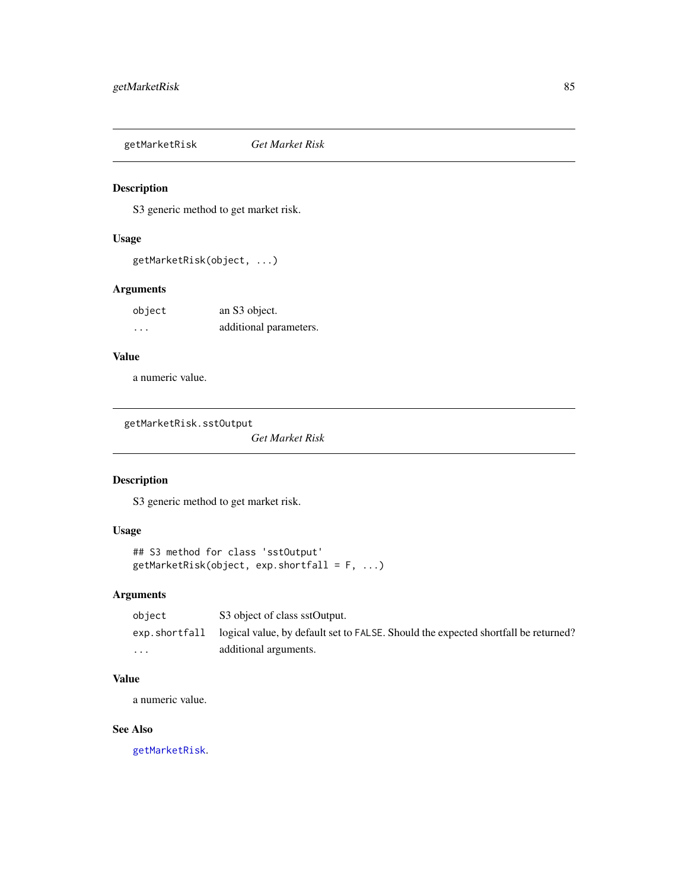<span id="page-84-0"></span>getMarketRisk *Get Market Risk*

## Description

S3 generic method to get market risk.

### Usage

getMarketRisk(object, ...)

## Arguments

| object | an S3 object.          |
|--------|------------------------|
| .      | additional parameters. |

## Value

a numeric value.

getMarketRisk.sstOutput

*Get Market Risk*

# Description

S3 generic method to get market risk.

## Usage

```
## S3 method for class 'sstOutput'
getMarketRisk(object, exp.shortfall = F, ...)
```
## Arguments

| object                  | S3 object of class sstOutput.                                                                     |
|-------------------------|---------------------------------------------------------------------------------------------------|
|                         | exp. shortfall logical value, by default set to FALSE. Should the expected shortfall be returned? |
| $\cdot$ $\cdot$ $\cdot$ | additional arguments.                                                                             |

## Value

a numeric value.

## See Also

[getMarketRisk](#page-84-0).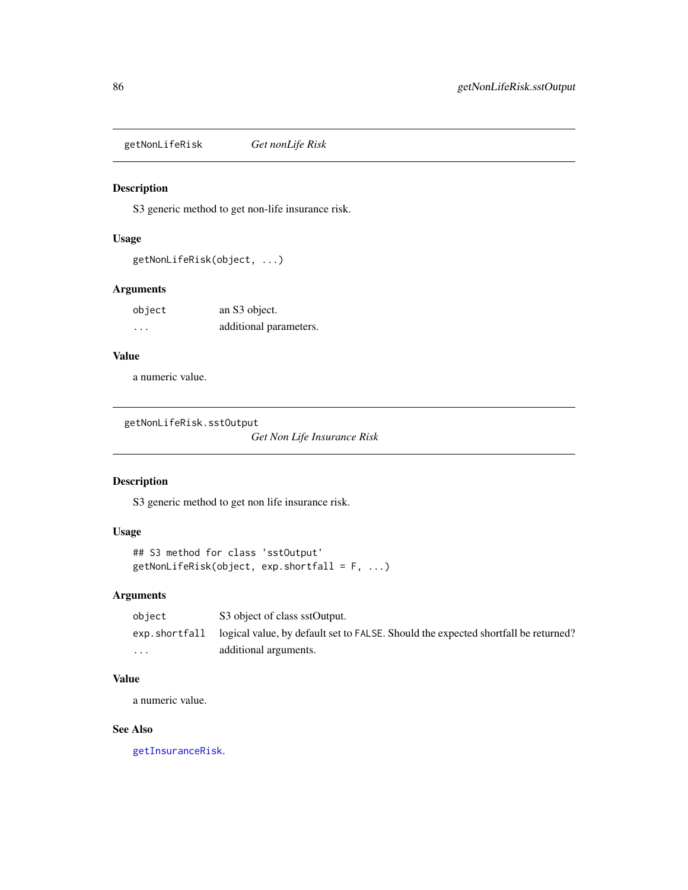getNonLifeRisk *Get nonLife Risk*

### Description

S3 generic method to get non-life insurance risk.

## Usage

```
getNonLifeRisk(object, ...)
```
## Arguments

| object | an S3 object.          |
|--------|------------------------|
| .      | additional parameters. |

## Value

a numeric value.

getNonLifeRisk.sstOutput

*Get Non Life Insurance Risk*

## Description

S3 generic method to get non life insurance risk.

## Usage

```
## S3 method for class 'sstOutput'
getNonLifeRisk(object, exp.shortfall = F, ...)
```
### Arguments

| object                  | S3 object of class sstOutput.                                                                     |
|-------------------------|---------------------------------------------------------------------------------------------------|
|                         | exp. shortfall logical value, by default set to FALSE. Should the expected shortfall be returned? |
| $\cdot$ $\cdot$ $\cdot$ | additional arguments.                                                                             |

## Value

a numeric value.

## See Also

[getInsuranceRisk](#page-77-0).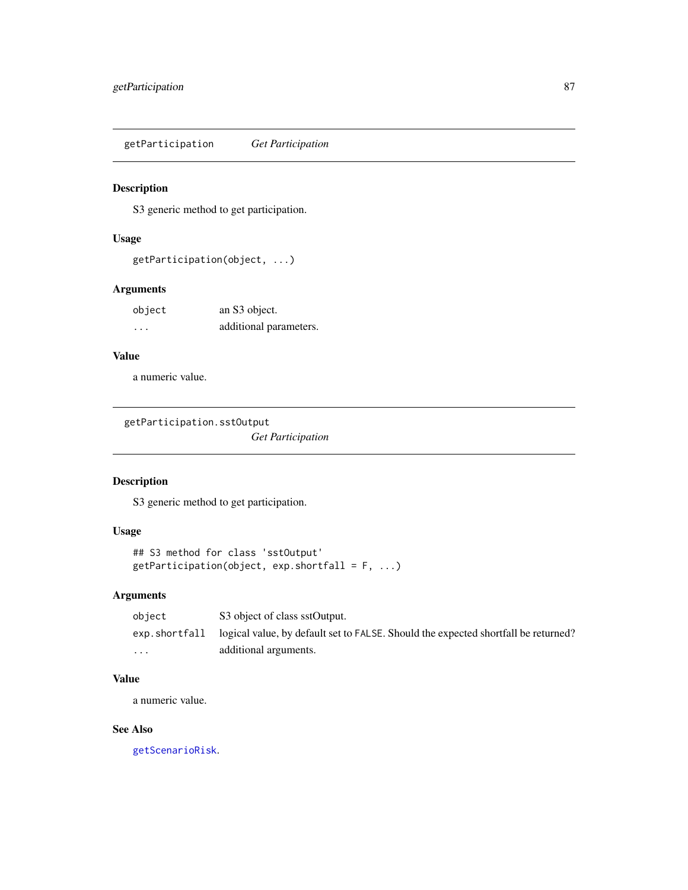getParticipation *Get Participation*

### Description

S3 generic method to get participation.

#### Usage

```
getParticipation(object, ...)
```
## Arguments

| object | an S3 object.          |
|--------|------------------------|
| .      | additional parameters. |

## Value

a numeric value.

getParticipation.sstOutput

*Get Participation*

## Description

S3 generic method to get participation.

# Usage

```
## S3 method for class 'sstOutput'
getPartition(object, exp.shortfall = F, ...)
```
### Arguments

| object                  | S3 object of class sstOutput.                                                                     |
|-------------------------|---------------------------------------------------------------------------------------------------|
|                         | exp. shortfall logical value, by default set to FALSE. Should the expected shortfall be returned? |
| $\cdot$ $\cdot$ $\cdot$ | additional arguments.                                                                             |

### Value

a numeric value.

## See Also

[getScenarioRisk](#page-90-0).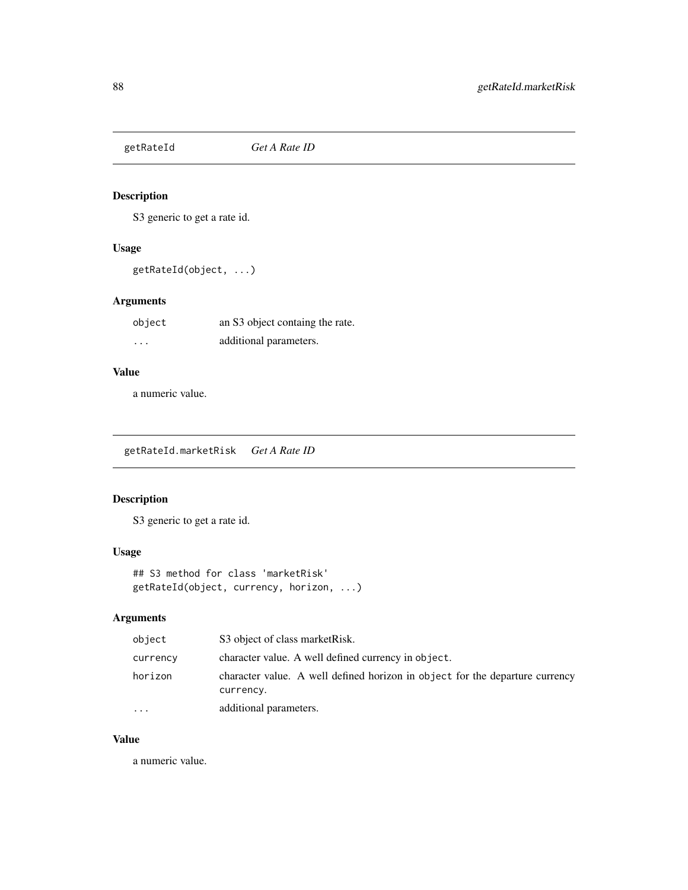<span id="page-87-0"></span>

S3 generic to get a rate id.

## Usage

getRateId(object, ...)

## Arguments

| object   | an S3 object containg the rate. |
|----------|---------------------------------|
| $\cdots$ | additional parameters.          |

## Value

a numeric value.

getRateId.marketRisk *Get A Rate ID*

## Description

S3 generic to get a rate id.

## Usage

## S3 method for class 'marketRisk' getRateId(object, currency, horizon, ...)

# Arguments

| object    | S3 object of class market Risk.                                                           |
|-----------|-------------------------------------------------------------------------------------------|
| currency  | character value. A well defined currency in object.                                       |
| horizon   | character value. A well defined horizon in object for the departure currency<br>currency. |
| $\ddotsc$ | additional parameters.                                                                    |

### Value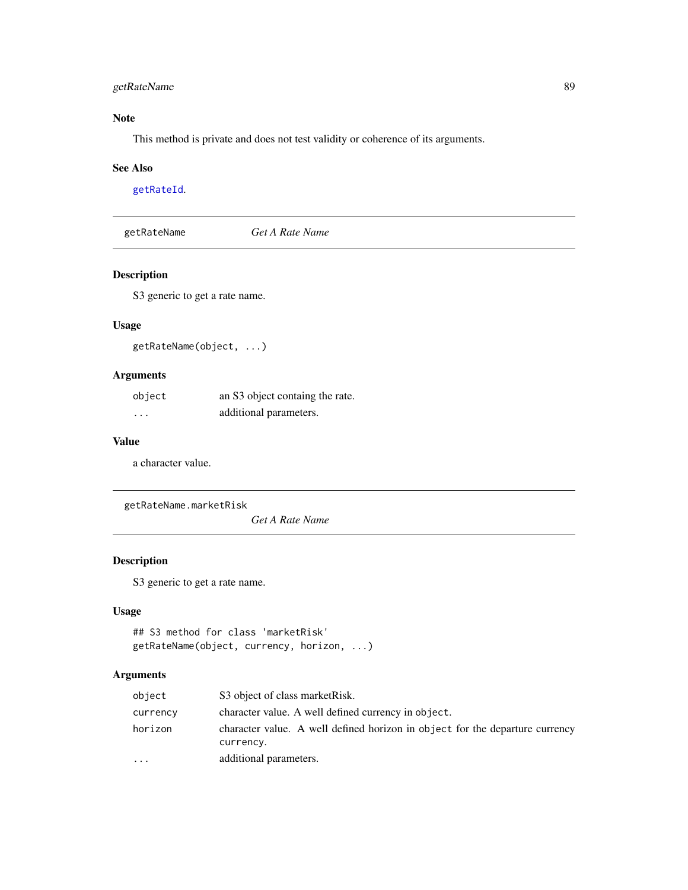## getRateName 89

## Note

This method is private and does not test validity or coherence of its arguments.

#### See Also

[getRateId](#page-87-0).

<span id="page-88-0"></span>getRateName *Get A Rate Name*

## Description

S3 generic to get a rate name.

## Usage

getRateName(object, ...)

## Arguments

| object   | an S3 object containg the rate. |
|----------|---------------------------------|
| $\cdots$ | additional parameters.          |

#### Value

a character value.

getRateName.marketRisk

*Get A Rate Name*

## Description

S3 generic to get a rate name.

### Usage

```
## S3 method for class 'marketRisk'
getRateName(object, currency, horizon, ...)
```

| object    | S3 object of class market Risk.                                              |
|-----------|------------------------------------------------------------------------------|
| currency  | character value. A well defined currency in object.                          |
| horizon   | character value. A well defined horizon in object for the departure currency |
| $\ddotsc$ | currency.<br>additional parameters.                                          |
|           |                                                                              |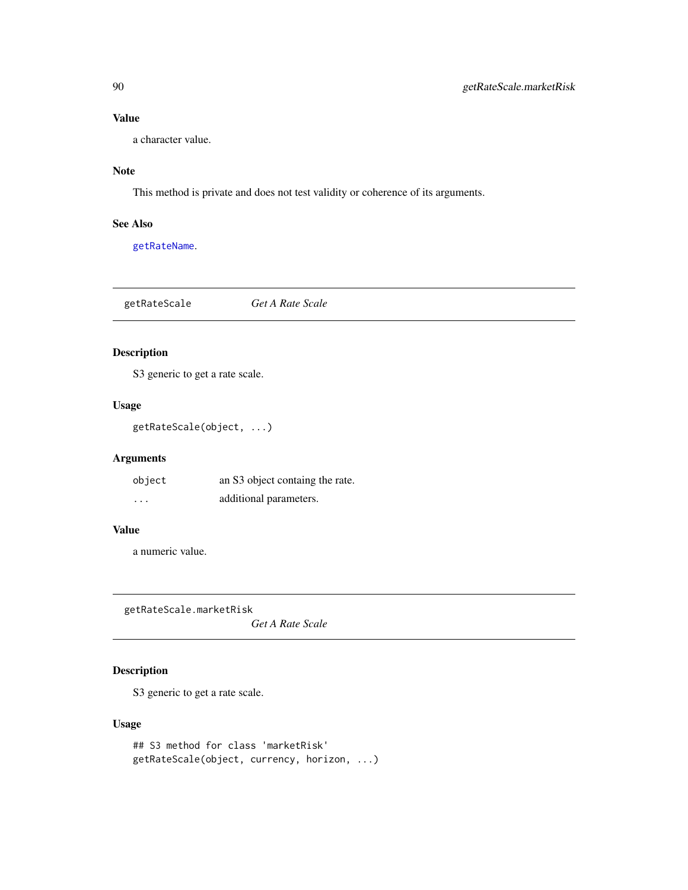a character value.

## Note

This method is private and does not test validity or coherence of its arguments.

## See Also

[getRateName](#page-88-0).

<span id="page-89-0"></span>getRateScale *Get A Rate Scale*

## Description

S3 generic to get a rate scale.

### Usage

getRateScale(object, ...)

## Arguments

| object   | an S3 object containg the rate. |
|----------|---------------------------------|
| $\cdots$ | additional parameters.          |

### Value

a numeric value.

getRateScale.marketRisk

*Get A Rate Scale*

## Description

S3 generic to get a rate scale.

## Usage

## S3 method for class 'marketRisk' getRateScale(object, currency, horizon, ...)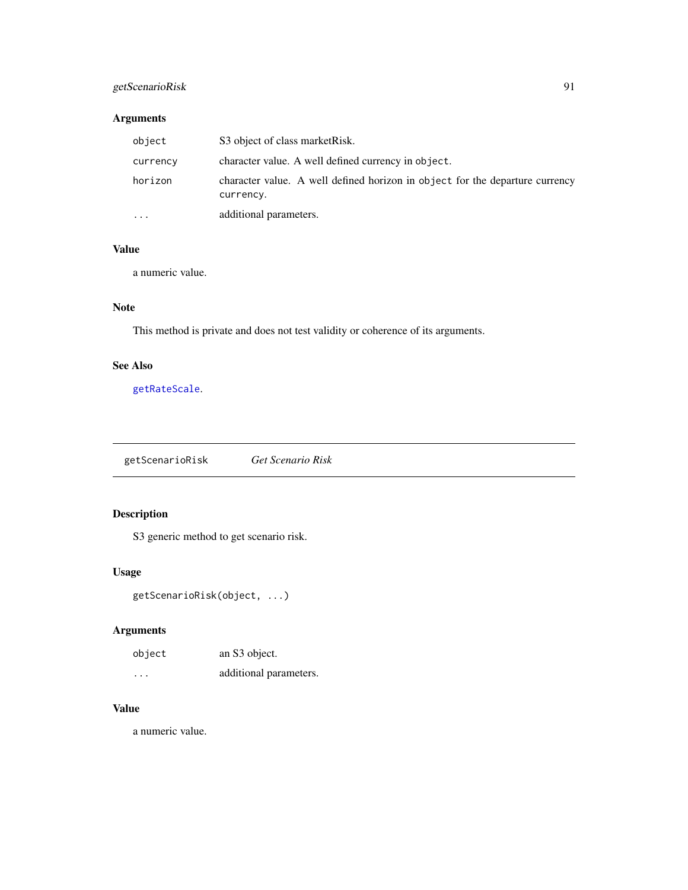# getScenarioRisk 91

## Arguments

| object    | S3 object of class market Risk.                                                           |
|-----------|-------------------------------------------------------------------------------------------|
| currency  | character value. A well defined currency in object.                                       |
| horizon   | character value. A well defined horizon in object for the departure currency<br>currency. |
| $\ddotsc$ | additional parameters.                                                                    |

## Value

a numeric value.

## Note

This method is private and does not test validity or coherence of its arguments.

# See Also

[getRateScale](#page-89-0).

<span id="page-90-0"></span>getScenarioRisk *Get Scenario Risk*

# Description

S3 generic method to get scenario risk.

## Usage

getScenarioRisk(object, ...)

# Arguments

| object   | an S3 object.          |
|----------|------------------------|
| $\cdots$ | additional parameters. |

### Value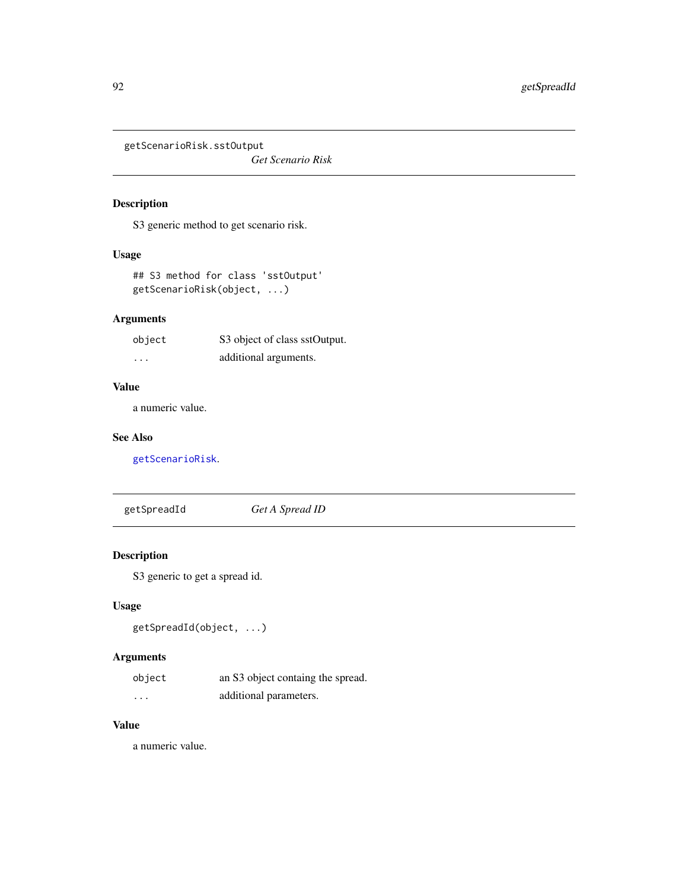getScenarioRisk.sstOutput

*Get Scenario Risk*

# Description

S3 generic method to get scenario risk.

## Usage

## S3 method for class 'sstOutput' getScenarioRisk(object, ...)

## Arguments

| object   | S3 object of class sstOutput. |
|----------|-------------------------------|
| $\cdots$ | additional arguments.         |

#### Value

a numeric value.

## See Also

[getScenarioRisk](#page-90-0).

<span id="page-91-0"></span>getSpreadId *Get A Spread ID*

## Description

S3 generic to get a spread id.

# Usage

getSpreadId(object, ...)

# Arguments

| object   | an S3 object containg the spread. |
|----------|-----------------------------------|
| $\cdots$ | additional parameters.            |

## Value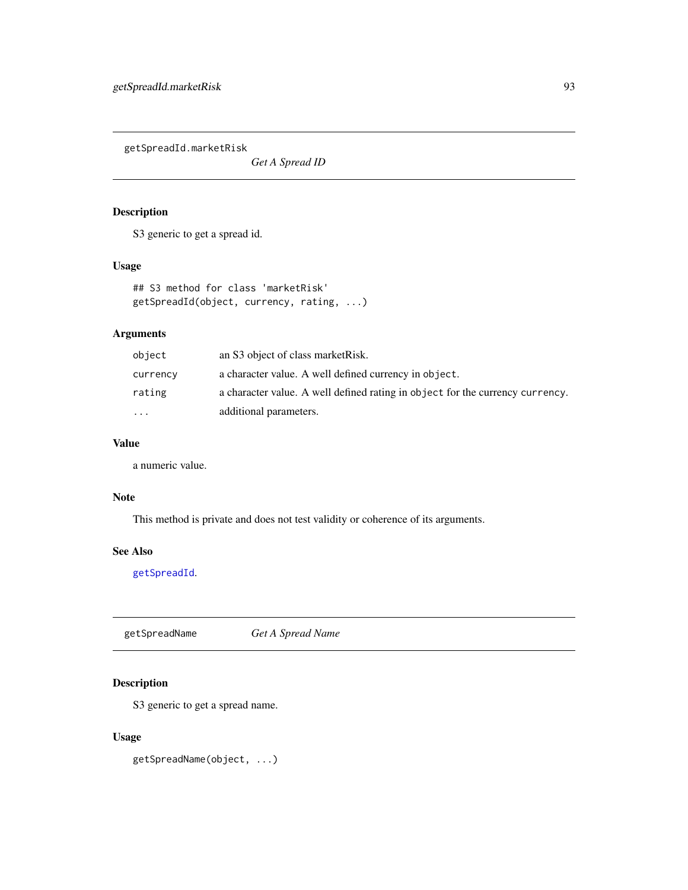getSpreadId.marketRisk

*Get A Spread ID*

## Description

S3 generic to get a spread id.

### Usage

```
## S3 method for class 'marketRisk'
getSpreadId(object, currency, rating, ...)
```
# Arguments

| object   | an S3 object of class market Risk.                                            |
|----------|-------------------------------------------------------------------------------|
| currency | a character value. A well defined currency in object.                         |
| rating   | a character value. A well defined rating in object for the currency currency. |
| .        | additional parameters.                                                        |

## Value

a numeric value.

## Note

This method is private and does not test validity or coherence of its arguments.

## See Also

[getSpreadId](#page-91-0).

<span id="page-92-0"></span>getSpreadName *Get A Spread Name*

## Description

S3 generic to get a spread name.

#### Usage

getSpreadName(object, ...)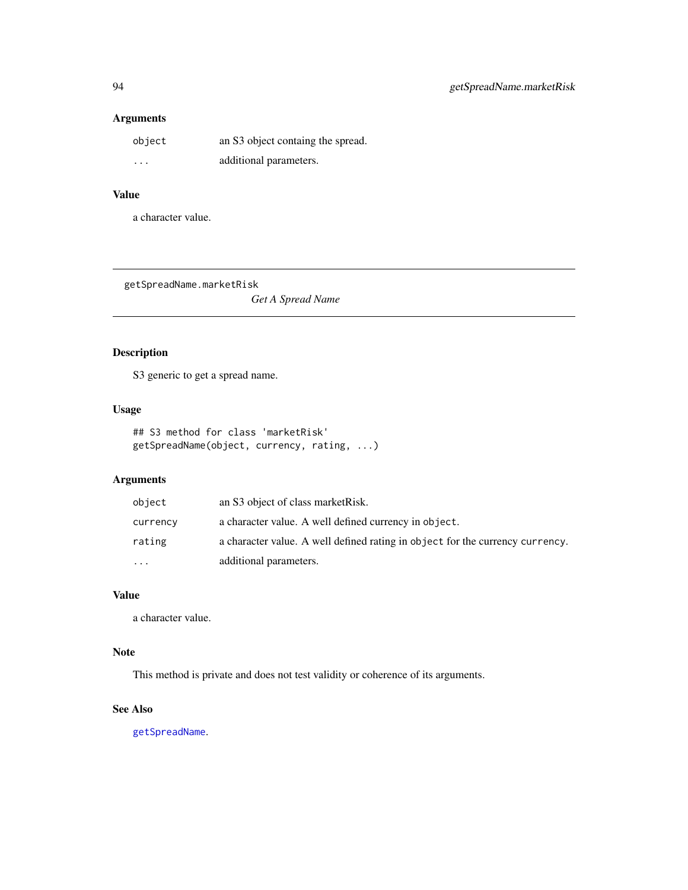## Arguments

| object  | an S3 object containg the spread. |
|---------|-----------------------------------|
| $\cdot$ | additional parameters.            |

# Value

a character value.

getSpreadName.marketRisk

*Get A Spread Name*

# Description

S3 generic to get a spread name.

### Usage

## S3 method for class 'marketRisk' getSpreadName(object, currency, rating, ...)

## Arguments

| object   | an S3 object of class market Risk.                                            |
|----------|-------------------------------------------------------------------------------|
| currency | a character value. A well defined currency in object.                         |
| rating   | a character value. A well defined rating in object for the currency currency. |
| $\cdots$ | additional parameters.                                                        |

## Value

a character value.

## Note

This method is private and does not test validity or coherence of its arguments.

### See Also

[getSpreadName](#page-92-0).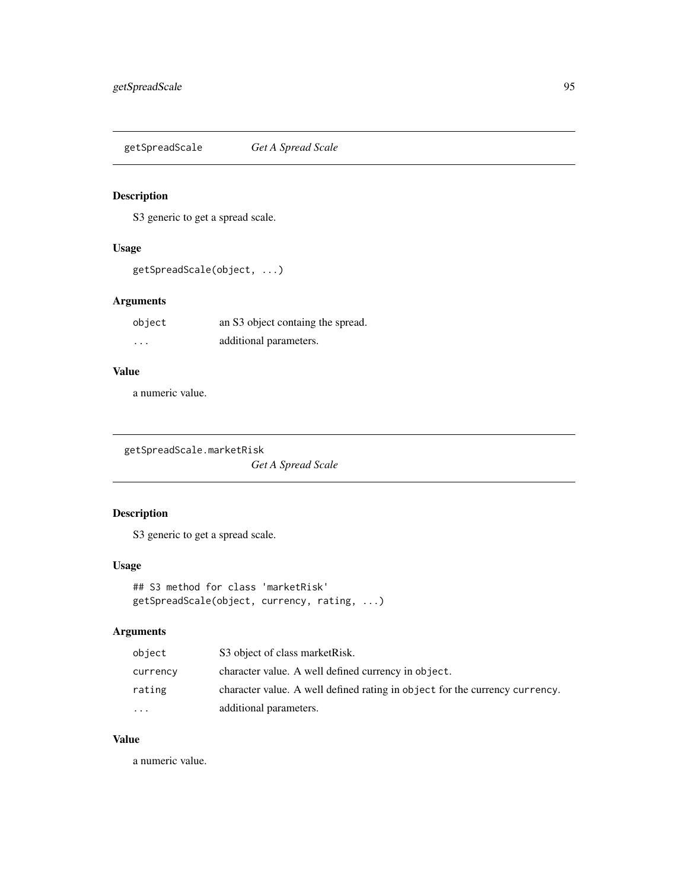<span id="page-94-0"></span>getSpreadScale *Get A Spread Scale*

## Description

S3 generic to get a spread scale.

# Usage

getSpreadScale(object, ...)

## Arguments

| object   | an S3 object containg the spread. |
|----------|-----------------------------------|
| $\cdots$ | additional parameters.            |

## Value

a numeric value.

getSpreadScale.marketRisk

*Get A Spread Scale*

# Description

S3 generic to get a spread scale.

## Usage

```
## S3 method for class 'marketRisk'
getSpreadScale(object, currency, rating, ...)
```
## Arguments

| object    | S3 object of class market Risk.                                             |
|-----------|-----------------------------------------------------------------------------|
| currency  | character value. A well defined currency in object.                         |
| rating    | character value. A well defined rating in object for the currency currency. |
| $\ddotsc$ | additional parameters.                                                      |

## Value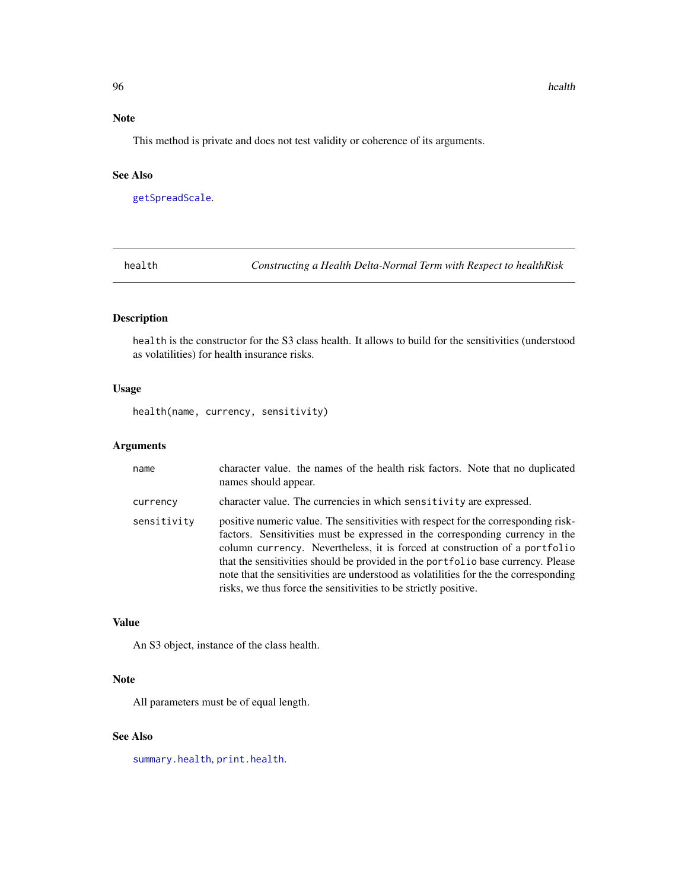## Note

This method is private and does not test validity or coherence of its arguments.

#### See Also

[getSpreadScale](#page-94-0).

<span id="page-95-0"></span>health *Constructing a Health Delta-Normal Term with Respect to healthRisk*

## Description

health is the constructor for the S3 class health. It allows to build for the sensitivities (understood as volatilities) for health insurance risks.

## Usage

health(name, currency, sensitivity)

## Arguments

| name        | character value. the names of the health risk factors. Note that no duplicated<br>names should appear.                                                                                                                                                                                                                                                                                                                                                                                           |
|-------------|--------------------------------------------------------------------------------------------------------------------------------------------------------------------------------------------------------------------------------------------------------------------------------------------------------------------------------------------------------------------------------------------------------------------------------------------------------------------------------------------------|
| currency    | character value. The currencies in which sensitivity are expressed.                                                                                                                                                                                                                                                                                                                                                                                                                              |
| sensitivity | positive numeric value. The sensitivities with respect for the corresponding risk-<br>factors. Sensitivities must be expressed in the corresponding currency in the<br>column currency. Nevertheless, it is forced at construction of a portfolio<br>that the sensitivities should be provided in the portfolio base currency. Please<br>note that the sensitivities are understood as volatilities for the the corresponding<br>risks, we thus force the sensitivities to be strictly positive. |

### Value

An S3 object, instance of the class health.

#### Note

All parameters must be of equal length.

### See Also

[summary.health](#page-173-0), [print.health](#page-138-0).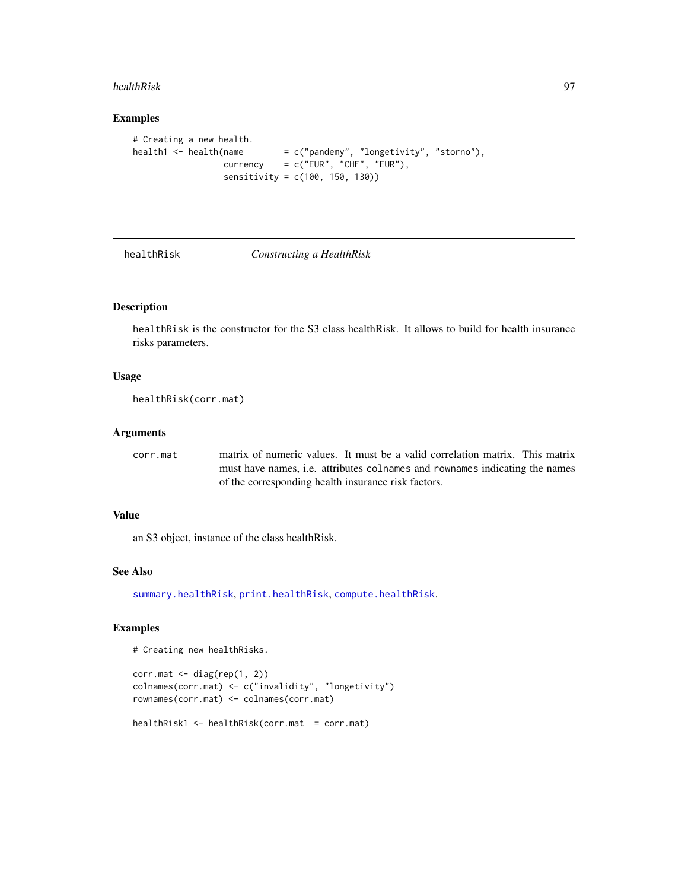#### healthRisk 97

#### Examples

```
# Creating a new health.
health1 <- health(name = c("pandemy", "longetivity", "storno"),
                 \text{currency} = c("EUR", "CHF", "EUR"),sensitivity = c(100, 150, 130))
```
<span id="page-96-0"></span>

healthRisk *Constructing a HealthRisk*

#### Description

healthRisk is the constructor for the S3 class healthRisk. It allows to build for health insurance risks parameters.

#### Usage

healthRisk(corr.mat)

### Arguments

corr.mat matrix of numeric values. It must be a valid correlation matrix. This matrix must have names, i.e. attributes colnames and rownames indicating the names of the corresponding health insurance risk factors.

#### Value

an S3 object, instance of the class healthRisk.

#### See Also

[summary.healthRisk](#page-173-1), [print.healthRisk](#page-139-0), [compute.healthRisk](#page-23-0).

#### Examples

# Creating new healthRisks.

```
corr.mat <- diag(rep(1, 2))
colnames(corr.mat) <- c("invalidity", "longetivity")
rownames(corr.mat) <- colnames(corr.mat)
healthRisk1 <- healthRisk(corr.mat = corr.mat)
```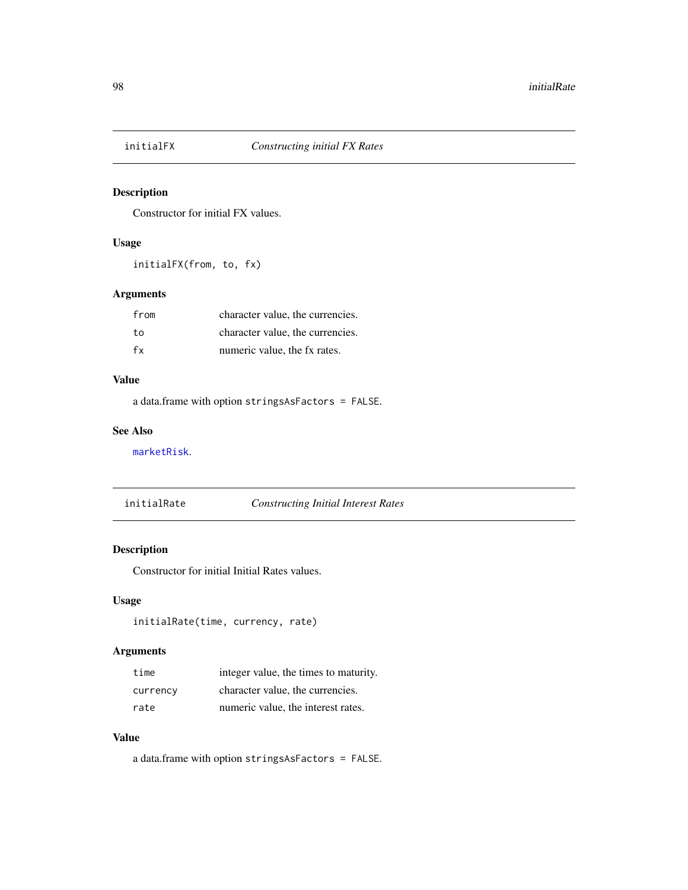Constructor for initial FX values.

## Usage

initialFX(from, to, fx)

## Arguments

| from | character value, the currencies. |
|------|----------------------------------|
| to   | character value, the currencies. |
| fx   | numeric value, the fx rates.     |

#### Value

a data.frame with option stringsAsFactors = FALSE.

#### See Also

[marketRisk](#page-124-0).

initialRate *Constructing Initial Interest Rates*

# Description

Constructor for initial Initial Rates values.

## Usage

```
initialRate(time, currency, rate)
```
# Arguments

| time     | integer value, the times to maturity. |
|----------|---------------------------------------|
| currency | character value, the currencies.      |
| rate     | numeric value, the interest rates.    |

## Value

a data.frame with option stringsAsFactors = FALSE.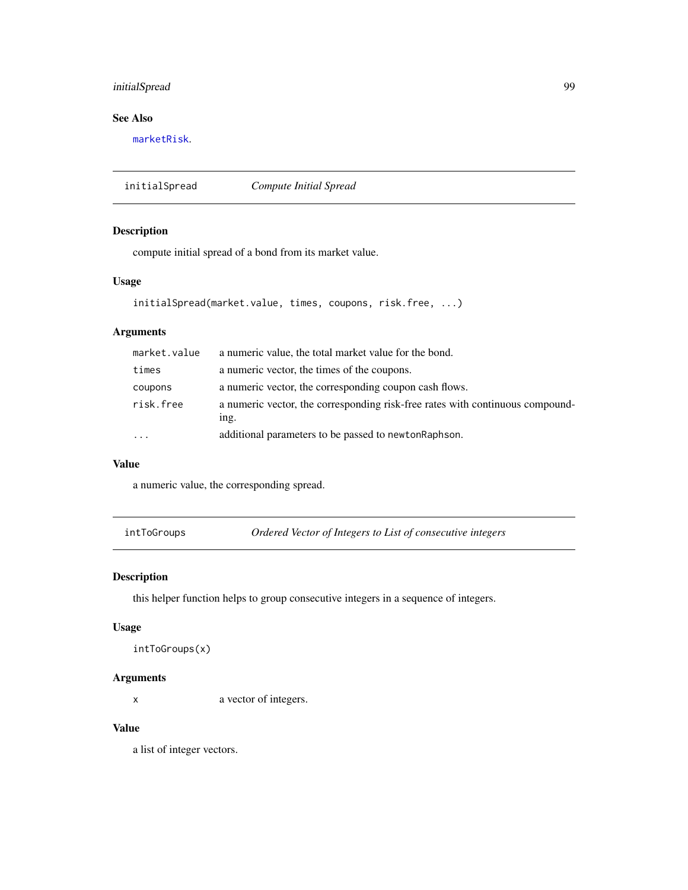# initialSpread 99

## See Also

[marketRisk](#page-124-0).

initialSpread *Compute Initial Spread*

#### Description

compute initial spread of a bond from its market value.

#### Usage

```
initialSpread(market.value, times, coupons, risk.free, ...)
```
#### Arguments

| market.value | a numeric value, the total market value for the bond.                                 |
|--------------|---------------------------------------------------------------------------------------|
| times        | a numeric vector, the times of the coupons.                                           |
| coupons      | a numeric vector, the corresponding coupon cash flows.                                |
| risk.free    | a numeric vector, the corresponding risk-free rates with continuous compound-<br>ing. |
| .            | additional parameters to be passed to newton Raphson.                                 |

## Value

a numeric value, the corresponding spread.

intToGroups *Ordered Vector of Integers to List of consecutive integers*

## Description

this helper function helps to group consecutive integers in a sequence of integers.

#### Usage

```
intToGroups(x)
```
### Arguments

x a vector of integers.

## Value

a list of integer vectors.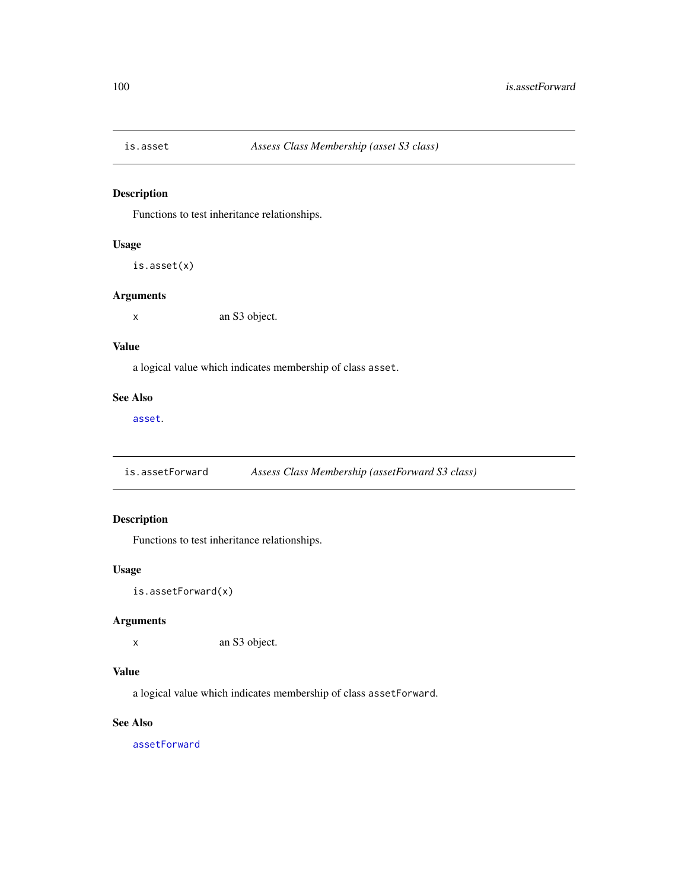Functions to test inheritance relationships.

## Usage

```
is.asset(x)
```
#### Arguments

x an S3 object.

#### Value

a logical value which indicates membership of class asset.

### See Also

[asset](#page-8-0).

is.assetForward *Assess Class Membership (assetForward S3 class)*

# Description

Functions to test inheritance relationships.

### Usage

is.assetForward(x)

## Arguments

x an S3 object.

# Value

a logical value which indicates membership of class assetForward.

## See Also

[assetForward](#page-9-0)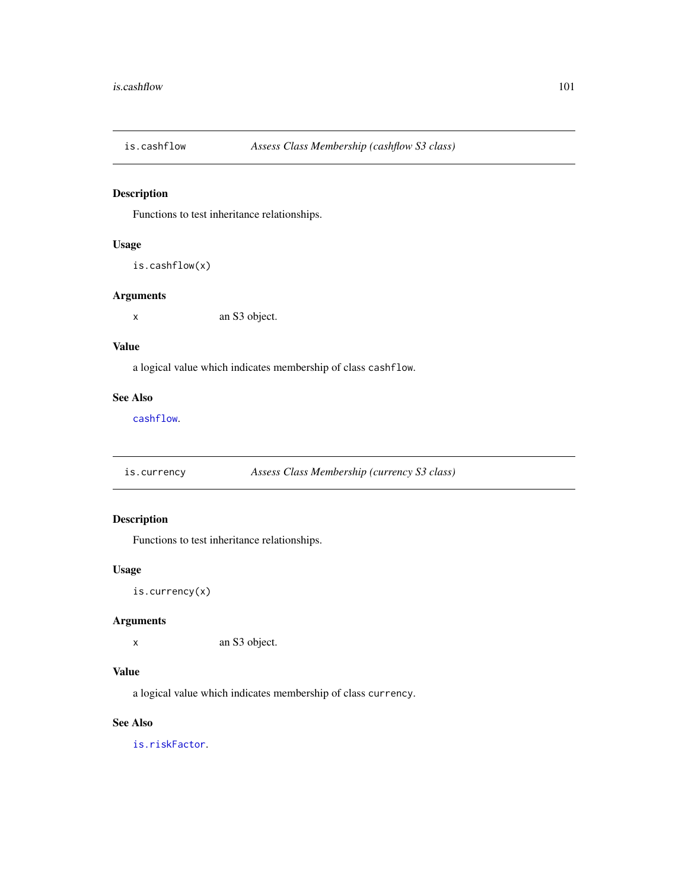Functions to test inheritance relationships.

#### Usage

```
is.cashflow(x)
```
#### Arguments

x an S3 object.

## Value

a logical value which indicates membership of class cashflow.

#### See Also

[cashflow](#page-11-0).

is.currency *Assess Class Membership (currency S3 class)*

## Description

Functions to test inheritance relationships.

### Usage

is.currency(x)

## Arguments

x an S3 object.

## Value

a logical value which indicates membership of class currency.

## See Also

[is.riskFactor](#page-112-0).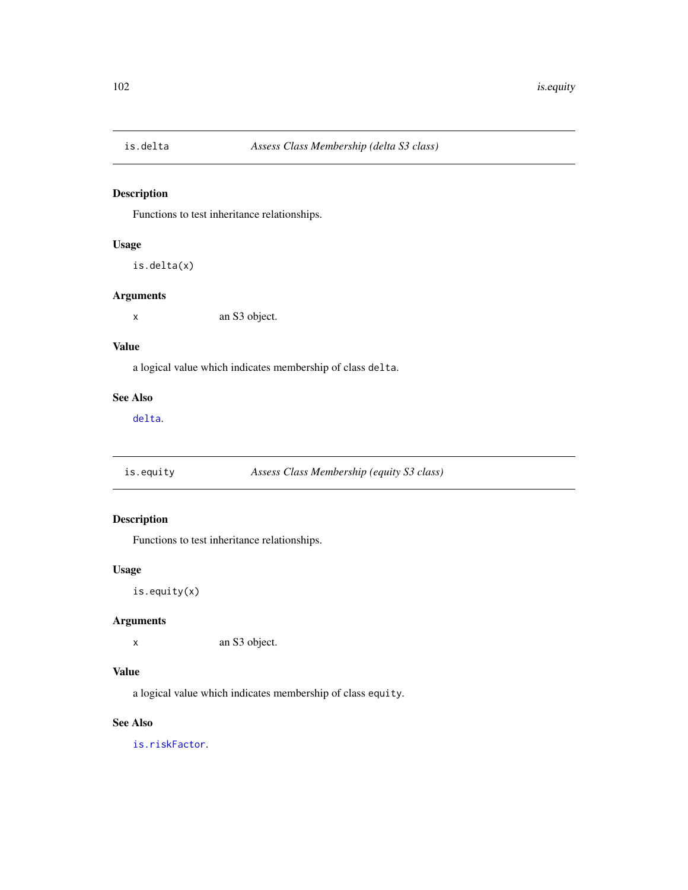Functions to test inheritance relationships.

## Usage

is.delta(x)

#### Arguments

x an S3 object.

### Value

a logical value which indicates membership of class delta.

### See Also

[delta](#page-41-0).

is.equity *Assess Class Membership (equity S3 class)*

# Description

Functions to test inheritance relationships.

## Usage

is.equity(x)

## Arguments

x an S3 object.

# Value

a logical value which indicates membership of class equity.

## See Also

[is.riskFactor](#page-112-0).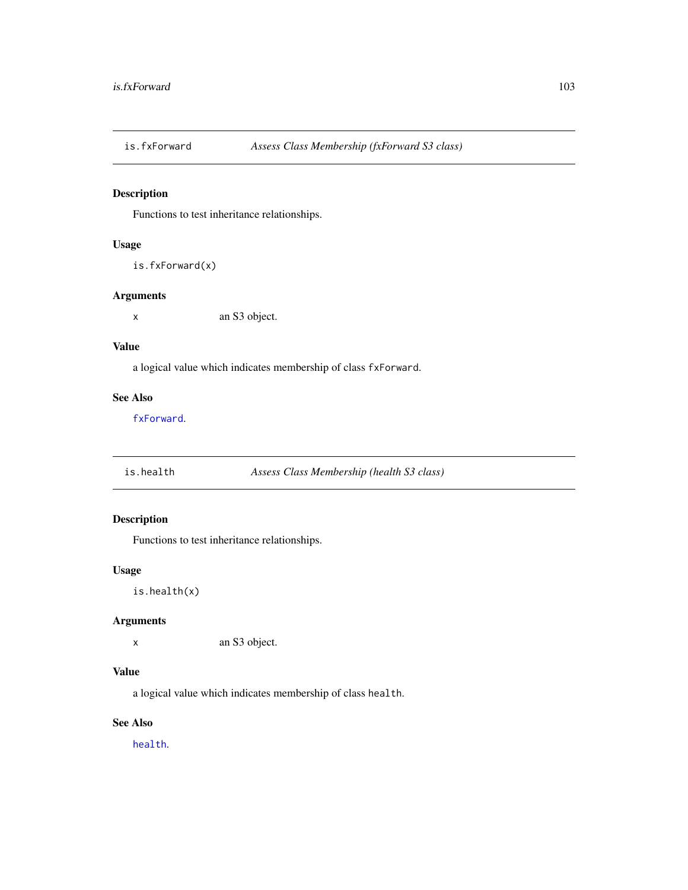Functions to test inheritance relationships.

#### Usage

```
is.fxForward(x)
```
### Arguments

x an S3 object.

## Value

a logical value which indicates membership of class fxForward.

### See Also

[fxForward](#page-58-0).

is.health *Assess Class Membership (health S3 class)*

# Description

Functions to test inheritance relationships.

## Usage

is.health(x)

## Arguments

x an S3 object.

# Value

a logical value which indicates membership of class health.

## See Also

[health](#page-95-0).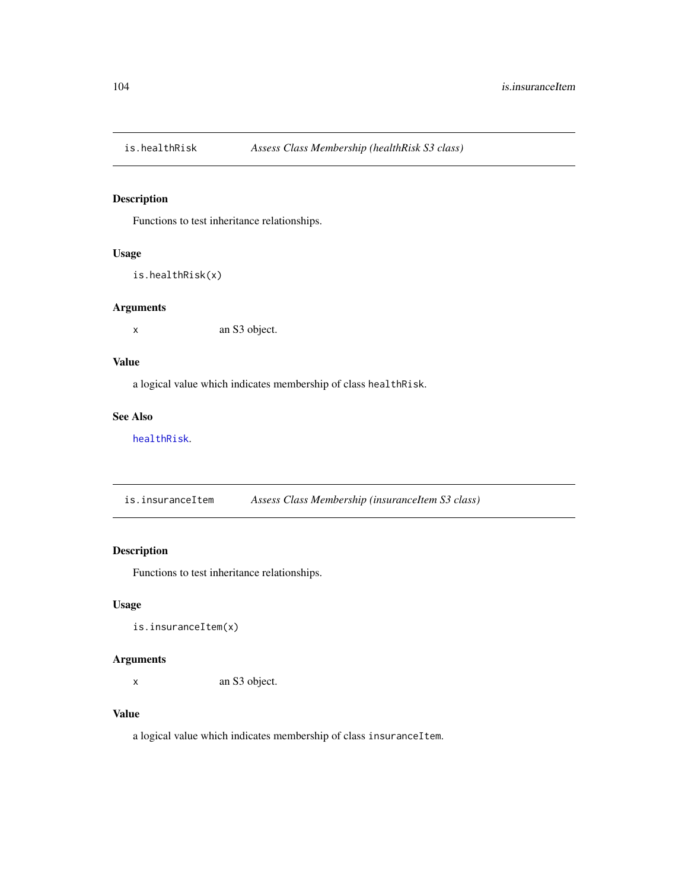Functions to test inheritance relationships.

# Usage

```
is.healthRisk(x)
```
#### Arguments

x an S3 object.

## Value

a logical value which indicates membership of class healthRisk.

# See Also

[healthRisk](#page-96-0).

is.insuranceItem *Assess Class Membership (insuranceItem S3 class)*

# Description

Functions to test inheritance relationships.

## Usage

is.insuranceItem(x)

## Arguments

x an S3 object.

# Value

a logical value which indicates membership of class insuranceItem.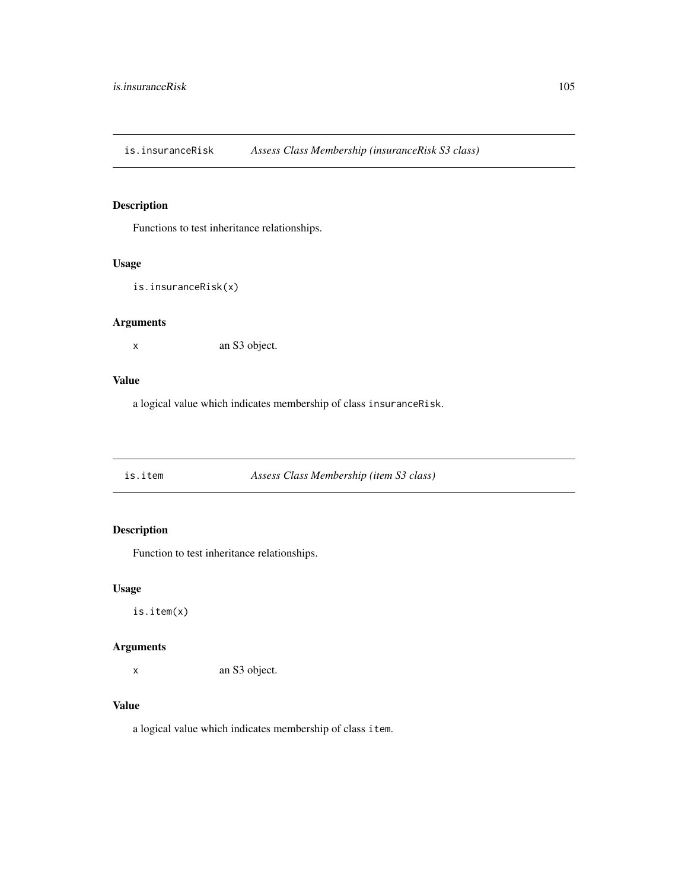is.insuranceRisk *Assess Class Membership (insuranceRisk S3 class)*

# Description

Functions to test inheritance relationships.

#### Usage

```
is.insuranceRisk(x)
```
#### Arguments

x an S3 object.

#### Value

a logical value which indicates membership of class insuranceRisk.

is.item *Assess Class Membership (item S3 class)*

# Description

Function to test inheritance relationships.

#### Usage

is.item(x)

## Arguments

x an S3 object.

### Value

a logical value which indicates membership of class item.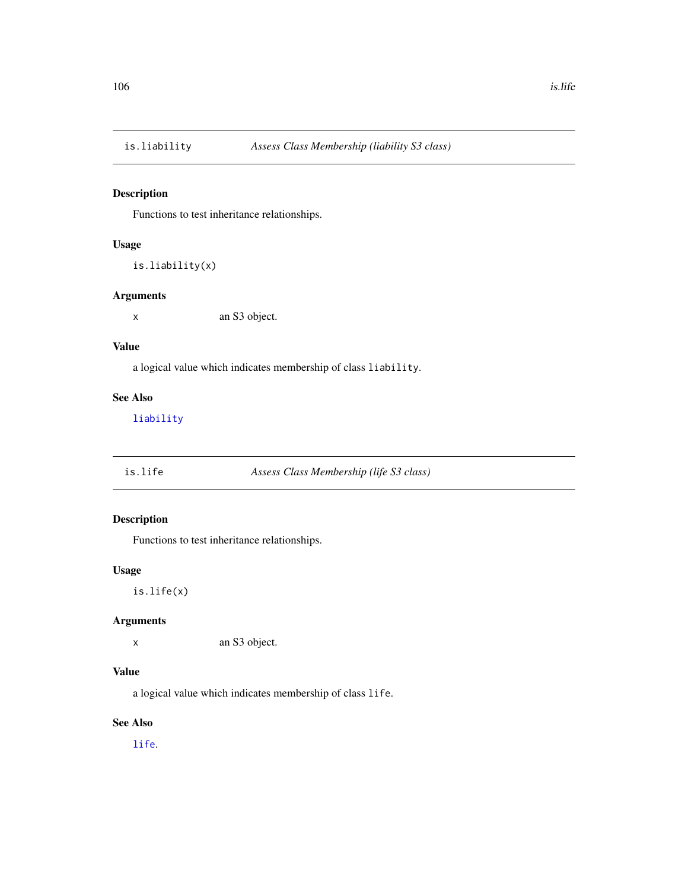Functions to test inheritance relationships.

## Usage

is.liability(x)

### Arguments

x an S3 object.

#### Value

a logical value which indicates membership of class liability.

#### See Also

[liability](#page-119-0)

is.life *Assess Class Membership (life S3 class)*

## Description

Functions to test inheritance relationships.

## Usage

is.life(x)

## Arguments

x an S3 object.

# Value

a logical value which indicates membership of class life.

## See Also

[life](#page-120-0).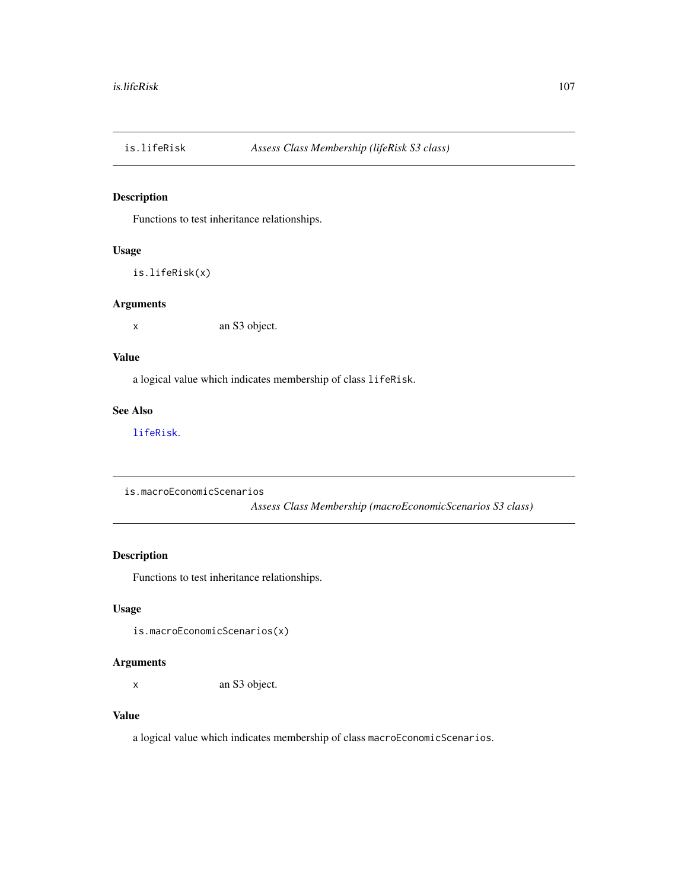Functions to test inheritance relationships.

#### Usage

is.lifeRisk(x)

### Arguments

x an S3 object.

#### Value

a logical value which indicates membership of class lifeRisk.

## See Also

[lifeRisk](#page-121-0).

is.macroEconomicScenarios

*Assess Class Membership (macroEconomicScenarios S3 class)*

# Description

Functions to test inheritance relationships.

## Usage

is.macroEconomicScenarios(x)

## Arguments

x an S3 object.

## Value

a logical value which indicates membership of class macroEconomicScenarios.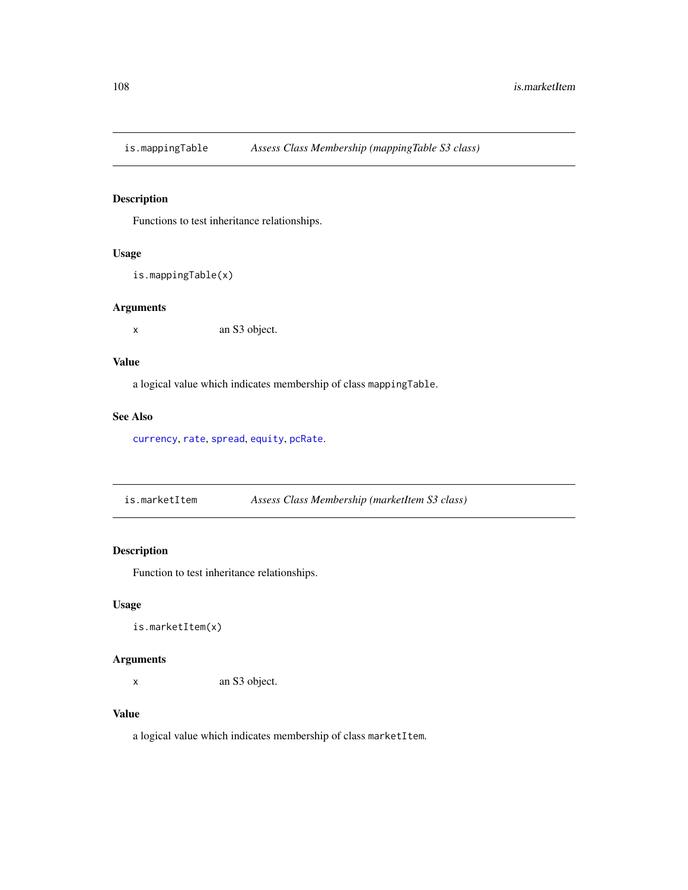Functions to test inheritance relationships.

# Usage

```
is.mappingTable(x)
```
## Arguments

x an S3 object.

## Value

a logical value which indicates membership of class mappingTable.

### See Also

[currency](#page-39-0), [rate](#page-150-0), [spread](#page-161-0), [equity](#page-42-0), [pcRate](#page-131-0).

is.marketItem *Assess Class Membership (marketItem S3 class)*

# Description

Function to test inheritance relationships.

## Usage

```
is.marketItem(x)
```
## Arguments

x an S3 object.

# Value

a logical value which indicates membership of class marketItem.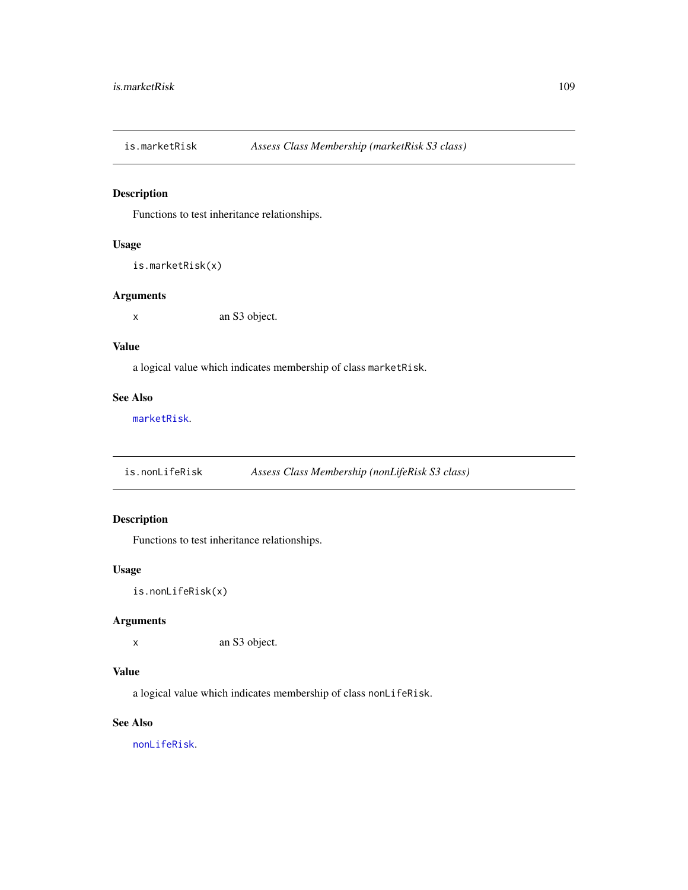Functions to test inheritance relationships.

## Usage

```
is.marketRisk(x)
```
#### Arguments

x an S3 object.

#### Value

a logical value which indicates membership of class marketRisk.

#### See Also

[marketRisk](#page-124-0).

is.nonLifeRisk *Assess Class Membership (nonLifeRisk S3 class)*

# Description

Functions to test inheritance relationships.

#### Usage

is.nonLifeRisk(x)

## Arguments

x an S3 object.

#### Value

a logical value which indicates membership of class nonLifeRisk.

# See Also

[nonLifeRisk](#page-128-0).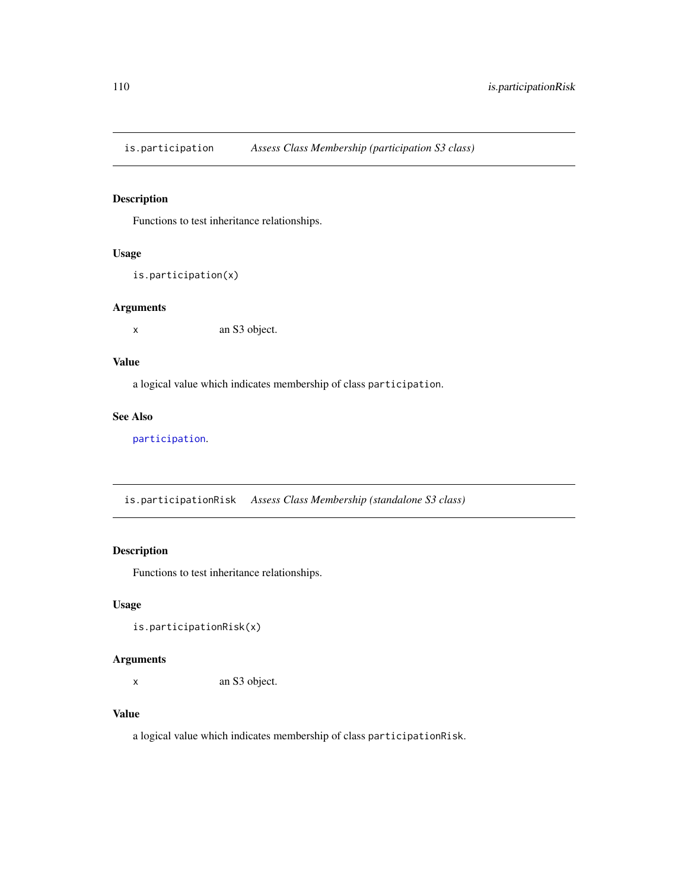is.participation *Assess Class Membership (participation S3 class)*

#### Description

Functions to test inheritance relationships.

# Usage

```
is.participation(x)
```
#### Arguments

x an S3 object.

# Value

a logical value which indicates membership of class participation.

#### See Also

[participation](#page-130-0).

is.participationRisk *Assess Class Membership (standalone S3 class)*

# Description

Functions to test inheritance relationships.

## Usage

is.participationRisk(x)

## Arguments

x an S3 object.

# Value

a logical value which indicates membership of class participationRisk.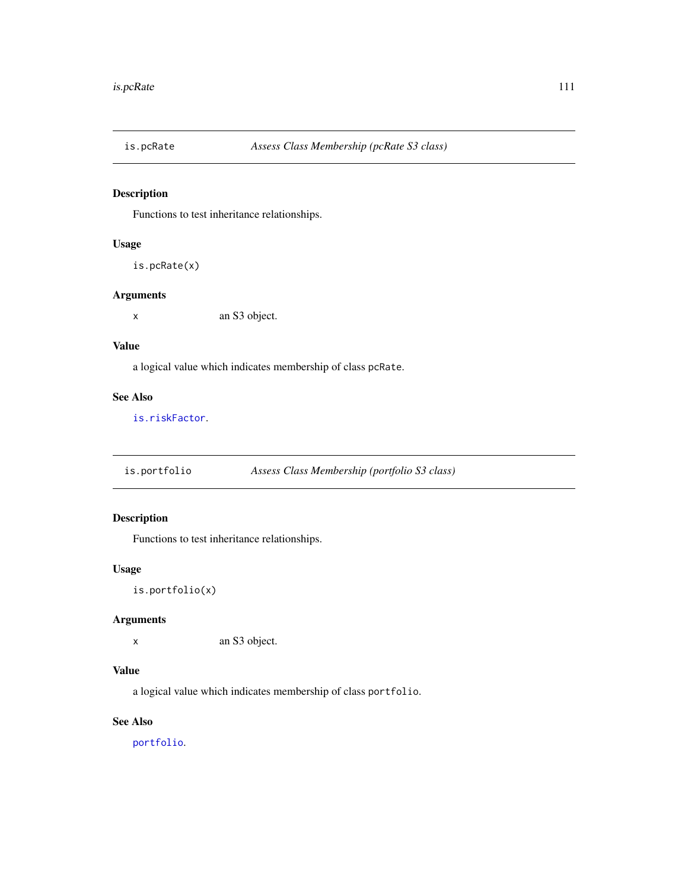Functions to test inheritance relationships.

## Usage

```
is.pcRate(x)
```
#### Arguments

x an S3 object.

# Value

a logical value which indicates membership of class pcRate.

# See Also

[is.riskFactor](#page-112-0).

is.portfolio *Assess Class Membership (portfolio S3 class)*

# Description

Functions to test inheritance relationships.

## Usage

is.portfolio(x)

## Arguments

x an S3 object.

# Value

a logical value which indicates membership of class portfolio.

#### See Also

[portfolio](#page-132-0).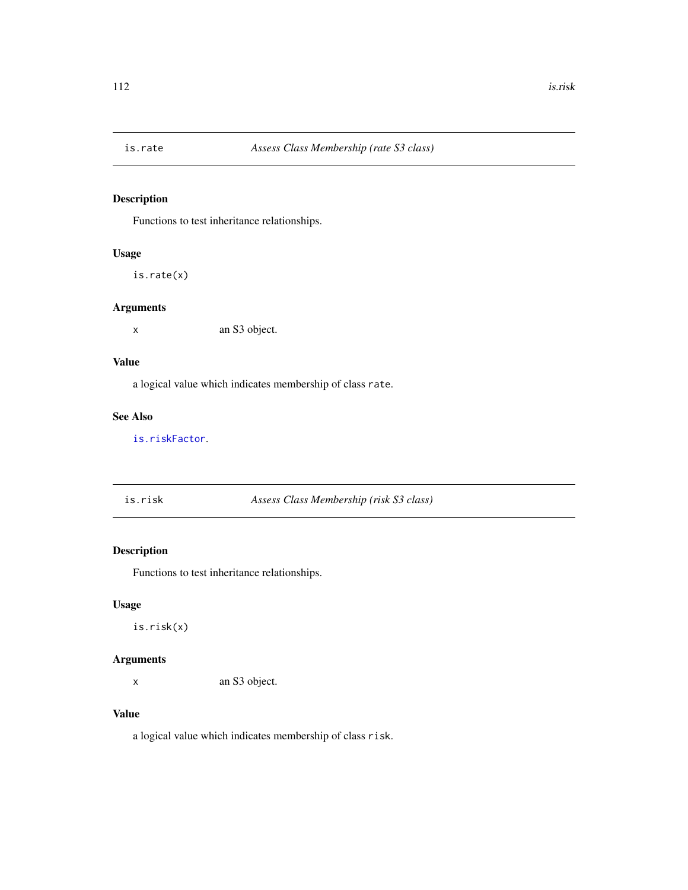Functions to test inheritance relationships.

# Usage

is.rate(x)

## Arguments

x an S3 object.

#### Value

a logical value which indicates membership of class rate.

# See Also

[is.riskFactor](#page-112-0).

is.risk *Assess Class Membership (risk S3 class)*

# Description

Functions to test inheritance relationships.

#### Usage

is.risk(x)

## Arguments

x an S3 object.

# Value

a logical value which indicates membership of class risk.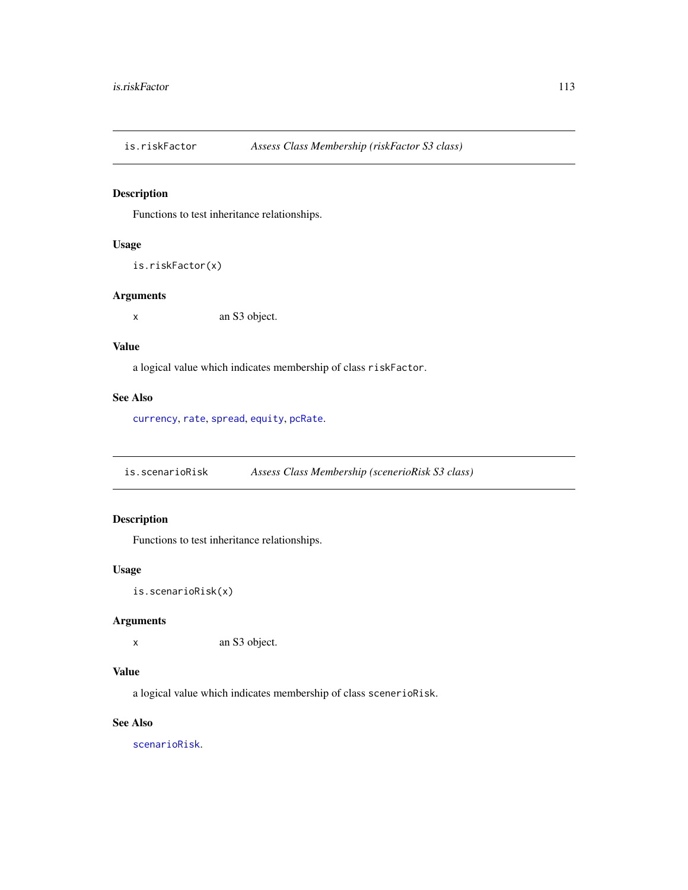<span id="page-112-0"></span>

Functions to test inheritance relationships.

## Usage

```
is.riskFactor(x)
```
#### Arguments

x an S3 object.

#### Value

a logical value which indicates membership of class riskFactor.

#### See Also

[currency](#page-39-0), [rate](#page-150-0), [spread](#page-161-0), [equity](#page-42-0), [pcRate](#page-131-0).

is.scenarioRisk *Assess Class Membership (scenerioRisk S3 class)*

# Description

Functions to test inheritance relationships.

#### Usage

is.scenarioRisk(x)

## Arguments

x an S3 object.

#### Value

a logical value which indicates membership of class scenerioRisk.

# See Also

[scenarioRisk](#page-155-0).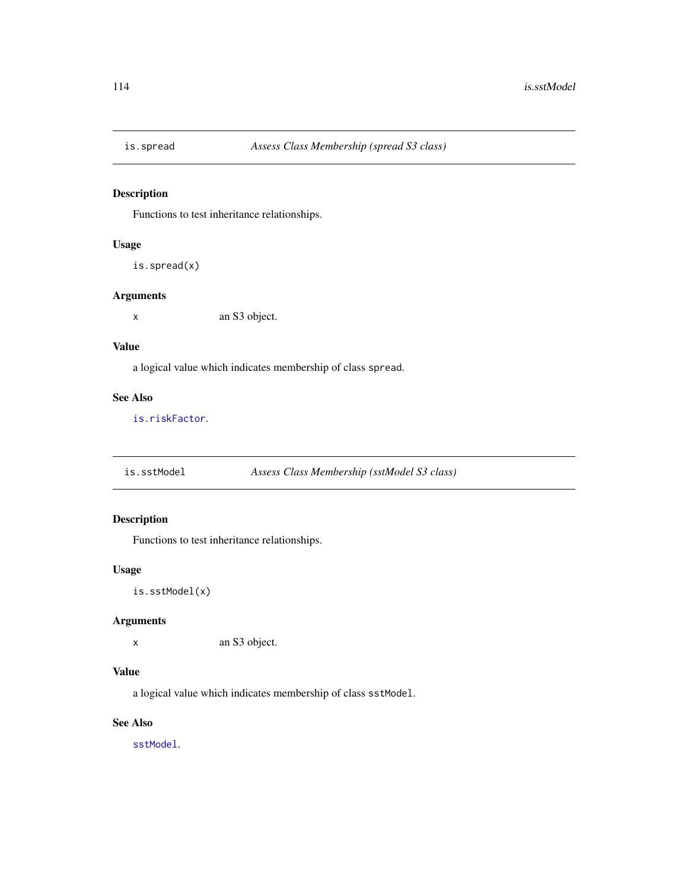Functions to test inheritance relationships.

## Usage

```
is.spread(x)
```
#### Arguments

x an S3 object.

#### Value

a logical value which indicates membership of class spread.

#### See Also

[is.riskFactor](#page-112-0).

is.sstModel *Assess Class Membership (sstModel S3 class)*

# Description

Functions to test inheritance relationships.

#### Usage

is.sstModel(x)

## Arguments

x an S3 object.

# Value

a logical value which indicates membership of class sstModel.

# See Also

[sstModel](#page-163-0).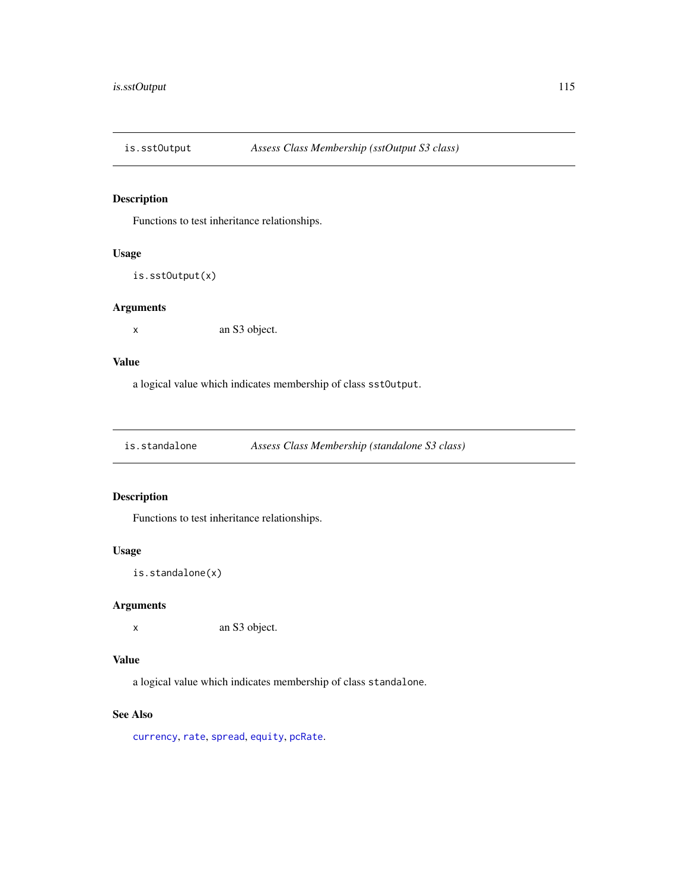Functions to test inheritance relationships.

# Usage

```
is.sstOutput(x)
```
## Arguments

x an S3 object.

## Value

a logical value which indicates membership of class sstOutput.

is.standalone *Assess Class Membership (standalone S3 class)*

#### Description

Functions to test inheritance relationships.

## Usage

```
is.standalone(x)
```
## Arguments

x an S3 object.

# Value

a logical value which indicates membership of class standalone.

#### See Also

[currency](#page-39-0), [rate](#page-150-0), [spread](#page-161-0), [equity](#page-42-0), [pcRate](#page-131-0).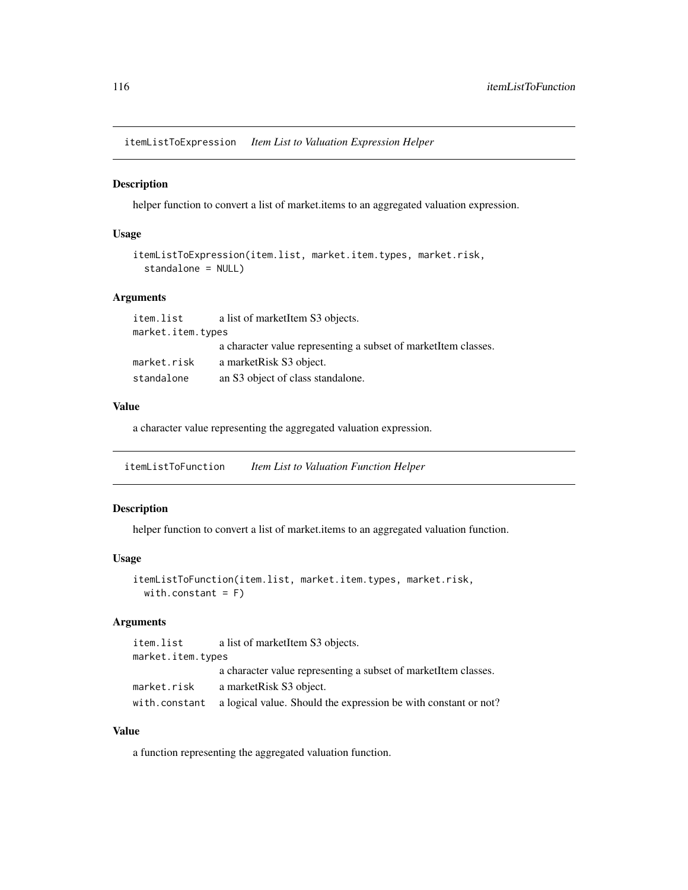itemListToExpression *Item List to Valuation Expression Helper*

#### Description

helper function to convert a list of market.items to an aggregated valuation expression.

## Usage

```
itemListToExpression(item.list, market.item.types, market.risk,
 standalone = NULL)
```
## Arguments

| item.list         | a list of marketItem S3 objects.                               |
|-------------------|----------------------------------------------------------------|
| market.item.types |                                                                |
|                   | a character value representing a subset of market tem classes. |
| market.risk       | a market Risk S3 object.                                       |
| standalone        | an S3 object of class standalone.                              |

#### Value

a character value representing the aggregated valuation expression.

itemListToFunction *Item List to Valuation Function Helper*

#### Description

helper function to convert a list of market.items to an aggregated valuation function.

#### Usage

```
itemListToFunction(item.list, market.item.types, market.risk,
 with.constant = F)
```
#### Arguments

| item.list         | a list of marketItem S3 objects.                                              |
|-------------------|-------------------------------------------------------------------------------|
| market.item.types |                                                                               |
|                   | a character value representing a subset of market tem classes.                |
| market.risk       | a marketRisk S3 object.                                                       |
|                   | with constant a logical value. Should the expression be with constant or not? |

## Value

a function representing the aggregated valuation function.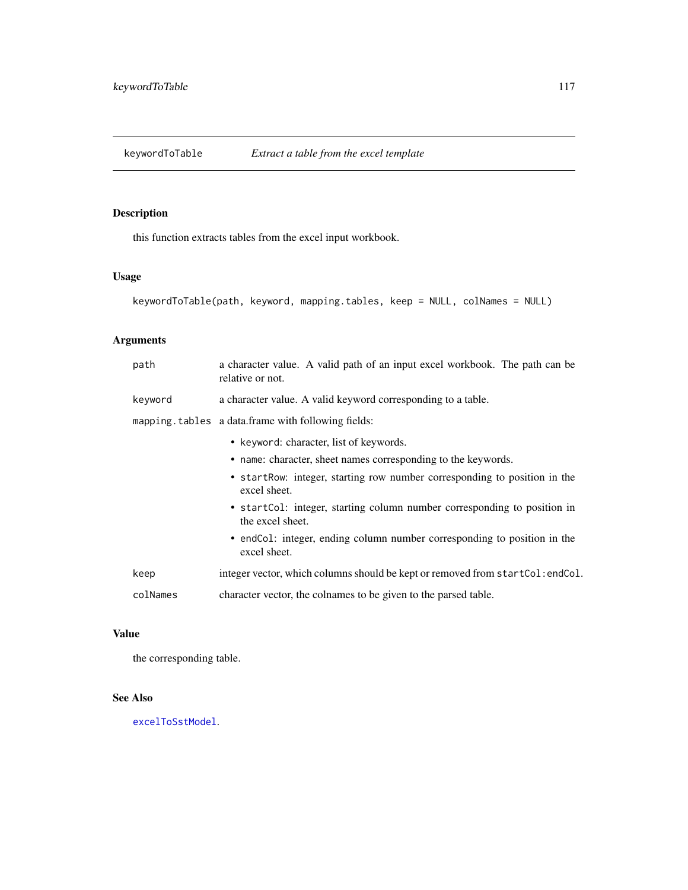keywordToTable *Extract a table from the excel template*

# Description

this function extracts tables from the excel input workbook.

## Usage

```
keywordToTable(path, keyword, mapping.tables, keep = NULL, colNames = NULL)
```
# Arguments

| path     | a character value. A valid path of an input excel workbook. The path can be<br>relative or not. |
|----------|-------------------------------------------------------------------------------------------------|
| keyword  | a character value. A valid keyword corresponding to a table.                                    |
|          | mapping. tables a data.frame with following fields:                                             |
|          | • keyword: character, list of keywords.                                                         |
|          | • name: character, sheet names corresponding to the keywords.                                   |
|          | • startRow: integer, starting row number corresponding to position in the<br>excel sheet.       |
|          | • startCol: integer, starting column number corresponding to position in<br>the excel sheet.    |
|          | • endCo1: integer, ending column number corresponding to position in the<br>excel sheet.        |
| keep     | integer vector, which columns should be kept or removed from startCol: endCol.                  |
| colNames | character vector, the colnames to be given to the parsed table.                                 |

# Value

the corresponding table.

#### See Also

[excelToSstModel](#page-45-0).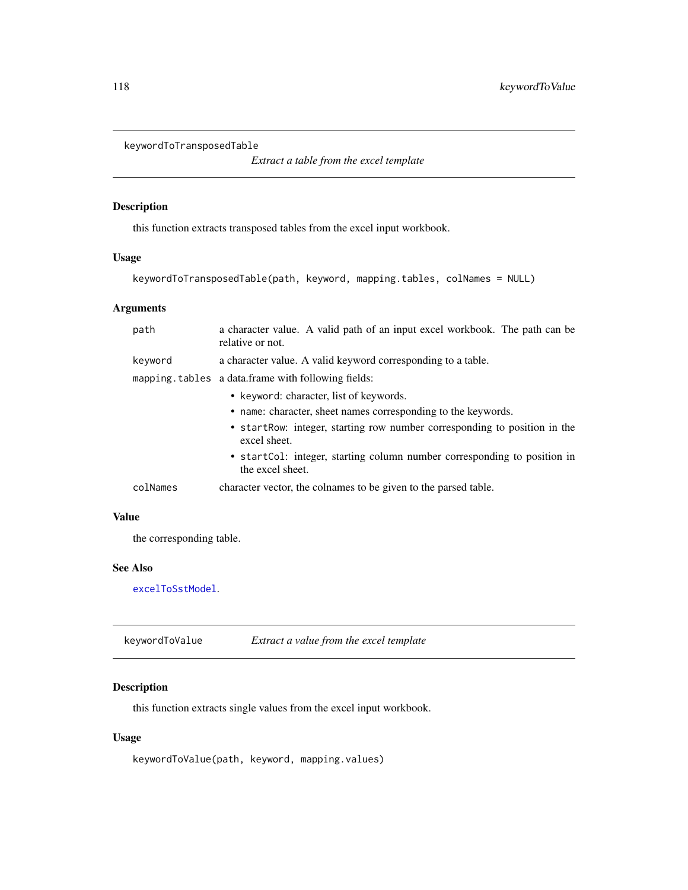```
keywordToTransposedTable
```
*Extract a table from the excel template*

#### Description

this function extracts transposed tables from the excel input workbook.

#### Usage

```
keywordToTransposedTable(path, keyword, mapping.tables, colNames = NULL)
```
## Arguments

| path     | a character value. A valid path of an input excel workbook. The path can be<br>relative or not.                                                                                                                                                                                                       |  |
|----------|-------------------------------------------------------------------------------------------------------------------------------------------------------------------------------------------------------------------------------------------------------------------------------------------------------|--|
| keyword  | a character value. A valid keyword corresponding to a table.                                                                                                                                                                                                                                          |  |
|          | mapping tables a data frame with following fields:                                                                                                                                                                                                                                                    |  |
|          | • keyword: character, list of keywords.<br>• name: character, sheet names corresponding to the keywords.<br>• startRow: integer, starting row number corresponding to position in the<br>excel sheet.<br>• startCol: integer, starting column number corresponding to position in<br>the excel sheet. |  |
| colNames | character vector, the colnames to be given to the parsed table.                                                                                                                                                                                                                                       |  |

#### Value

the corresponding table.

## See Also

[excelToSstModel](#page-45-0).

keywordToValue *Extract a value from the excel template*

## Description

this function extracts single values from the excel input workbook.

#### Usage

keywordToValue(path, keyword, mapping.values)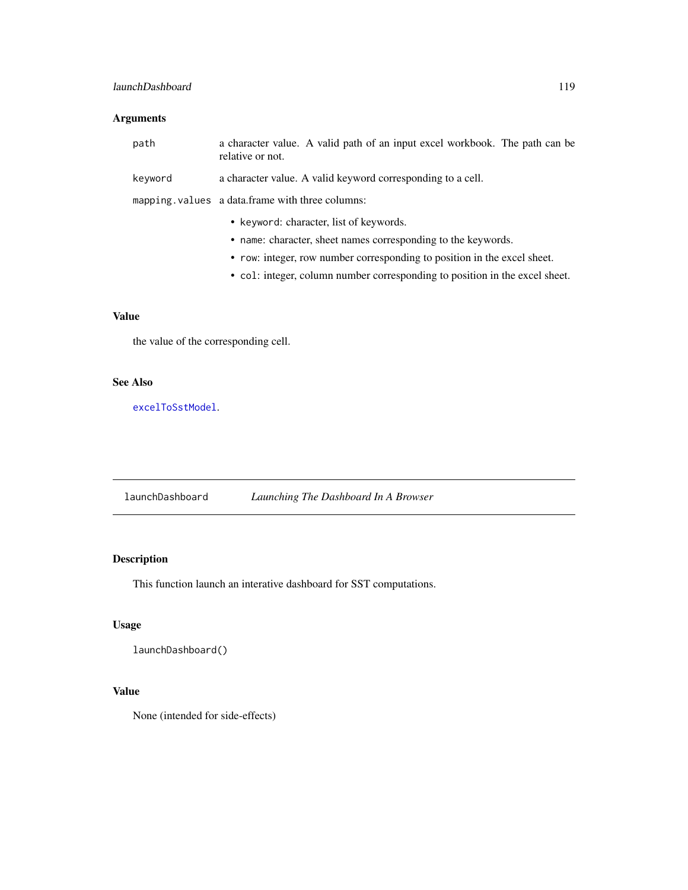# launchDashboard 119

# Arguments

| path    | a character value. A valid path of an input excel workbook. The path can be<br>relative or not. |
|---------|-------------------------------------------------------------------------------------------------|
| keyword | a character value. A valid keyword corresponding to a cell.                                     |
|         | mapping. values a data.frame with three columns:                                                |
|         | • keyword: character, list of keywords.                                                         |
|         | • name: character, sheet names corresponding to the keywords.                                   |
|         | • row: integer, row number corresponding to position in the excel sheet.                        |

• col: integer, column number corresponding to position in the excel sheet.

# Value

the value of the corresponding cell.

#### See Also

[excelToSstModel](#page-45-0).

launchDashboard *Launching The Dashboard In A Browser*

# Description

This function launch an interative dashboard for SST computations.

# Usage

```
launchDashboard()
```
## Value

None (intended for side-effects)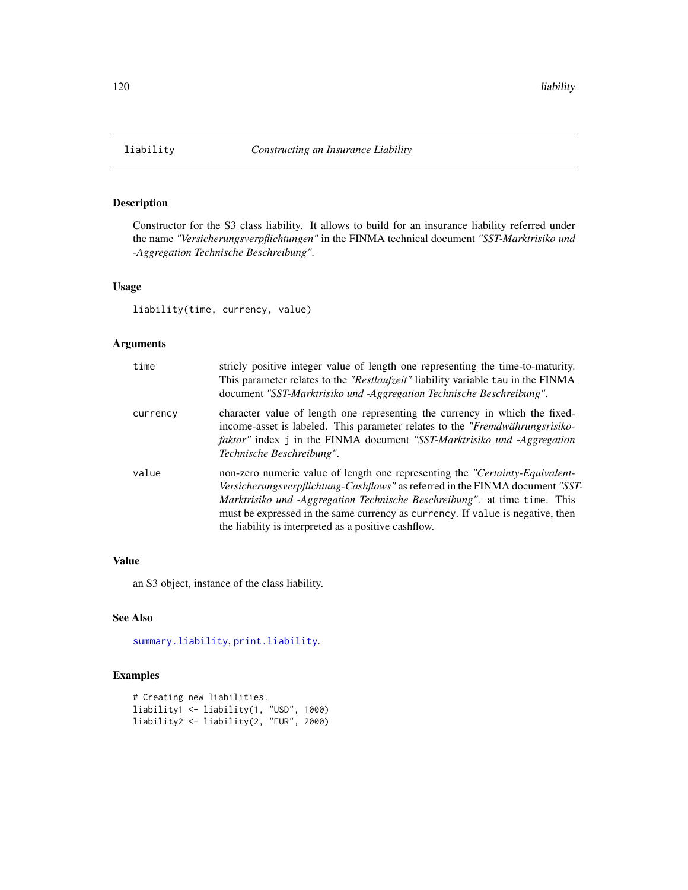<span id="page-119-0"></span>

Constructor for the S3 class liability. It allows to build for an insurance liability referred under the name *"Versicherungsverpflichtungen"* in the FINMA technical document *"SST-Marktrisiko und -Aggregation Technische Beschreibung"*.

#### Usage

liability(time, currency, value)

#### Arguments

| time     | stricly positive integer value of length one representing the time-to-maturity.<br>This parameter relates to the "Restlaufzeit" liability variable tau in the FINMA<br>document "SST-Marktrisiko und -Aggregation Technische Beschreibung".                                                                                                                                                 |
|----------|---------------------------------------------------------------------------------------------------------------------------------------------------------------------------------------------------------------------------------------------------------------------------------------------------------------------------------------------------------------------------------------------|
| currency | character value of length one representing the currency in which the fixed-<br>income-asset is labeled. This parameter relates to the "Fremdwährungsrisiko-<br><i>faktor</i> " index j in the FINMA document "SST-Marktrisiko und -Aggregation<br>Technische Beschreibung".                                                                                                                 |
| value    | non-zero numeric value of length one representing the "Certainty-Equivalent-<br><i>Versicherungsverpflichtung-Cashflows"</i> as referred in the FINMA document "SST-<br>Marktrisiko und -Aggregation Technische Beschreibung". at time time. This<br>must be expressed in the same currency as currency. If value is negative, then<br>the liability is interpreted as a positive cashflow. |

#### Value

an S3 object, instance of the class liability.

# See Also

[summary.liability](#page-174-0), [print.liability](#page-140-0).

```
# Creating new liabilities.
liability1 <- liability(1, "USD", 1000)
liability2 <- liability(2, "EUR", 2000)
```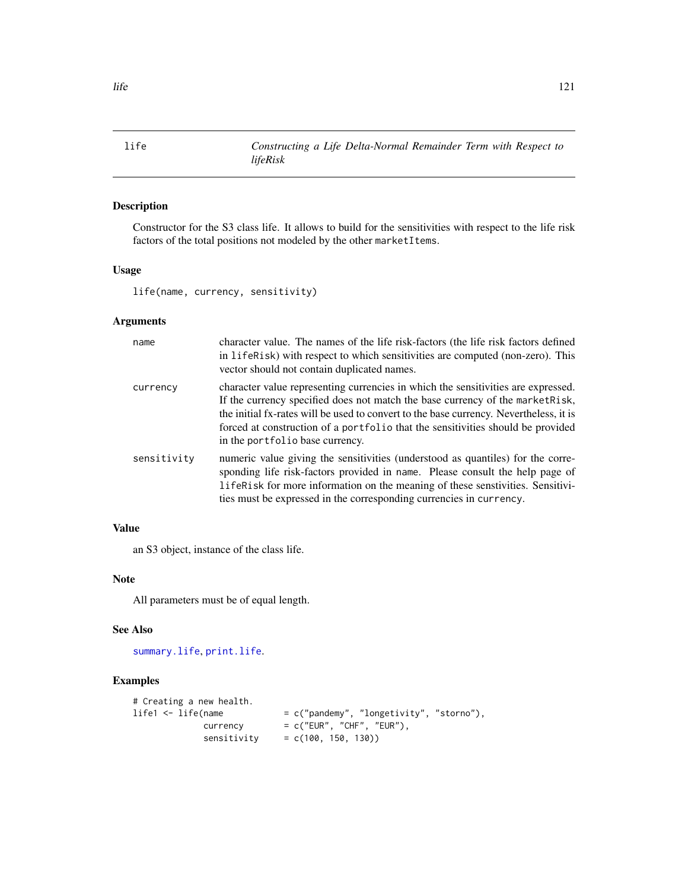<span id="page-120-0"></span>life *Constructing a Life Delta-Normal Remainder Term with Respect to lifeRisk*

## Description

Constructor for the S3 class life. It allows to build for the sensitivities with respect to the life risk factors of the total positions not modeled by the other marketItems.

#### Usage

life(name, currency, sensitivity)

## Arguments

| name        | character value. The names of the life risk-factors (the life risk factors defined<br>in lifeRisk) with respect to which sensitivities are computed (non-zero). This<br>vector should not contain duplicated names.                                                                                                                                                                 |
|-------------|-------------------------------------------------------------------------------------------------------------------------------------------------------------------------------------------------------------------------------------------------------------------------------------------------------------------------------------------------------------------------------------|
| currency    | character value representing currencies in which the sensitivities are expressed.<br>If the currency specified does not match the base currency of the market Risk,<br>the initial fx-rates will be used to convert to the base currency. Nevertheless, it is<br>forced at construction of a portfolio that the sensitivities should be provided<br>in the portfolio base currency. |
| sensitivity | numeric value giving the sensitivities (understood as quantiles) for the corre-<br>sponding life risk-factors provided in name. Please consult the help page of<br>lifeRisk for more information on the meaning of these senstivities. Sensitivi-<br>ties must be expressed in the corresponding currencies in currency.                                                            |

# Value

an S3 object, instance of the class life.

#### Note

All parameters must be of equal length.

#### See Also

[summary.life](#page-175-0), [print.life](#page-140-1).

```
# Creating a new health.<br>life1 <- life(name
                                 = c("pandemy", "longetivity", "storno"),
               \text{currency} = c("EUR", "CHF", "EUR"),sensitivity = c(100, 150, 130))
```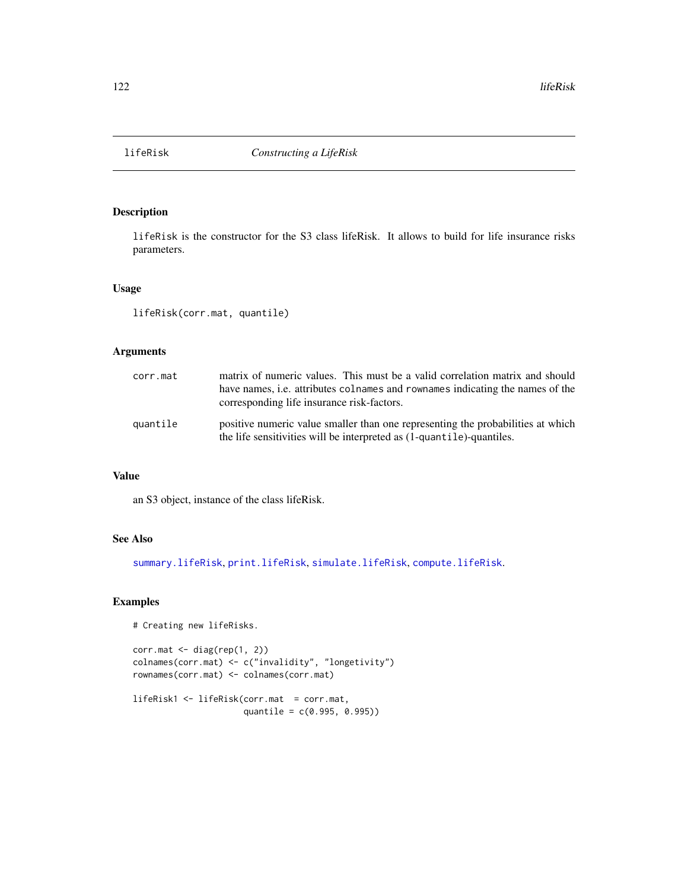<span id="page-121-0"></span>

lifeRisk is the constructor for the S3 class lifeRisk. It allows to build for life insurance risks parameters.

#### Usage

```
lifeRisk(corr.mat, quantile)
```
## Arguments

| corr.mat | matrix of numeric values. This must be a valid correlation matrix and should<br>have names, <i>i.e.</i> attributes colnames and rownames indicating the names of the<br>corresponding life insurance risk-factors. |
|----------|--------------------------------------------------------------------------------------------------------------------------------------------------------------------------------------------------------------------|
| quantile | positive numeric value smaller than one representing the probabilities at which<br>the life sensitivities will be interpreted as (1-quantile)-quantiles.                                                           |

# Value

an S3 object, instance of the class lifeRisk.

#### See Also

[summary.lifeRisk](#page-176-0), [print.lifeRisk](#page-141-0), [simulate.lifeRisk](#page-157-0), [compute.lifeRisk](#page-23-0).

```
# Creating new lifeRisks.
```

```
corr.math < - diag(rep(1, 2))colnames(corr.mat) <- c("invalidity", "longetivity")
rownames(corr.mat) <- colnames(corr.mat)
```

```
lifeRisk1 <- lifeRisk(corr.mat = corr.mat,
                     quantile = c(0.995, 0.995))
```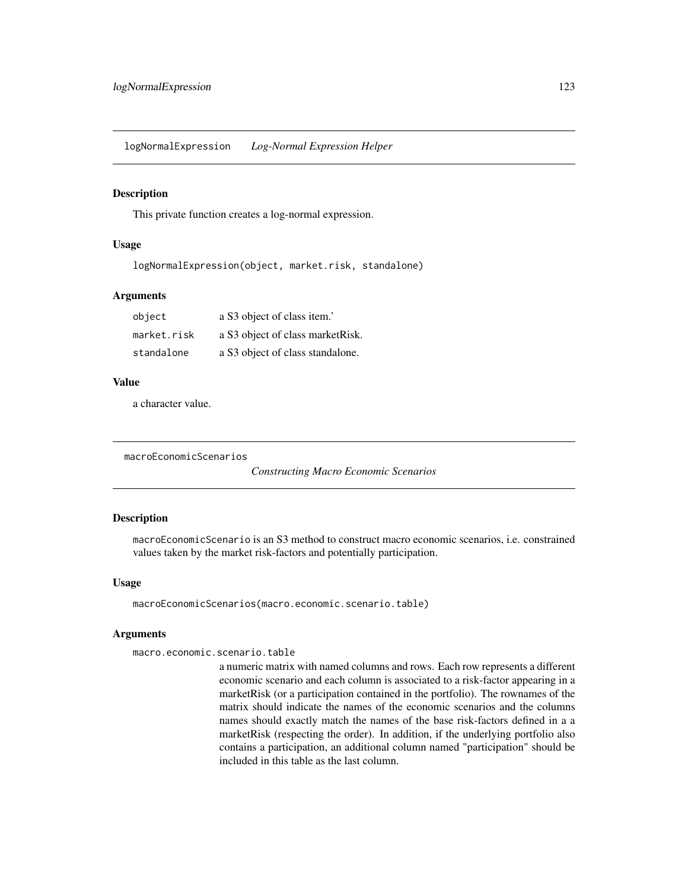logNormalExpression *Log-Normal Expression Helper*

#### Description

This private function creates a log-normal expression.

#### Usage

logNormalExpression(object, market.risk, standalone)

#### Arguments

| object      | a S3 object of class item.'       |
|-------------|-----------------------------------|
| market.risk | a S3 object of class market Risk. |
| standalone  | a S3 object of class standalone.  |

#### Value

a character value.

macroEconomicScenarios

*Constructing Macro Economic Scenarios*

#### Description

macroEconomicScenario is an S3 method to construct macro economic scenarios, i.e. constrained values taken by the market risk-factors and potentially participation.

#### Usage

macroEconomicScenarios(macro.economic.scenario.table)

#### Arguments

```
macro.economic.scenario.table
```
a numeric matrix with named columns and rows. Each row represents a different economic scenario and each column is associated to a risk-factor appearing in a marketRisk (or a participation contained in the portfolio). The rownames of the matrix should indicate the names of the economic scenarios and the columns names should exactly match the names of the base risk-factors defined in a a marketRisk (respecting the order). In addition, if the underlying portfolio also contains a participation, an additional column named "participation" should be included in this table as the last column.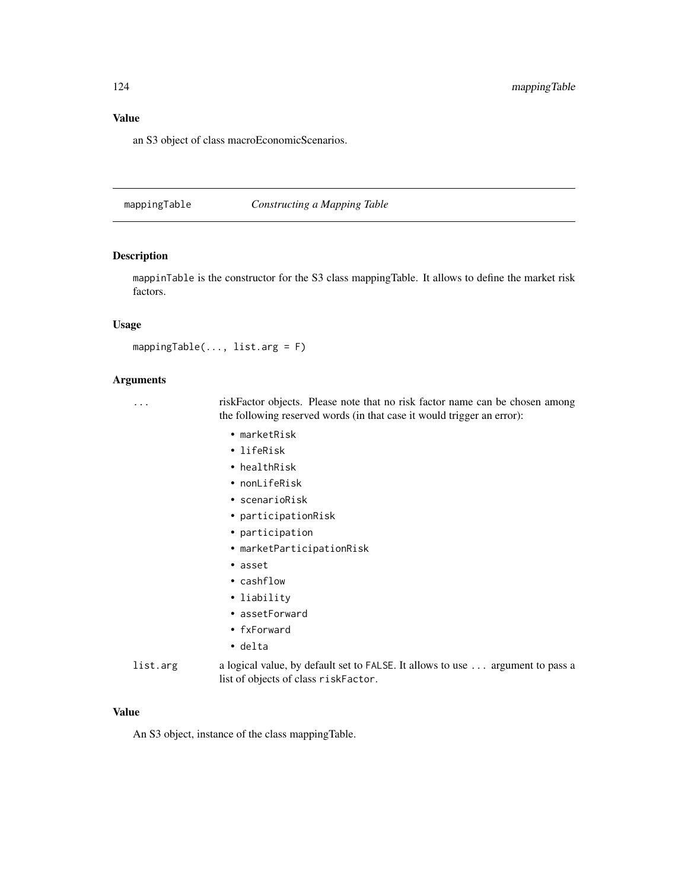#### Value

an S3 object of class macroEconomicScenarios.

<span id="page-123-0"></span>mappingTable *Constructing a Mapping Table*

#### Description

mappinTable is the constructor for the S3 class mappingTable. It allows to define the market risk factors.

#### Usage

```
mappingTable(..., list.arg = F)
```
#### Arguments

... riskFactor objects. Please note that no risk factor name can be chosen among the following reserved words (in that case it would trigger an error):

- marketRisk
- lifeRisk
- healthRisk
- nonLifeRisk
- scenarioRisk
- participationRisk
- participation
- marketParticipationRisk
- asset
- cashflow
- liability
- assetForward
- fxForward
- delta

list.arg a logical value, by default set to FALSE. It allows to use ... argument to pass a list of objects of class riskFactor.

#### Value

An S3 object, instance of the class mappingTable.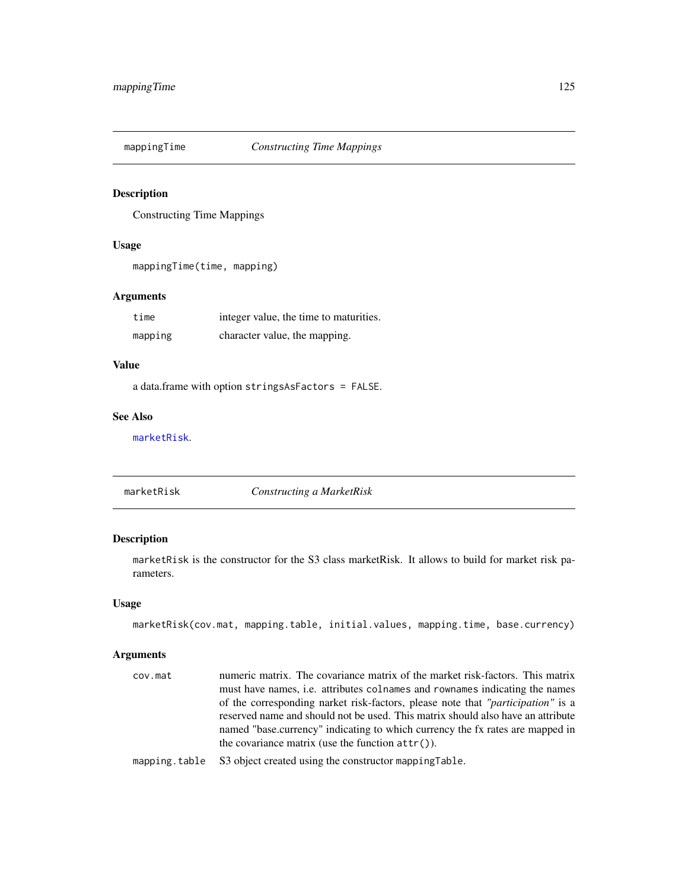<span id="page-124-1"></span>

Constructing Time Mappings

#### Usage

mappingTime(time, mapping)

## Arguments

| time    | integer value, the time to maturities. |
|---------|----------------------------------------|
| mapping | character value, the mapping.          |

## Value

a data.frame with option stringsAsFactors = FALSE.

#### See Also

[marketRisk](#page-124-0).

<span id="page-124-0"></span>marketRisk *Constructing a MarketRisk*

#### Description

marketRisk is the constructor for the S3 class marketRisk. It allows to build for market risk parameters.

#### Usage

```
marketRisk(cov.mat, mapping.table, initial.values, mapping.time, base.currency)
```
#### Arguments

cov.mat numeric matrix. The covariance matrix of the market risk-factors. This matrix must have names, i.e. attributes colnames and rownames indicating the names of the corresponding narket risk-factors, please note that *"participation"* is a reserved name and should not be used. This matrix should also have an attribute named "base.currency" indicating to which currency the fx rates are mapped in the covariance matrix (use the function  $attr()$ ).

mapping.table S3 object created using the constructor mappingTable.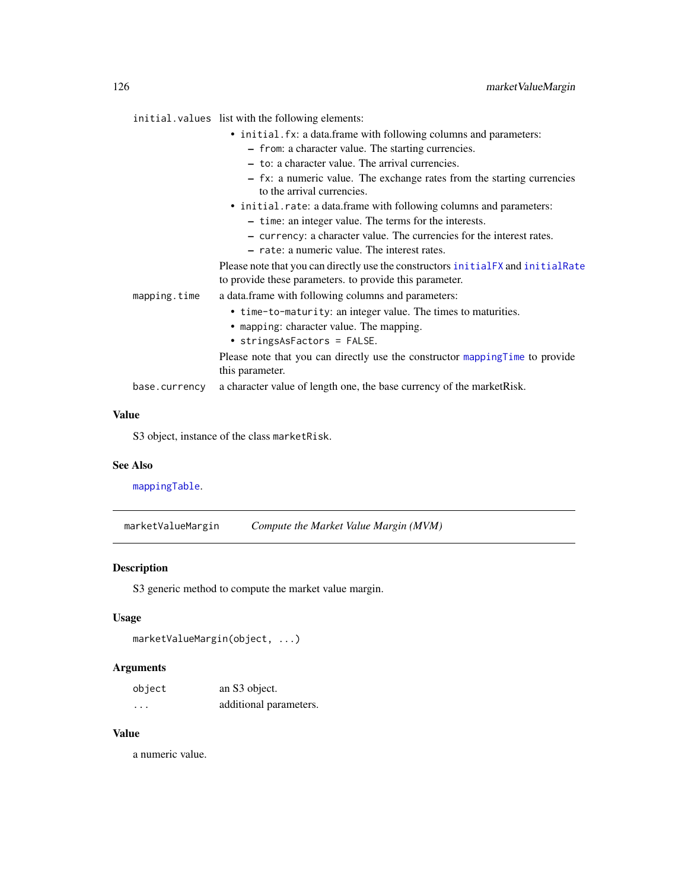initial.values list with the following elements:

- initial.fx: a data.frame with following columns and parameters:
	- from: a character value. The starting currencies.
	- to: a character value. The arrival currencies.
	- fx: a numeric value. The exchange rates from the starting currencies to the arrival currencies.
- initial.rate: a data.frame with following columns and parameters:
	- time: an integer value. The terms for the interests.
	- currency: a character value. The currencies for the interest rates.
	- rate: a numeric value. The interest rates.

Please note that you can directly use the constructors [initialFX](#page-97-0) and [initialRate](#page-97-1) to provide these parameters. to provide this parameter.

mapping.time a data.frame with following columns and parameters:

- time-to-maturity: an integer value. The times to maturities.
- mapping: character value. The mapping.
- stringsAsFactors = FALSE.

Please note that you can directly use the constructor [mappingTime](#page-124-1) to provide this parameter.

base.currency a character value of length one, the base currency of the marketRisk.

#### Value

S3 object, instance of the class marketRisk.

#### See Also

[mappingTable](#page-123-0).

<span id="page-125-0"></span>marketValueMargin *Compute the Market Value Margin (MVM)*

#### **Description**

S3 generic method to compute the market value margin.

#### Usage

```
marketValueMargin(object, ...)
```
#### Arguments

| object   | an S3 object.          |
|----------|------------------------|
| $\cdots$ | additional parameters. |

#### Value

a numeric value.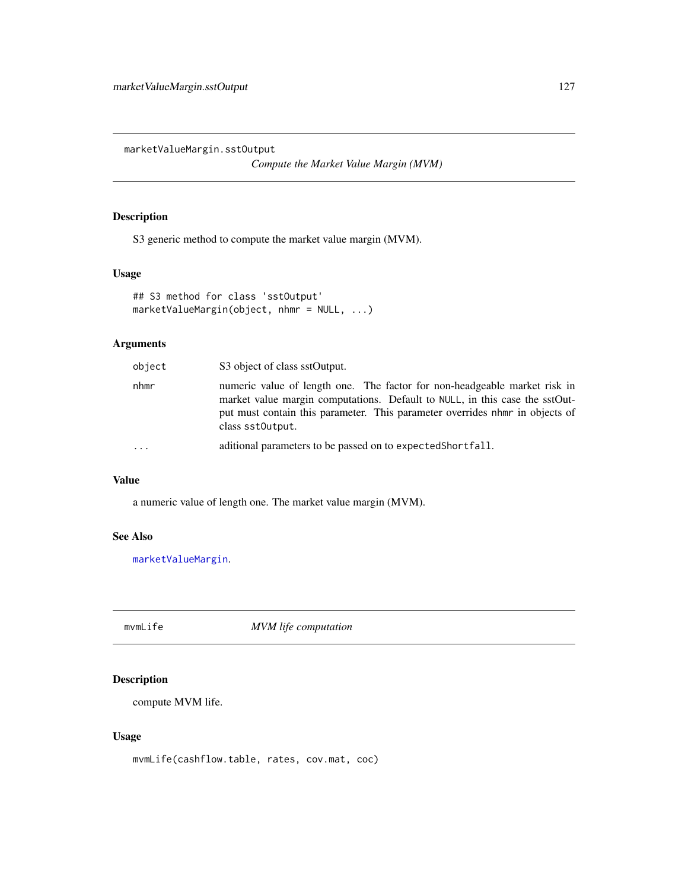marketValueMargin.sstOutput

*Compute the Market Value Margin (MVM)*

# Description

S3 generic method to compute the market value margin (MVM).

#### Usage

```
## S3 method for class 'sstOutput'
marketValueMargin(object, nhmr = NULL, ...)
```
## Arguments

| object   | S3 object of class sstOutput.                                                                                                                                                                                                                               |
|----------|-------------------------------------------------------------------------------------------------------------------------------------------------------------------------------------------------------------------------------------------------------------|
| nhmr     | numeric value of length one. The factor for non-headgeable market risk in<br>market value margin computations. Default to NULL, in this case the sstOut-<br>put must contain this parameter. This parameter overrides nhm in objects of<br>class sstoutput. |
| $\cdots$ | aditional parameters to be passed on to expected Shortfall.                                                                                                                                                                                                 |

#### Value

a numeric value of length one. The market value margin (MVM).

#### See Also

[marketValueMargin](#page-125-0).

mvmLife *MVM life computation*

# Description

compute MVM life.

#### Usage

mvmLife(cashflow.table, rates, cov.mat, coc)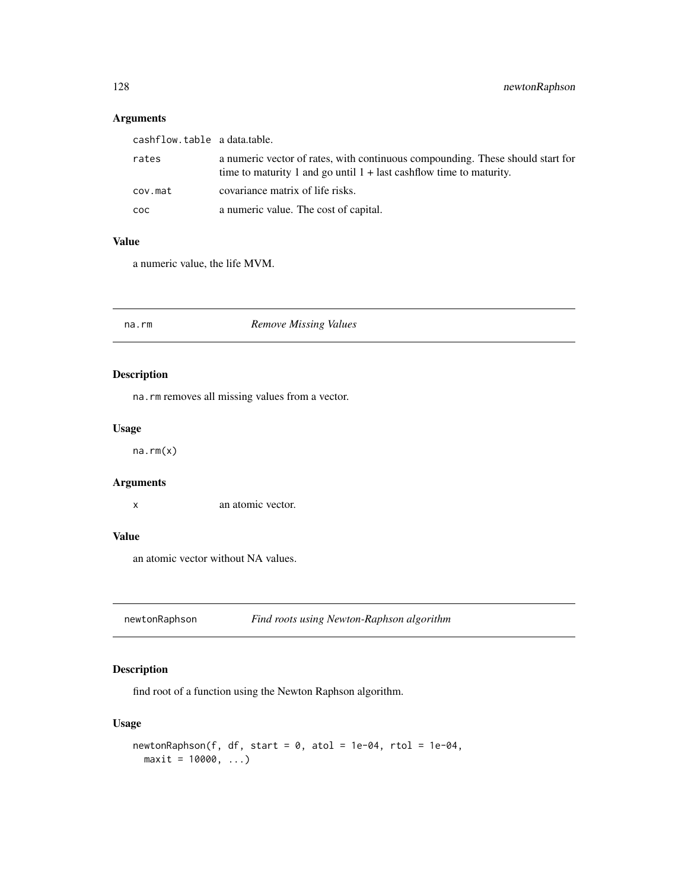# Arguments

| cashflow.table a data.table. |                                                                                                                                                         |
|------------------------------|---------------------------------------------------------------------------------------------------------------------------------------------------------|
| rates                        | a numeric vector of rates, with continuous compounding. These should start for<br>time to maturity 1 and go until $1 +$ last cashflow time to maturity. |
| cov.mat                      | covariance matrix of life risks.                                                                                                                        |
| COC.                         | a numeric value. The cost of capital.                                                                                                                   |

## Value

a numeric value, the life MVM.

## na.rm *Remove Missing Values*

## Description

na.rm removes all missing values from a vector.

#### Usage

na.rm(x)

# Arguments

x an atomic vector.

#### Value

an atomic vector without NA values.

newtonRaphson *Find roots using Newton-Raphson algorithm*

# Description

find root of a function using the Newton Raphson algorithm.

# Usage

```
newtonRaphson(f, df, start = 0, atol = 1e-04, rtol = 1e-04,maxit = 10000, ...
```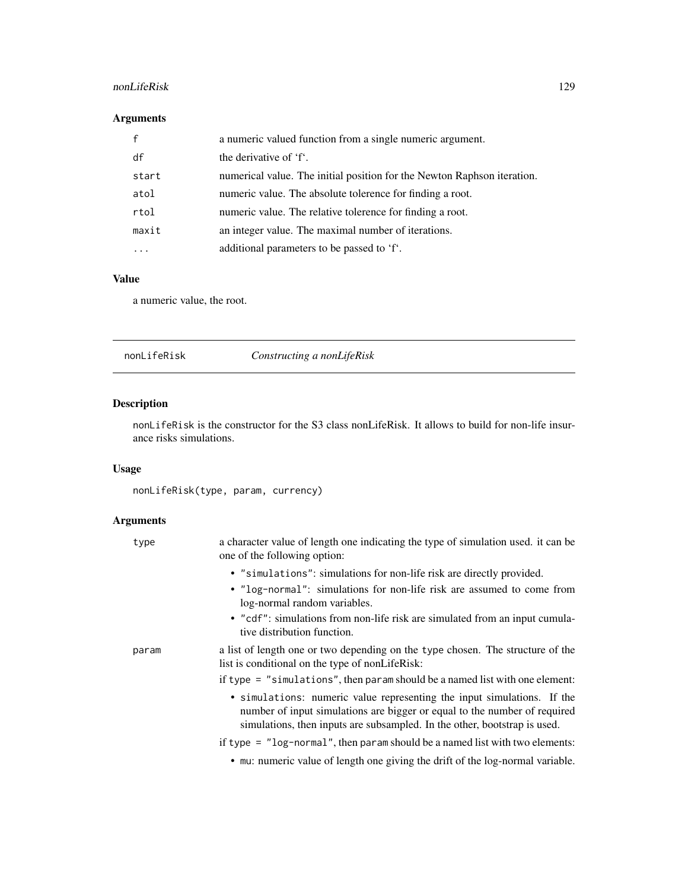# nonLifeRisk 129

# Arguments

|       | a numeric valued function from a single numeric argument.               |
|-------|-------------------------------------------------------------------------|
| df    | the derivative of 'f'.                                                  |
| start | numerical value. The initial position for the Newton Raphson iteration. |
| atol  | numeric value. The absolute tolerence for finding a root.               |
| rtol  | numeric value. The relative tolerence for finding a root.               |
| maxit | an integer value. The maximal number of iterations.                     |
|       | additional parameters to be passed to 'f'.                              |

# Value

a numeric value, the root.

<span id="page-128-0"></span>nonLifeRisk *Constructing a nonLifeRisk*

## Description

nonLifeRisk is the constructor for the S3 class nonLifeRisk. It allows to build for non-life insurance risks simulations.

## Usage

nonLifeRisk(type, param, currency)

## Arguments

| type  | a character value of length one indicating the type of simulation used, it can be<br>one of the following option:                                                                                                                 |
|-------|-----------------------------------------------------------------------------------------------------------------------------------------------------------------------------------------------------------------------------------|
|       | • "simulations": simulations for non-life risk are directly provided.                                                                                                                                                             |
|       | • "log-normal": simulations for non-life risk are assumed to come from<br>log-normal random variables.                                                                                                                            |
|       | • "cdf": simulations from non-life risk are simulated from an input cumula-<br>tive distribution function.                                                                                                                        |
| param | a list of length one or two depending on the type chosen. The structure of the<br>list is conditional on the type of nonLifeRisk:                                                                                                 |
|       | if type $=$ "simulations", then param should be a named list with one element:                                                                                                                                                    |
|       | • simulations: numeric value representing the input simulations. If the<br>number of input simulations are bigger or equal to the number of required<br>simulations, then inputs are subsampled. In the other, bootstrap is used. |
|       | if type $=$ "log-normal", then param should be a named list with two elements:                                                                                                                                                    |
|       | • mu: numeric value of length one giving the drift of the log-normal variable.                                                                                                                                                    |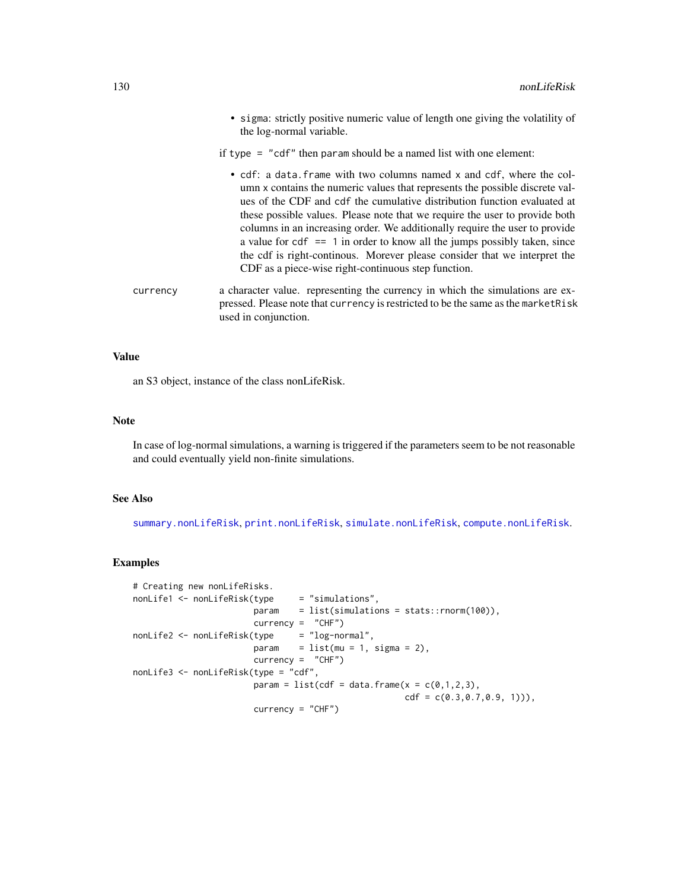• sigma: strictly positive numeric value of length one giving the volatility of the log-normal variable.

if type = "cdf" then param should be a named list with one element:

- cdf: a data.frame with two columns named x and cdf, where the column x contains the numeric values that represents the possible discrete values of the CDF and cdf the cumulative distribution function evaluated at these possible values. Please note that we require the user to provide both columns in an increasing order. We additionally require the user to provide a value for  $cdf = 1$  in order to know all the jumps possibly taken, since the cdf is right-continous. Morever please consider that we interpret the CDF as a piece-wise right-continuous step function.
- currency a character value. representing the currency in which the simulations are expressed. Please note that currency is restricted to be the same as the marketRisk used in conjunction.

#### Value

an S3 object, instance of the class nonLifeRisk.

#### Note

In case of log-normal simulations, a warning is triggered if the parameters seem to be not reasonable and could eventually yield non-finite simulations.

#### See Also

[summary.nonLifeRisk](#page-177-0), [print.nonLifeRisk](#page-143-0), [simulate.nonLifeRisk](#page-158-0), [compute.nonLifeRisk](#page-25-0).

```
# Creating new nonLifeRisks.
nonLife1 <- nonLifeRisk(type = "simulations",
                       param = list(simulations = stats::rnorm(100)),
                       currency = "CHF")
nonLife2 <- nonLifeRisk(type = "log-normal",
                       param = list(mu = 1, sigma = 2),currency = "CHF")
nonLife3 <- nonLifeRisk(type = "cdf",
                       param = list(cdf = data.frame(x = c(0,1,2,3),
                                                    cdf = c(0.3, 0.7, 0.9, 1)),
                       currency = "CHF")
```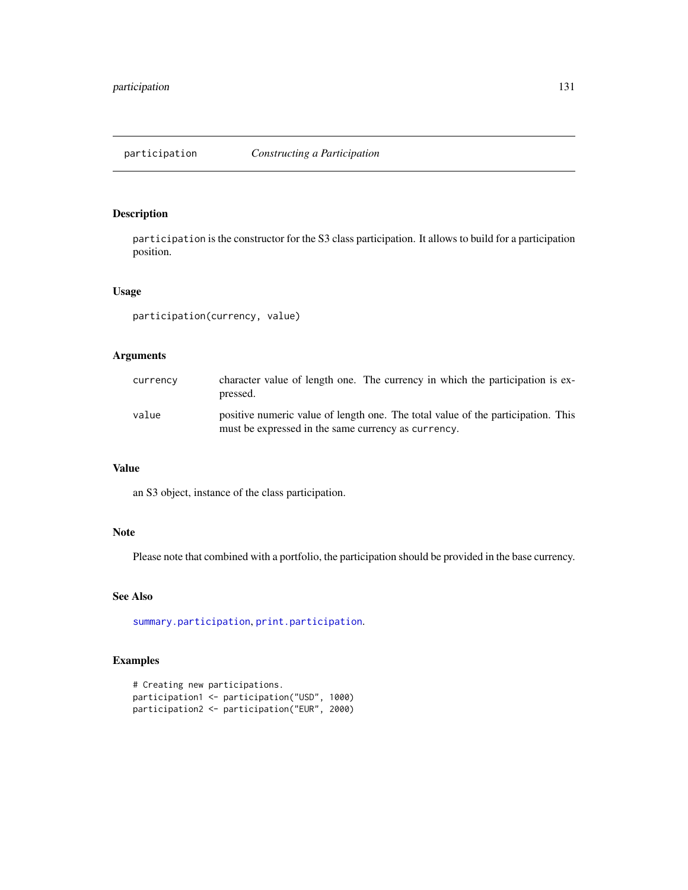<span id="page-130-0"></span>

participation is the constructor for the S3 class participation. It allows to build for a participation position.

#### Usage

participation(currency, value)

## Arguments

| currency | character value of length one. The currency in which the participation is ex-<br>pressed.                                               |
|----------|-----------------------------------------------------------------------------------------------------------------------------------------|
| value    | positive numeric value of length one. The total value of the participation. This<br>must be expressed in the same currency as currency. |

#### Value

an S3 object, instance of the class participation.

# Note

Please note that combined with a portfolio, the participation should be provided in the base currency.

#### See Also

[summary.participation](#page-178-0), [print.participation](#page-144-0).

```
# Creating new participations.
participation1 <- participation("USD", 1000)
participation2 <- participation("EUR", 2000)
```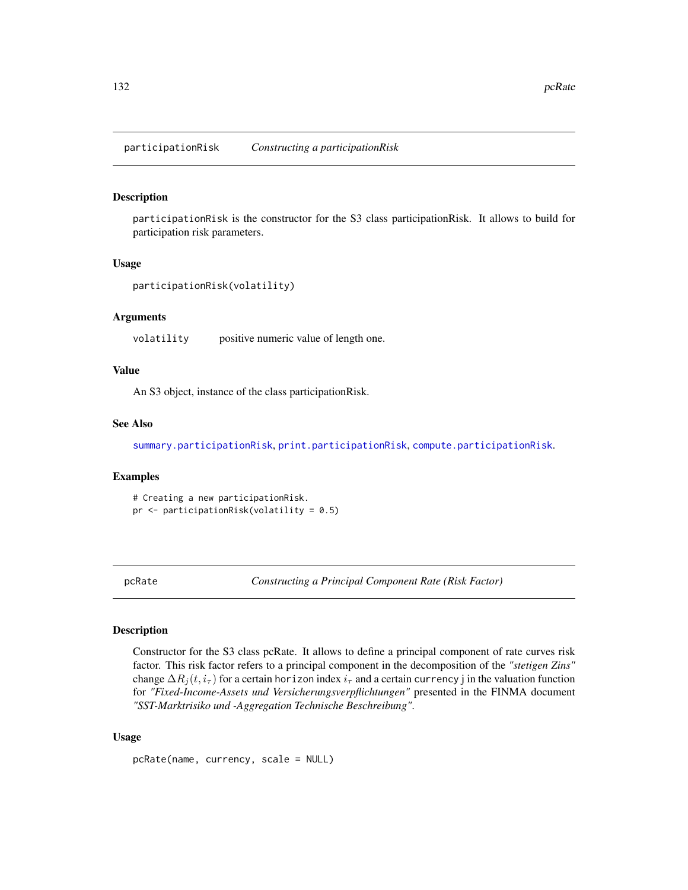participationRisk *Constructing a participationRisk*

#### Description

participationRisk is the constructor for the S3 class participationRisk. It allows to build for participation risk parameters.

#### Usage

```
participationRisk(volatility)
```
#### Arguments

volatility positive numeric value of length one.

#### Value

An S3 object, instance of the class participationRisk.

#### See Also

[summary.participationRisk](#page-179-0), [print.participationRisk](#page-144-1), [compute.participationRisk](#page-26-0).

#### Examples

# Creating a new participationRisk. pr <- participationRisk(volatility = 0.5)

<span id="page-131-0"></span>pcRate *Constructing a Principal Component Rate (Risk Factor)*

## Description

Constructor for the S3 class pcRate. It allows to define a principal component of rate curves risk factor. This risk factor refers to a principal component in the decomposition of the *"stetigen Zins"* change  $\Delta R_j(t, i_\tau)$  for a certain horizon index  $i_\tau$  and a certain currency j in the valuation function for *"Fixed-Income-Assets und Versicherungsverpflichtungen"* presented in the FINMA document *"SST-Marktrisiko und -Aggregation Technische Beschreibung"*.

#### Usage

pcRate(name, currency, scale = NULL)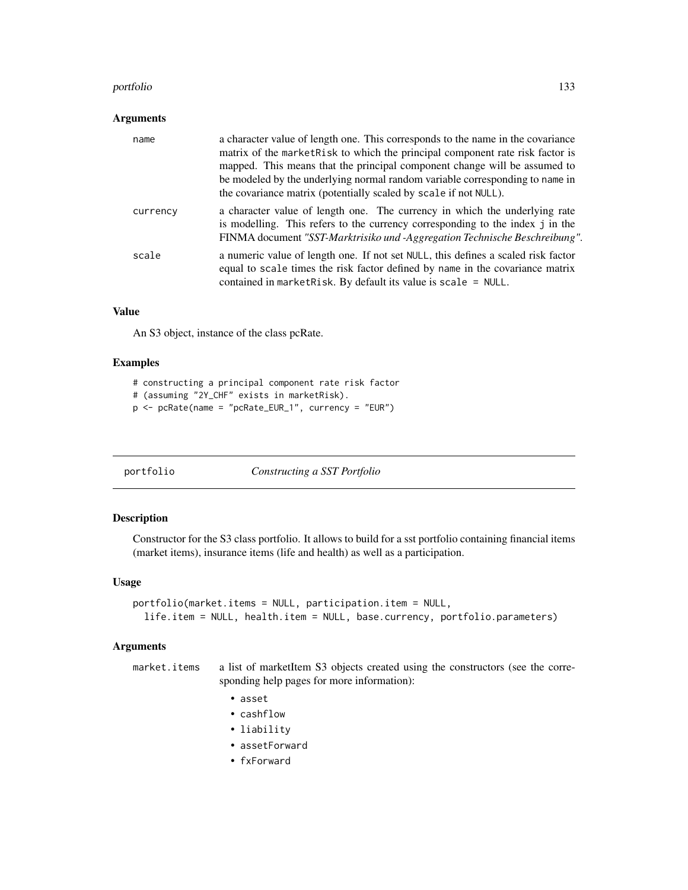#### portfolio 133

#### Arguments

| name     | a character value of length one. This corresponds to the name in the covariance<br>matrix of the market Risk to which the principal component rate risk factor is<br>mapped. This means that the principal component change will be assumed to<br>be modeled by the underlying normal random variable corresponding to name in<br>the covariance matrix (potentially scaled by scale if not NULL). |
|----------|----------------------------------------------------------------------------------------------------------------------------------------------------------------------------------------------------------------------------------------------------------------------------------------------------------------------------------------------------------------------------------------------------|
| currency | a character value of length one. The currency in which the underlying rate<br>is modelling. This refers to the currency corresponding to the index j in the<br>FINMA document "SST-Marktrisiko und -Aggregation Technische Beschreibung".                                                                                                                                                          |
| scale    | a numeric value of length one. If not set NULL, this defines a scaled risk factor<br>equal to scale times the risk factor defined by name in the covariance matrix<br>contained in market Risk. By default its value is scale $=$ NULL.                                                                                                                                                            |

#### Value

An S3 object, instance of the class pcRate.

#### Examples

```
# constructing a principal component rate risk factor
# (assuming "2Y_CHF" exists in marketRisk).
p <- pcRate(name = "pcRate_EUR_1", currency = "EUR")
```
<span id="page-132-0"></span>

| portfolio | Constructing a SST Portfolio |
|-----------|------------------------------|
|           |                              |

## Description

Constructor for the S3 class portfolio. It allows to build for a sst portfolio containing financial items (market items), insurance items (life and health) as well as a participation.

#### Usage

```
portfolio(market.items = NULL, participation.item = NULL,
  life.item = NULL, health.item = NULL, base.currency, portfolio.parameters)
```
#### Arguments

market.items a list of marketItem S3 objects created using the constructors (see the corresponding help pages for more information):

- asset
- cashflow
- liability
- assetForward
- fxForward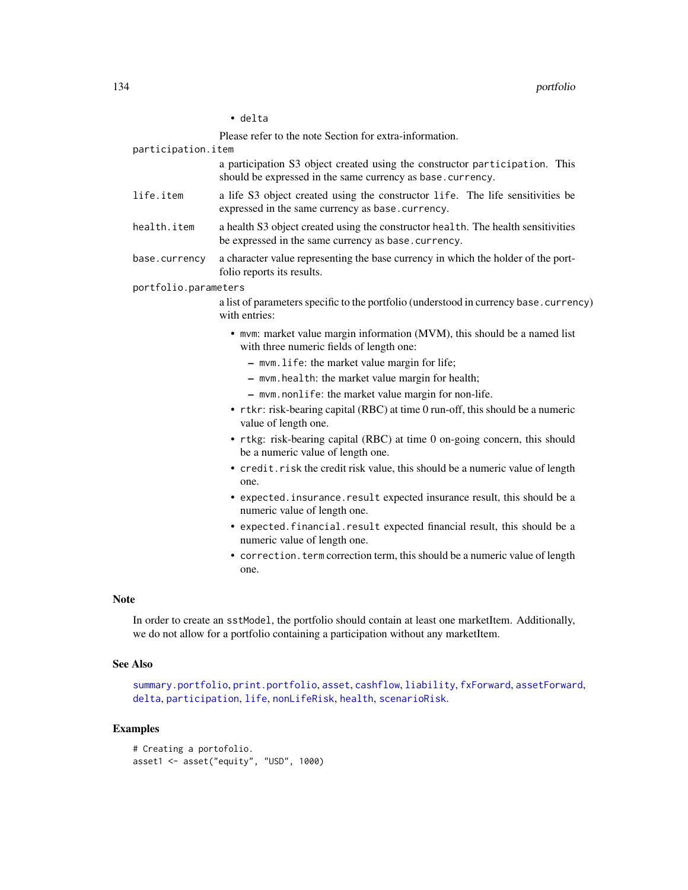#### • delta

Please refer to the note Section for extra-information.

participation.item

a participation S3 object created using the constructor participation. This should be expressed in the same currency as base.currency.

- life.item a life S3 object created using the constructor life. The life sensitivities be expressed in the same currency as base.currency.
- health.item a health S3 object created using the constructor health. The health sensitivities be expressed in the same currency as base.currency.
- base.currency a character value representing the base currency in which the holder of the portfolio reports its results.

portfolio.parameters

a list of parameters specific to the portfolio (understood in currency base.currency) with entries:

- mvm: market value margin information (MVM), this should be a named list with three numeric fields of length one:
	- mvm.life: the market value margin for life;
	- mvm.health: the market value margin for health;
	- mvm.nonlife: the market value margin for non-life.
- rtkr: risk-bearing capital (RBC) at time 0 run-off, this should be a numeric value of length one.
- rtkg: risk-bearing capital (RBC) at time 0 on-going concern, this should be a numeric value of length one.
- credit.risk the credit risk value, this should be a numeric value of length one.
- expected.insurance.result expected insurance result, this should be a numeric value of length one.
- expected.financial.result expected financial result, this should be a numeric value of length one.
- correction.term correction term, this should be a numeric value of length one.

#### **Note**

In order to create an sstModel, the portfolio should contain at least one marketItem. Additionally, we do not allow for a portfolio containing a participation without any marketItem.

#### See Also

```
summary.portfolio, print.portfolio, asset, cashflow, liability, fxForward, assetForward,
delta, participation, life, nonLifeRisk, health, scenarioRisk.
```

```
# Creating a portofolio.
asset1 <- asset("equity", "USD", 1000)
```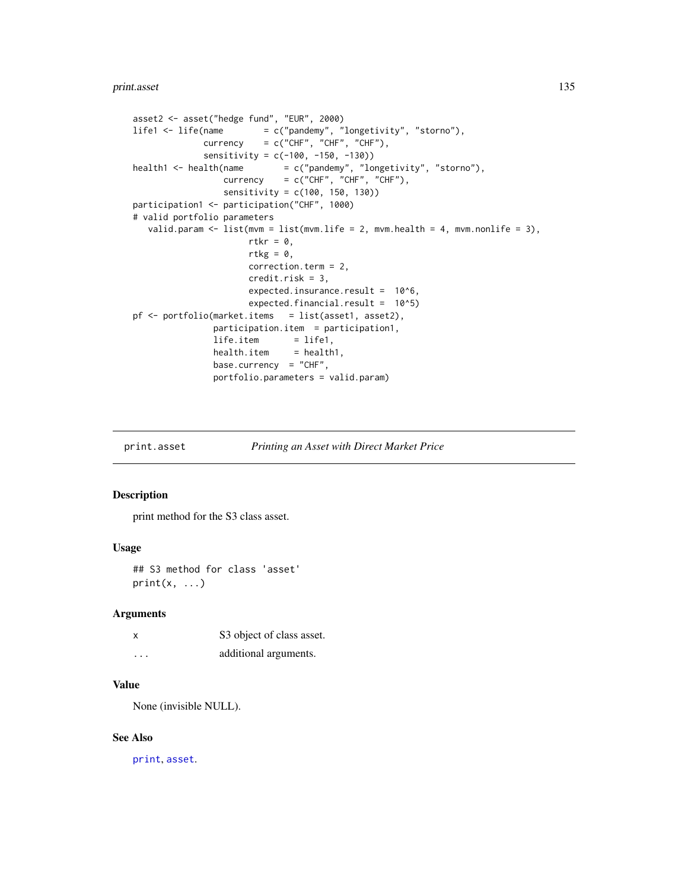#### print.asset 135

```
asset2 <- asset("hedge fund", "EUR", 2000)
lifel \leftarrow life(name = c("pandemy", "longetivity", "storno"),currency = c("CHF", "CHF", "CHF"),
             sensitivity = c(-100, -150, -130))
health1 <- health(name = c("pandemy", "longetivity", "storno"),\text{currency} = c("CHF", "CHF", "CHF"),sensitivity = c(100, 150, 130))
participation1 <- participation("CHF", 1000)
# valid portfolio parameters
  valid.param \leq 1ist(mvm = list(mvm.life = 2, mvm.health = 4, mvm.nonlife = 3),
                      rtkr = 0,
                      rtkg = \theta,
                      correction.term = 2,
                      credit.risk = 3,
                      expected.insurance.result = 10^6,
                      expected.financial.result = 10^5)
pf <- portfolio(market.items = list(asset1, asset2),
               participation.item = participation1,
               life.item = life1,health.item = health1,base.currency = "CHF",
               portfolio.parameters = valid.param)
```
print.asset *Printing an Asset with Direct Market Price*

#### Description

print method for the S3 class asset.

#### Usage

## S3 method for class 'asset'  $print(x, \ldots)$ 

#### Arguments

| x | S3 object of class asset. |
|---|---------------------------|
| . | additional arguments.     |

#### Value

None (invisible NULL).

#### See Also

[print](#page-0-0), [asset](#page-8-0).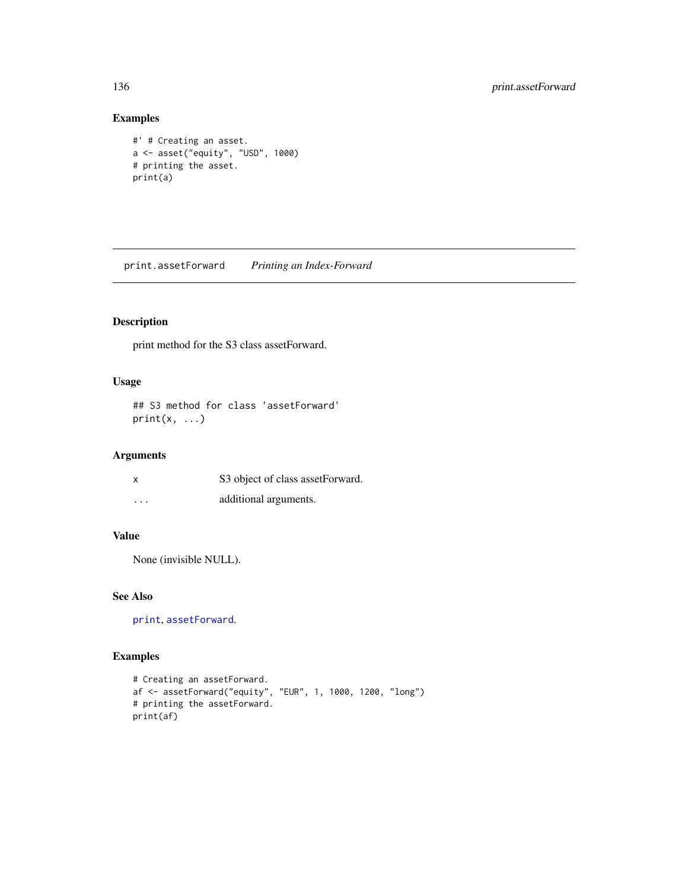# Examples

```
#' # Creating an asset.
a <- asset("equity", "USD", 1000)
# printing the asset.
print(a)
```
print.assetForward *Printing an Index-Forward*

# Description

print method for the S3 class assetForward.

# Usage

## S3 method for class 'assetForward'  $print(x, \ldots)$ 

## Arguments

| x        | S3 object of class assetForward. |
|----------|----------------------------------|
| $\cdots$ | additional arguments.            |

#### Value

None (invisible NULL).

#### See Also

[print](#page-0-0), [assetForward](#page-9-0).

```
# Creating an assetForward.
af <- assetForward("equity", "EUR", 1, 1000, 1200, "long")
# printing the assetForward.
print(af)
```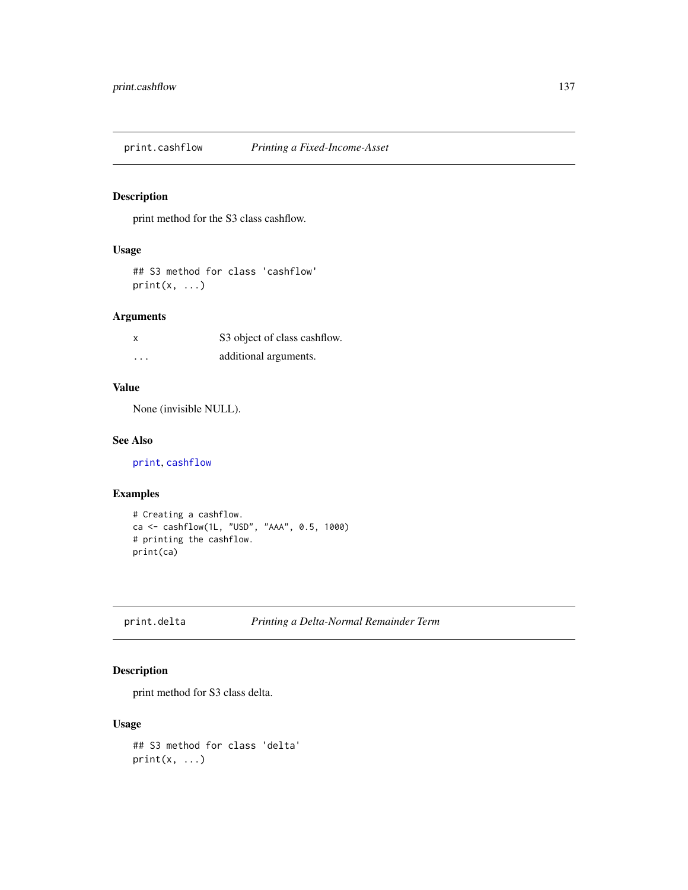print.cashflow *Printing a Fixed-Income-Asset*

## Description

print method for the S3 class cashflow.

#### Usage

## S3 method for class 'cashflow'  $print(x, \ldots)$ 

#### Arguments

| x        | S3 object of class cashflow. |
|----------|------------------------------|
| $\cdots$ | additional arguments.        |

#### Value

None (invisible NULL).

#### See Also

[print](#page-0-0), [cashflow](#page-11-0)

## Examples

```
# Creating a cashflow.
ca <- cashflow(1L, "USD", "AAA", 0.5, 1000)
# printing the cashflow.
print(ca)
```

```
print.delta Printing a Delta-Normal Remainder Term
```
## Description

print method for S3 class delta.

#### Usage

```
## S3 method for class 'delta'
print(x, \ldots)
```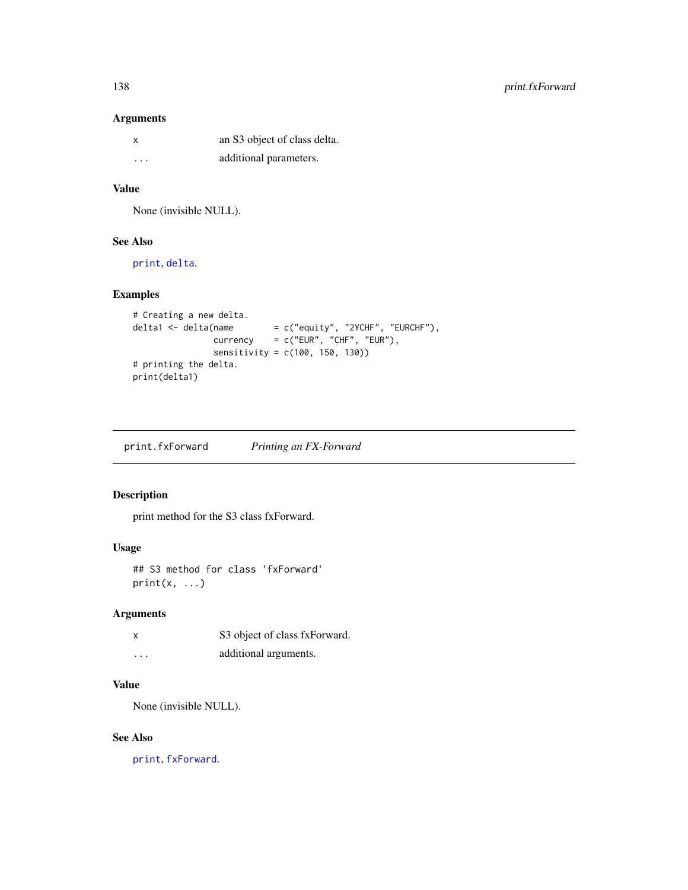#### Arguments

| x       | an S3 object of class delta. |
|---------|------------------------------|
| $\cdot$ | additional parameters.       |

#### Value

None (invisible NULL).

# See Also

[print](#page-0-0), [delta](#page-41-0).

# Examples

```
# Creating a new delta.
delta1 <- delta(name = c("equity", "2YCHF", "EURCHF"),currency = c("EUR", "CHF", "EUR"),
               sensitivity = c(100, 150, 130))
# printing the delta.
print(delta1)
```
print.fxForward *Printing an FX-Forward*

## Description

print method for the S3 class fxForward.

# Usage

## S3 method for class 'fxForward'  $print(x, \ldots)$ 

## Arguments

| x        | S3 object of class fxForward. |
|----------|-------------------------------|
| $\cdots$ | additional arguments.         |

#### Value

None (invisible NULL).

#### See Also

[print](#page-0-0), [fxForward](#page-58-0).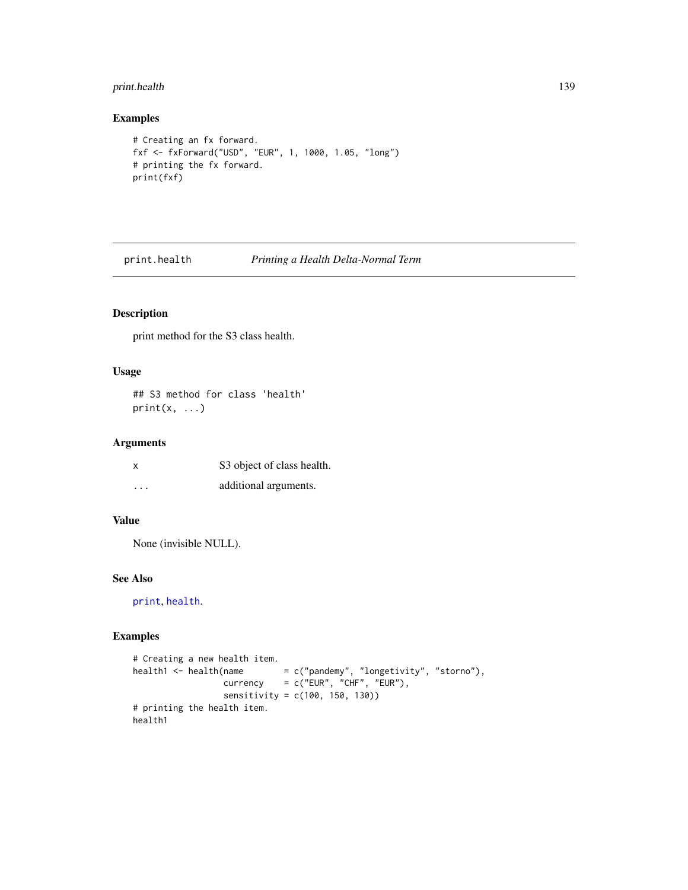## print.health 139

#### Examples

```
# Creating an fx forward.
fxf <- fxForward("USD", "EUR", 1, 1000, 1.05, "long")
# printing the fx forward.
print(fxf)
```
print.health *Printing a Health Delta-Normal Term*

# Description

print method for the S3 class health.

#### Usage

```
## S3 method for class 'health'
print(x, \ldots)
```
## Arguments

| X        | S3 object of class health. |
|----------|----------------------------|
| $\cdots$ | additional arguments.      |

# Value

None (invisible NULL).

#### See Also

[print](#page-0-0), [health](#page-95-0).

```
# Creating a new health item.
health1 <- health(name = c("pandemy", "longetivity", "storno"),
                 currency = c("EUR", "CHF", "EUR"),
                 sensitivity = c(100, 150, 130))
# printing the health item.
health1
```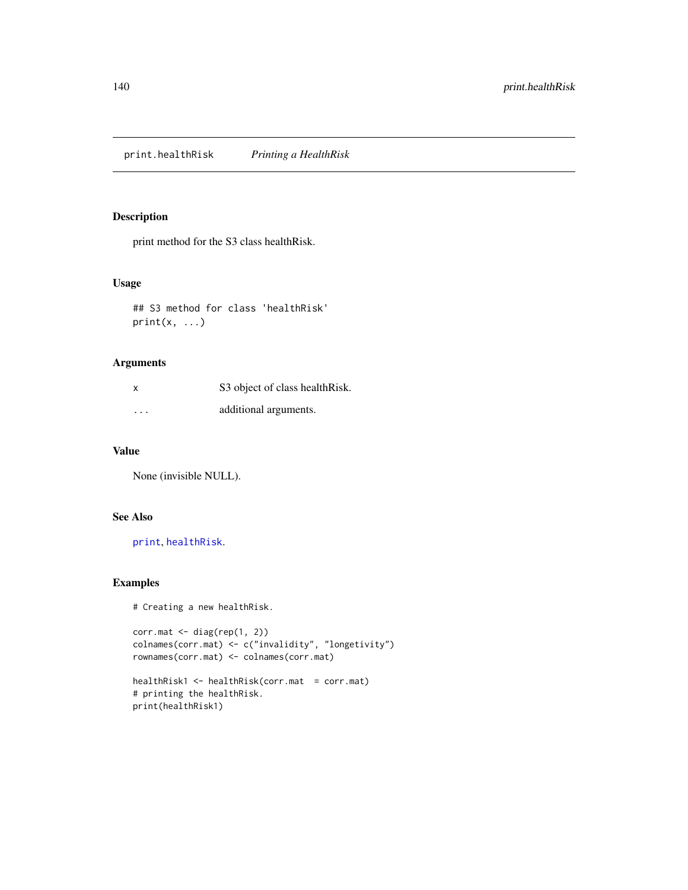print.healthRisk *Printing a HealthRisk*

#### Description

print method for the S3 class healthRisk.

## Usage

## S3 method for class 'healthRisk'  $print(x, \ldots)$ 

## Arguments

| $\boldsymbol{\mathsf{x}}$ | S3 object of class healthRisk. |
|---------------------------|--------------------------------|
| $\cdots$                  | additional arguments.          |

#### Value

None (invisible NULL).

#### See Also

[print](#page-0-0), [healthRisk](#page-96-0).

#### Examples

# Creating a new healthRisk.

```
corr.mat <- diag(rep(1, 2))
colnames(corr.mat) <- c("invalidity", "longetivity")
rownames(corr.mat) <- colnames(corr.mat)
```
healthRisk1 <- healthRisk(corr.mat = corr.mat) # printing the healthRisk. print(healthRisk1)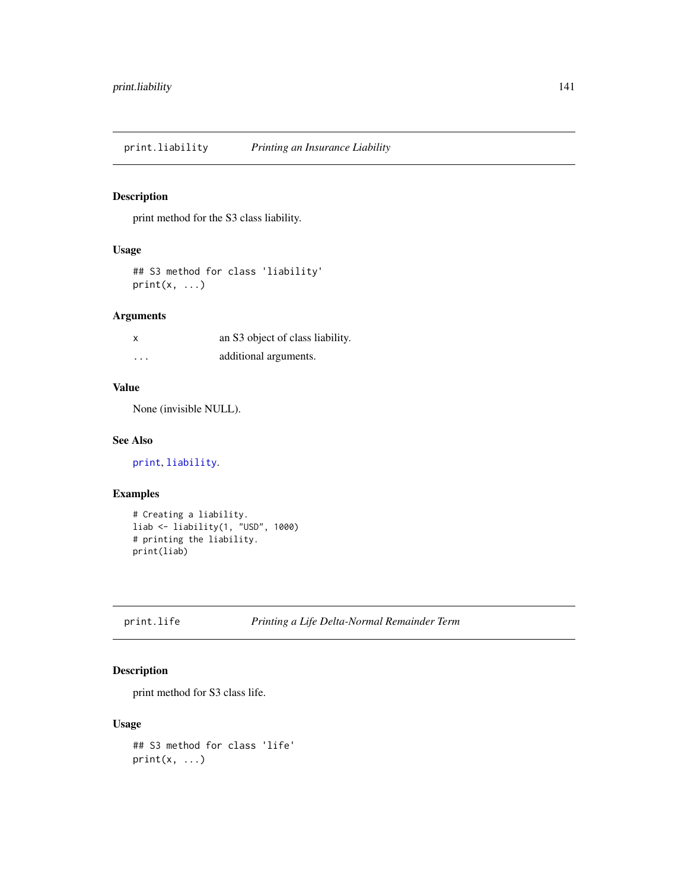<span id="page-140-0"></span>print.liability *Printing an Insurance Liability*

## Description

print method for the S3 class liability.

#### Usage

## S3 method for class 'liability'  $print(x, \ldots)$ 

#### Arguments

| X        | an S3 object of class liability. |
|----------|----------------------------------|
| $\cdots$ | additional arguments.            |

#### Value

None (invisible NULL).

#### See Also

[print](#page-0-0), [liability](#page-119-0).

## Examples

```
# Creating a liability.
liab <- liability(1, "USD", 1000)
# printing the liability.
print(liab)
```
<span id="page-140-1"></span>

#### Description

print method for S3 class life.

# Usage

```
## S3 method for class 'life'
print(x, \ldots)
```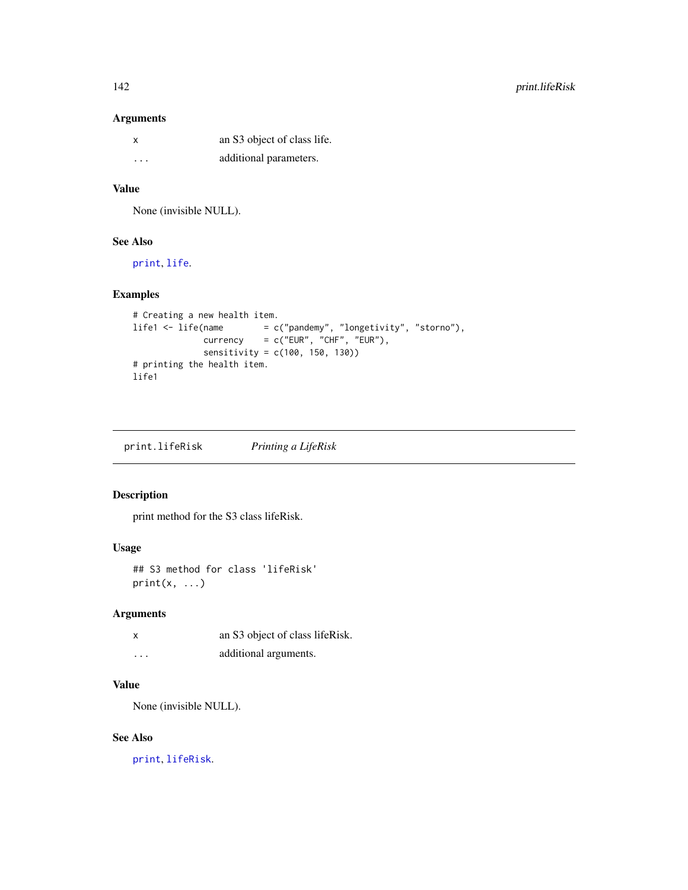#### Arguments

| X       | an S3 object of class life. |
|---------|-----------------------------|
| $\cdot$ | additional parameters.      |

#### Value

None (invisible NULL).

# See Also

[print](#page-0-0), [life](#page-120-0).

## Examples

```
# Creating a new health item.
life1 <- life(name = c("pandemy", "longetivity", "storno"),
             currency = c("EUR", "CHF", "EUR"),
             sensitivity = c(100, 150, 130))
# printing the health item.
life1
```
<span id="page-141-0"></span>print.lifeRisk *Printing a LifeRisk*

#### Description

print method for the S3 class lifeRisk.

## Usage

## S3 method for class 'lifeRisk'  $print(x, \ldots)$ 

## Arguments

| x        | an S3 object of class lifeRisk. |
|----------|---------------------------------|
| $\cdots$ | additional arguments.           |

#### Value

None (invisible NULL).

# See Also

[print](#page-0-0), [lifeRisk](#page-121-0).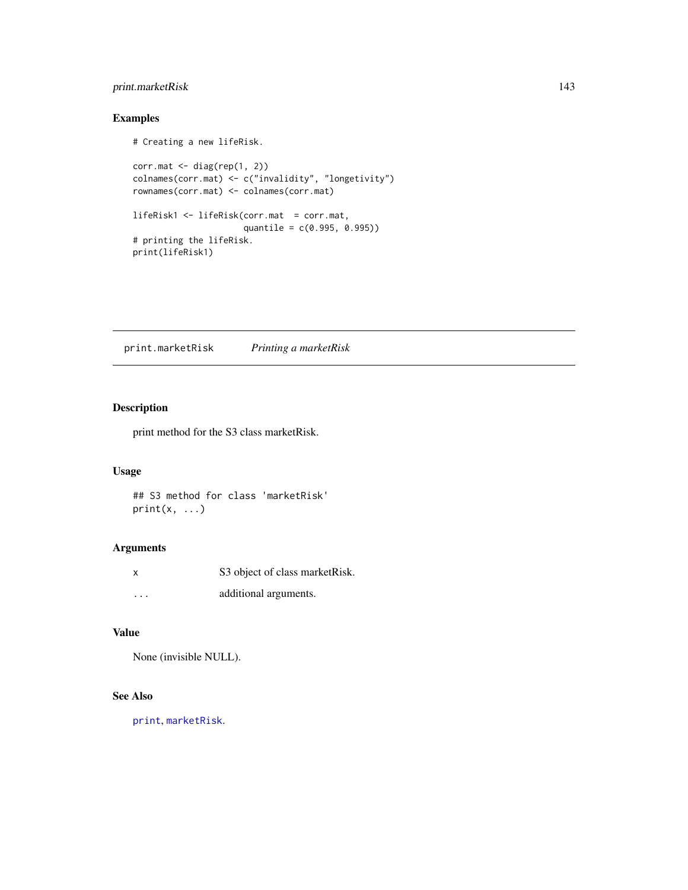## print.marketRisk 143

## Examples

```
# Creating a new lifeRisk.
corr.mat <- diag(rep(1, 2))
colnames(corr.mat) <- c("invalidity", "longetivity")
rownames(corr.mat) <- colnames(corr.mat)
lifeRisk1 <- lifeRisk(corr.mat = corr.mat,
                     quantile = c(0.995, 0.995))
# printing the lifeRisk.
print(lifeRisk1)
```
print.marketRisk *Printing a marketRisk*

# Description

print method for the S3 class marketRisk.

#### Usage

## S3 method for class 'marketRisk'  $print(x, \ldots)$ 

#### Arguments

|          | S3 object of class market Risk. |
|----------|---------------------------------|
| $\cdots$ | additional arguments.           |

## Value

None (invisible NULL).

# See Also

[print](#page-0-0), [marketRisk](#page-124-0).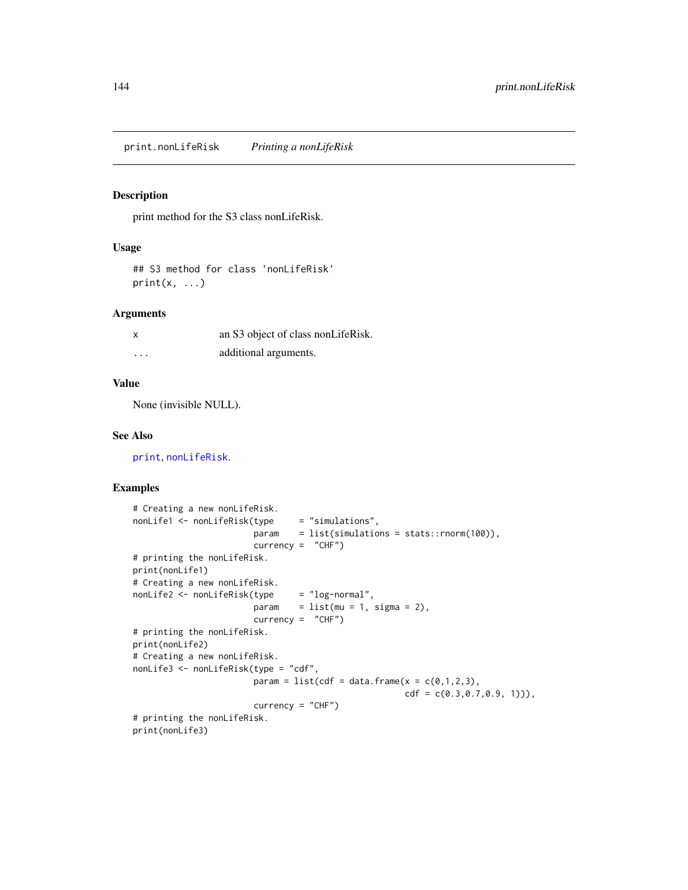<span id="page-143-0"></span>print.nonLifeRisk *Printing a nonLifeRisk*

#### Description

print method for the S3 class nonLifeRisk.

## Usage

## S3 method for class 'nonLifeRisk'  $print(x, \ldots)$ 

#### Arguments

| x        | an S3 object of class nonLifeRisk. |
|----------|------------------------------------|
| $\cdots$ | additional arguments.              |

## Value

None (invisible NULL).

#### See Also

[print](#page-0-0), [nonLifeRisk](#page-128-0).

```
# Creating a new nonLifeRisk.
nonLife1 <- nonLifeRisk(type = "simulations",
                       param = list(simulations = stats::rnorm(100)),
                       currency = "CHF")
# printing the nonLifeRisk.
print(nonLife1)
# Creating a new nonLifeRisk.
nonLife2 <- nonLifeRisk(type = "log-normal",
                       param = list(mu = 1, sigma = 2),currency = "CHF")# printing the nonLifeRisk.
print(nonLife2)
# Creating a new nonLifeRisk.
nonLife3 <- nonLifeRisk(type = "cdf",
                       param = list(cdf = data.frame(x = c(0,1,2,3),
                                                     cdf = c(0.3, 0.7, 0.9, 1)),
                       currency = "CHF")
# printing the nonLifeRisk.
print(nonLife3)
```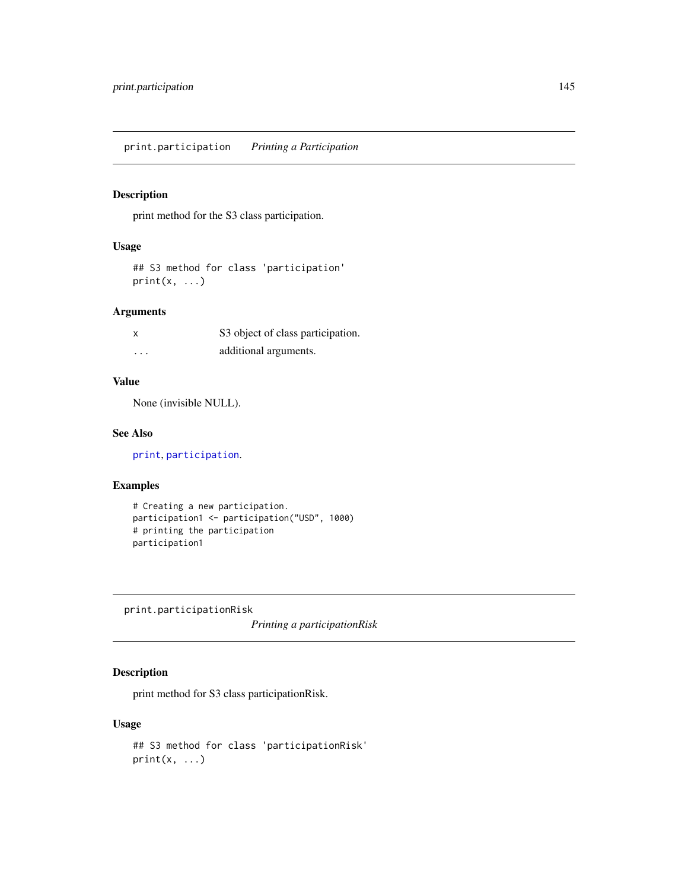## Description

print method for the S3 class participation.

## Usage

## S3 method for class 'participation'  $print(x, \ldots)$ 

## Arguments

| x        | S3 object of class participation. |
|----------|-----------------------------------|
| $\cdots$ | additional arguments.             |

## Value

None (invisible NULL).

## See Also

[print](#page-0-0), [participation](#page-130-0).

## Examples

```
# Creating a new participation.
participation1 <- participation("USD", 1000)
# printing the participation
participation1
```
print.participationRisk

*Printing a participationRisk*

## Description

print method for S3 class participationRisk.

```
## S3 method for class 'participationRisk'
print(x, \ldots)
```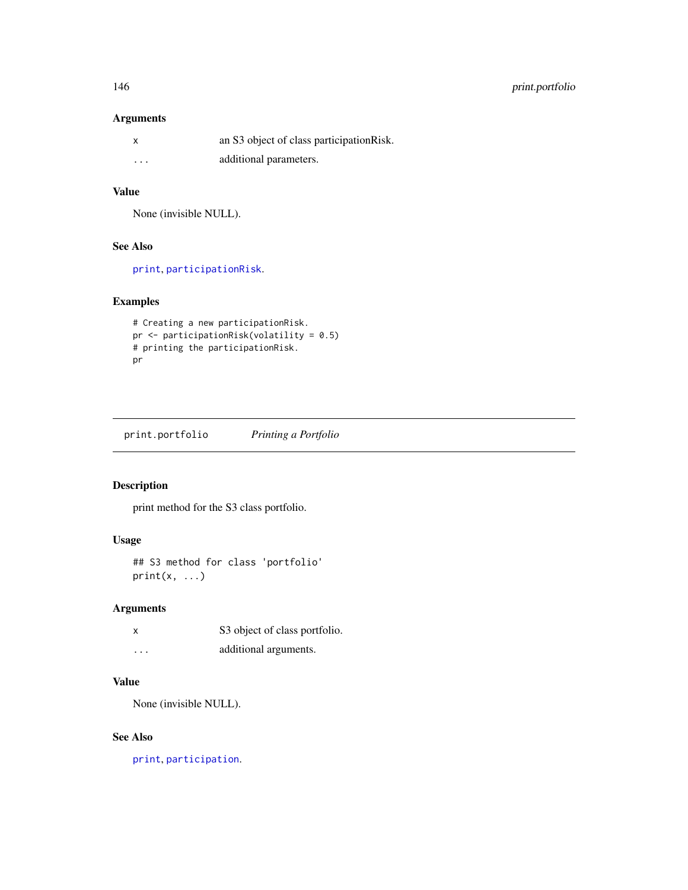## Arguments

|                         | an S3 object of class participation Risk. |
|-------------------------|-------------------------------------------|
| $\cdot$ $\cdot$ $\cdot$ | additional parameters.                    |

# Value

None (invisible NULL).

# See Also

[print](#page-0-0), [participationRisk](#page-131-0).

## Examples

```
# Creating a new participationRisk.
pr <- participationRisk(volatility = 0.5)
# printing the participationRisk.
pr
```
print.portfolio *Printing a Portfolio*

#### Description

print method for the S3 class portfolio.

## Usage

```
## S3 method for class 'portfolio'
print(x, \ldots)
```
## Arguments

|          | S3 object of class portfolio. |
|----------|-------------------------------|
| $\cdots$ | additional arguments.         |

## Value

None (invisible NULL).

# See Also

[print](#page-0-0), [participation](#page-130-0).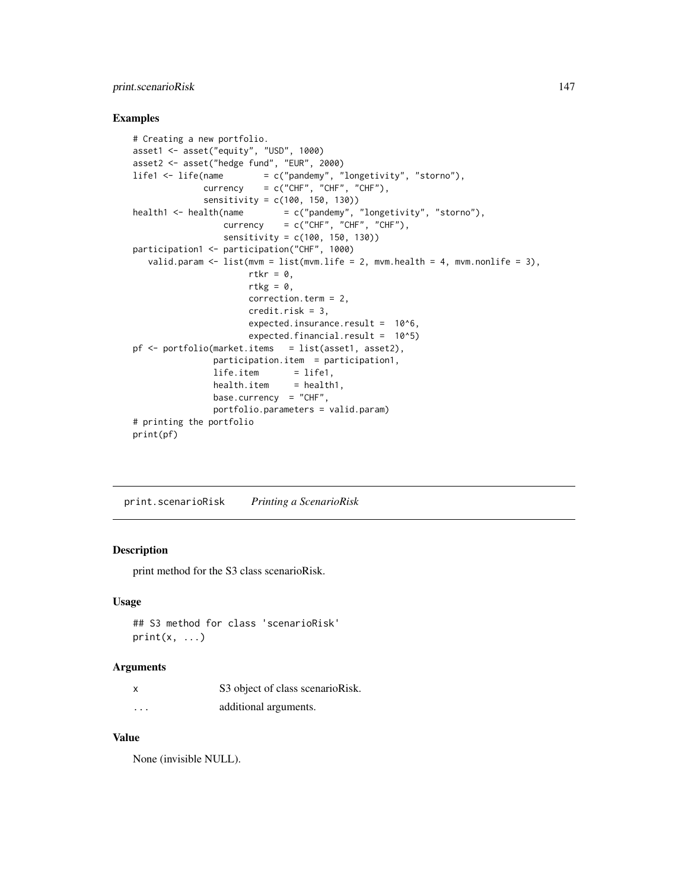## print.scenarioRisk 147

#### Examples

```
# Creating a new portfolio.
asset1 <- asset("equity", "USD", 1000)
asset2 <- asset("hedge fund", "EUR", 2000)
life1 <- life(name = c("pandemy", "longetivity", "storno"),
             \text{currency} = c("CHF", "CHF", "CHF"),sensitivity = c(100, 150, 130))
health1 <- health(name = c("pandemy", "longetivity", "strom"),
                 currency = c("CHF", "CHF", "CHF"),
                 sensitivity = c(100, 150, 130))
participation1 <- participation("CHF", 1000)
  valid.param \leq 1ist(mvm = list(mvm.life = 2, mvm.health = 4, mvm.nonlife = 3),
                      rtkr = \theta,
                      rtkg = 0,
                      correction.term = 2,
                      credit.risk = 3,
                      expected.insurance.result = 10^6,
                      expected.financial.result = 10^5)
pf \leftarrow portfolio(marker.items = list(asset1, asset2),participation.item = participation1,
               life.item = life1,health.item = health1,
               base.currency = "CHF",
               portfolio.parameters = valid.param)
# printing the portfolio
print(pf)
```
<span id="page-146-0"></span>print.scenarioRisk *Printing a ScenarioRisk*

## Description

print method for the S3 class scenarioRisk.

#### Usage

```
## S3 method for class 'scenarioRisk'
print(x, \ldots)
```
#### Arguments

|          | S3 object of class scenarioRisk. |
|----------|----------------------------------|
| $\cdots$ | additional arguments.            |

## Value

None (invisible NULL).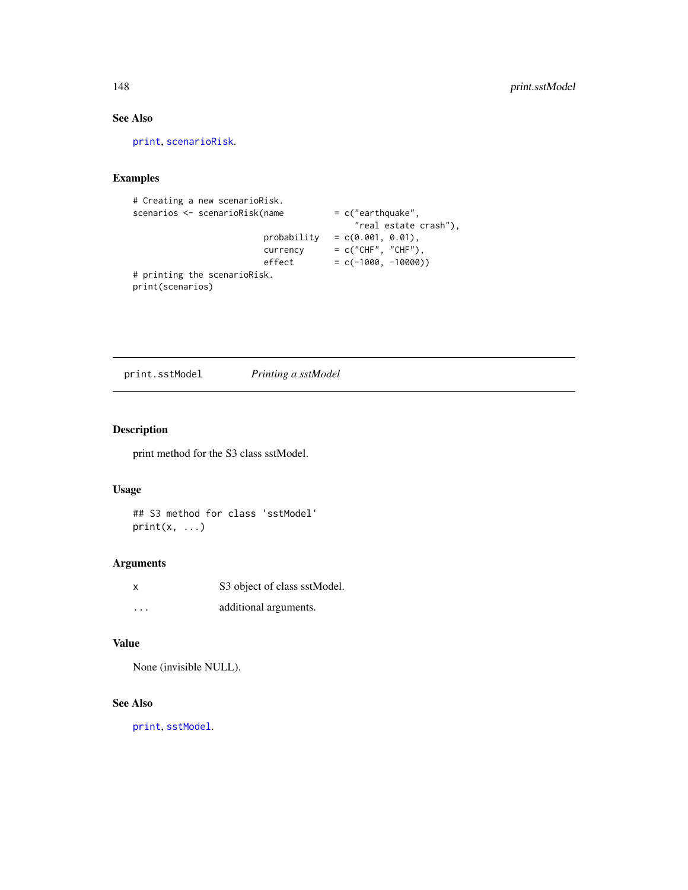# See Also

[print](#page-0-0), [scenarioRisk](#page-155-0).

## Examples

```
# Creating a new scenarioRisk.
scenarios <- scenarioRisk(name = c("earthquake",
                                         "real estate crash"),
                        probability = c(0.001, 0.01),\text{currency} = c("CHF", "CHF"),effect = c(-1000, -10000))# printing the scenarioRisk.
print(scenarios)
```
<span id="page-147-0"></span>print.sstModel *Printing a sstModel*

## Description

print method for the S3 class sstModel.

#### Usage

## S3 method for class 'sstModel'  $print(x, \ldots)$ 

#### Arguments

| x        | S3 object of class sstModel. |
|----------|------------------------------|
| $\cdots$ | additional arguments.        |

### Value

None (invisible NULL).

## See Also

[print](#page-0-0), [sstModel](#page-163-0).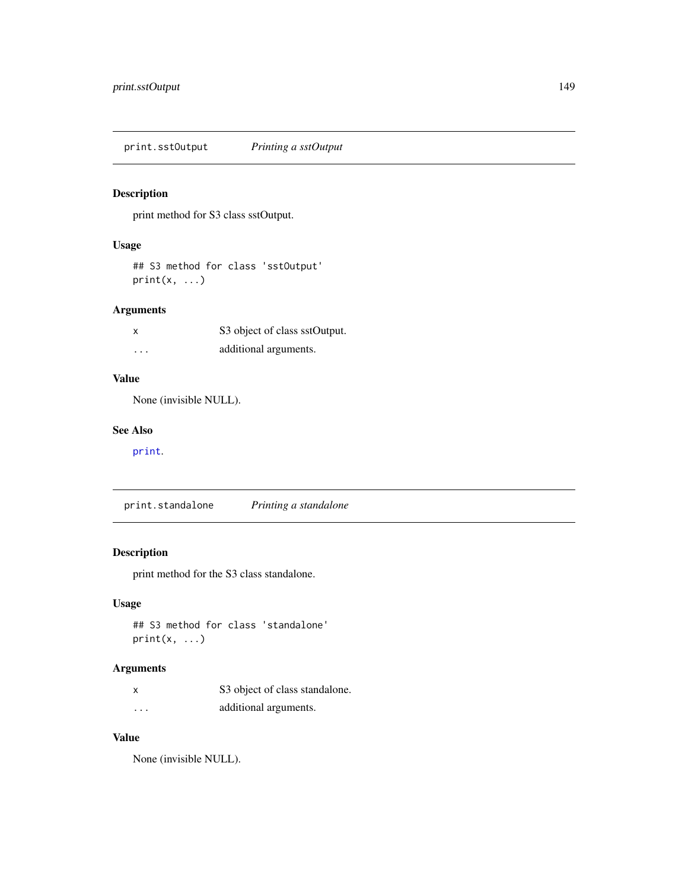print.sstOutput *Printing a sstOutput*

## Description

print method for S3 class sstOutput.

## Usage

```
## S3 method for class 'sstOutput'
print(x, \ldots)
```
## Arguments

| x        | S3 object of class sstOutput. |
|----------|-------------------------------|
| $\cdots$ | additional arguments.         |

# Value

None (invisible NULL).

#### See Also

[print](#page-0-0).

<span id="page-148-0"></span>print.standalone *Printing a standalone*

## Description

print method for the S3 class standalone.

## Usage

## S3 method for class 'standalone'  $print(x, \ldots)$ 

## Arguments

| x                       | S3 object of class standalone. |
|-------------------------|--------------------------------|
| $\cdot$ $\cdot$ $\cdot$ | additional arguments.          |

#### Value

None (invisible NULL).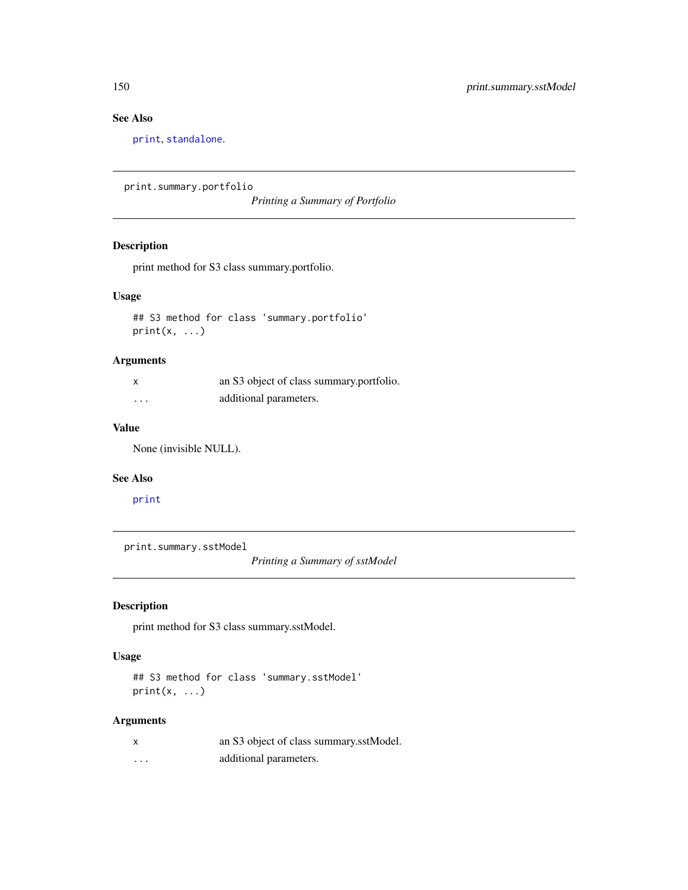# See Also

[print](#page-0-0), [standalone](#page-166-0).

```
print.summary.portfolio
```
*Printing a Summary of Portfolio*

### Description

print method for S3 class summary.portfolio.

## Usage

## S3 method for class 'summary.portfolio'  $print(x, \ldots)$ 

## Arguments

| x | an S3 object of class summary portfolio. |
|---|------------------------------------------|
| . | additional parameters.                   |

## Value

None (invisible NULL).

### See Also

[print](#page-0-0)

print.summary.sstModel

*Printing a Summary of sstModel*

# Description

print method for S3 class summary.sstModel.

### Usage

```
## S3 method for class 'summary.sstModel'
print(x, \ldots)
```
## Arguments

| x | an S3 object of class summary.sstModel. |
|---|-----------------------------------------|
| . | additional parameters.                  |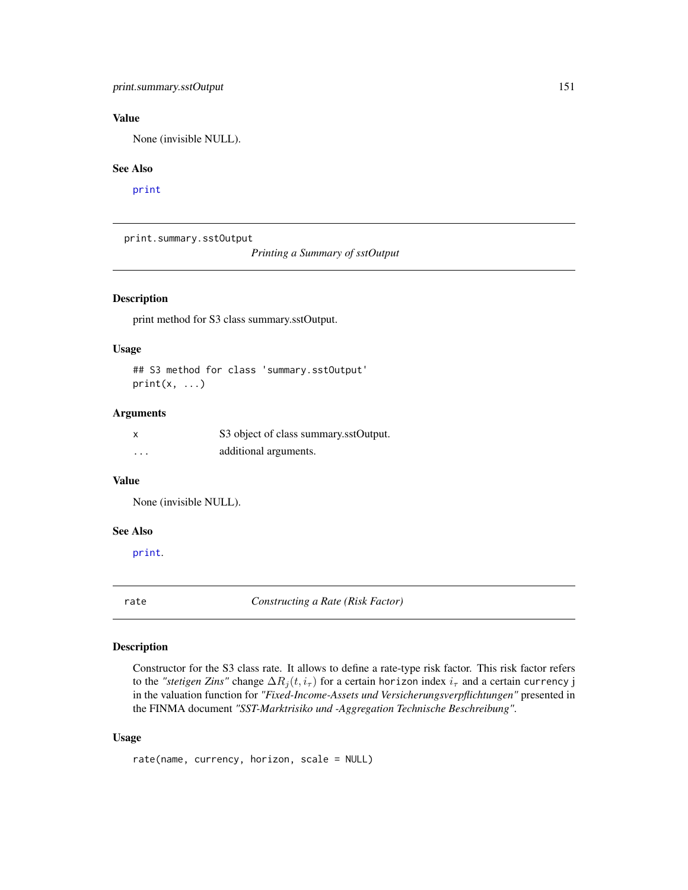None (invisible NULL).

#### See Also

[print](#page-0-0)

print.summary.sstOutput

*Printing a Summary of sstOutput*

## Description

print method for S3 class summary.sstOutput.

#### Usage

## S3 method for class 'summary.sstOutput'  $print(x, \ldots)$ 

#### Arguments

| X        | S3 object of class summary.sstOutput. |
|----------|---------------------------------------|
| $\cdots$ | additional arguments.                 |

#### Value

None (invisible NULL).

### See Also

[print](#page-0-0).

rate *Constructing a Rate (Risk Factor)*

#### Description

Constructor for the S3 class rate. It allows to define a rate-type risk factor. This risk factor refers to the *"stetigen Zins"* change  $\Delta R_i(t, i_\tau)$  for a certain horizon index  $i_\tau$  and a certain currency j in the valuation function for *"Fixed-Income-Assets und Versicherungsverpflichtungen"* presented in the FINMA document *"SST-Marktrisiko und -Aggregation Technische Beschreibung"*.

```
rate(name, currency, horizon, scale = NULL)
```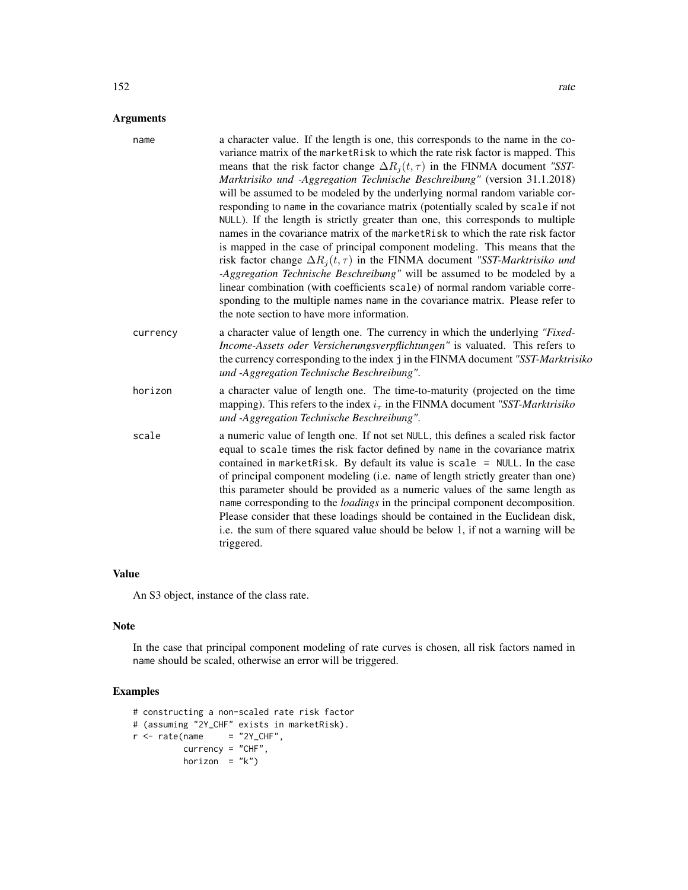| a character value. If the length is one, this corresponds to the name in the co-<br>variance matrix of the marketRisk to which the rate risk factor is mapped. This<br>means that the risk factor change $\Delta R_i(t, \tau)$ in the FINMA document "SST-<br>Marktrisiko und -Aggregation Technische Beschreibung" (version 31.1.2018)<br>will be assumed to be modeled by the underlying normal random variable cor-<br>responding to name in the covariance matrix (potentially scaled by scale if not<br>NULL). If the length is strictly greater than one, this corresponds to multiple<br>names in the covariance matrix of the market Risk to which the rate risk factor<br>is mapped in the case of principal component modeling. This means that the<br>risk factor change $\Delta R_i(t, \tau)$ in the FINMA document "SST-Marktrisiko und<br>-Aggregation Technische Beschreibung" will be assumed to be modeled by a<br>linear combination (with coefficients scale) of normal random variable corre-<br>sponding to the multiple names name in the covariance matrix. Please refer to<br>the note section to have more information. |
|--------------------------------------------------------------------------------------------------------------------------------------------------------------------------------------------------------------------------------------------------------------------------------------------------------------------------------------------------------------------------------------------------------------------------------------------------------------------------------------------------------------------------------------------------------------------------------------------------------------------------------------------------------------------------------------------------------------------------------------------------------------------------------------------------------------------------------------------------------------------------------------------------------------------------------------------------------------------------------------------------------------------------------------------------------------------------------------------------------------------------------------------------|
| a character value of length one. The currency in which the underlying "Fixed-<br>Income-Assets oder Versicherungsverpflichtungen" is valuated. This refers to<br>the currency corresponding to the index j in the FINMA document "SST-Marktrisiko<br>und -Aggregation Technische Beschreibung".                                                                                                                                                                                                                                                                                                                                                                                                                                                                                                                                                                                                                                                                                                                                                                                                                                                  |
| a character value of length one. The time-to-maturity (projected on the time<br>mapping). This refers to the index $i\tau$ in the FINMA document "SST-Marktrisiko"<br>und -Aggregation Technische Beschreibung".                                                                                                                                                                                                                                                                                                                                                                                                                                                                                                                                                                                                                                                                                                                                                                                                                                                                                                                                 |
| a numeric value of length one. If not set NULL, this defines a scaled risk factor<br>equal to scale times the risk factor defined by name in the covariance matrix<br>contained in marketRisk. By default its value is scale = $NULL$ . In the case<br>of principal component modeling (i.e. name of length strictly greater than one)<br>this parameter should be provided as a numeric values of the same length as<br>name corresponding to the <i>loadings</i> in the principal component decomposition.<br>Please consider that these loadings should be contained in the Euclidean disk,<br>i.e. the sum of there squared value should be below 1, if not a warning will be<br>triggered.                                                                                                                                                                                                                                                                                                                                                                                                                                                  |
|                                                                                                                                                                                                                                                                                                                                                                                                                                                                                                                                                                                                                                                                                                                                                                                                                                                                                                                                                                                                                                                                                                                                                  |

An S3 object, instance of the class rate.

#### Note

In the case that principal component modeling of rate curves is chosen, all risk factors named in name should be scaled, otherwise an error will be triggered.

```
# constructing a non-scaled rate risk factor
# (assuming "2Y_CHF" exists in marketRisk).
r <- rate(name = "2Y_CHF",
         currency = "CHF",
         horizon = "k")
```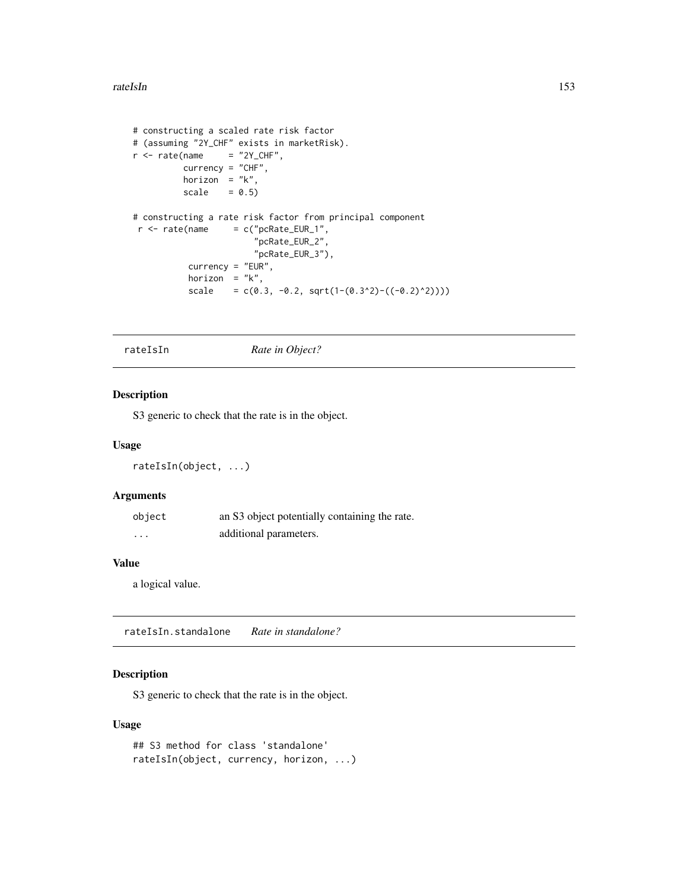#### rateIsIn 153

```
# constructing a scaled rate risk factor
# (assuming "2Y_CHF" exists in marketRisk).
r <- rate(name = "2Y_CHF",
         currency = "CHF",
         horizon = "k",scale = 0.5)
# constructing a rate risk factor from principal component
r <- rate(name = c("pcRate_EUR_1",
                       "pcRate_EUR_2",
                       "pcRate_EUR_3"),
          currency = "EUR",
          horizon = "k",scale = c(0.3, -0.2, sqrt(1-(0.3^2)-((-0.2)^2))))
```
<span id="page-152-0"></span>rateIsIn *Rate in Object?*

## Description

S3 generic to check that the rate is in the object.

#### Usage

```
rateIsIn(object, ...)
```
## Arguments

| object   | an S3 object potentially containing the rate. |
|----------|-----------------------------------------------|
| $\cdots$ | additional parameters.                        |

#### Value

a logical value.

rateIsIn.standalone *Rate in standalone?*

## Description

S3 generic to check that the rate is in the object.

```
## S3 method for class 'standalone'
rateIsIn(object, currency, horizon, ...)
```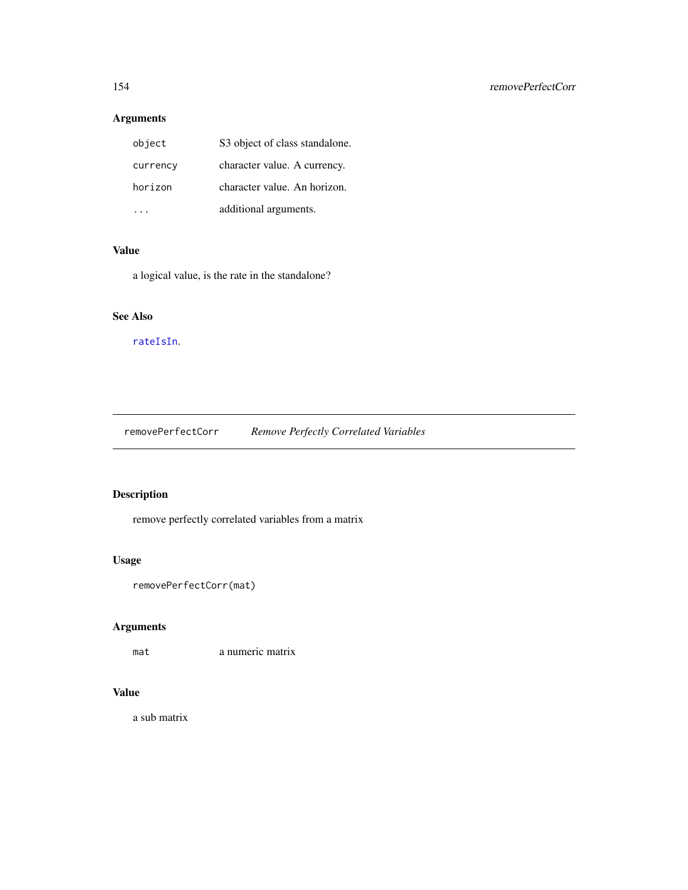# Arguments

| object   | S3 object of class standalone. |
|----------|--------------------------------|
| currency | character value. A currency.   |
| horizon  | character value. An horizon.   |
|          | additional arguments.          |

## Value

a logical value, is the rate in the standalone?

# See Also

[rateIsIn](#page-152-0).

removePerfectCorr *Remove Perfectly Correlated Variables*

# Description

remove perfectly correlated variables from a matrix

## Usage

```
removePerfectCorr(mat)
```
# Arguments

mat a numeric matrix

## Value

a sub matrix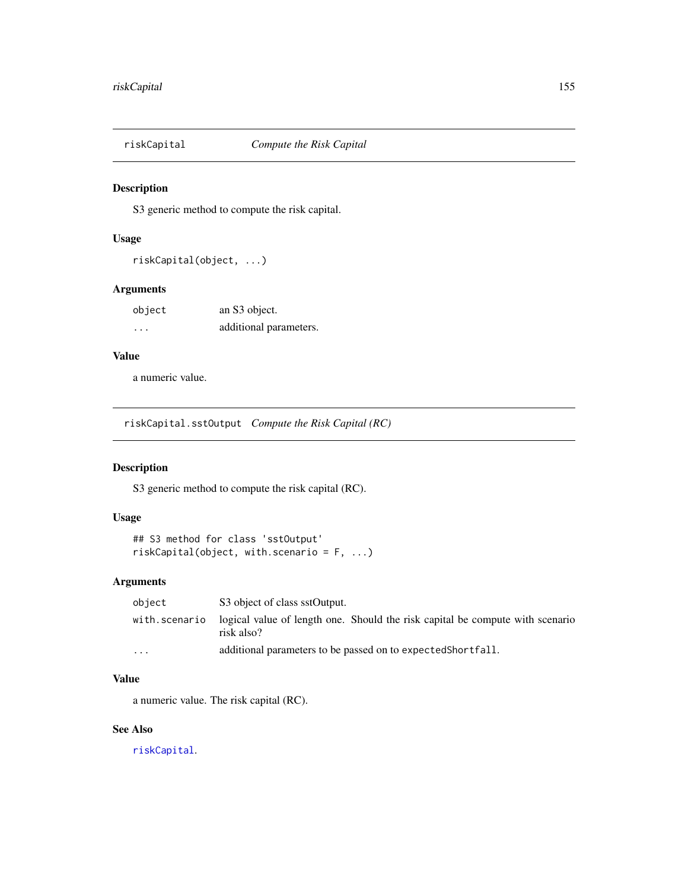<span id="page-154-0"></span>

## Description

S3 generic method to compute the risk capital.

#### Usage

```
riskCapital(object, ...)
```
## Arguments

| object | an S3 object.          |
|--------|------------------------|
| .      | additional parameters. |

## Value

a numeric value.

riskCapital.sstOutput *Compute the Risk Capital (RC)*

## Description

S3 generic method to compute the risk capital (RC).

## Usage

```
## S3 method for class 'sstOutput'
riskCapital(object, with.scenario = F, ...)
```
# Arguments

| object        | S3 object of class sstOutput.                                                               |
|---------------|---------------------------------------------------------------------------------------------|
| with.scenario | logical value of length one. Should the risk capital be compute with scenario<br>risk also? |
| $\cdots$      | additional parameters to be passed on to expected Shortfall.                                |

## Value

a numeric value. The risk capital (RC).

### See Also

[riskCapital](#page-154-0).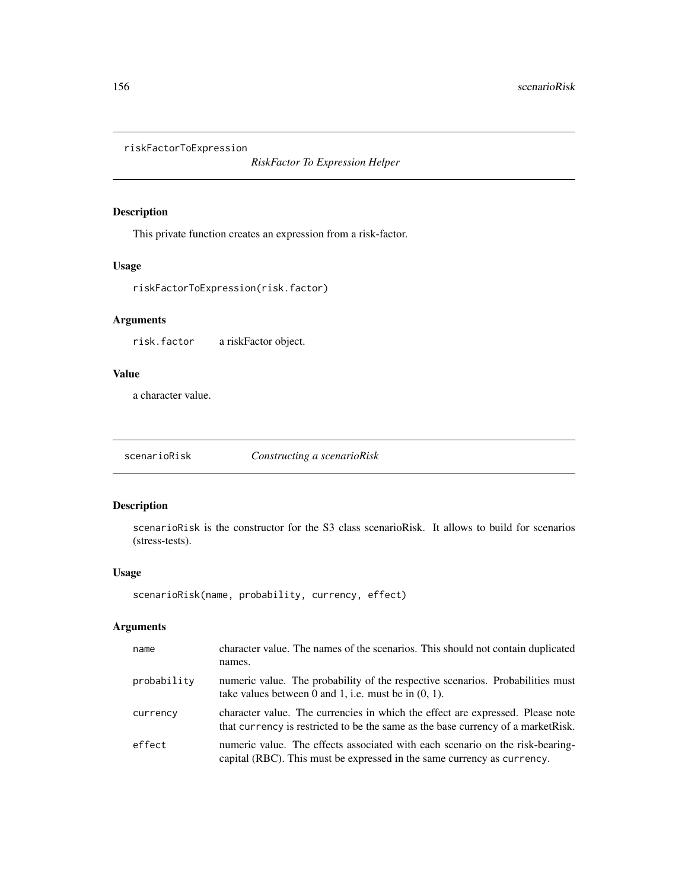riskFactorToExpression

*RiskFactor To Expression Helper*

## Description

This private function creates an expression from a risk-factor.

## Usage

riskFactorToExpression(risk.factor)

# Arguments

risk.factor a riskFactor object.

### Value

a character value.

<span id="page-155-0"></span>scenarioRisk *Constructing a scenarioRisk*

## Description

scenarioRisk is the constructor for the S3 class scenarioRisk. It allows to build for scenarios (stress-tests).

#### Usage

```
scenarioRisk(name, probability, currency, effect)
```
## Arguments

| name        | character value. The names of the scenarios. This should not contain duplicated<br>names.                                                                           |
|-------------|---------------------------------------------------------------------------------------------------------------------------------------------------------------------|
| probability | numeric value. The probability of the respective scenarios. Probabilities must<br>take values between 0 and 1, i.e. must be in $(0, 1)$ .                           |
| currency    | character value. The currencies in which the effect are expressed. Please note<br>that currency is restricted to be the same as the base currency of a market Risk. |
| effect      | numeric value. The effects associated with each scenario on the risk-bearing-<br>capital (RBC). This must be expressed in the same currency as currency.            |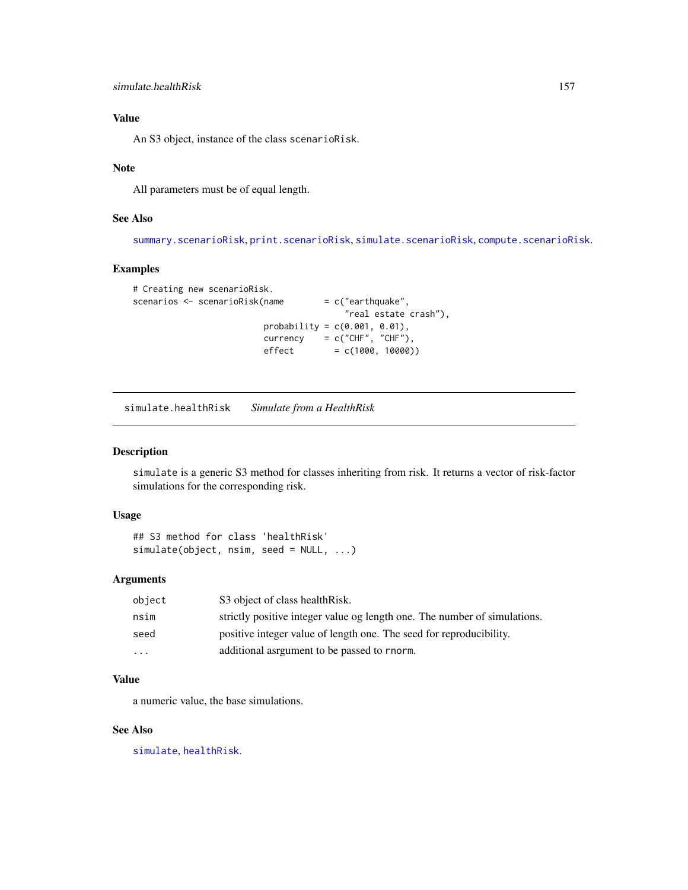An S3 object, instance of the class scenarioRisk.

#### Note

All parameters must be of equal length.

## See Also

[summary.scenarioRisk](#page-181-0), [print.scenarioRisk](#page-146-0), [simulate.scenarioRisk](#page-159-0), [compute.scenarioRisk](#page-27-0).

## Examples

```
# Creating new scenarioRisk.
scenarios <- scenarioRisk(name = c("earthquake",
                                        "real estate crash"),
                         probability = c(0.001, 0.01),
                         \text{currency} = c("CHF", "CHF"),effect = c(1000, 10000))
```
simulate.healthRisk *Simulate from a HealthRisk*

## Description

simulate is a generic S3 method for classes inheriting from risk. It returns a vector of risk-factor simulations for the corresponding risk.

#### Usage

```
## S3 method for class 'healthRisk'
simulate(object, nsim, seed = NULL, ...)
```
#### Arguments

| object   | S3 object of class health Risk.                                           |
|----------|---------------------------------------------------------------------------|
| nsim     | strictly positive integer value og length one. The number of simulations. |
| seed     | positive integer value of length one. The seed for reproducibility.       |
| $\cdots$ | additional asrgument to be passed to rnorm.                               |

## Value

a numeric value, the base simulations.

## See Also

[simulate](#page-0-0), [healthRisk](#page-96-0).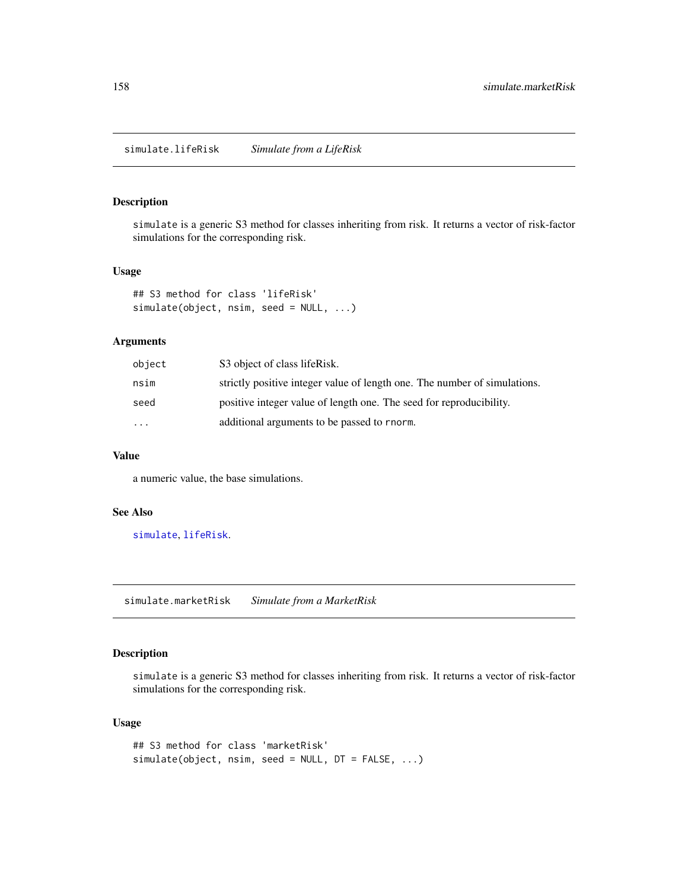## Description

simulate is a generic S3 method for classes inheriting from risk. It returns a vector of risk-factor simulations for the corresponding risk.

#### Usage

```
## S3 method for class 'lifeRisk'
simulate(object, nsim, seed = NULL, ...)
```
## Arguments

| object   | S3 object of class lifeRisk.                                              |
|----------|---------------------------------------------------------------------------|
| nsim     | strictly positive integer value of length one. The number of simulations. |
| seed     | positive integer value of length one. The seed for reproducibility.       |
| $\cdots$ | additional arguments to be passed to rnorm.                               |

#### Value

a numeric value, the base simulations.

## See Also

[simulate](#page-0-0), [lifeRisk](#page-121-0).

simulate.marketRisk *Simulate from a MarketRisk*

## Description

simulate is a generic S3 method for classes inheriting from risk. It returns a vector of risk-factor simulations for the corresponding risk.

```
## S3 method for class 'marketRisk'
simulate(object, nsim, seed = NULL, DT = FALSE, ...)
```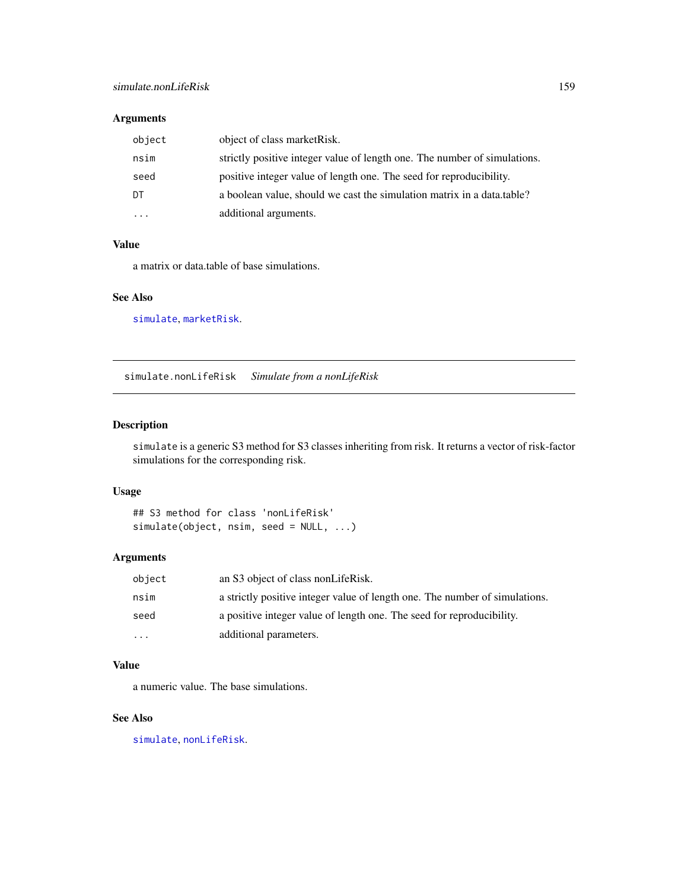# Arguments

| object   | object of class market Risk.                                              |
|----------|---------------------------------------------------------------------------|
| nsim     | strictly positive integer value of length one. The number of simulations. |
| seed     | positive integer value of length one. The seed for reproducibility.       |
| DT       | a boolean value, should we cast the simulation matrix in a data.table?    |
| $\cdots$ | additional arguments.                                                     |

## Value

a matrix or data.table of base simulations.

#### See Also

[simulate](#page-0-0), [marketRisk](#page-124-0).

simulate.nonLifeRisk *Simulate from a nonLifeRisk*

## Description

simulate is a generic S3 method for S3 classes inheriting from risk. It returns a vector of risk-factor simulations for the corresponding risk.

### Usage

```
## S3 method for class 'nonLifeRisk'
simulate(object, nsim, seed = NULL, ...)
```
#### Arguments

| object   | an S3 object of class nonLifeRisk.                                          |
|----------|-----------------------------------------------------------------------------|
| nsim     | a strictly positive integer value of length one. The number of simulations. |
| seed     | a positive integer value of length one. The seed for reproducibility.       |
| $\cdots$ | additional parameters.                                                      |

## Value

a numeric value. The base simulations.

## See Also

[simulate](#page-0-0), [nonLifeRisk](#page-128-0).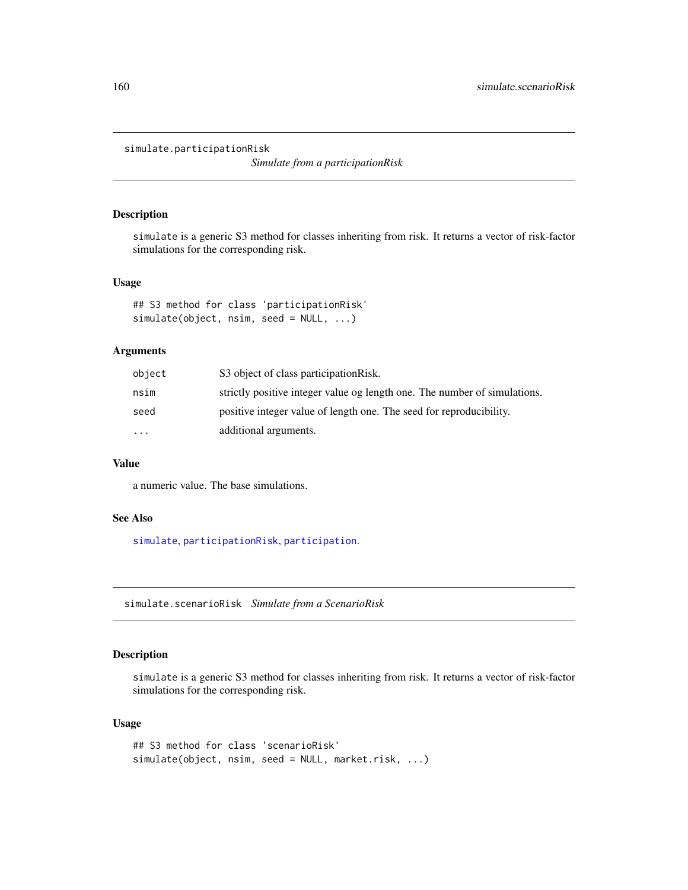simulate.participationRisk

*Simulate from a participationRisk*

## Description

simulate is a generic S3 method for classes inheriting from risk. It returns a vector of risk-factor simulations for the corresponding risk.

### Usage

```
## S3 method for class 'participationRisk'
simulate(object, nsim, seed = NULL, ...)
```
## Arguments

| object    | S3 object of class participation Risk.                                    |
|-----------|---------------------------------------------------------------------------|
| nsim      | strictly positive integer value og length one. The number of simulations. |
| seed      | positive integer value of length one. The seed for reproducibility.       |
| $\ddotsc$ | additional arguments.                                                     |

### Value

a numeric value. The base simulations.

### See Also

[simulate](#page-0-0), [participationRisk](#page-131-0), [participation](#page-130-0).

<span id="page-159-0"></span>simulate.scenarioRisk *Simulate from a ScenarioRisk*

## Description

simulate is a generic S3 method for classes inheriting from risk. It returns a vector of risk-factor simulations for the corresponding risk.

```
## S3 method for class 'scenarioRisk'
simulate(object, nsim, seed = NULL, market.risk, ...)
```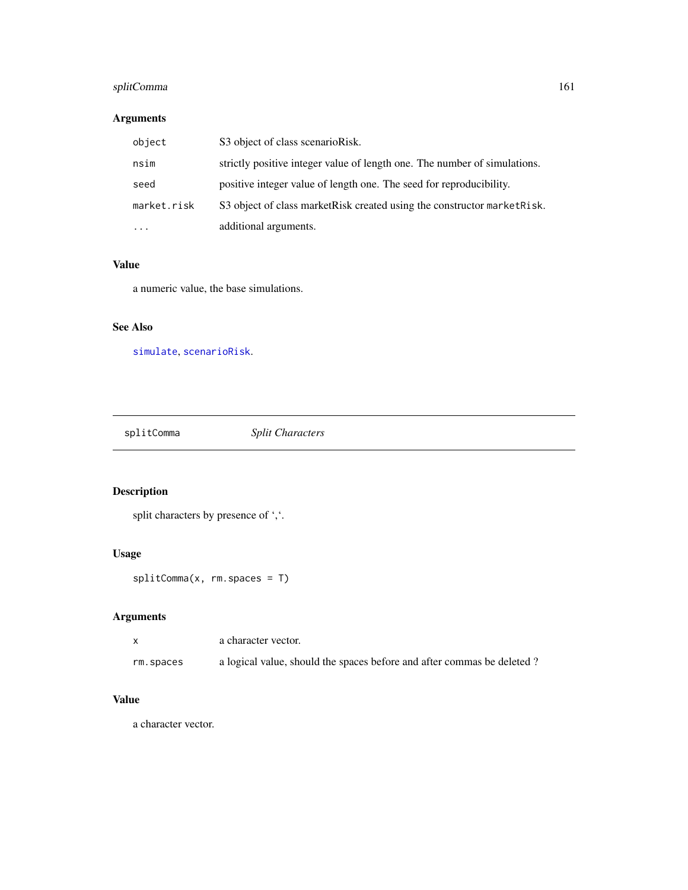# splitComma 161

## Arguments

| object      | S3 object of class scenarioRisk.                                          |
|-------------|---------------------------------------------------------------------------|
| nsim        | strictly positive integer value of length one. The number of simulations. |
| seed        | positive integer value of length one. The seed for reproducibility.       |
| market.risk | S3 object of class market Risk created using the constructor market Risk. |
| $\cdots$    | additional arguments.                                                     |

#### Value

a numeric value, the base simulations.

# See Also

[simulate](#page-0-0), [scenarioRisk](#page-155-0).

splitComma *Split Characters*

# Description

```
split characters by presence of ','.
```
# Usage

splitComma(x, rm.spaces = T)

# Arguments

|           | a character vector.                                                    |
|-----------|------------------------------------------------------------------------|
| rm.spaces | a logical value, should the spaces before and after commas be deleted? |

## Value

a character vector.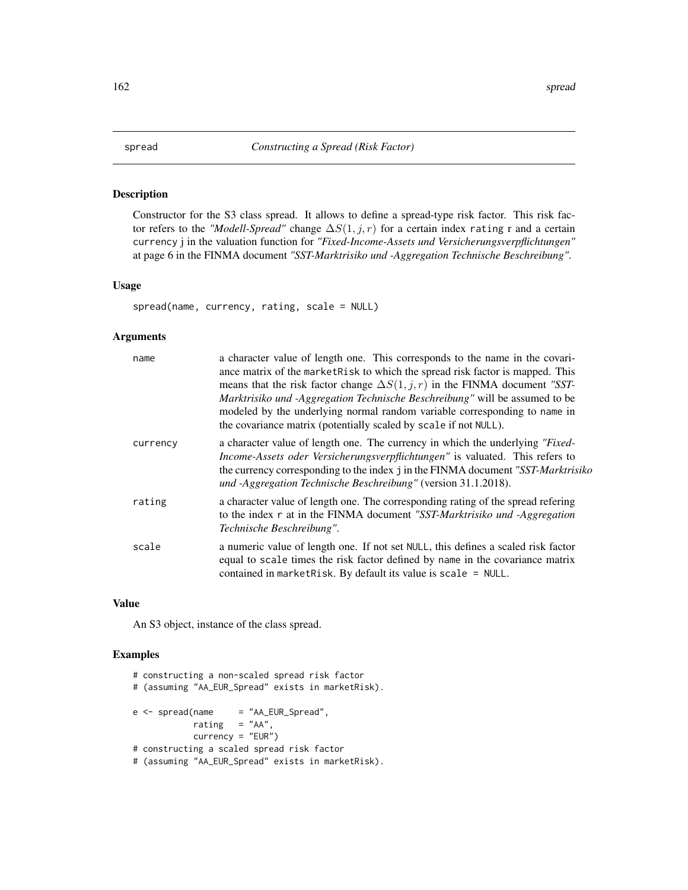## Description

Constructor for the S3 class spread. It allows to define a spread-type risk factor. This risk factor refers to the *"Modell-Spread"* change ∆S(1, j, r) for a certain index rating r and a certain currency j in the valuation function for *"Fixed-Income-Assets und Versicherungsverpflichtungen"* at page 6 in the FINMA document *"SST-Marktrisiko und -Aggregation Technische Beschreibung"*.

## Usage

spread(name, currency, rating, scale = NULL)

#### Arguments

| name     | a character value of length one. This corresponds to the name in the covari-<br>ance matrix of the market Risk to which the spread risk factor is mapped. This<br>means that the risk factor change $\Delta S(1, j, r)$ in the FINMA document "SST-<br>Marktrisiko und -Aggregation Technische Beschreibung" will be assumed to be<br>modeled by the underlying normal random variable corresponding to name in<br>the covariance matrix (potentially scaled by scale if not NULL). |
|----------|-------------------------------------------------------------------------------------------------------------------------------------------------------------------------------------------------------------------------------------------------------------------------------------------------------------------------------------------------------------------------------------------------------------------------------------------------------------------------------------|
| currency | a character value of length one. The currency in which the underlying "Fixed-<br>Income-Assets oder Versicherungsverpflichtungen" is valuated. This refers to<br>the currency corresponding to the index j in the FINMA document "SST-Marktrisiko<br>und -Aggregation Technische Beschreibung" (version 31.1.2018).                                                                                                                                                                 |
| rating   | a character value of length one. The corresponding rating of the spread refering<br>to the index r at in the FINMA document "SST-Marktrisiko und -Aggregation<br>Technische Beschreibung".                                                                                                                                                                                                                                                                                          |
| scale    | a numeric value of length one. If not set NULL, this defines a scaled risk factor<br>equal to scale times the risk factor defined by name in the covariance matrix<br>contained in marketRisk. By default its value is scale = $NULL$ .                                                                                                                                                                                                                                             |

### Value

An S3 object, instance of the class spread.

```
# constructing a non-scaled spread risk factor
# (assuming "AA_EUR_Spread" exists in marketRisk).
e \le - spread(name = "AA_EUR_Spread",
           rating = "AA",
           currency = "EUR")
# constructing a scaled spread risk factor
# (assuming "AA_EUR_Spread" exists in marketRisk).
```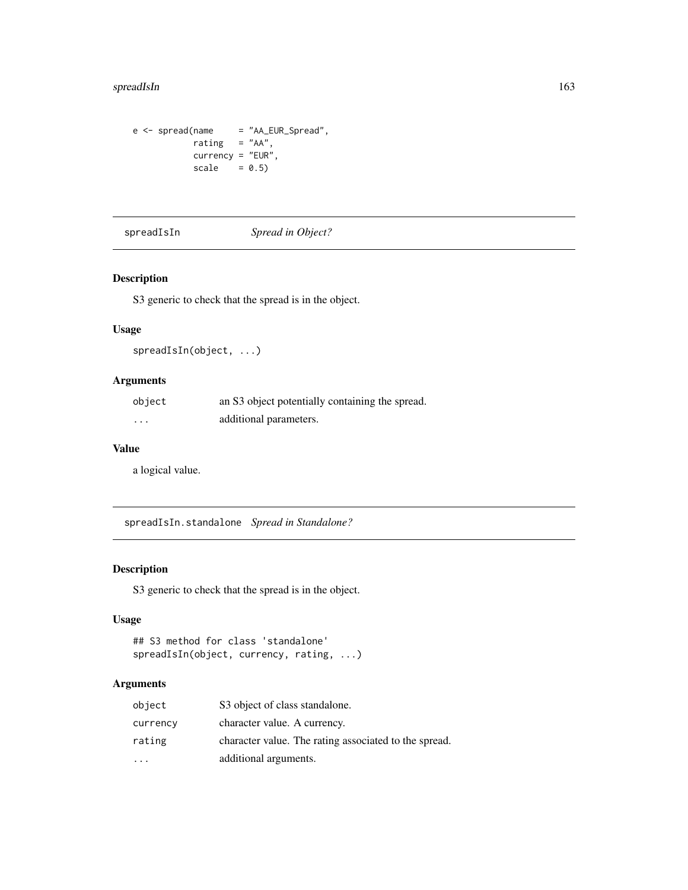## spreadIsIn 163

```
e <- spread(name = "AA_EUR_Spread",
           rating = "AA",
          currency = "EUR",
          scale = 0.5)
```
<span id="page-162-0"></span>spreadIsIn *Spread in Object?*

## Description

S3 generic to check that the spread is in the object.

## Usage

spreadIsIn(object, ...)

## Arguments

| object   | an S3 object potentially containing the spread. |
|----------|-------------------------------------------------|
| $\cdots$ | additional parameters.                          |

### Value

a logical value.

spreadIsIn.standalone *Spread in Standalone?*

# Description

S3 generic to check that the spread is in the object.

## Usage

```
## S3 method for class 'standalone'
spreadIsIn(object, currency, rating, ...)
```
## Arguments

| object   | S3 object of class standalone.                        |
|----------|-------------------------------------------------------|
| currency | character value. A currency.                          |
| rating   | character value. The rating associated to the spread. |
|          | additional arguments.                                 |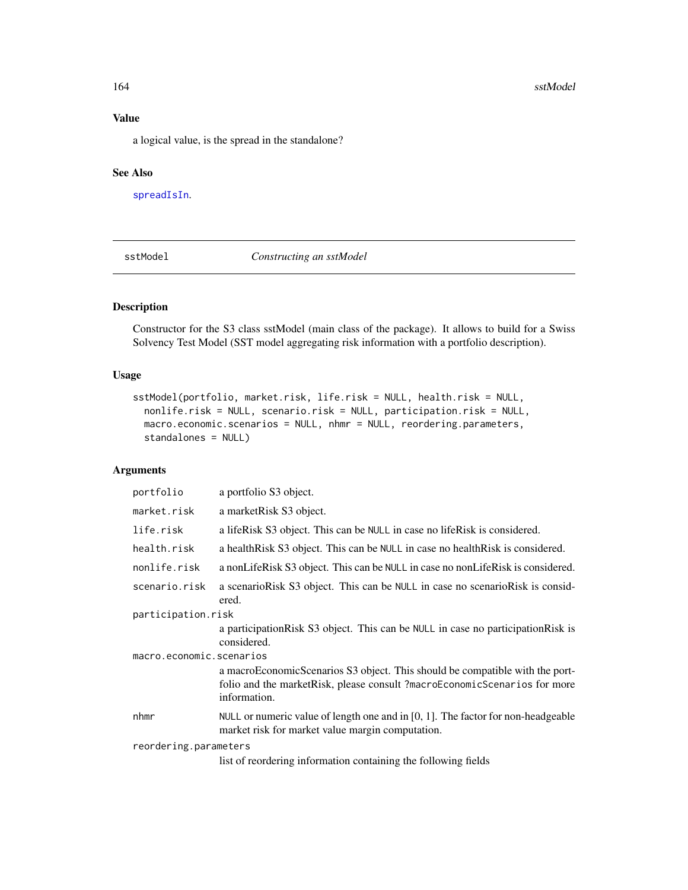a logical value, is the spread in the standalone?

### See Also

[spreadIsIn](#page-162-0).

<span id="page-163-0"></span>sstModel *Constructing an sstModel*

## Description

Constructor for the S3 class sstModel (main class of the package). It allows to build for a Swiss Solvency Test Model (SST model aggregating risk information with a portfolio description).

#### Usage

```
sstModel(portfolio, market.risk, life.risk = NULL, health.risk = NULL,
 nonlife.risk = NULL, scenario.risk = NULL, participation.risk = NULL,
 macro.economic.scenarios = NULL, nhmr = NULL, reordering.parameters,
 standalones = NULL)
```
## Arguments

| portfolio                | a portfolio S3 object.                                                                                                                                                    |  |
|--------------------------|---------------------------------------------------------------------------------------------------------------------------------------------------------------------------|--|
| market.risk              | a marketRisk S3 object.                                                                                                                                                   |  |
| life.risk                | a lifeRisk S3 object. This can be NULL in case no lifeRisk is considered.                                                                                                 |  |
| health.risk              | a health Risk S3 object. This can be NULL in case no health Risk is considered.                                                                                           |  |
| nonlife.risk             | a nonLifeRisk S3 object. This can be NULL in case no nonLifeRisk is considered.                                                                                           |  |
| scenario.risk            | a scenarioRisk S3 object. This can be NULL in case no scenarioRisk is consid-<br>ered.                                                                                    |  |
| participation.risk       |                                                                                                                                                                           |  |
|                          | a participation Risk S3 object. This can be NULL in case no participation Risk is<br>considered.                                                                          |  |
| macro.economic.scenarios |                                                                                                                                                                           |  |
|                          | a macroEconomicScenarios S3 object. This should be compatible with the port-<br>folio and the market Risk, please consult?macroEconomicScenarios for more<br>information. |  |
| nhmr                     | NULL or numeric value of length one and in $[0, 1]$ . The factor for non-headgeable<br>market risk for market value margin computation.                                   |  |
| reordering.parameters    |                                                                                                                                                                           |  |
|                          | list of reordering information containing the following fields                                                                                                            |  |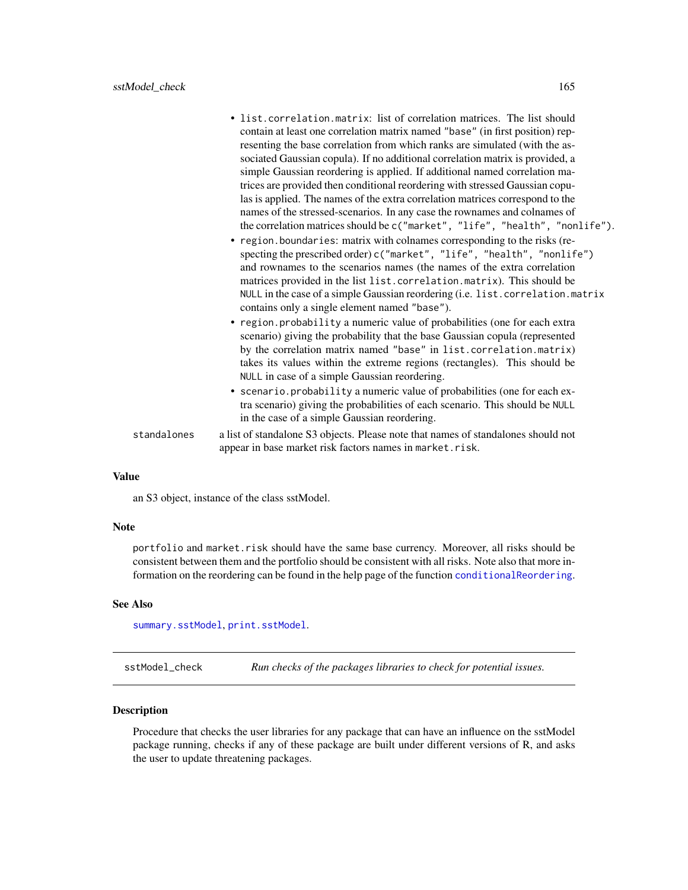|             | • list.correlation.matrix: list of correlation matrices. The list should<br>contain at least one correlation matrix named "base" (in first position) rep-<br>resenting the base correlation from which ranks are simulated (with the as-<br>sociated Gaussian copula). If no additional correlation matrix is provided, a<br>simple Gaussian reordering is applied. If additional named correlation ma-<br>trices are provided then conditional reordering with stressed Gaussian copu-<br>las is applied. The names of the extra correlation matrices correspond to the<br>names of the stressed-scenarios. In any case the rownames and colnames of<br>the correlation matrices should be c("market", "life", "health", "nonlife").<br>• region.boundaries: matrix with colnames corresponding to the risks (re-<br>specting the prescribed order) c("market", "life", "health", "nonlife")<br>and rownames to the scenarios names (the names of the extra correlation<br>matrices provided in the list list.correlation.matrix). This should be<br>NULL in the case of a simple Gaussian reordering (i.e. list. correlation. matrix<br>contains only a single element named "base").<br>• region.probability a numeric value of probabilities (one for each extra<br>scenario) giving the probability that the base Gaussian copula (represented<br>by the correlation matrix named "base" in list.correlation.matrix)<br>takes its values within the extreme regions (rectangles). This should be<br>NULL in case of a simple Gaussian reordering.<br>• scenario.probability a numeric value of probabilities (one for each ex-<br>tra scenario) giving the probabilities of each scenario. This should be NULL<br>in the case of a simple Gaussian reordering. |
|-------------|---------------------------------------------------------------------------------------------------------------------------------------------------------------------------------------------------------------------------------------------------------------------------------------------------------------------------------------------------------------------------------------------------------------------------------------------------------------------------------------------------------------------------------------------------------------------------------------------------------------------------------------------------------------------------------------------------------------------------------------------------------------------------------------------------------------------------------------------------------------------------------------------------------------------------------------------------------------------------------------------------------------------------------------------------------------------------------------------------------------------------------------------------------------------------------------------------------------------------------------------------------------------------------------------------------------------------------------------------------------------------------------------------------------------------------------------------------------------------------------------------------------------------------------------------------------------------------------------------------------------------------------------------------------------------------------------------------------------------------------------------------------------|
| standalones | a list of standalone S3 objects. Please note that names of standalones should not<br>appear in base market risk factors names in market.risk.                                                                                                                                                                                                                                                                                                                                                                                                                                                                                                                                                                                                                                                                                                                                                                                                                                                                                                                                                                                                                                                                                                                                                                                                                                                                                                                                                                                                                                                                                                                                                                                                                       |

an S3 object, instance of the class sstModel.

#### Note

portfolio and market.risk should have the same base currency. Moreover, all risks should be consistent between them and the portfolio should be consistent with all risks. Note also that more information on the reordering can be found in the help page of the function [conditionalReordering](#page-29-0).

### See Also

[summary.sstModel](#page-182-0), [print.sstModel](#page-147-0).

sstModel\_check *Run checks of the packages libraries to check for potential issues.*

## Description

Procedure that checks the user libraries for any package that can have an influence on the sstModel package running, checks if any of these package are built under different versions of R, and asks the user to update threatening packages.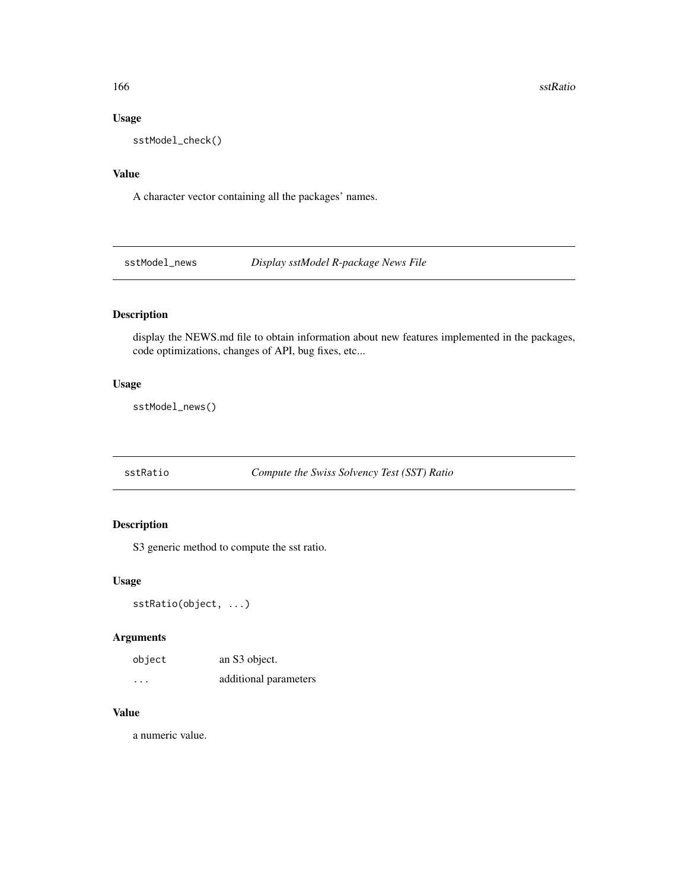166 sstRatio

### Usage

sstModel\_check()

# Value

A character vector containing all the packages' names.

sstModel\_news *Display sstModel R-package News File*

# Description

display the NEWS.md file to obtain information about new features implemented in the packages, code optimizations, changes of API, bug fixes, etc...

## Usage

sstModel\_news()

<span id="page-165-0"></span>sstRatio *Compute the Swiss Solvency Test (SST) Ratio*

## Description

S3 generic method to compute the sst ratio.

## Usage

sstRatio(object, ...)

## Arguments

| object | an S3 object.         |
|--------|-----------------------|
| .      | additional parameters |

## Value

a numeric value.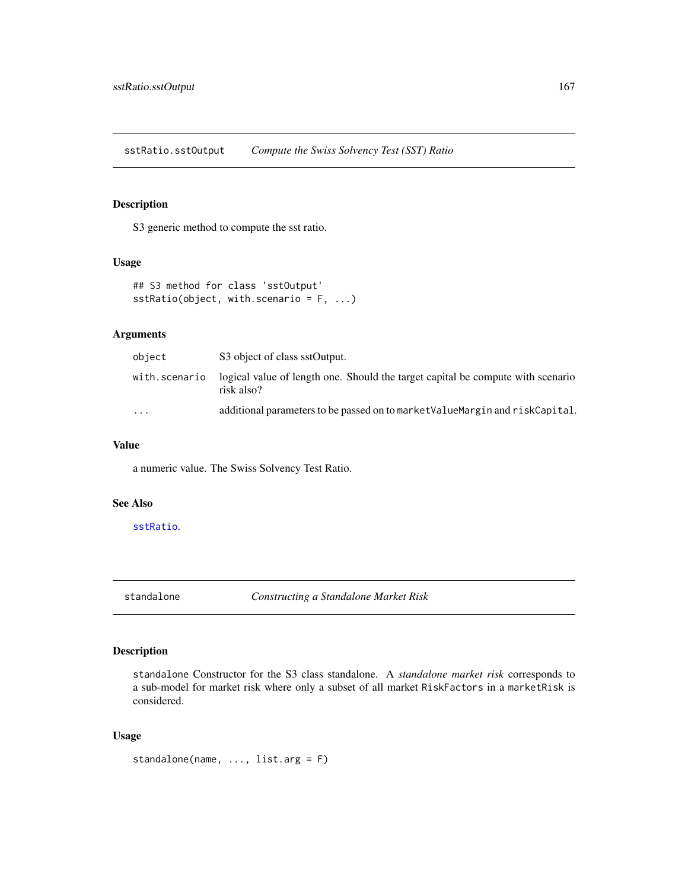sstRatio.sstOutput *Compute the Swiss Solvency Test (SST) Ratio*

## Description

S3 generic method to compute the sst ratio.

#### Usage

```
## S3 method for class 'sstOutput'
sstRatio(object, with.scenario = F, ...)
```
## Arguments

| object                  | S3 object of class sstOutput.                                                                 |
|-------------------------|-----------------------------------------------------------------------------------------------|
| with.scenario           | logical value of length one. Should the target capital be compute with scenario<br>risk also? |
| $\cdot$ $\cdot$ $\cdot$ | additional parameters to be passed on to market Value Margin and risk Capital.                |

#### Value

a numeric value. The Swiss Solvency Test Ratio.

## See Also

[sstRatio](#page-165-0).

<span id="page-166-0"></span>standalone *Constructing a Standalone Market Risk*

## Description

standalone Constructor for the S3 class standalone. A *standalone market risk* corresponds to a sub-model for market risk where only a subset of all market RiskFactors in a marketRisk is considered.

```
standalone(name, ..., list.arg = F)
```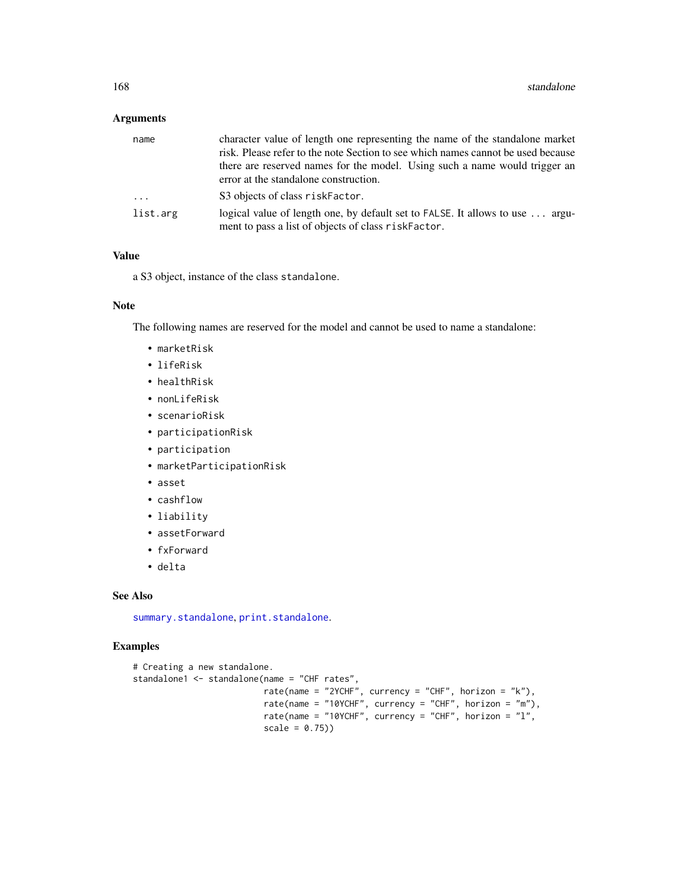## Arguments

| name     | character value of length one representing the name of the standalone market                                                         |
|----------|--------------------------------------------------------------------------------------------------------------------------------------|
|          | risk. Please refer to the note Section to see which names cannot be used because                                                     |
|          | there are reserved names for the model. Using such a name would trigger an                                                           |
|          | error at the standalone construction.                                                                                                |
| $\ddots$ | S3 objects of class riskFactor.                                                                                                      |
| list.arg | logical value of length one, by default set to FALSE. It allows to use  argu-<br>ment to pass a list of objects of class riskFactor. |

#### Value

a S3 object, instance of the class standalone.

#### Note

The following names are reserved for the model and cannot be used to name a standalone:

- marketRisk
- lifeRisk
- healthRisk
- nonLifeRisk
- scenarioRisk
- participationRisk
- participation
- marketParticipationRisk
- asset
- cashflow
- liability
- assetForward
- fxForward
- delta

#### See Also

[summary.standalone](#page-183-0), [print.standalone](#page-148-0).

```
# Creating a new standalone.
standalone1 <- standalone(name = "CHF rates",
                         rate(name = "2YCHF", currency = "CHF", horizon = "k"),
                          rate(name = "10YCHF", currency = "CHF", horizon = "m"),
                          rate(name = "10YCHF", currency = "CHF", horizon = "1",
                          scale = 0.75)
```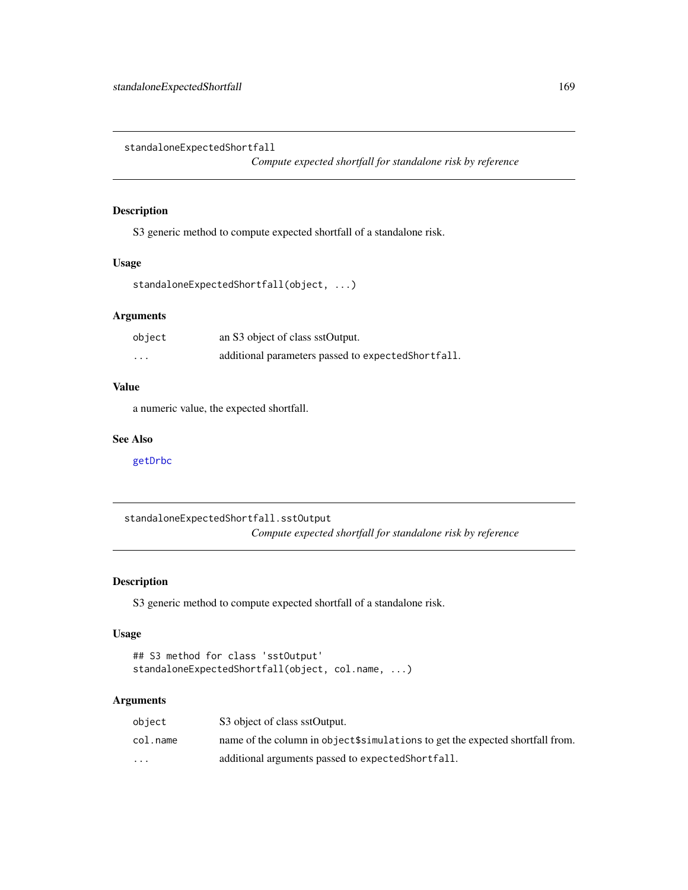standaloneExpectedShortfall

*Compute expected shortfall for standalone risk by reference*

## Description

S3 generic method to compute expected shortfall of a standalone risk.

#### Usage

standaloneExpectedShortfall(object, ...)

## Arguments

| object                  | an S3 object of class sstOutput.                    |
|-------------------------|-----------------------------------------------------|
| $\cdot$ $\cdot$ $\cdot$ | additional parameters passed to expected Shortfall. |

## Value

a numeric value, the expected shortfall.

## See Also

[getDrbc](#page-68-0)

standaloneExpectedShortfall.sstOutput *Compute expected shortfall for standalone risk by reference*

## Description

S3 generic method to compute expected shortfall of a standalone risk.

#### Usage

```
## S3 method for class 'sstOutput'
standaloneExpectedShortfall(object, col.name, ...)
```
### Arguments

| object   | S3 object of class sstOutput.                                                  |
|----------|--------------------------------------------------------------------------------|
| col.name | name of the column in object \$simulations to get the expected shortfall from. |
| $\cdots$ | additional arguments passed to expected Short fall.                            |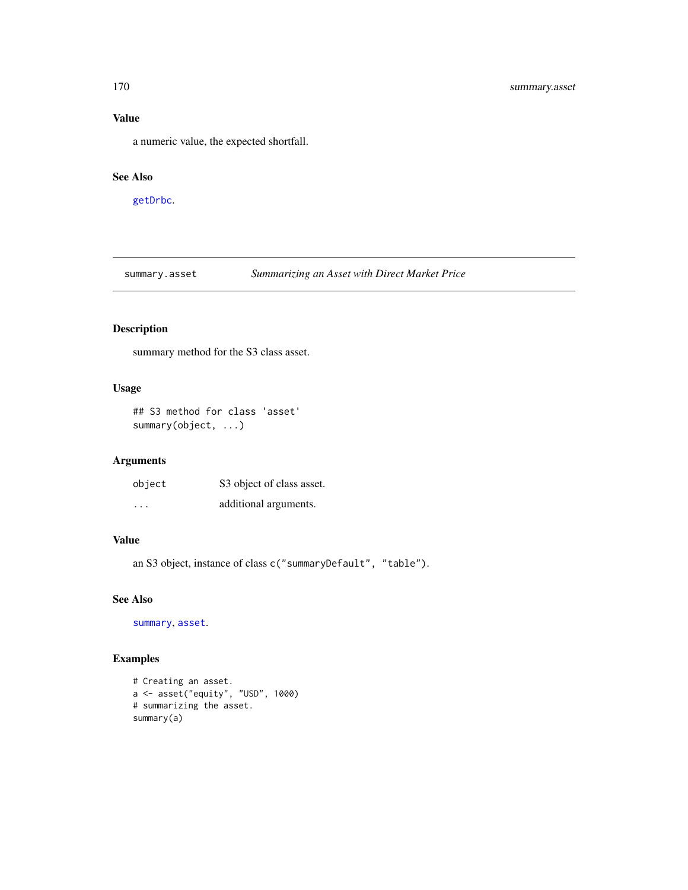a numeric value, the expected shortfall.

### See Also

[getDrbc](#page-68-0).

summary.asset *Summarizing an Asset with Direct Market Price*

## Description

summary method for the S3 class asset.

## Usage

```
## S3 method for class 'asset'
summary(object, ...)
```
## Arguments

| object                  | S3 object of class asset. |
|-------------------------|---------------------------|
| $\cdot$ $\cdot$ $\cdot$ | additional arguments.     |

#### Value

an S3 object, instance of class c("summaryDefault", "table").

#### See Also

[summary](#page-0-0), [asset](#page-8-0).

```
# Creating an asset.
a <- asset("equity", "USD", 1000)
# summarizing the asset.
summary(a)
```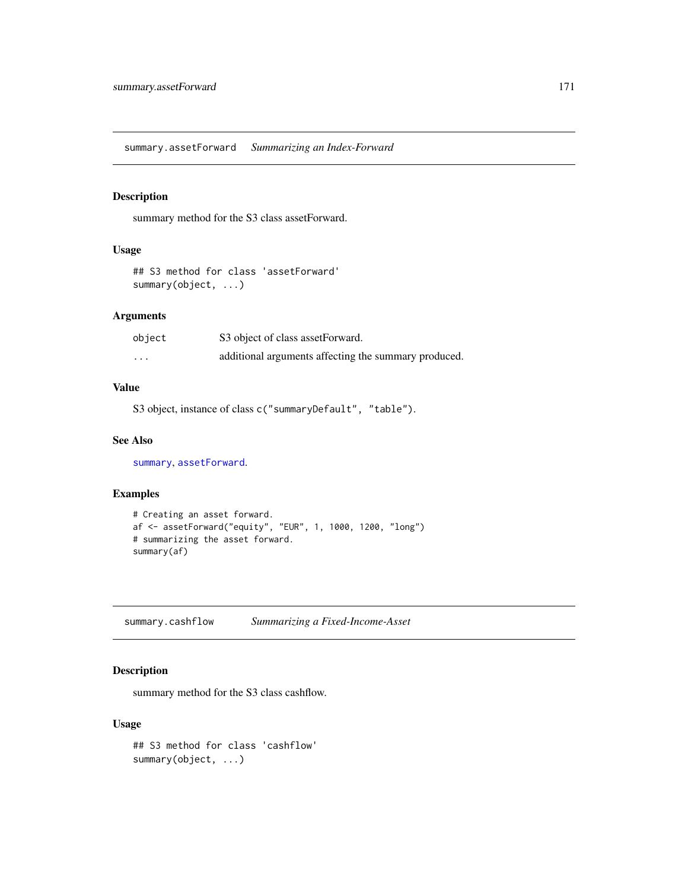summary.assetForward *Summarizing an Index-Forward*

## Description

summary method for the S3 class assetForward.

## Usage

## S3 method for class 'assetForward' summary(object, ...)

## Arguments

| object   | S3 object of class assetForward.                     |
|----------|------------------------------------------------------|
| $\cdots$ | additional arguments affecting the summary produced. |

#### Value

S3 object, instance of class c("summaryDefault", "table").

## See Also

[summary](#page-0-0), [assetForward](#page-9-0).

## Examples

```
# Creating an asset forward.
af <- assetForward("equity", "EUR", 1, 1000, 1200, "long")
# summarizing the asset forward.
summary(af)
```
summary.cashflow *Summarizing a Fixed-Income-Asset*

## Description

summary method for the S3 class cashflow.

```
## S3 method for class 'cashflow'
summary(object, ...)
```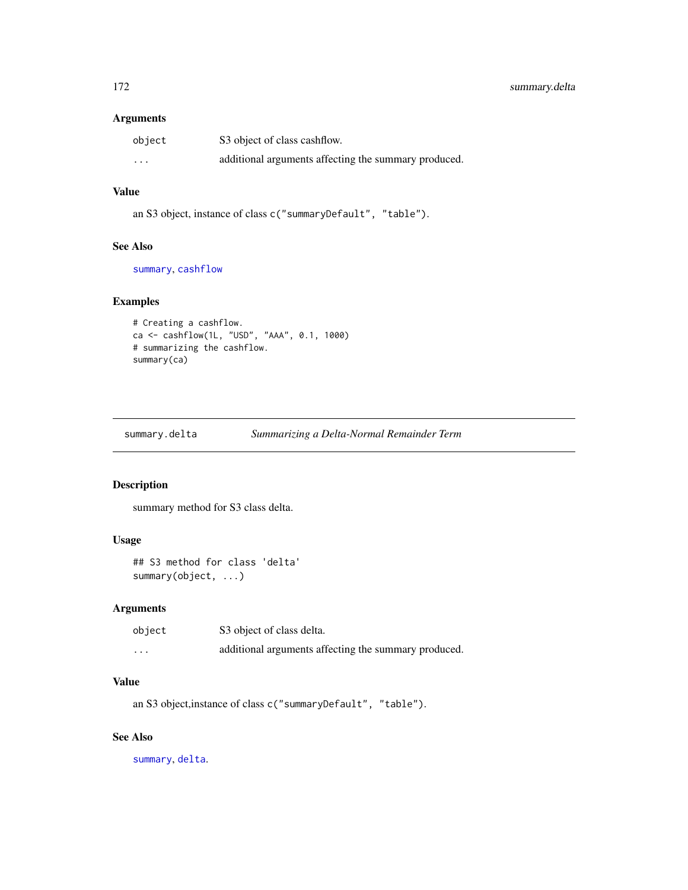#### Arguments

| object  | S3 object of class cashflow.                         |
|---------|------------------------------------------------------|
| $\cdot$ | additional arguments affecting the summary produced. |

# Value

an S3 object, instance of class c("summaryDefault", "table").

### See Also

[summary](#page-0-0), [cashflow](#page-11-0)

## Examples

```
# Creating a cashflow.
ca <- cashflow(1L, "USD", "AAA", 0.1, 1000)
# summarizing the cashflow.
summary(ca)
```
summary.delta *Summarizing a Delta-Normal Remainder Term*

#### Description

summary method for S3 class delta.

#### Usage

```
## S3 method for class 'delta'
summary(object, ...)
```
## Arguments

| object   | S3 object of class delta.                            |
|----------|------------------------------------------------------|
| $\cdots$ | additional arguments affecting the summary produced. |

## Value

an S3 object,instance of class c("summaryDefault", "table").

## See Also

[summary](#page-0-0), [delta](#page-41-0).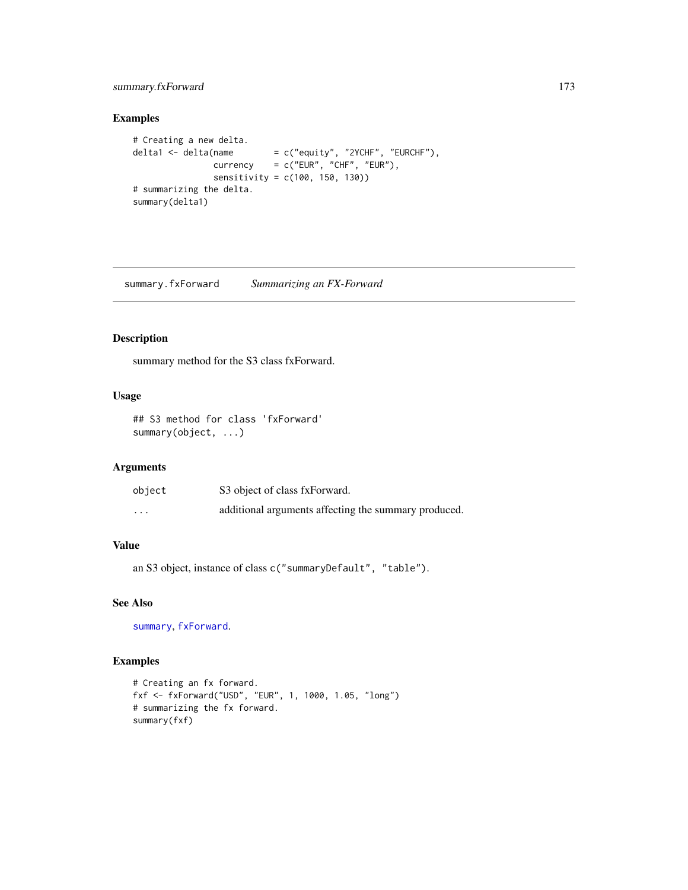## summary.fxForward 173

## Examples

```
# Creating a new delta.
delta1 <- delta(name = c("equity", "2YCHF", "EURCHF"),\text{currency} = \text{c}("EUR", "CHF", "EUR"),sensitivity = c(100, 150, 130))
# summarizing the delta.
summary(delta1)
```
summary.fxForward *Summarizing an FX-Forward*

# Description

summary method for the S3 class fxForward.

## Usage

## S3 method for class 'fxForward' summary(object, ...)

## Arguments

| object   | S3 object of class fxForward.                        |
|----------|------------------------------------------------------|
| $\cdots$ | additional arguments affecting the summary produced. |

## Value

```
an S3 object, instance of class c("summaryDefault", "table").
```
## See Also

[summary](#page-0-0), [fxForward](#page-58-0).

```
# Creating an fx forward.
fxf <- fxForward("USD", "EUR", 1, 1000, 1.05, "long")
# summarizing the fx forward.
summary(fxf)
```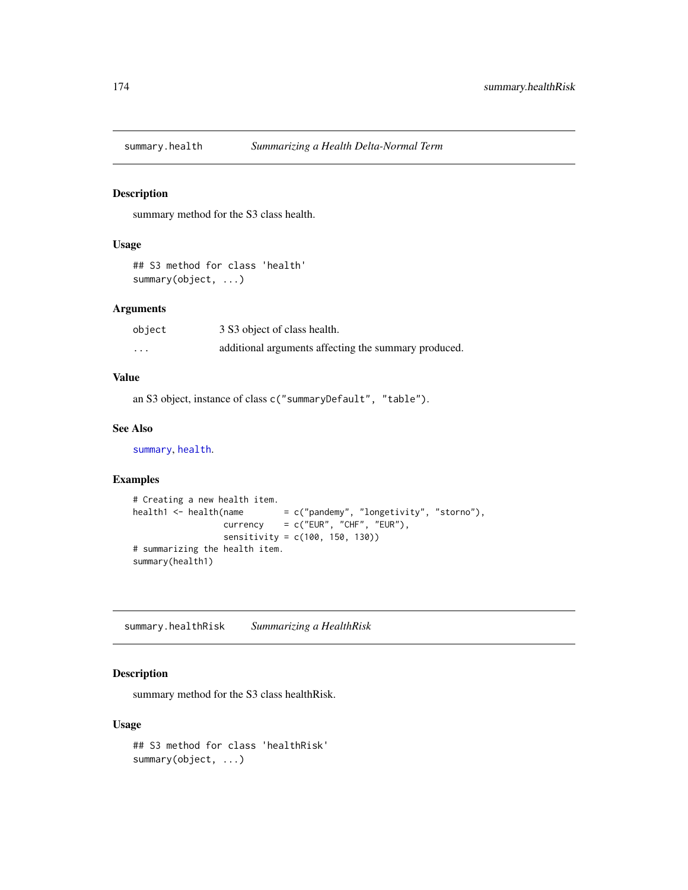### Description

summary method for the S3 class health.

#### Usage

```
## S3 method for class 'health'
summary(object, ...)
```
## Arguments

| object | 3 S3 object of class health.                         |
|--------|------------------------------------------------------|
| .      | additional arguments affecting the summary produced. |

## Value

an S3 object, instance of class c("summaryDefault", "table").

#### See Also

[summary](#page-0-0), [health](#page-95-0).

## Examples

```
# Creating a new health item.
health1 <- health(name = c("pandemy", "longetivity", "storno"),\text{currency} = c("EUR", "CHF", "EUR"),sensitivity = c(100, 150, 130))
# summarizing the health item.
summary(health1)
```
summary.healthRisk *Summarizing a HealthRisk*

## Description

summary method for the S3 class healthRisk.

```
## S3 method for class 'healthRisk'
summary(object, ...)
```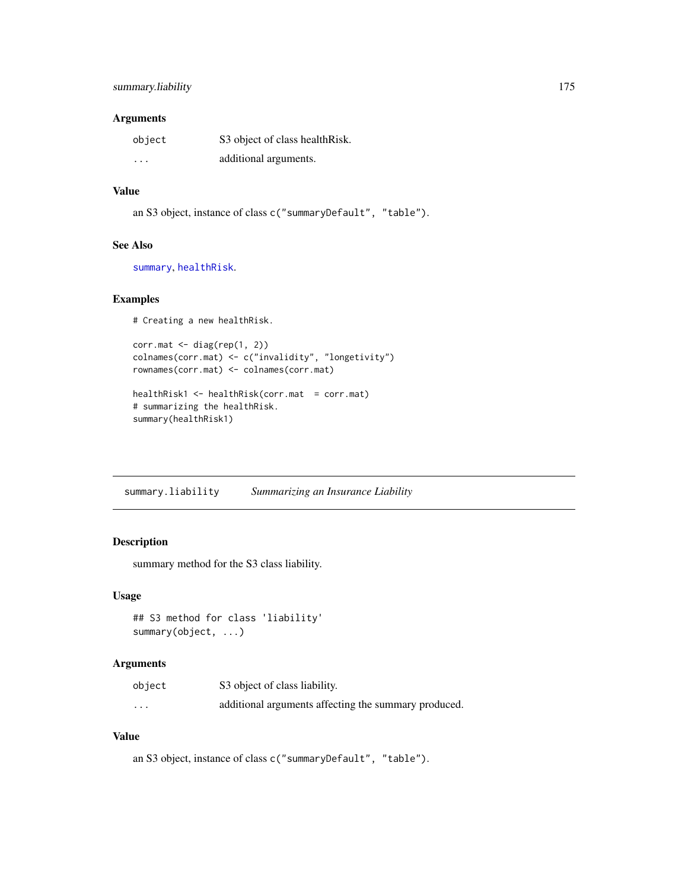### Arguments

| object                  | S3 object of class healthRisk. |
|-------------------------|--------------------------------|
| $\cdot$ $\cdot$ $\cdot$ | additional arguments.          |

## Value

```
an S3 object, instance of class c("summaryDefault", "table").
```
## See Also

[summary](#page-0-0), [healthRisk](#page-96-0).

#### Examples

# Creating a new healthRisk.

```
corr.mat <- diag(rep(1, 2))
colnames(corr.mat) <- c("invalidity", "longetivity")
rownames(corr.mat) <- colnames(corr.mat)
healthRisk1 <- healthRisk(corr.mat = corr.mat)
# summarizing the healthRisk.
```

```
summary(healthRisk1)
```
summary.liability *Summarizing an Insurance Liability*

## Description

summary method for the S3 class liability.

#### Usage

```
## S3 method for class 'liability'
summary(object, ...)
```
#### Arguments

| object   | S3 object of class liability.                        |
|----------|------------------------------------------------------|
| $\cdots$ | additional arguments affecting the summary produced. |

## Value

an S3 object, instance of class c("summaryDefault", "table").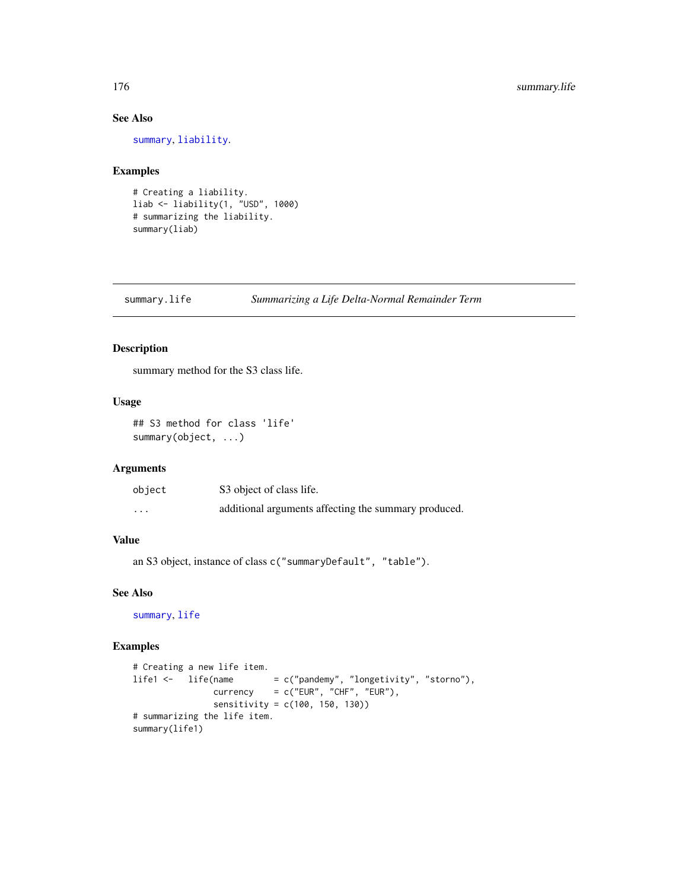## See Also

[summary](#page-0-0), [liability](#page-119-0).

## Examples

```
# Creating a liability.
liab <- liability(1, "USD", 1000)
# summarizing the liability.
summary(liab)
```
summary.life *Summarizing a Life Delta-Normal Remainder Term*

## Description

summary method for the S3 class life.

## Usage

```
## S3 method for class 'life'
summary(object, ...)
```
#### Arguments

| object   | S3 object of class life.                             |
|----------|------------------------------------------------------|
| $\cdots$ | additional arguments affecting the summary produced. |

#### Value

an S3 object, instance of class c("summaryDefault", "table").

## See Also

[summary](#page-0-0), [life](#page-120-0)

```
# Creating a new life item.
life1 <- life(name = c("pandemy", "longetivity", "storno"),
               currency = c("EUR", "CHF", "EUR"),
               sensitivity = c(100, 150, 130))
# summarizing the life item.
summary(life1)
```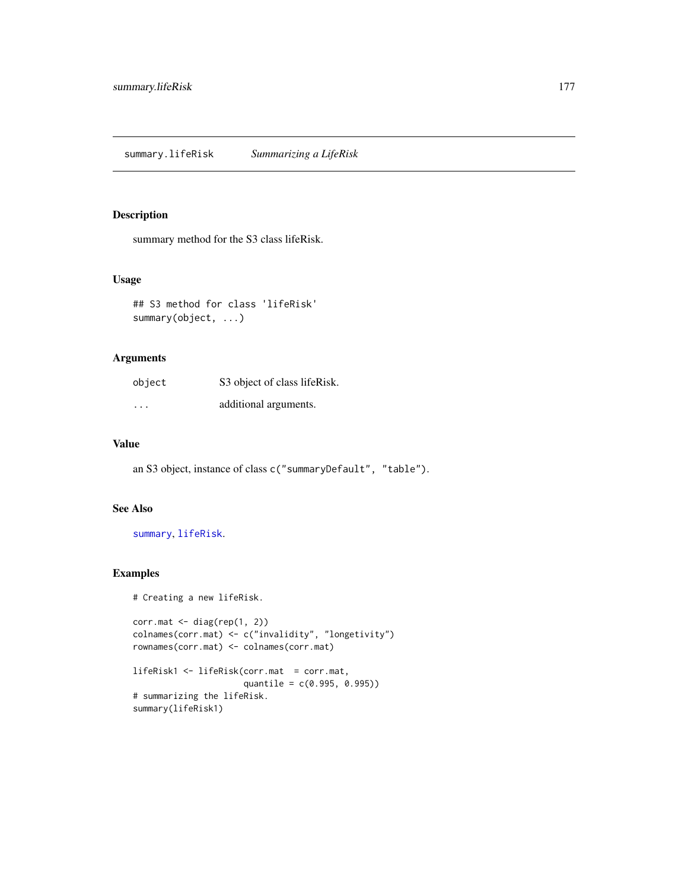## Description

summary method for the S3 class lifeRisk.

#### Usage

```
## S3 method for class 'lifeRisk'
summary(object, ...)
```
## Arguments

| object                  | S3 object of class lifeRisk. |
|-------------------------|------------------------------|
| $\cdot$ $\cdot$ $\cdot$ | additional arguments.        |

#### Value

an S3 object, instance of class c("summaryDefault", "table").

## See Also

[summary](#page-0-0), [lifeRisk](#page-121-0).

```
# Creating a new lifeRisk.
```

```
corr.math < - diag(rep(1, 2))colnames(corr.mat) <- c("invalidity", "longetivity")
rownames(corr.mat) <- colnames(corr.mat)
```

```
lifeRisk1 <- lifeRisk(corr.mat = corr.mat,
                     quantile = c(0.995, 0.995))
# summarizing the lifeRisk.
summary(lifeRisk1)
```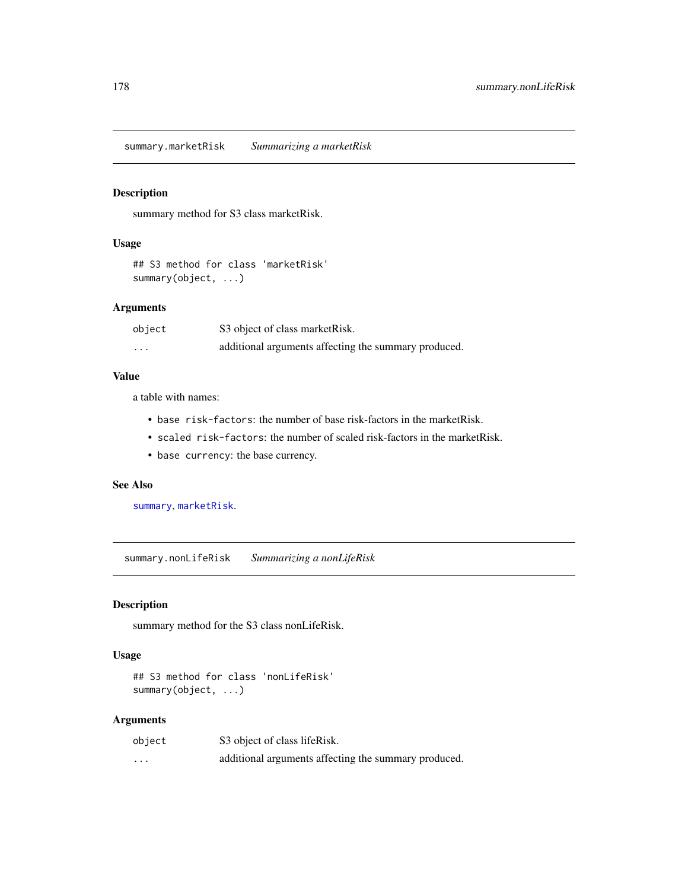## Description

summary method for S3 class marketRisk.

## Usage

```
## S3 method for class 'marketRisk'
summary(object, ...)
```
# Arguments

| object                  | S3 object of class market Risk.                      |
|-------------------------|------------------------------------------------------|
| $\cdot$ $\cdot$ $\cdot$ | additional arguments affecting the summary produced. |

#### Value

a table with names:

- base risk-factors: the number of base risk-factors in the marketRisk.
- scaled risk-factors: the number of scaled risk-factors in the marketRisk.
- base currency: the base currency.

# See Also

[summary](#page-0-0), [marketRisk](#page-124-0).

summary.nonLifeRisk *Summarizing a nonLifeRisk*

## Description

summary method for the S3 class nonLifeRisk.

## Usage

```
## S3 method for class 'nonLifeRisk'
summary(object, ...)
```
## Arguments

| object | S3 object of class lifeRisk.                         |
|--------|------------------------------------------------------|
| .      | additional arguments affecting the summary produced. |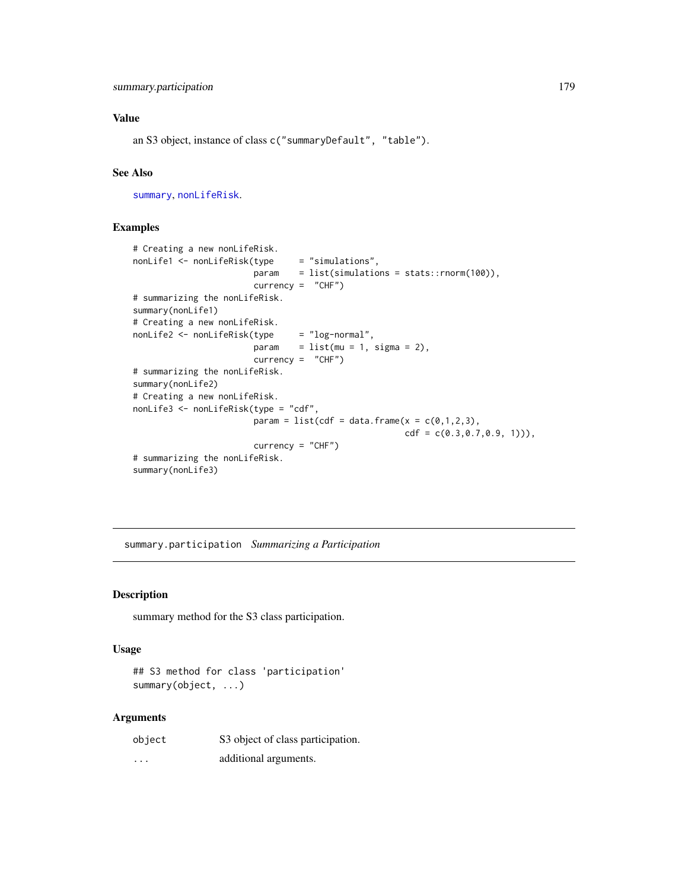an S3 object, instance of class c("summaryDefault", "table").

## See Also

[summary](#page-0-0), [nonLifeRisk](#page-128-0).

### Examples

```
# Creating a new nonLifeRisk.
nonLife1 <- nonLifeRisk(type = "simulations",
                       param = list(simulations = stats::rnorm(100)),
                       currency = "CHF")
# summarizing the nonLifeRisk.
summary(nonLife1)
# Creating a new nonLifeRisk.
nonLife2 <- nonLifeRisk(type = "log-normal",
                       param = list(mu = 1, sigma = 2),currency = "CHF")
# summarizing the nonLifeRisk.
summary(nonLife2)
# Creating a new nonLifeRisk.
nonLife3 <- nonLifeRisk(type = "cdf",
                       param = list(cd = data-frame(x = c(0,1,2,3)),
                                                     cdf = c(0.3, 0.7, 0.9, 1)),
                       currence = "CHF")# summarizing the nonLifeRisk.
summary(nonLife3)
```
summary.participation *Summarizing a Participation*

## Description

summary method for the S3 class participation.

#### Usage

```
## S3 method for class 'participation'
summary(object, ...)
```
#### Arguments

| object | S3 object of class participation. |
|--------|-----------------------------------|
| .      | additional arguments.             |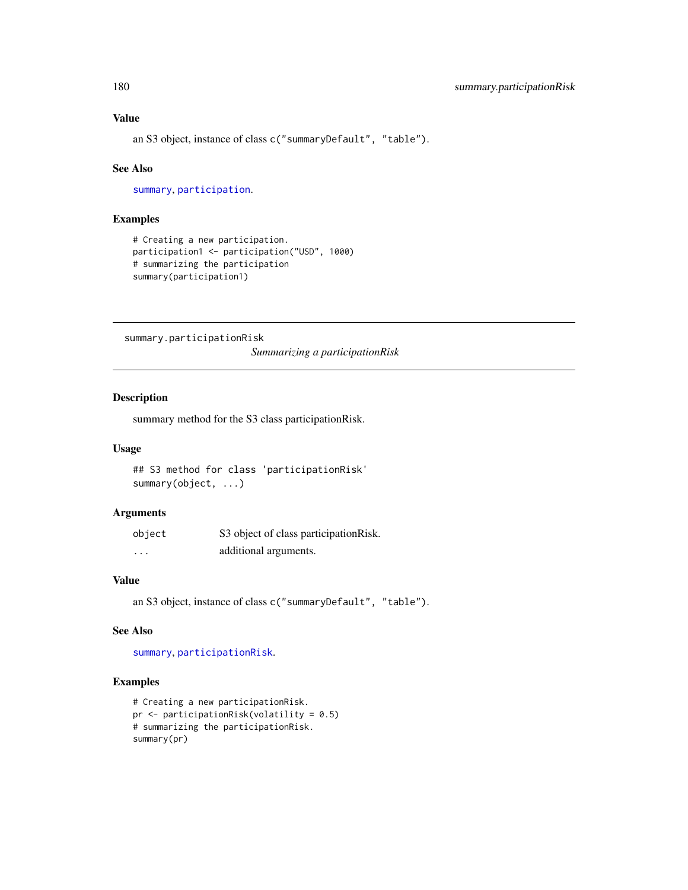an S3 object, instance of class c("summaryDefault", "table").

#### See Also

[summary](#page-0-0), [participation](#page-130-0).

#### Examples

```
# Creating a new participation.
participation1 <- participation("USD", 1000)
# summarizing the participation
summary(participation1)
```
summary.participationRisk

*Summarizing a participationRisk*

## Description

summary method for the S3 class participationRisk.

#### Usage

```
## S3 method for class 'participationRisk'
summary(object, ...)
```
#### Arguments

| object   | S3 object of class participation Risk. |
|----------|----------------------------------------|
| $\cdots$ | additional arguments.                  |

## Value

an S3 object, instance of class c("summaryDefault", "table").

#### See Also

[summary](#page-0-0), [participationRisk](#page-131-0).

```
# Creating a new participationRisk.
pr <- participationRisk(volatility = 0.5)
# summarizing the participationRisk.
summary(pr)
```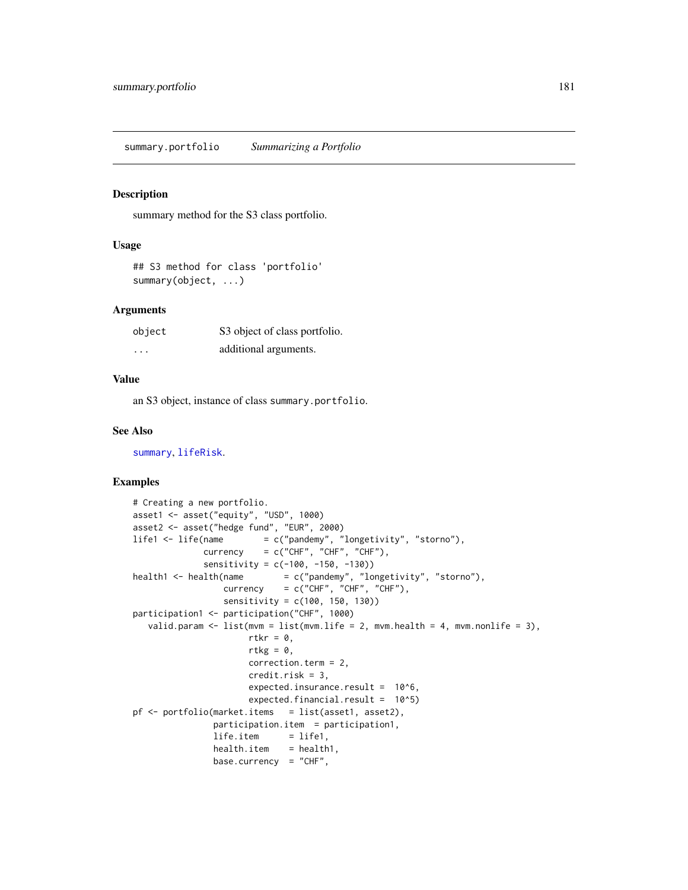#### <span id="page-180-0"></span>Description

summary method for the S3 class portfolio.

#### Usage

```
## S3 method for class 'portfolio'
summary(object, ...)
```
#### **Arguments**

| object   | S3 object of class portfolio. |
|----------|-------------------------------|
| $\cdots$ | additional arguments.         |

#### Value

an S3 object, instance of class summary.portfolio.

#### See Also

[summary](#page-0-0), [lifeRisk](#page-121-0).

## Examples

```
# Creating a new portfolio.
asset1 <- asset("equity", "USD", 1000)
asset2 <- asset("hedge fund", "EUR", 2000)
life1 <- life(name = c("pandemy", "longetivity", "storno"),
             currency = c("CHF", "CHF", "CHF"),
             sensitivity = c(-100, -150, -130))
health1 <- health(name = c("pandemy", "longetivity", "storno"),
                 \text{currency} = c("CHF", "CHF", "CHF"),sensitivity = c(100, 150, 130))
participation1 <- participation("CHF", 1000)
  valid.param \leq 1ist(mvm = list(mvm.life = 2, mvm.health = 4, mvm.nonlife = 3),
                      rtkr = \theta,
                      rtkg = 0,
                      correction.term = 2,
                      credit.risk = 3,
                      expected.insurance.result = 10^6,
                      expected.financial.result = 10^5)
pf <- portfolio(market.items = list(asset1, asset2),
               participation.item = participation1,
               life.item = life1,
               health.item = health1,
               base.currency = "CHF",
```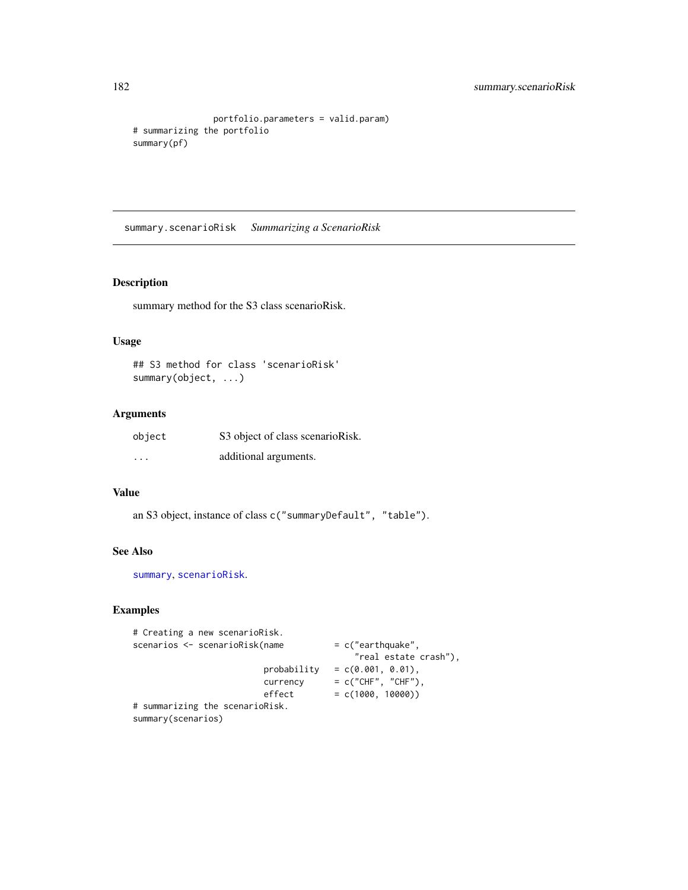```
portfolio.parameters = valid.param)
# summarizing the portfolio
summary(pf)
```
summary.scenarioRisk *Summarizing a ScenarioRisk*

#### Description

summary method for the S3 class scenarioRisk.

## Usage

## S3 method for class 'scenarioRisk' summary(object, ...)

## Arguments

| object               | S3 object of class scenarioRisk. |
|----------------------|----------------------------------|
| $\ddot{\phantom{0}}$ | additional arguments.            |

#### Value

an S3 object, instance of class c("summaryDefault", "table").

## See Also

[summary](#page-0-0), [scenarioRisk](#page-155-0).

## Examples

```
# Creating a new scenarioRisk.
scenarios <- scenarioRisk(name = c("earthquake",
                                         "real estate crash"),
                        probability = c(0.001, 0.01),\text{currency} = c("CHF", "CHF"),effect = c(1000, 10000))# summarizing the scenarioRisk.
summary(scenarios)
```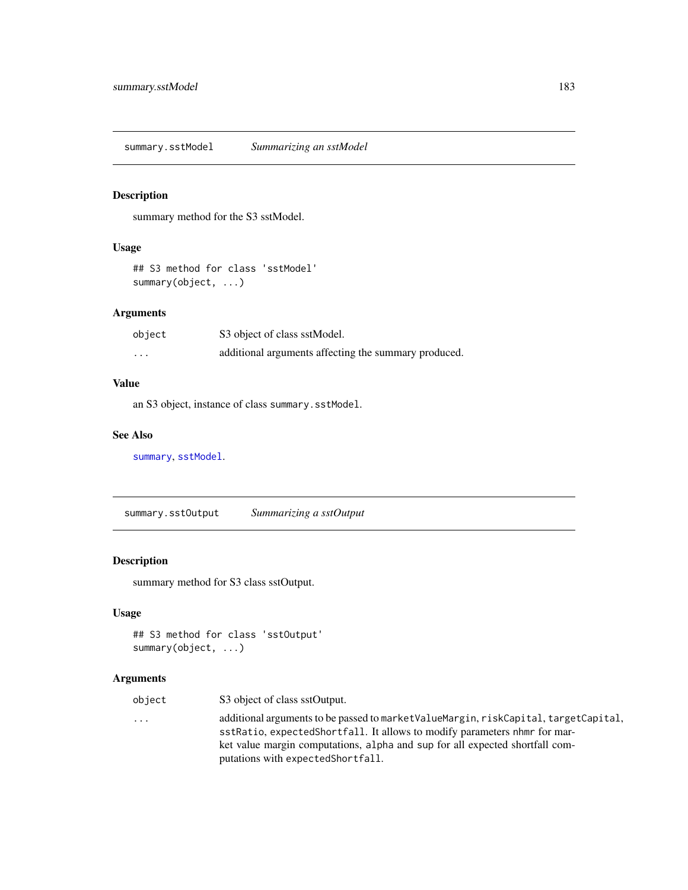<span id="page-182-0"></span>summary.sstModel *Summarizing an sstModel*

## Description

summary method for the S3 sstModel.

## Usage

## S3 method for class 'sstModel' summary(object, ...)

## Arguments

| object  | S3 object of class sstModel.                         |
|---------|------------------------------------------------------|
| $\cdot$ | additional arguments affecting the summary produced. |

## Value

an S3 object, instance of class summary.sstModel.

## See Also

[summary](#page-0-0), [sstModel](#page-163-0).

summary.sstOutput *Summarizing a sstOutput*

## Description

summary method for S3 class sstOutput.

## Usage

```
## S3 method for class 'sstOutput'
summary(object, ...)
```
## Arguments

| object | S3 object of class sstOutput.                                                                                                                                                                                                                                                           |
|--------|-----------------------------------------------------------------------------------------------------------------------------------------------------------------------------------------------------------------------------------------------------------------------------------------|
| .      | additional arguments to be passed to market ValueMargin, riskCapital, targetCapital,<br>sstRatio, expectedShortfall. It allows to modify parameters nhm for mar-<br>ket value margin computations, alpha and sup for all expected shortfall com-<br>putations with expected Short fall. |
|        |                                                                                                                                                                                                                                                                                         |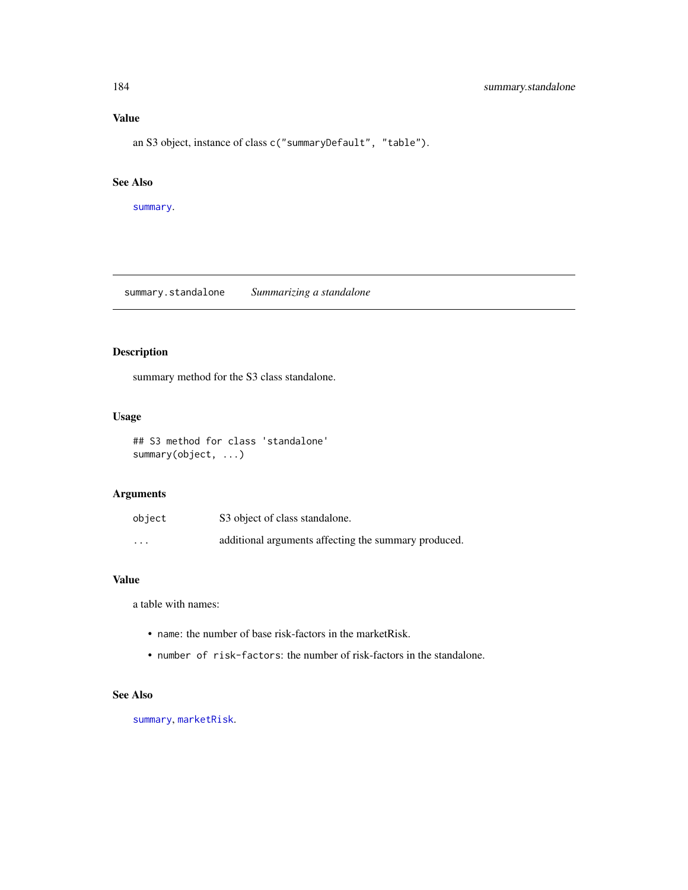## Value

an S3 object, instance of class c("summaryDefault", "table").

## See Also

[summary](#page-0-0).

summary.standalone *Summarizing a standalone*

## Description

summary method for the S3 class standalone.

#### Usage

## S3 method for class 'standalone' summary(object, ...)

## Arguments

| object   | S3 object of class standalone.                       |
|----------|------------------------------------------------------|
| $\cdots$ | additional arguments affecting the summary produced. |

#### Value

a table with names:

- name: the number of base risk-factors in the marketRisk.
- number of risk-factors: the number of risk-factors in the standalone.

## See Also

[summary](#page-0-0), [marketRisk](#page-124-0).

<span id="page-183-0"></span>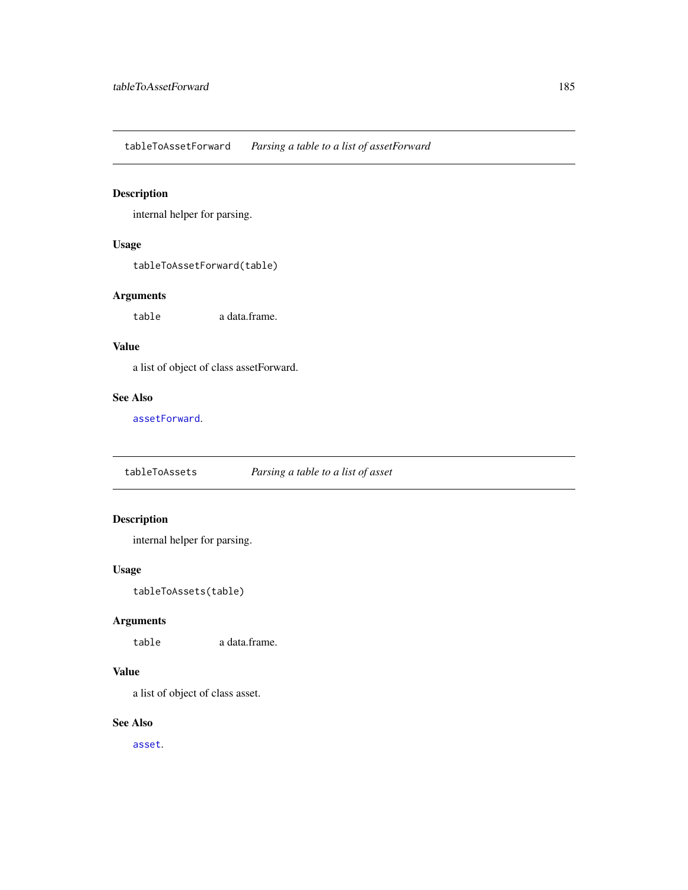<span id="page-184-0"></span>tableToAssetForward *Parsing a table to a list of assetForward*

## Description

internal helper for parsing.

#### Usage

tableToAssetForward(table)

## Arguments

table a data.frame.

## Value

a list of object of class assetForward.

#### See Also

[assetForward](#page-9-0).

tableToAssets *Parsing a table to a list of asset*

## Description

internal helper for parsing.

## Usage

tableToAssets(table)

## Arguments

table a data.frame.

## Value

a list of object of class asset.

## See Also

[asset](#page-8-0).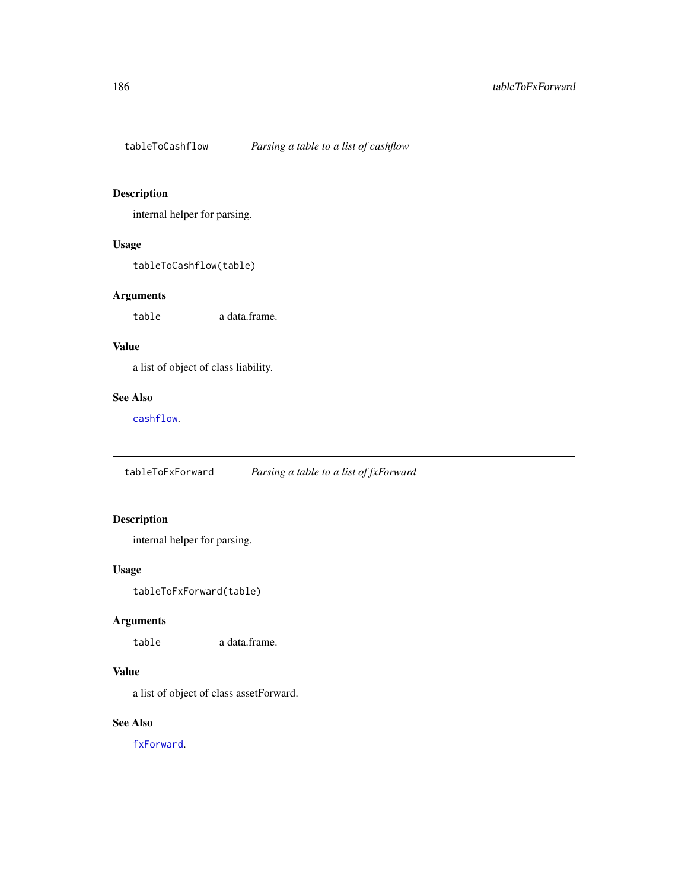<span id="page-185-0"></span>

## Description

internal helper for parsing.

## Usage

tableToCashflow(table)

## Arguments

table a data.frame.

## Value

a list of object of class liability.

#### See Also

[cashflow](#page-11-0).

tableToFxForward *Parsing a table to a list of fxForward*

## Description

internal helper for parsing.

## Usage

tableToFxForward(table)

## Arguments

table a data.frame.

## Value

a list of object of class assetForward.

## See Also

[fxForward](#page-58-0).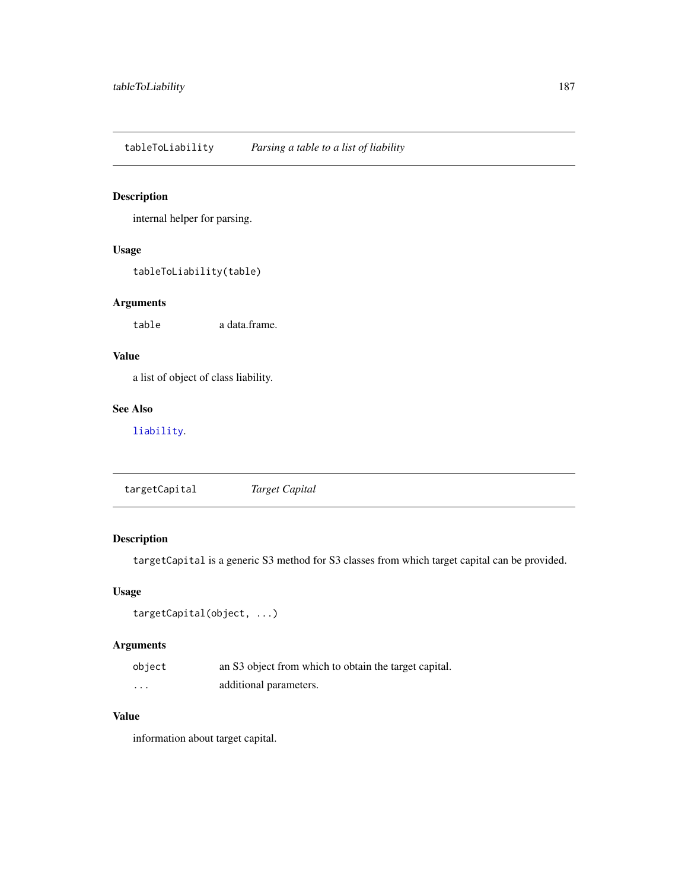<span id="page-186-1"></span>tableToLiability *Parsing a table to a list of liability*

## Description

internal helper for parsing.

## Usage

tableToLiability(table)

## Arguments

table a data.frame.

## Value

a list of object of class liability.

#### See Also

[liability](#page-119-0).

<span id="page-186-0"></span>targetCapital *Target Capital*

## Description

targetCapital is a generic S3 method for S3 classes from which target capital can be provided.

## Usage

```
targetCapital(object, ...)
```
## Arguments

| object | an S3 object from which to obtain the target capital. |
|--------|-------------------------------------------------------|
| .      | additional parameters.                                |

## Value

information about target capital.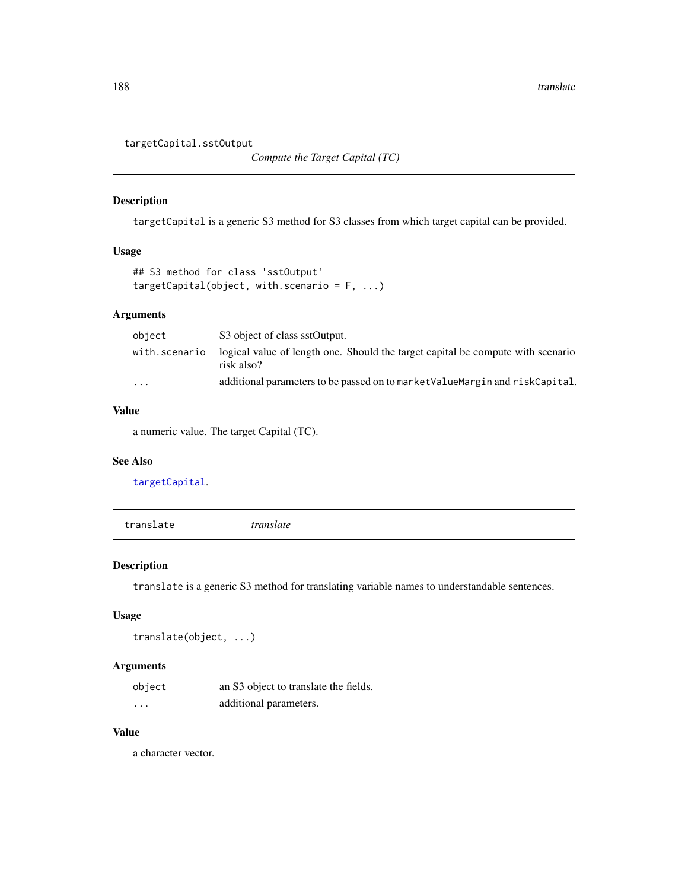<span id="page-187-0"></span>targetCapital.sstOutput

*Compute the Target Capital (TC)*

#### Description

targetCapital is a generic S3 method for S3 classes from which target capital can be provided.

## Usage

```
## S3 method for class 'sstOutput'
targetCapital(object, with.scenario = F, ...)
```
## Arguments

| object                  | S3 object of class sstOutput.                                                                 |
|-------------------------|-----------------------------------------------------------------------------------------------|
| with.scenario           | logical value of length one. Should the target capital be compute with scenario<br>risk also? |
| $\cdot$ $\cdot$ $\cdot$ | additional parameters to be passed on to market ValueMargin and riskCapital.                  |

## Value

a numeric value. The target Capital (TC).

#### See Also

[targetCapital](#page-186-0).

translate *translate*

#### Description

translate is a generic S3 method for translating variable names to understandable sentences.

## Usage

```
translate(object, ...)
```
## Arguments

| object | an S3 object to translate the fields. |
|--------|---------------------------------------|
| .      | additional parameters.                |

## Value

a character vector.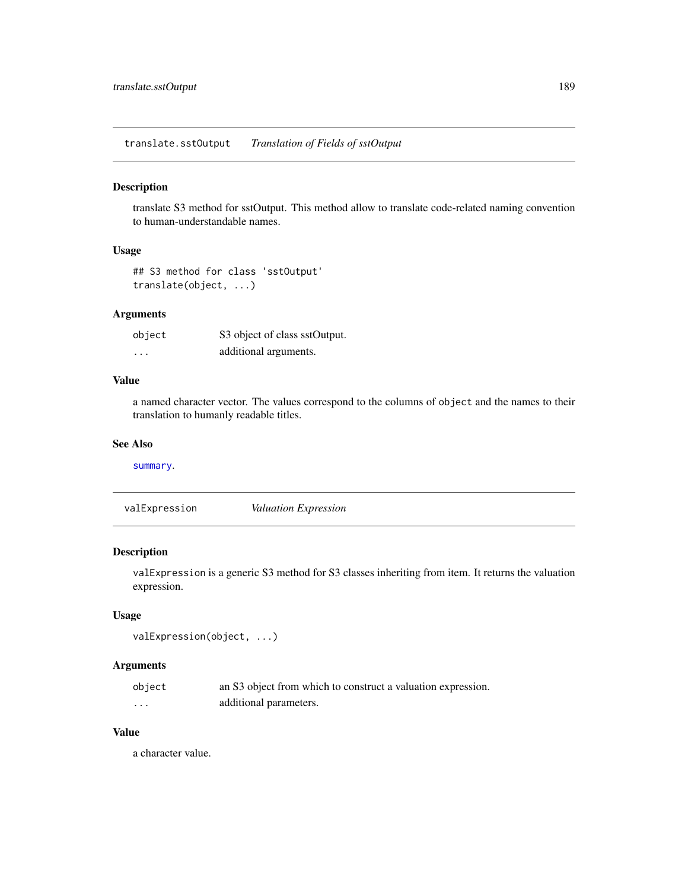<span id="page-188-1"></span>translate.sstOutput *Translation of Fields of sstOutput*

#### Description

translate S3 method for sstOutput. This method allow to translate code-related naming convention to human-understandable names.

## Usage

```
## S3 method for class 'sstOutput'
translate(object, ...)
```
## Arguments

| object   | S3 object of class sstOutput. |
|----------|-------------------------------|
| $\cdots$ | additional arguments.         |

## Value

a named character vector. The values correspond to the columns of object and the names to their translation to humanly readable titles.

## See Also

[summary](#page-0-0).

<span id="page-188-0"></span>valExpression *Valuation Expression*

## Description

valExpression is a generic S3 method for S3 classes inheriting from item. It returns the valuation expression.

#### Usage

```
valExpression(object, ...)
```
## Arguments

| object | an S3 object from which to construct a valuation expression. |
|--------|--------------------------------------------------------------|
| .      | additional parameters.                                       |

#### Value

a character value.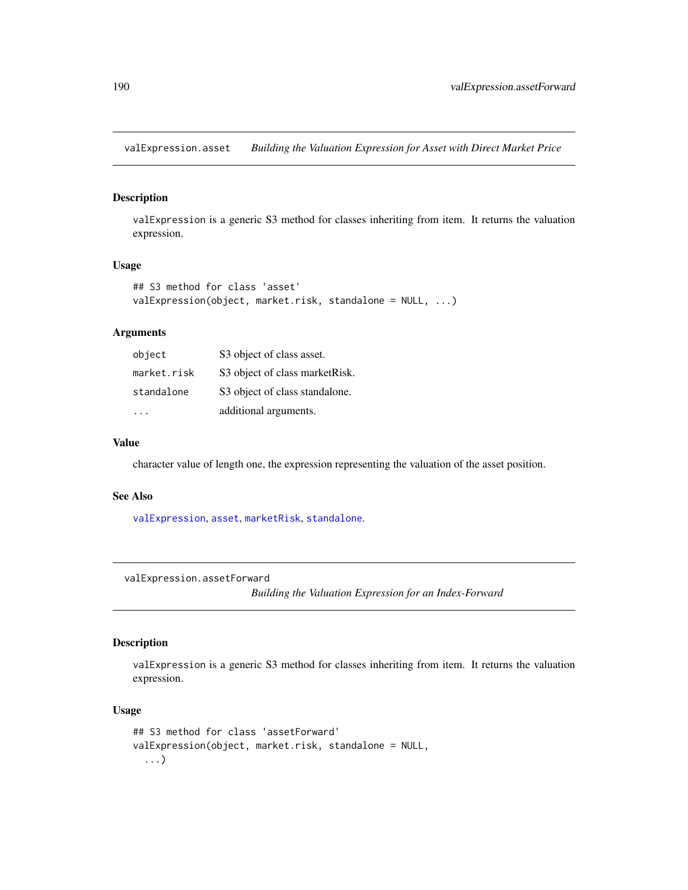<span id="page-189-0"></span>valExpression.asset *Building the Valuation Expression for Asset with Direct Market Price*

## Description

valExpression is a generic S3 method for classes inheriting from item. It returns the valuation expression.

## Usage

```
## S3 method for class 'asset'
valExpression(object, market.risk, standalone = NULL, ...)
```
#### Arguments

| object      | S3 object of class asset.       |
|-------------|---------------------------------|
| market.risk | S3 object of class market Risk. |
| standalone  | S3 object of class standalone.  |
|             | additional arguments.           |

## Value

character value of length one, the expression representing the valuation of the asset position.

#### See Also

[valExpression](#page-188-0), [asset](#page-8-0), [marketRisk](#page-124-0), [standalone](#page-166-0).

valExpression.assetForward

*Building the Valuation Expression for an Index-Forward*

## Description

valExpression is a generic S3 method for classes inheriting from item. It returns the valuation expression.

```
## S3 method for class 'assetForward'
valExpression(object, market.risk, standalone = NULL,
  ...)
```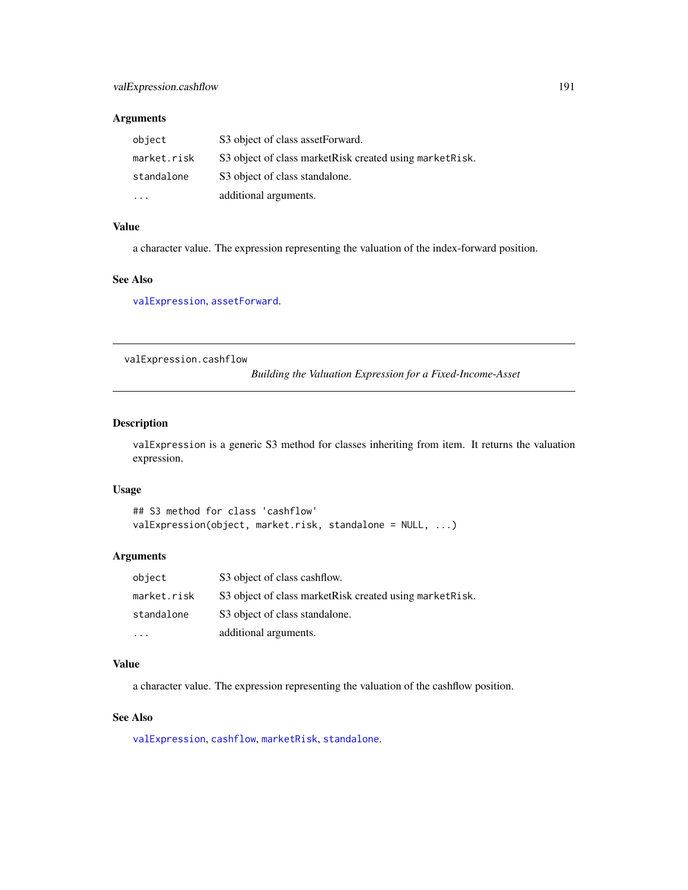## <span id="page-190-0"></span>Arguments

| object      | S3 object of class asset Forward.                         |
|-------------|-----------------------------------------------------------|
| market.risk | S3 object of class market Risk created using market Risk. |
| standalone  | S3 object of class standalone.                            |
| $\ddotsc$   | additional arguments.                                     |

#### Value

a character value. The expression representing the valuation of the index-forward position.

#### See Also

[valExpression](#page-188-0), [assetForward](#page-9-0).

valExpression.cashflow

*Building the Valuation Expression for a Fixed-Income-Asset*

#### Description

valExpression is a generic S3 method for classes inheriting from item. It returns the valuation expression.

#### Usage

```
## S3 method for class 'cashflow'
valExpression(object, market.risk, standalone = NULL, ...)
```
## Arguments

| object      | S3 object of class cashflow.                              |
|-------------|-----------------------------------------------------------|
| market.risk | S3 object of class market Risk created using market Risk. |
| standalone  | S3 object of class standalone.                            |
|             | additional arguments.                                     |

#### Value

a character value. The expression representing the valuation of the cashflow position.

## See Also

[valExpression](#page-188-0), [cashflow](#page-11-0), [marketRisk](#page-124-0), [standalone](#page-166-0).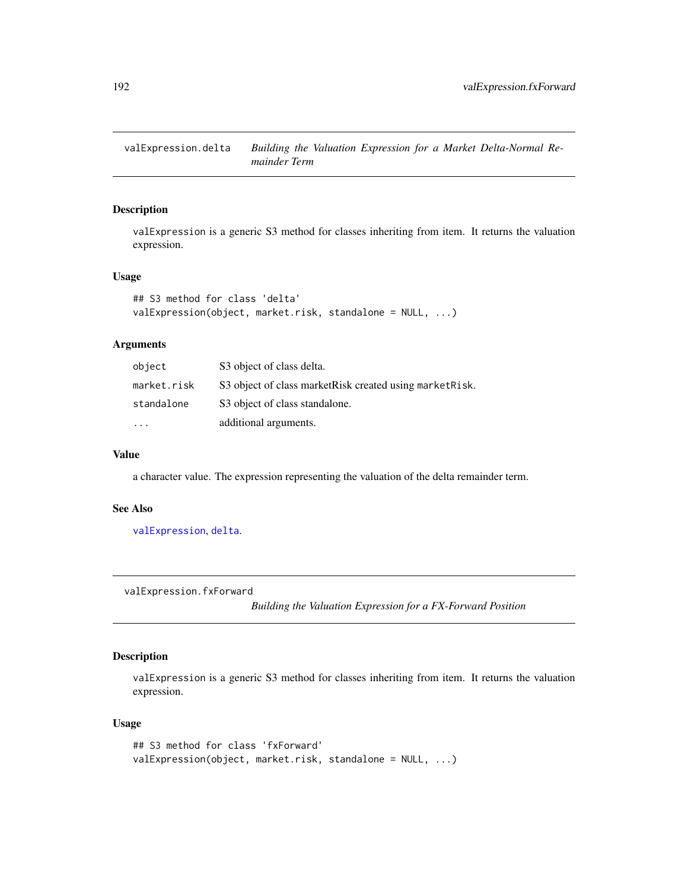<span id="page-191-0"></span>valExpression.delta *Building the Valuation Expression for a Market Delta-Normal Remainder Term*

## Description

valExpression is a generic S3 method for classes inheriting from item. It returns the valuation expression.

## Usage

```
## S3 method for class 'delta'
valExpression(object, market.risk, standalone = NULL, ...)
```
#### Arguments

| object      | S3 object of class delta.                                 |
|-------------|-----------------------------------------------------------|
| market.risk | S3 object of class market Risk created using market Risk. |
| standalone  | S3 object of class standalone.                            |
| $\cdot$     | additional arguments.                                     |

#### Value

a character value. The expression representing the valuation of the delta remainder term.

#### See Also

[valExpression](#page-188-0), [delta](#page-41-0).

valExpression.fxForward

*Building the Valuation Expression for a FX-Forward Position*

## Description

valExpression is a generic S3 method for classes inheriting from item. It returns the valuation expression.

```
## S3 method for class 'fxForward'
valExpression(object, market.risk, standalone = NULL, ...)
```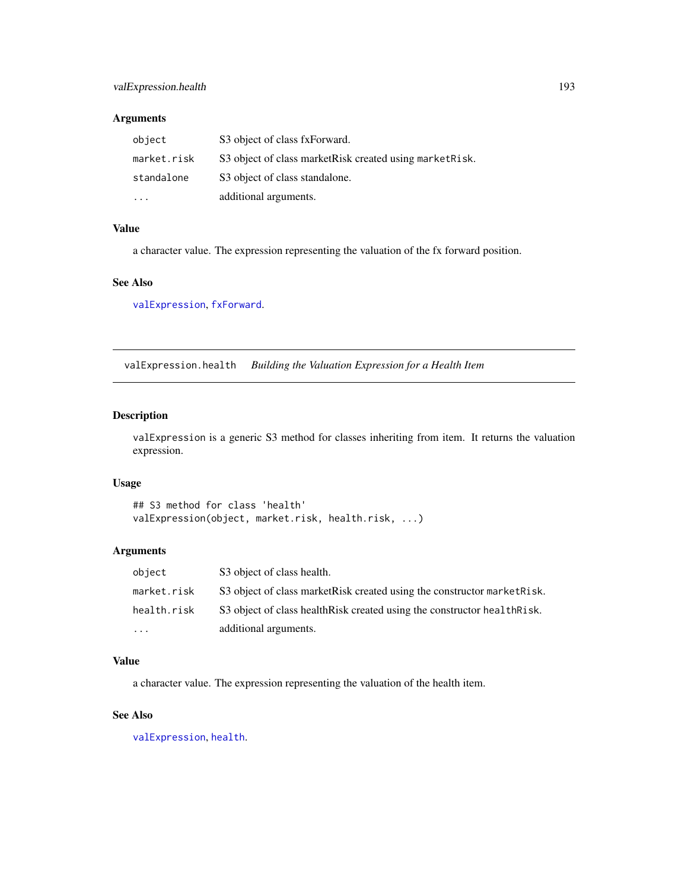#### <span id="page-192-0"></span>Arguments

| object      | S3 object of class fxForward.                             |
|-------------|-----------------------------------------------------------|
| market.risk | S3 object of class market Risk created using market Risk. |
| standalone  | S3 object of class standalone.                            |
|             | additional arguments.                                     |

#### Value

a character value. The expression representing the valuation of the fx forward position.

#### See Also

[valExpression](#page-188-0), [fxForward](#page-58-0).

valExpression.health *Building the Valuation Expression for a Health Item*

## Description

valExpression is a generic S3 method for classes inheriting from item. It returns the valuation expression.

#### Usage

```
## S3 method for class 'health'
valExpression(object, market.risk, health.risk, ...)
```
#### Arguments

| object                  | S3 object of class health.                                                |
|-------------------------|---------------------------------------------------------------------------|
| market.risk             | S3 object of class market Risk created using the constructor market Risk. |
| health.risk             | S3 object of class health Risk created using the constructor health Risk. |
| $\cdot$ $\cdot$ $\cdot$ | additional arguments.                                                     |

#### Value

a character value. The expression representing the valuation of the health item.

#### See Also

[valExpression](#page-188-0), [health](#page-95-0).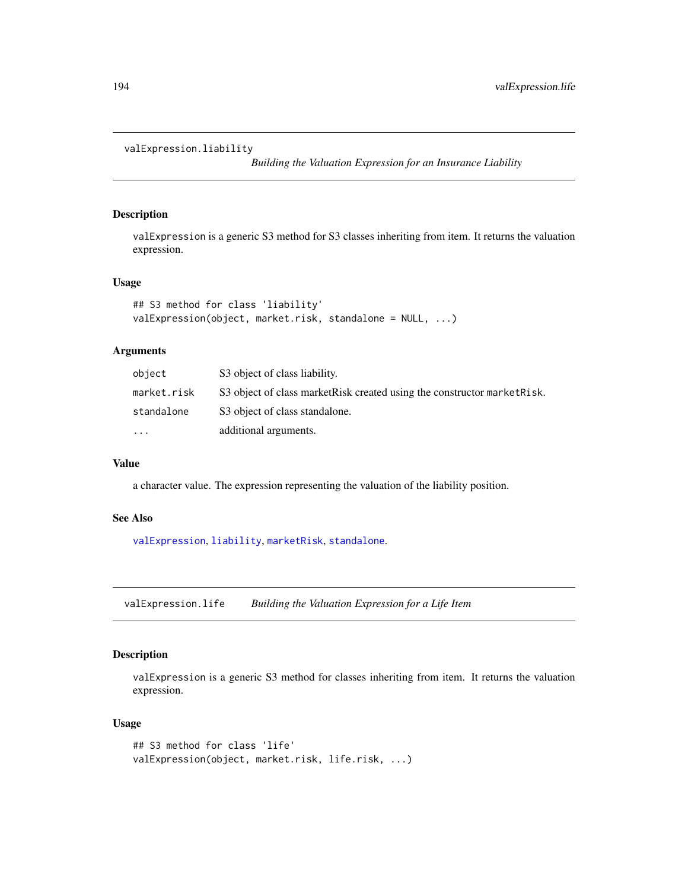```
valExpression.liability
```
*Building the Valuation Expression for an Insurance Liability*

## Description

valExpression is a generic S3 method for S3 classes inheriting from item. It returns the valuation expression.

## Usage

```
## S3 method for class 'liability'
valExpression(object, market.risk, standalone = NULL, ...)
```
## Arguments

| object      | S3 object of class liability.                                             |
|-------------|---------------------------------------------------------------------------|
| market.risk | S3 object of class market Risk created using the constructor market Risk. |
| standalone  | S3 object of class standalone.                                            |
| $\cdots$    | additional arguments.                                                     |

#### Value

a character value. The expression representing the valuation of the liability position.

#### See Also

[valExpression](#page-188-0), [liability](#page-119-0), [marketRisk](#page-124-0), [standalone](#page-166-0).

valExpression.life *Building the Valuation Expression for a Life Item*

## Description

valExpression is a generic S3 method for classes inheriting from item. It returns the valuation expression.

```
## S3 method for class 'life'
valExpression(object, market.risk, life.risk, ...)
```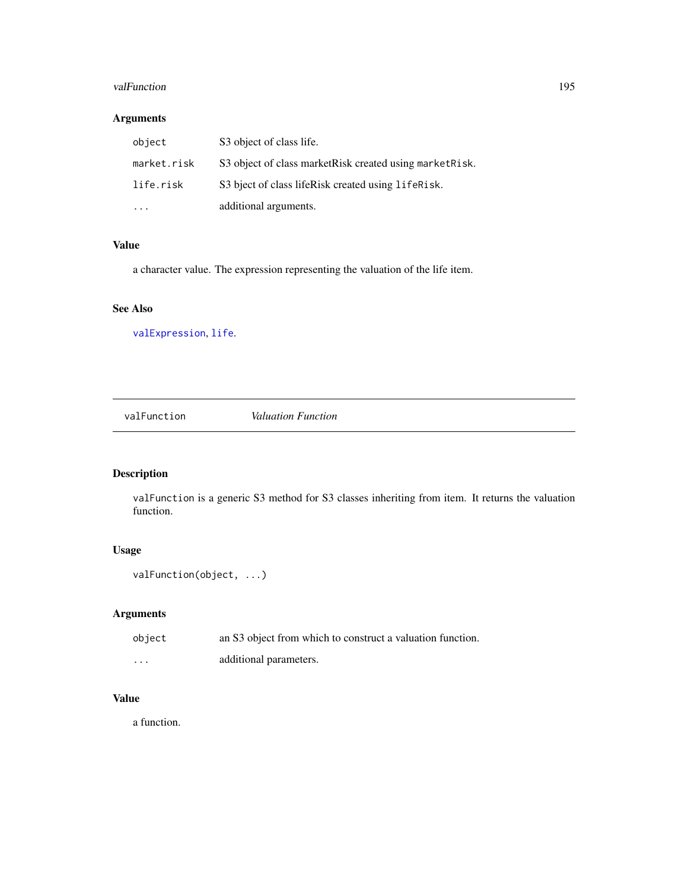#### <span id="page-194-1"></span>valFunction 2005 and 2006 and 2006 and 2006 and 2006 and 2006 and 2006 and 2006 and 2006 and 2006 and 2006 and 2006 and 2006 and 2006 and 2006 and 2006 and 2006 and 2006 and 2006 and 2006 and 2006 and 2006 and 2006 and 200

## Arguments

| object      | S3 object of class life.                                  |
|-------------|-----------------------------------------------------------|
| market.risk | S3 object of class market Risk created using market Risk. |
| life.risk   | S3 bject of class lifeRisk created using lifeRisk.        |
|             | additional arguments.                                     |

## Value

a character value. The expression representing the valuation of the life item.

## See Also

[valExpression](#page-188-0), [life](#page-120-0).

<span id="page-194-0"></span>valFunction *Valuation Function*

## Description

valFunction is a generic S3 method for S3 classes inheriting from item. It returns the valuation function.

## Usage

```
valFunction(object, ...)
```
## Arguments

| object   | an S3 object from which to construct a valuation function. |
|----------|------------------------------------------------------------|
| $\cdots$ | additional parameters.                                     |

## Value

a function.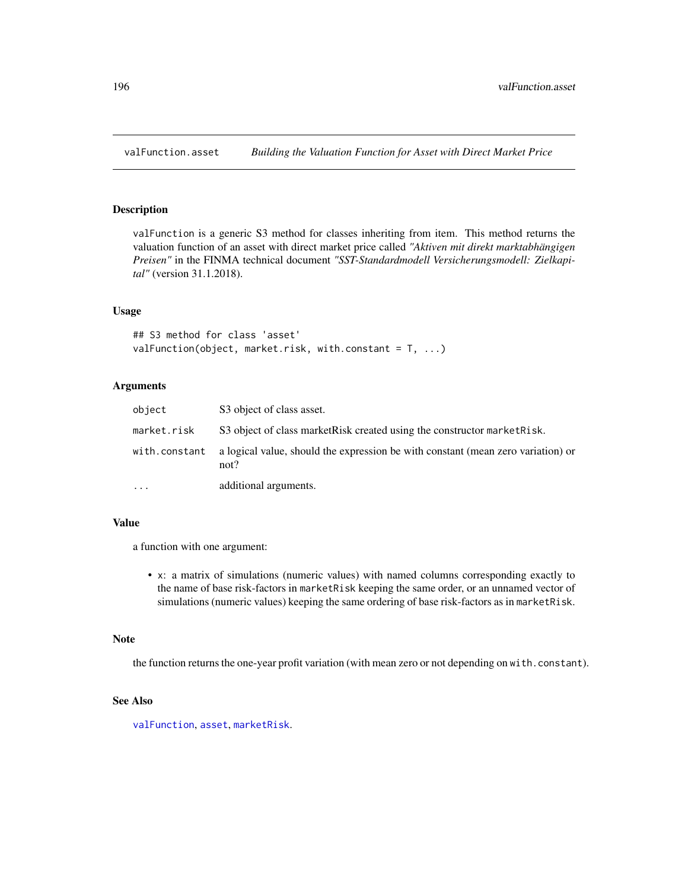## <span id="page-195-0"></span>Description

valFunction is a generic S3 method for classes inheriting from item. This method returns the valuation function of an asset with direct market price called *"Aktiven mit direkt marktabhängigen Preisen"* in the FINMA technical document *"SST-Standardmodell Versicherungsmodell: Zielkapital"* (version 31.1.2018).

#### Usage

```
## S3 method for class 'asset'
valFunction(object, market.risk, with.constant = T, ...)
```
#### **Arguments**

| object        | S3 object of class asset.                                                                |
|---------------|------------------------------------------------------------------------------------------|
| market.risk   | S3 object of class market Risk created using the constructor market Risk.                |
| with.constant | a logical value, should the expression be with constant (mean zero variation) or<br>not? |
| $\ddotsc$     | additional arguments.                                                                    |

#### Value

a function with one argument:

• x: a matrix of simulations (numeric values) with named columns corresponding exactly to the name of base risk-factors in marketRisk keeping the same order, or an unnamed vector of simulations (numeric values) keeping the same ordering of base risk-factors as in marketRisk.

#### Note

the function returns the one-year profit variation (with mean zero or not depending on with.constant).

## See Also

[valFunction](#page-194-0), [asset](#page-8-0), [marketRisk](#page-124-0).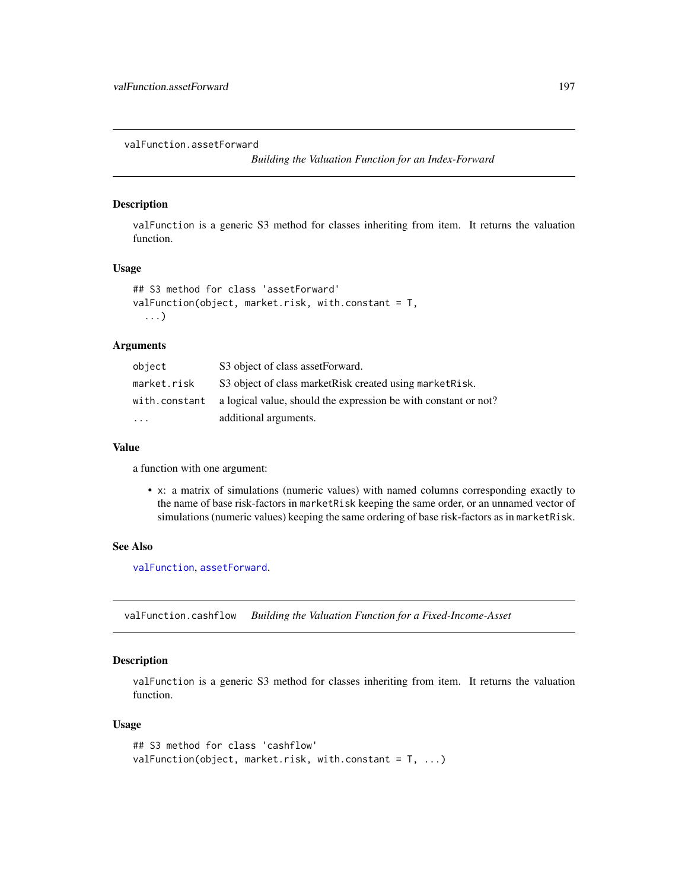<span id="page-196-0"></span>valFunction.assetForward

*Building the Valuation Function for an Index-Forward*

## Description

valFunction is a generic S3 method for classes inheriting from item. It returns the valuation function.

#### Usage

```
## S3 method for class 'assetForward'
valFunction(object, market.risk, with.constant = T,
  ...)
```
## Arguments

| object        | S3 object of class assetForward.                                |
|---------------|-----------------------------------------------------------------|
| market.risk   | S3 object of class market Risk created using market Risk.       |
| with.constant | a logical value, should the expression be with constant or not? |
| $\ddotsc$     | additional arguments.                                           |

#### Value

a function with one argument:

• x: a matrix of simulations (numeric values) with named columns corresponding exactly to the name of base risk-factors in marketRisk keeping the same order, or an unnamed vector of simulations (numeric values) keeping the same ordering of base risk-factors as in marketRisk.

#### See Also

[valFunction](#page-194-0), [assetForward](#page-9-0).

valFunction.cashflow *Building the Valuation Function for a Fixed-Income-Asset*

#### Description

valFunction is a generic S3 method for classes inheriting from item. It returns the valuation function.

```
## S3 method for class 'cashflow'
valFunction(object, market.risk, with.constant = T, ...)
```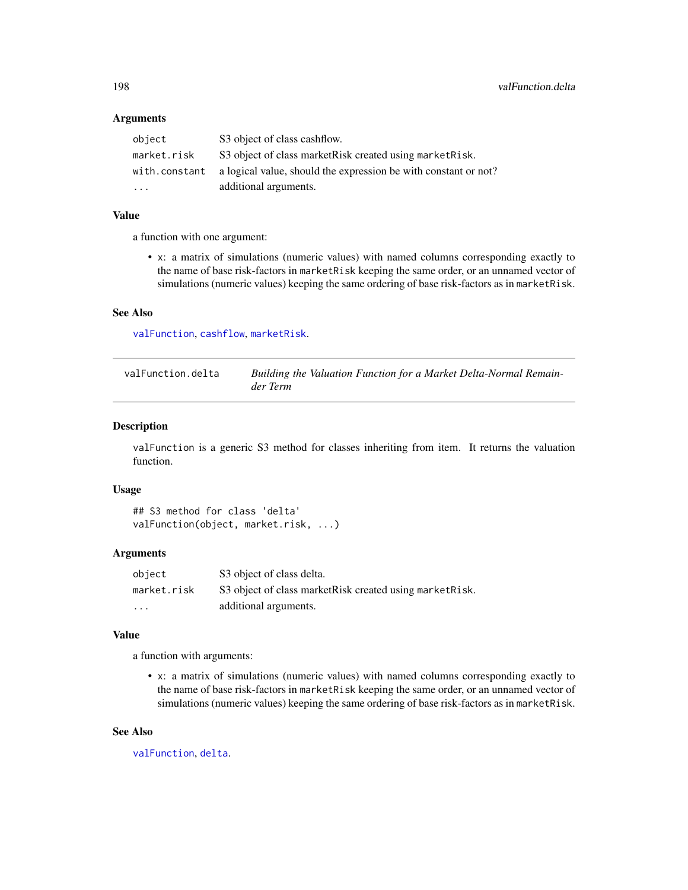#### <span id="page-197-0"></span>**Arguments**

| object        | S3 object of class cashflow.                                    |
|---------------|-----------------------------------------------------------------|
| market.risk   | S3 object of class market Risk created using market Risk.       |
| with.constant | a logical value, should the expression be with constant or not? |
| $\cdot$       | additional arguments.                                           |

#### Value

a function with one argument:

• x: a matrix of simulations (numeric values) with named columns corresponding exactly to the name of base risk-factors in marketRisk keeping the same order, or an unnamed vector of simulations (numeric values) keeping the same ordering of base risk-factors as in marketRisk.

#### See Also

[valFunction](#page-194-0), [cashflow](#page-11-0), [marketRisk](#page-124-0).

valFunction.delta *Building the Valuation Function for a Market Delta-Normal Remainder Term*

#### Description

valFunction is a generic S3 method for classes inheriting from item. It returns the valuation function.

#### Usage

```
## S3 method for class 'delta'
valFunction(object, market.risk, ...)
```
#### Arguments

| object      | S3 object of class delta.                                 |
|-------------|-----------------------------------------------------------|
| market.risk | S3 object of class market Risk created using market Risk. |
| $\cdots$    | additional arguments.                                     |

#### Value

a function with arguments:

• x: a matrix of simulations (numeric values) with named columns corresponding exactly to the name of base risk-factors in marketRisk keeping the same order, or an unnamed vector of simulations (numeric values) keeping the same ordering of base risk-factors as in marketRisk.

#### See Also

[valFunction](#page-194-0), [delta](#page-41-0).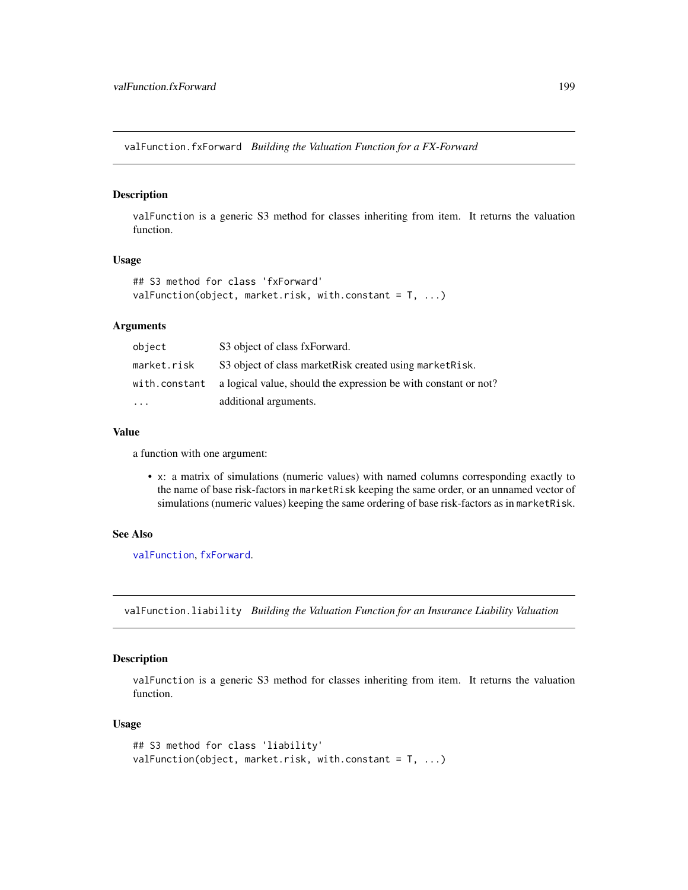<span id="page-198-0"></span>valFunction.fxForward *Building the Valuation Function for a FX-Forward*

#### Description

valFunction is a generic S3 method for classes inheriting from item. It returns the valuation function.

## Usage

```
## S3 method for class 'fxForward'
valFunction(object, market.risk, with.constant = T, ...)
```
## Arguments

| object        | S3 object of class fxForward.                                   |
|---------------|-----------------------------------------------------------------|
| market.risk   | S3 object of class market Risk created using market Risk.       |
| with.constant | a logical value, should the expression be with constant or not? |
| $\cdot$       | additional arguments.                                           |

#### Value

a function with one argument:

• x: a matrix of simulations (numeric values) with named columns corresponding exactly to the name of base risk-factors in marketRisk keeping the same order, or an unnamed vector of simulations (numeric values) keeping the same ordering of base risk-factors as in marketRisk.

#### See Also

[valFunction](#page-194-0), [fxForward](#page-58-0).

valFunction.liability *Building the Valuation Function for an Insurance Liability Valuation*

#### Description

valFunction is a generic S3 method for classes inheriting from item. It returns the valuation function.

```
## S3 method for class 'liability'
valFunction(object, market.risk, with.constant = T, ...)
```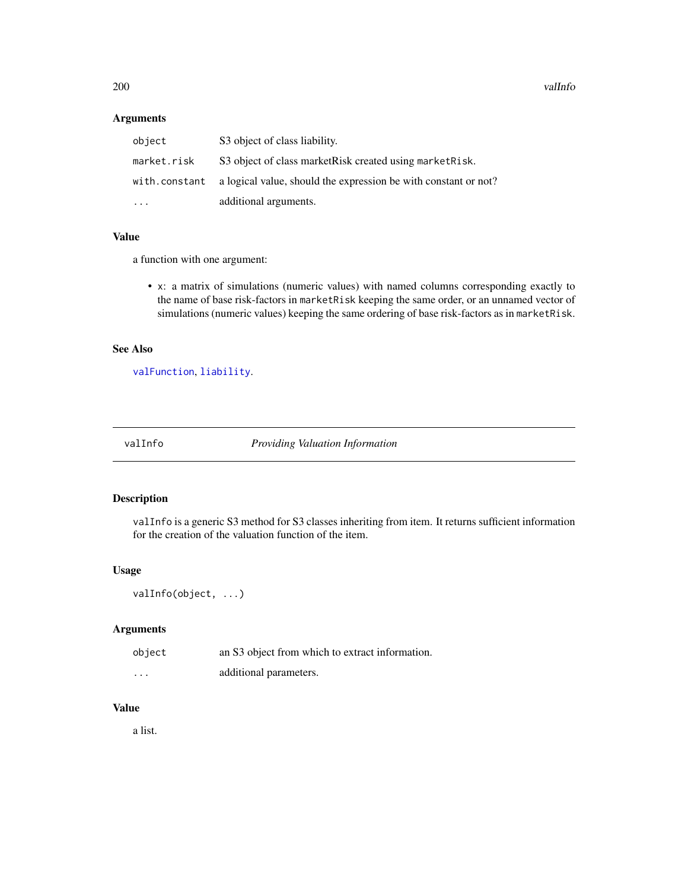<span id="page-199-1"></span>200 valInfo values and the contract of the contract of the contract of the contract of the contract of the contract of the contract of the contract of the contract of the contract of the contract of the contract of the con

#### Arguments

| object        | S3 object of class liability.                                   |
|---------------|-----------------------------------------------------------------|
| market.risk   | S3 object of class market Risk created using market Risk.       |
| with.constant | a logical value, should the expression be with constant or not? |
| $\ddotsc$     | additional arguments.                                           |

## Value

a function with one argument:

• x: a matrix of simulations (numeric values) with named columns corresponding exactly to the name of base risk-factors in marketRisk keeping the same order, or an unnamed vector of simulations (numeric values) keeping the same ordering of base risk-factors as in marketRisk.

## See Also

[valFunction](#page-194-0), [liability](#page-119-0).

<span id="page-199-0"></span>valInfo *Providing Valuation Information*

## Description

valInfo is a generic S3 method for S3 classes inheriting from item. It returns sufficient information for the creation of the valuation function of the item.

## Usage

```
valInfo(object, ...)
```
## Arguments

| object                  | an S3 object from which to extract information. |
|-------------------------|-------------------------------------------------|
| $\cdot$ $\cdot$ $\cdot$ | additional parameters.                          |

## Value

a list.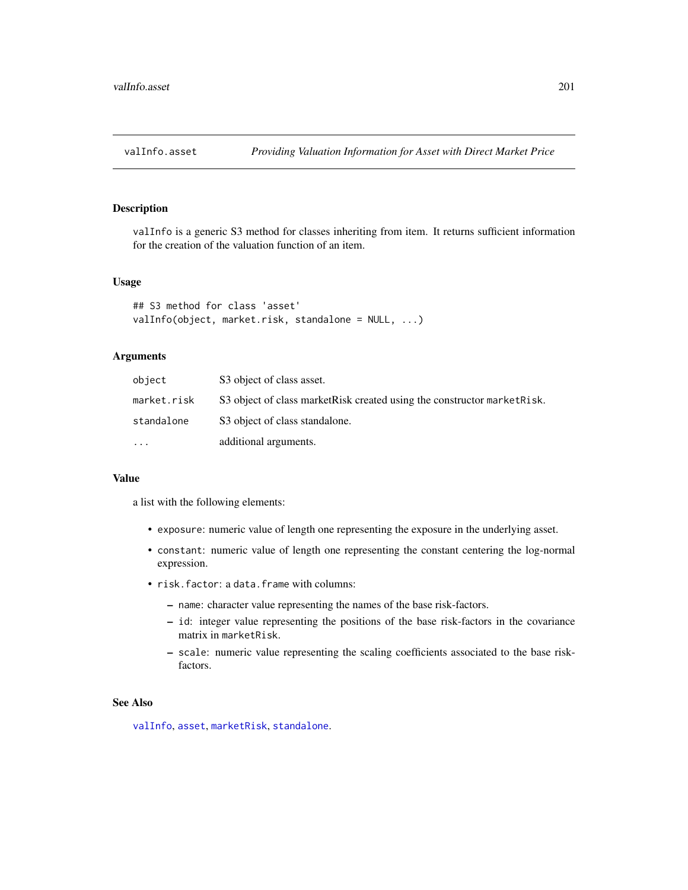<span id="page-200-0"></span>

#### Description

valInfo is a generic S3 method for classes inheriting from item. It returns sufficient information for the creation of the valuation function of an item.

#### Usage

```
## S3 method for class 'asset'
valInfo(object, market.risk, standalone = NULL, ...)
```
#### Arguments

| object      | S3 object of class asset.                                                 |
|-------------|---------------------------------------------------------------------------|
| market.risk | S3 object of class market Risk created using the constructor market Risk. |
| standalone  | S3 object of class standalone.                                            |
| $\ddotsc$   | additional arguments.                                                     |

#### Value

a list with the following elements:

- exposure: numeric value of length one representing the exposure in the underlying asset.
- constant: numeric value of length one representing the constant centering the log-normal expression.
- risk.factor: a data.frame with columns:
	- name: character value representing the names of the base risk-factors.
	- id: integer value representing the positions of the base risk-factors in the covariance matrix in marketRisk.
	- scale: numeric value representing the scaling coefficients associated to the base riskfactors.

#### See Also

[valInfo](#page-199-0), [asset](#page-8-0), [marketRisk](#page-124-0), [standalone](#page-166-0).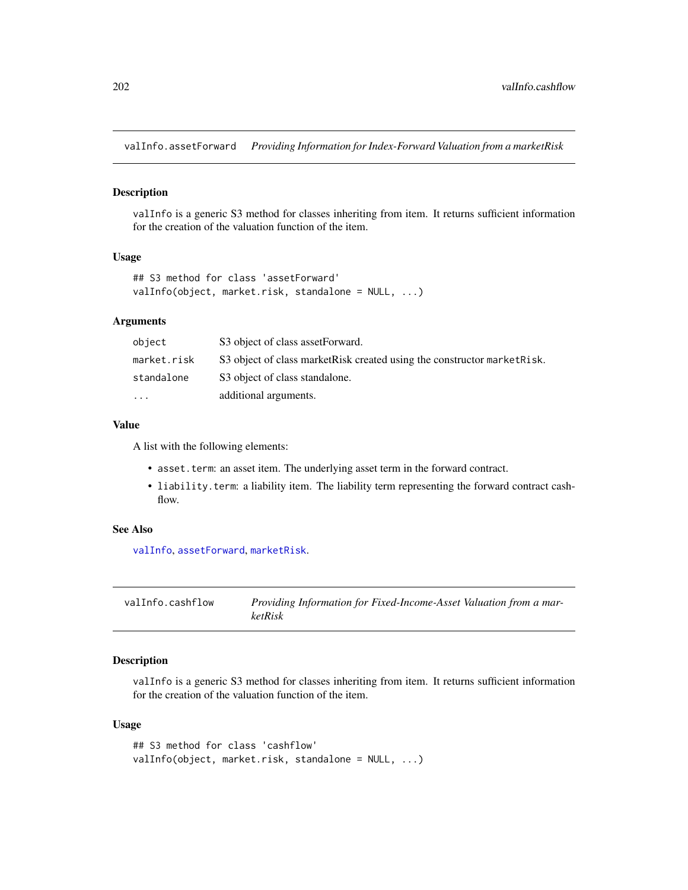<span id="page-201-0"></span>valInfo.assetForward *Providing Information for Index-Forward Valuation from a marketRisk*

#### Description

valInfo is a generic S3 method for classes inheriting from item. It returns sufficient information for the creation of the valuation function of the item.

#### Usage

```
## S3 method for class 'assetForward'
valInfo(object, market.risk, standalone = NULL, ...)
```
## Arguments

| object      | S3 object of class assetForward.                                          |
|-------------|---------------------------------------------------------------------------|
| market.risk | S3 object of class market Risk created using the constructor market Risk. |
| standalone  | S3 object of class standalone.                                            |
| $\ddotsc$   | additional arguments.                                                     |

#### Value

A list with the following elements:

- asset.term: an asset item. The underlying asset term in the forward contract.
- liability.term: a liability item. The liability term representing the forward contract cashflow.

## See Also

[valInfo](#page-199-0), [assetForward](#page-9-0), [marketRisk](#page-124-0).

| valInfo.cashflow | Providing Information for Fixed-Income-Asset Valuation from a mar- |
|------------------|--------------------------------------------------------------------|
|                  | <i>ketRisk</i>                                                     |

## Description

valInfo is a generic S3 method for classes inheriting from item. It returns sufficient information for the creation of the valuation function of the item.

```
## S3 method for class 'cashflow'
valInfo(object, market.risk, standalone = NULL, ...)
```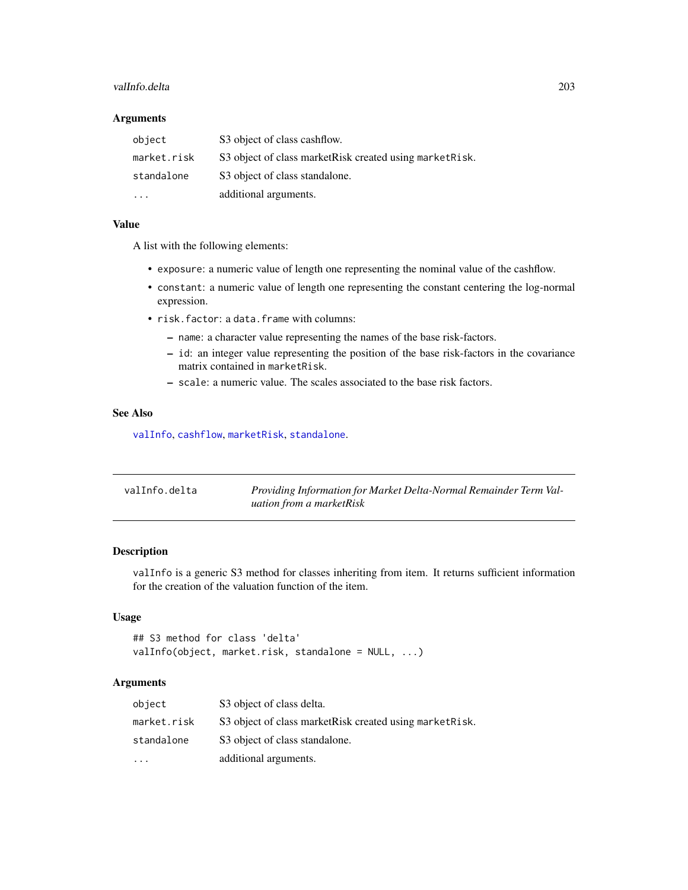#### <span id="page-202-0"></span>valInfo.delta 203

#### Arguments

| object                  | S3 object of class cashflow.                              |
|-------------------------|-----------------------------------------------------------|
| market.risk             | S3 object of class market Risk created using market Risk. |
| standalone              | S3 object of class standalone.                            |
| $\cdot$ $\cdot$ $\cdot$ | additional arguments.                                     |

#### Value

A list with the following elements:

- exposure: a numeric value of length one representing the nominal value of the cashflow.
- constant: a numeric value of length one representing the constant centering the log-normal expression.
- risk.factor: a data.frame with columns:
	- name: a character value representing the names of the base risk-factors.
	- id: an integer value representing the position of the base risk-factors in the covariance matrix contained in marketRisk.
	- scale: a numeric value. The scales associated to the base risk factors.

#### See Also

[valInfo](#page-199-0), [cashflow](#page-11-0), [marketRisk](#page-124-0), [standalone](#page-166-0).

| valInfo.delta | Providing Information for Market Delta-Normal Remainder Term Val- |
|---------------|-------------------------------------------------------------------|
|               | uation from a marketRisk                                          |

#### Description

valInfo is a generic S3 method for classes inheriting from item. It returns sufficient information for the creation of the valuation function of the item.

#### Usage

```
## S3 method for class 'delta'
valInfo(object, market.risk, standalone = NULL, ...)
```
#### Arguments

| object      | S3 object of class delta.                                 |
|-------------|-----------------------------------------------------------|
| market.risk | S3 object of class market Risk created using market Risk. |
| standalone  | S3 object of class standalone.                            |
|             | additional arguments.                                     |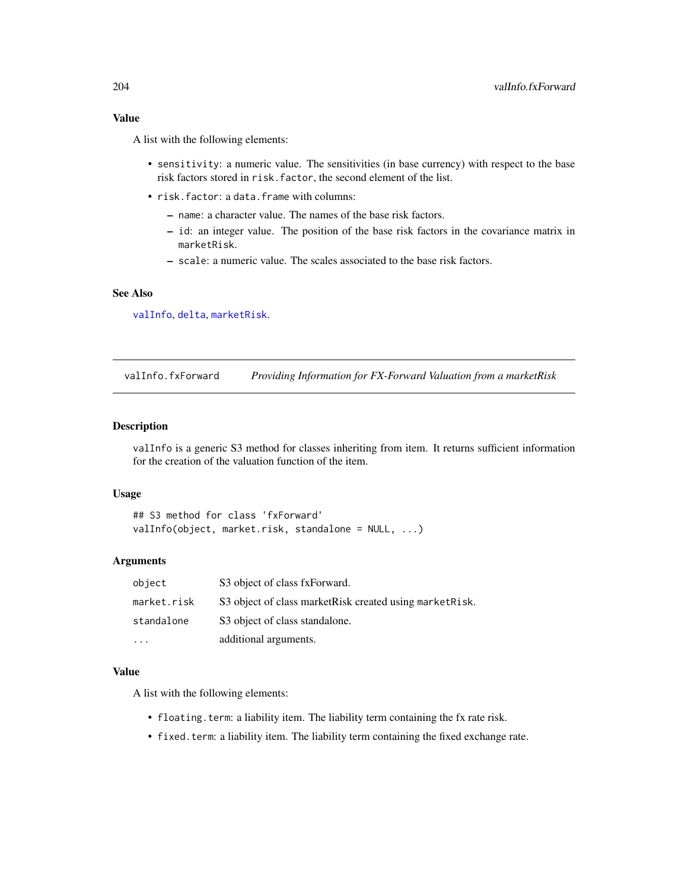## <span id="page-203-0"></span>Value

A list with the following elements:

- sensitivity: a numeric value. The sensitivities (in base currency) with respect to the base risk factors stored in risk.factor, the second element of the list.
- risk.factor: a data.frame with columns:
	- name: a character value. The names of the base risk factors.
	- id: an integer value. The position of the base risk factors in the covariance matrix in marketRisk.
	- scale: a numeric value. The scales associated to the base risk factors.

## See Also

[valInfo](#page-199-0), [delta](#page-41-0), [marketRisk](#page-124-0).

valInfo.fxForward *Providing Information for FX-Forward Valuation from a marketRisk*

#### Description

valInfo is a generic S3 method for classes inheriting from item. It returns sufficient information for the creation of the valuation function of the item.

#### Usage

## S3 method for class 'fxForward' valInfo(object, market.risk, standalone = NULL, ...)

#### Arguments

| object      | S3 object of class fxForward.                             |
|-------------|-----------------------------------------------------------|
| market.risk | S3 object of class market Risk created using market Risk. |
| standalone  | S3 object of class standalone.                            |
|             | additional arguments.                                     |

#### Value

A list with the following elements:

- floating.term: a liability item. The liability term containing the fx rate risk.
- fixed.term: a liability item. The liability term containing the fixed exchange rate.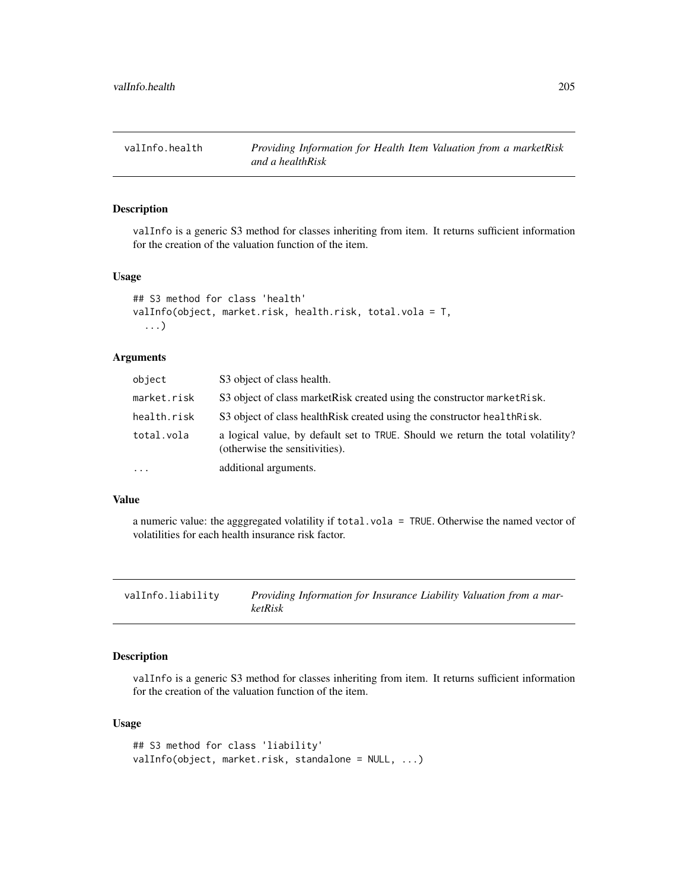<span id="page-204-0"></span>

## Description

valInfo is a generic S3 method for classes inheriting from item. It returns sufficient information for the creation of the valuation function of the item.

#### Usage

```
## S3 method for class 'health'
valInfo(object, market.risk, health.risk, total.vola = T,
  ...)
```
#### Arguments

| object      | S3 object of class health.                                                                                        |
|-------------|-------------------------------------------------------------------------------------------------------------------|
| market.risk | S3 object of class market Risk created using the constructor market Risk.                                         |
| health.risk | S3 object of class health Risk created using the constructor health Risk.                                         |
| total.vola  | a logical value, by default set to TRUE. Should we return the total volatility?<br>(otherwise the sensitivities). |
| $\cdots$    | additional arguments.                                                                                             |
|             |                                                                                                                   |

#### Value

a numeric value: the agggregated volatility if total.vola = TRUE. Otherwise the named vector of volatilities for each health insurance risk factor.

valInfo.liability *Providing Information for Insurance Liability Valuation from a marketRisk*

## Description

valInfo is a generic S3 method for classes inheriting from item. It returns sufficient information for the creation of the valuation function of the item.

```
## S3 method for class 'liability'
valInfo(object, market.risk, standalone = NULL, ...)
```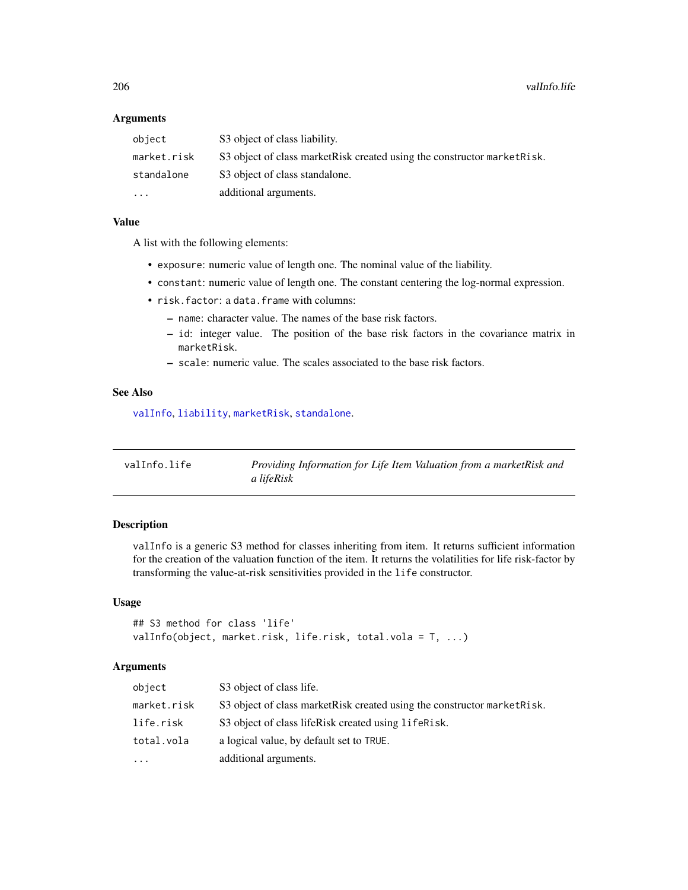## Arguments

| object      | S3 object of class liability.                                             |
|-------------|---------------------------------------------------------------------------|
| market.risk | S3 object of class market Risk created using the constructor market Risk. |
| standalone  | S3 object of class standalone.                                            |
| $\cdots$    | additional arguments.                                                     |

#### Value

A list with the following elements:

- exposure: numeric value of length one. The nominal value of the liability.
- constant: numeric value of length one. The constant centering the log-normal expression.
- risk.factor: a data.frame with columns:
	- name: character value. The names of the base risk factors.
	- id: integer value. The position of the base risk factors in the covariance matrix in marketRisk.
	- scale: numeric value. The scales associated to the base risk factors.

#### See Also

[valInfo](#page-199-0), [liability](#page-119-0), [marketRisk](#page-124-0), [standalone](#page-166-0).

| valInfo.life | Providing Information for Life Item Valuation from a marketRisk and |
|--------------|---------------------------------------------------------------------|
|              | a lifeRisk                                                          |

## Description

valInfo is a generic S3 method for classes inheriting from item. It returns sufficient information for the creation of the valuation function of the item. It returns the volatilities for life risk-factor by transforming the value-at-risk sensitivities provided in the life constructor.

#### Usage

```
## S3 method for class 'life'
valInfo(object, market.risk, life.risk, total.vola = T, ...)
```
## Arguments

| object      | S3 object of class life.                                                  |
|-------------|---------------------------------------------------------------------------|
| market.risk | S3 object of class market Risk created using the constructor market Risk. |
| life.risk   | S3 object of class lifeRisk created using lifeRisk.                       |
| total.vola  | a logical value, by default set to TRUE.                                  |
| $\cdots$    | additional arguments.                                                     |

<span id="page-205-0"></span>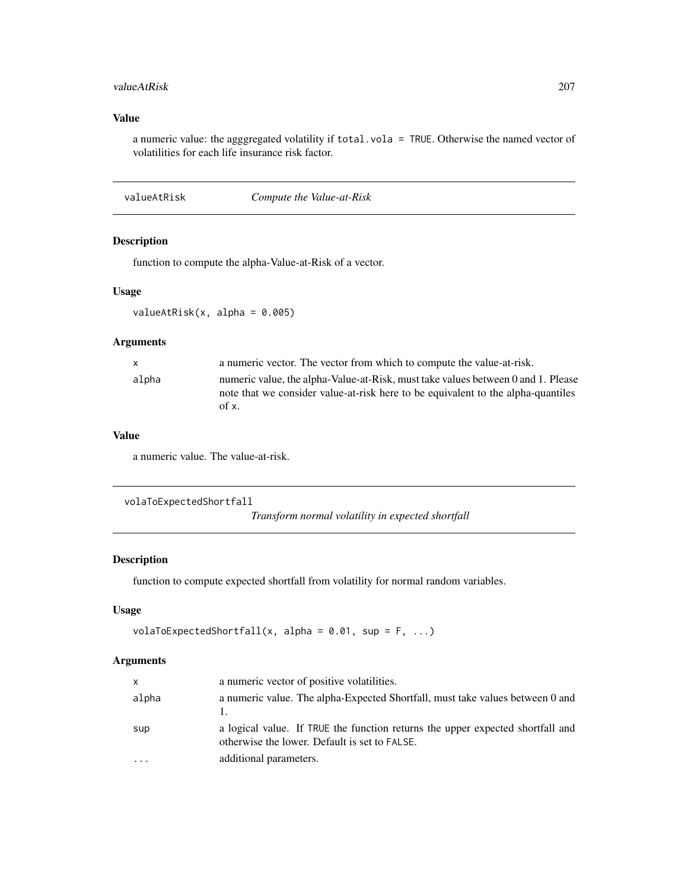#### <span id="page-206-0"></span>valueAtRisk 207

## Value

a numeric value: the agggregated volatility if total.vola = TRUE. Otherwise the named vector of volatilities for each life insurance risk factor.

valueAtRisk *Compute the Value-at-Risk*

## Description

function to compute the alpha-Value-at-Risk of a vector.

## Usage

valueAtRisk $(x,$  alpha = 0.005)

#### Arguments

| a numeric vector. The vector from which to compute the value-at-risk.<br>$\mathbf{x}$                                                                                                     |  |
|-------------------------------------------------------------------------------------------------------------------------------------------------------------------------------------------|--|
| numeric value, the alpha-Value-at-Risk, must take values between 0 and 1. Please<br>alpha<br>note that we consider value-at-risk here to be equivalent to the alpha-quantiles<br>of $x$ . |  |

#### Value

a numeric value. The value-at-risk.

```
volaToExpectedShortfall
```
*Transform normal volatility in expected shortfall*

#### Description

function to compute expected shortfall from volatility for normal random variables.

#### Usage

```
volaToExpectedShortfall(x, alpha = 0.01, sup = F, ...)
```
## Arguments

| X     | a numeric vector of positive volatilities.                                                                                      |
|-------|---------------------------------------------------------------------------------------------------------------------------------|
| alpha | a numeric value. The alpha-Expected Shortfall, must take values between 0 and                                                   |
| sup   | a logical value. If TRUE the function returns the upper expected shortfall and<br>otherwise the lower. Default is set to FALSE. |
|       | additional parameters.                                                                                                          |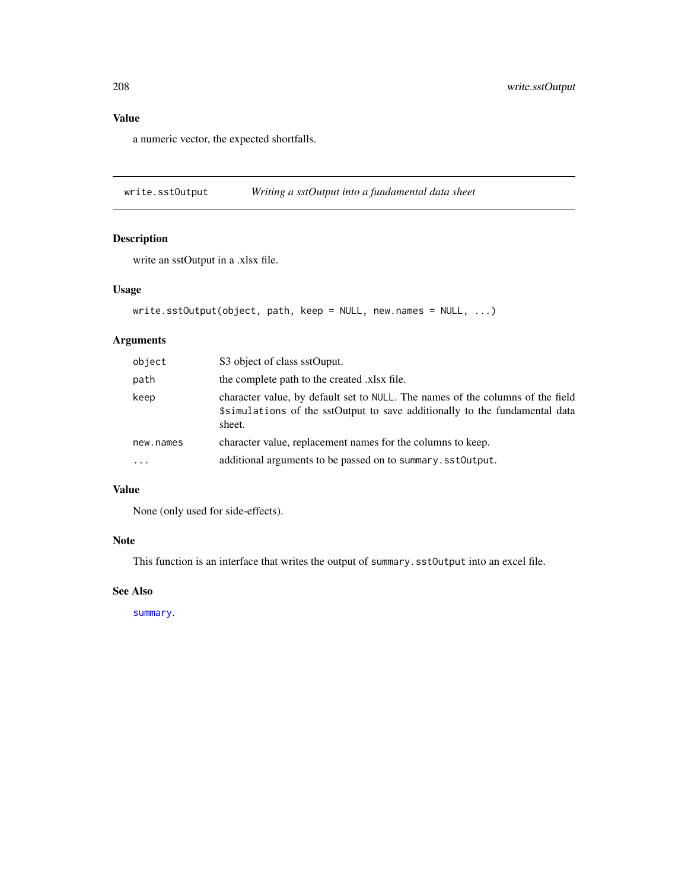## <span id="page-207-0"></span>Value

a numeric vector, the expected shortfalls.

write.sstOutput *Writing a sstOutput into a fundamental data sheet*

## Description

write an sstOutput in a .xlsx file.

## Usage

```
write.sstOutput(object, path, keep = NULL, new.names = NULL, ...)
```
## Arguments

| object    | S3 object of class sstOuput.                                                                                                                                            |
|-----------|-------------------------------------------------------------------------------------------------------------------------------------------------------------------------|
| path      | the complete path to the created .xlsx file.                                                                                                                            |
| keep      | character value, by default set to NULL. The names of the columns of the field<br>\$simulations of the sstOutput to save additionally to the fundamental data<br>sheet. |
| new.names | character value, replacement names for the columns to keep.                                                                                                             |
| $\cdot$   | additional arguments to be passed on to summary.sst0utput.                                                                                                              |

## Value

None (only used for side-effects).

#### Note

This function is an interface that writes the output of summary.sstOutput into an excel file.

#### See Also

[summary](#page-0-0).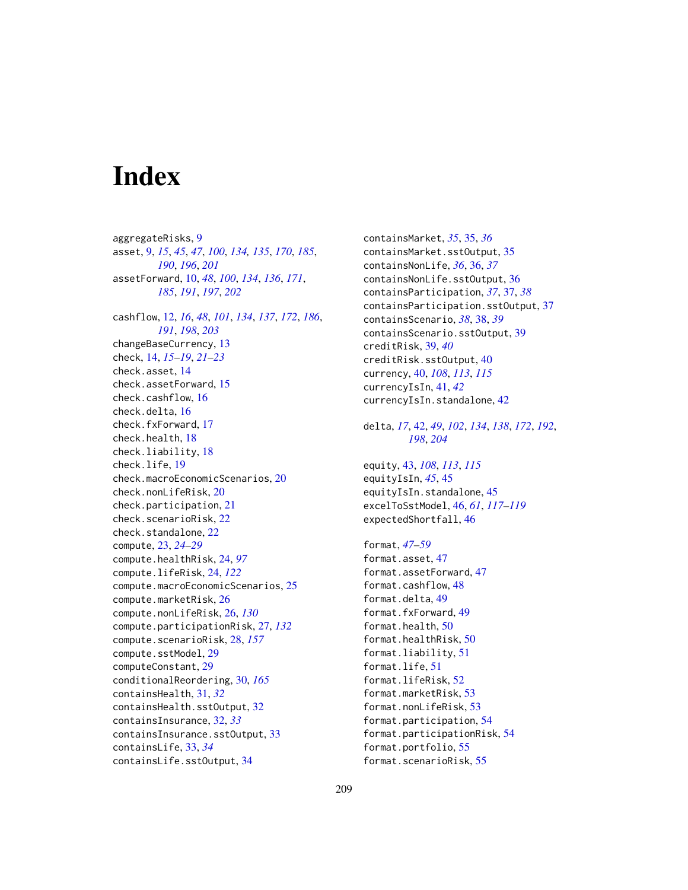# **Index**

aggregateRisks, [9](#page-8-1) asset, [9,](#page-8-1) *[15](#page-14-0)*, *[45](#page-44-0)*, *[47](#page-46-0)*, *[100](#page-99-0)*, *[134,](#page-133-0) [135](#page-134-0)*, *[170](#page-169-0)*, *[185](#page-184-0)*, *[190](#page-189-0)*, *[196](#page-195-0)*, *[201](#page-200-0)* assetForward, [10,](#page-9-1) *[48](#page-47-0)*, *[100](#page-99-0)*, *[134](#page-133-0)*, *[136](#page-135-0)*, *[171](#page-170-0)*, *[185](#page-184-0)*, *[191](#page-190-0)*, *[197](#page-196-0)*, *[202](#page-201-0)* cashflow, [12,](#page-11-1) *[16](#page-15-0)*, *[48](#page-47-0)*, *[101](#page-100-0)*, *[134](#page-133-0)*, *[137](#page-136-0)*, *[172](#page-171-0)*, *[186](#page-185-0)*, *[191](#page-190-0)*, *[198](#page-197-0)*, *[203](#page-202-0)* changeBaseCurrency, [13](#page-12-0) check, [14,](#page-13-0) *[15](#page-14-0)[–19](#page-18-0)*, *[21](#page-20-0)[–23](#page-22-0)* check.asset, [14](#page-13-0) check.assetForward, [15](#page-14-0) check.cashflow, [16](#page-15-0) check.delta, [16](#page-15-0) check.fxForward, [17](#page-16-0) check.health, [18](#page-17-0) check.liability, [18](#page-17-0) check.life, [19](#page-18-0) check.macroEconomicScenarios, [20](#page-19-0) check.nonLifeRisk, [20](#page-19-0) check.participation, [21](#page-20-0) check.scenarioRisk, [22](#page-21-0) check.standalone, [22](#page-21-0) compute, [23,](#page-22-0) *[24](#page-23-0)[–29](#page-28-0)* compute.healthRisk, [24,](#page-23-0) *[97](#page-96-0)* compute.lifeRisk, [24,](#page-23-0) *[122](#page-121-1)* compute.macroEconomicScenarios, [25](#page-24-0) compute.marketRisk, [26](#page-25-0) compute.nonLifeRisk, [26,](#page-25-0) *[130](#page-129-0)* compute.participationRisk, [27,](#page-26-0) *[132](#page-131-0)* compute.scenarioRisk, [28,](#page-27-0) *[157](#page-156-0)* compute.sstModel, [29](#page-28-0) computeConstant, [29](#page-28-0) conditionalReordering, [30,](#page-29-0) *[165](#page-164-0)* containsHealth, [31,](#page-30-0) *[32](#page-31-0)* containsHealth.sstOutput, [32](#page-31-0) containsInsurance, [32,](#page-31-0) *[33](#page-32-0)* containsInsurance.sstOutput, [33](#page-32-0) containsLife, [33,](#page-32-0) *[34](#page-33-0)* containsLife.sstOutput, [34](#page-33-0)

containsMarket, *[35](#page-34-0)*, [35,](#page-34-0) *[36](#page-35-0)* containsMarket.sstOutput, [35](#page-34-0) containsNonLife, *[36](#page-35-0)*, [36,](#page-35-0) *[37](#page-36-0)* containsNonLife.sstOutput, [36](#page-35-0) containsParticipation, *[37](#page-36-0)*, [37,](#page-36-0) *[38](#page-37-0)* containsParticipation.sstOutput, [37](#page-36-0) containsScenario, *[38](#page-37-0)*, [38,](#page-37-0) *[39](#page-38-0)* containsScenario.sstOutput, [39](#page-38-0) creditRisk, [39,](#page-38-0) *[40](#page-39-0)* creditRisk.sstOutput, [40](#page-39-0) currency, [40,](#page-39-0) *[108](#page-107-0)*, *[113](#page-112-0)*, *[115](#page-114-0)* currencyIsIn, [41,](#page-40-0) *[42](#page-41-1)* currencyIsIn.standalone, [42](#page-41-1) delta, *[17](#page-16-0)*, [42,](#page-41-1) *[49](#page-48-0)*, *[102](#page-101-0)*, *[134](#page-133-0)*, *[138](#page-137-0)*, *[172](#page-171-0)*, *[192](#page-191-0)*, *[198](#page-197-0)*, *[204](#page-203-0)* equity, [43,](#page-42-0) *[108](#page-107-0)*, *[113](#page-112-0)*, *[115](#page-114-0)* equityIsIn, *[45](#page-44-0)*, [45](#page-44-0) equityIsIn.standalone, [45](#page-44-0) excelToSstModel, [46,](#page-45-0) *[61](#page-60-0)*, *[117](#page-116-0)[–119](#page-118-0)* expectedShortfall, [46](#page-45-0) format, *[47](#page-46-0)[–59](#page-58-1)* format.asset, [47](#page-46-0) format.assetForward, [47](#page-46-0) format.cashflow, [48](#page-47-0) format.delta, [49](#page-48-0) format.fxForward, [49](#page-48-0) format.health, [50](#page-49-0) format.healthRisk, [50](#page-49-0) format.liability, [51](#page-50-0) format.life, [51](#page-50-0) format.lifeRisk, [52](#page-51-0) format.marketRisk, [53](#page-52-0) format.nonLifeRisk, [53](#page-52-0)

format.participation, [54](#page-53-0) format.participationRisk, [54](#page-53-0)

format.portfolio, [55](#page-54-0) format.scenarioRisk, [55](#page-54-0)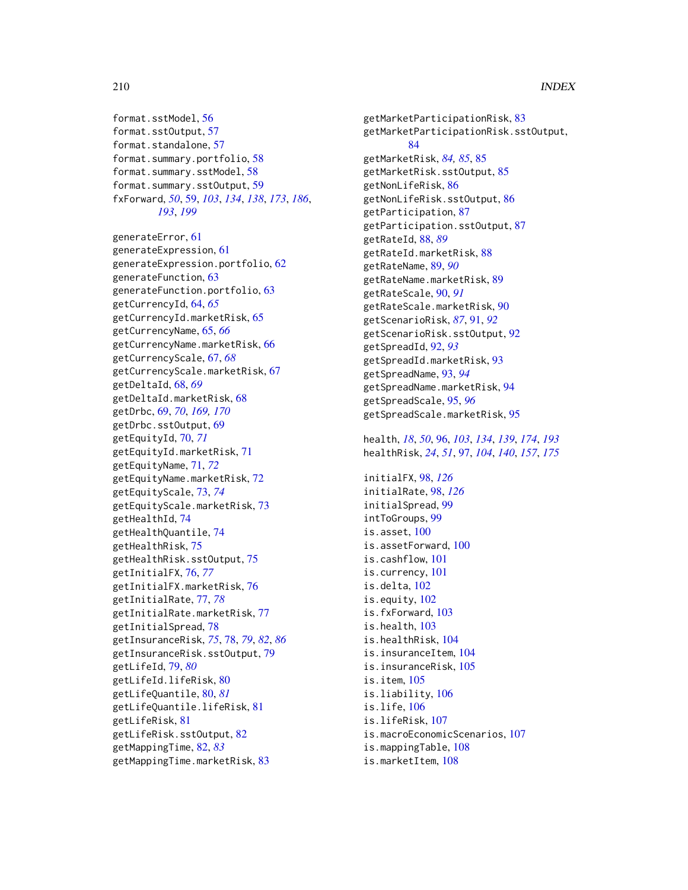format.sstModel, [56](#page-55-0) format.sstOutput, [57](#page-56-0) format.standalone, [57](#page-56-0) format.summary.portfolio, [58](#page-57-0) format.summary.sstModel, [58](#page-57-0) format.summary.sstOutput, [59](#page-58-1) fxForward, *[50](#page-49-0)*, [59,](#page-58-1) *[103](#page-102-0)*, *[134](#page-133-0)*, *[138](#page-137-0)*, *[173](#page-172-0)*, *[186](#page-185-0)*, *[193](#page-192-0)*, *[199](#page-198-0)*

generateError, [61](#page-60-0) generateExpression, [61](#page-60-0) generateExpression.portfolio, [62](#page-61-0) generateFunction, [63](#page-62-0) generateFunction.portfolio, [63](#page-62-0) getCurrencyId, [64,](#page-63-0) *[65](#page-64-0)* getCurrencyId.marketRisk, [65](#page-64-0) getCurrencyName, [65,](#page-64-0) *[66](#page-65-0)* getCurrencyName.marketRisk, [66](#page-65-0) getCurrencyScale, [67,](#page-66-0) *[68](#page-67-0)* getCurrencyScale.marketRisk, [67](#page-66-0) getDeltaId, [68,](#page-67-0) *[69](#page-68-0)* getDeltaId.marketRisk, [68](#page-67-0) getDrbc, [69,](#page-68-0) *[70](#page-69-0)*, *[169,](#page-168-0) [170](#page-169-0)* getDrbc.sstOutput, [69](#page-68-0) getEquityId, [70,](#page-69-0) *[71](#page-70-0)* getEquityId.marketRisk, [71](#page-70-0) getEquityName, [71,](#page-70-0) *[72](#page-71-0)* getEquityName.marketRisk, [72](#page-71-0) getEquityScale, [73,](#page-72-0) *[74](#page-73-0)* getEquityScale.marketRisk, [73](#page-72-0) getHealthId, [74](#page-73-0) getHealthQuantile, [74](#page-73-0) getHealthRisk, [75](#page-74-0) getHealthRisk.sstOutput, [75](#page-74-0) getInitialFX, [76,](#page-75-0) *[77](#page-76-0)* getInitialFX.marketRisk, [76](#page-75-0) getInitialRate, [77,](#page-76-0) *[78](#page-77-0)* getInitialRate.marketRisk, [77](#page-76-0) getInitialSpread, [78](#page-77-0) getInsuranceRisk, *[75](#page-74-0)*, [78,](#page-77-0) *[79](#page-78-0)*, *[82](#page-81-0)*, *[86](#page-85-0)* getInsuranceRisk.sstOutput, [79](#page-78-0) getLifeId, [79,](#page-78-0) *[80](#page-79-0)* getLifeId.lifeRisk, [80](#page-79-0) getLifeQuantile, [80,](#page-79-0) *[81](#page-80-0)* getLifeQuantile.lifeRisk, [81](#page-80-0) getLifeRisk, [81](#page-80-0) getLifeRisk.sstOutput, [82](#page-81-0) getMappingTime, [82,](#page-81-0) *[83](#page-82-0)* getMappingTime.marketRisk, [83](#page-82-0)

getMarketParticipationRisk, [83](#page-82-0) getMarketParticipationRisk.sstOutput, [84](#page-83-0) getMarketRisk, *[84,](#page-83-0) [85](#page-84-0)*, [85](#page-84-0) getMarketRisk.sstOutput, [85](#page-84-0) getNonLifeRisk, [86](#page-85-0) getNonLifeRisk.sstOutput, [86](#page-85-0) getParticipation, [87](#page-86-0) getParticipation.sstOutput, [87](#page-86-0) getRateId, [88,](#page-87-0) *[89](#page-88-0)* getRateId.marketRisk, [88](#page-87-0) getRateName, [89,](#page-88-0) *[90](#page-89-0)* getRateName.marketRisk, [89](#page-88-0) getRateScale, [90,](#page-89-0) *[91](#page-90-0)* getRateScale.marketRisk, [90](#page-89-0) getScenarioRisk, *[87](#page-86-0)*, [91,](#page-90-0) *[92](#page-91-0)* getScenarioRisk.sstOutput, [92](#page-91-0) getSpreadId, [92,](#page-91-0) *[93](#page-92-0)* getSpreadId.marketRisk, [93](#page-92-0) getSpreadName, [93,](#page-92-0) *[94](#page-93-0)* getSpreadName.marketRisk, [94](#page-93-0) getSpreadScale, [95,](#page-94-0) *[96](#page-95-1)* getSpreadScale.marketRisk, [95](#page-94-0) health, *[18](#page-17-0)*, *[50](#page-49-0)*, [96,](#page-95-1) *[103](#page-102-0)*, *[134](#page-133-0)*, *[139](#page-138-0)*, *[174](#page-173-0)*, *[193](#page-192-0)* healthRisk, *[24](#page-23-0)*, *[51](#page-50-0)*, [97,](#page-96-0) *[104](#page-103-0)*, *[140](#page-139-0)*, *[157](#page-156-0)*, *[175](#page-174-0)* initialFX, [98,](#page-97-0) *[126](#page-125-0)* initialRate, [98,](#page-97-0) *[126](#page-125-0)* initialSpread, [99](#page-98-0) intToGroups, [99](#page-98-0) is.asset, [100](#page-99-0) is.assetForward, [100](#page-99-0) is.cashflow, [101](#page-100-0) is.currency, [101](#page-100-0)

is.delta, [102](#page-101-0) is.equity, [102](#page-101-0) is.fxForward, [103](#page-102-0) is.health, [103](#page-102-0) is.healthRisk, [104](#page-103-0) is.insuranceItem, [104](#page-103-0) is.insuranceRisk, [105](#page-104-0) is.item, [105](#page-104-0) is.liability, [106](#page-105-0) is.life, [106](#page-105-0) is.lifeRisk, [107](#page-106-0) is.macroEconomicScenarios, [107](#page-106-0) is.mappingTable, [108](#page-107-0)

is.marketItem, [108](#page-107-0)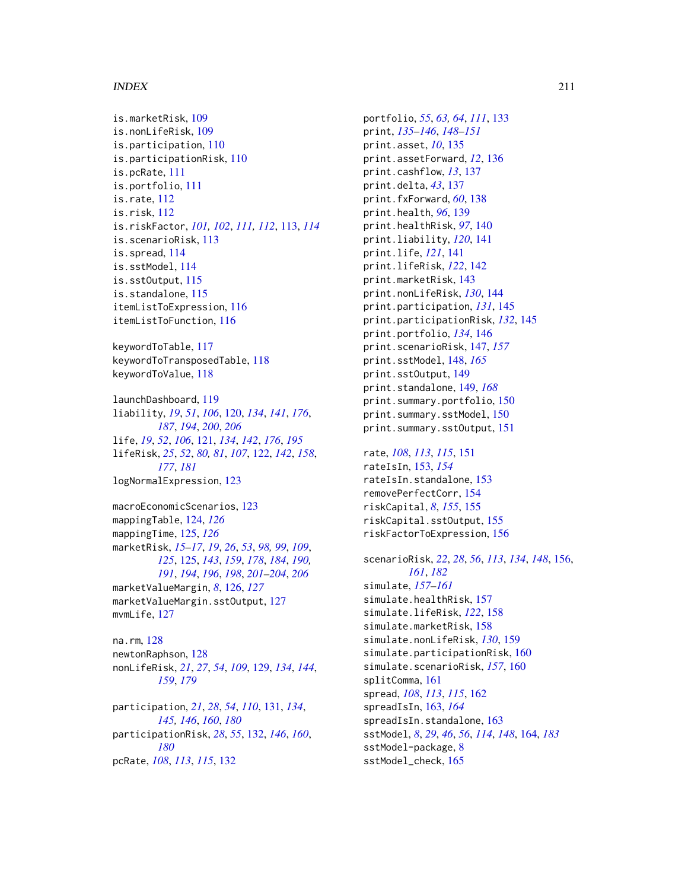#### INDEX 211

```
is.marketRisk, 109
is.nonLifeRisk, 109
is.participation, 110
is.participationRisk, 110
is.pcRate, 111
is.portfolio, 111
is.rate, 112
is.risk, 112
is.riskFactor, 101, 102, 111, 112, 113, 114
is.scenarioRisk, 113
is.spread, 114
is.sstModel, 114
is.sstOutput, 115
is.standalone, 115
itemListToExpression, 116
itemListToFunction, 116
```
keywordToTable, [117](#page-116-0) keywordToTransposedTable, [118](#page-117-0) keywordToValue, [118](#page-117-0)

launchDashboard, [119](#page-118-0) liability, *[19](#page-18-0)*, *[51](#page-50-0)*, *[106](#page-105-0)*, [120,](#page-119-1) *[134](#page-133-0)*, *[141](#page-140-0)*, *[176](#page-175-0)*, *[187](#page-186-1)*, *[194](#page-193-0)*, *[200](#page-199-1)*, *[206](#page-205-0)* life, *[19](#page-18-0)*, *[52](#page-51-0)*, *[106](#page-105-0)*, [121,](#page-120-1) *[134](#page-133-0)*, *[142](#page-141-0)*, *[176](#page-175-0)*, *[195](#page-194-1)* lifeRisk, *[25](#page-24-0)*, *[52](#page-51-0)*, *[80,](#page-79-0) [81](#page-80-0)*, *[107](#page-106-0)*, [122,](#page-121-1) *[142](#page-141-0)*, *[158](#page-157-0)*, *[177](#page-176-0)*, *[181](#page-180-0)* logNormalExpression, [123](#page-122-0)

macroEconomicScenarios, [123](#page-122-0) mappingTable, [124,](#page-123-0) *[126](#page-125-0)* mappingTime, [125,](#page-124-1) *[126](#page-125-0)* marketRisk, *[15](#page-14-0)[–17](#page-16-0)*, *[19](#page-18-0)*, *[26](#page-25-0)*, *[53](#page-52-0)*, *[98,](#page-97-0) [99](#page-98-0)*, *[109](#page-108-0)*, *[125](#page-124-1)*, [125,](#page-124-1) *[143](#page-142-0)*, *[159](#page-158-0)*, *[178](#page-177-0)*, *[184](#page-183-0)*, *[190,](#page-189-0) [191](#page-190-0)*, *[194](#page-193-0)*, *[196](#page-195-0)*, *[198](#page-197-0)*, *[201–](#page-200-0)[204](#page-203-0)*, *[206](#page-205-0)* marketValueMargin, *[8](#page-7-0)*, [126,](#page-125-0) *[127](#page-126-0)* marketValueMargin.sstOutput, [127](#page-126-0) mvmLife, [127](#page-126-0)

na.rm, [128](#page-127-0) newtonRaphson, [128](#page-127-0) nonLifeRisk, *[21](#page-20-0)*, *[27](#page-26-0)*, *[54](#page-53-0)*, *[109](#page-108-0)*, [129,](#page-128-0) *[134](#page-133-0)*, *[144](#page-143-0)*, *[159](#page-158-0)*, *[179](#page-178-0)*

participation, *[21](#page-20-0)*, *[28](#page-27-0)*, *[54](#page-53-0)*, *[110](#page-109-0)*, [131,](#page-130-0) *[134](#page-133-0)*, *[145,](#page-144-0) [146](#page-145-0)*, *[160](#page-159-0)*, *[180](#page-179-0)* participationRisk, *[28](#page-27-0)*, *[55](#page-54-0)*, [132,](#page-131-0) *[146](#page-145-0)*, *[160](#page-159-0)*, *[180](#page-179-0)* pcRate, *[108](#page-107-0)*, *[113](#page-112-0)*, *[115](#page-114-0)*, [132](#page-131-0)

portfolio, *[55](#page-54-0)*, *[63,](#page-62-0) [64](#page-63-0)*, *[111](#page-110-0)*, [133](#page-132-0) print, *[135](#page-134-0)[–146](#page-145-0)*, *[148](#page-147-0)[–151](#page-150-0)* print.asset, *[10](#page-9-1)*, [135](#page-134-0) print.assetForward, *[12](#page-11-1)*, [136](#page-135-0) print.cashflow, *[13](#page-12-0)*, [137](#page-136-0) print.delta, *[43](#page-42-0)*, [137](#page-136-0) print.fxForward, *[60](#page-59-0)*, [138](#page-137-0) print.health, *[96](#page-95-1)*, [139](#page-138-0) print.healthRisk, *[97](#page-96-0)*, [140](#page-139-0) print.liability, *[120](#page-119-1)*, [141](#page-140-0) print.life, *[121](#page-120-1)*, [141](#page-140-0) print.lifeRisk, *[122](#page-121-1)*, [142](#page-141-0) print.marketRisk, [143](#page-142-0) print.nonLifeRisk, *[130](#page-129-0)*, [144](#page-143-0) print.participation, *[131](#page-130-0)*, [145](#page-144-0) print.participationRisk, *[132](#page-131-0)*, [145](#page-144-0) print.portfolio, *[134](#page-133-0)*, [146](#page-145-0) print.scenarioRisk, [147,](#page-146-0) *[157](#page-156-0)* print.sstModel, [148,](#page-147-0) *[165](#page-164-0)* print.sstOutput, [149](#page-148-0) print.standalone, [149,](#page-148-0) *[168](#page-167-0)* print.summary.portfolio, [150](#page-149-0) print.summary.sstModel, [150](#page-149-0) print.summary.sstOutput, [151](#page-150-0)

rate, *[108](#page-107-0)*, *[113](#page-112-0)*, *[115](#page-114-0)*, [151](#page-150-0) rateIsIn, [153,](#page-152-0) *[154](#page-153-0)* rateIsIn.standalone, [153](#page-152-0) removePerfectCorr, [154](#page-153-0) riskCapital, *[8](#page-7-0)*, *[155](#page-154-0)*, [155](#page-154-0) riskCapital.sstOutput, [155](#page-154-0) riskFactorToExpression, [156](#page-155-1)

scenarioRisk, *[22](#page-21-0)*, *[28](#page-27-0)*, *[56](#page-55-0)*, *[113](#page-112-0)*, *[134](#page-133-0)*, *[148](#page-147-0)*, [156,](#page-155-1) *[161](#page-160-0)*, *[182](#page-181-0)* simulate, *[157](#page-156-0)[–161](#page-160-0)* simulate.healthRisk, [157](#page-156-0) simulate.lifeRisk, *[122](#page-121-1)*, [158](#page-157-0) simulate.marketRisk, [158](#page-157-0) simulate.nonLifeRisk, *[130](#page-129-0)*, [159](#page-158-0) simulate.participationRisk, [160](#page-159-0) simulate.scenarioRisk, *[157](#page-156-0)*, [160](#page-159-0) splitComma, [161](#page-160-0) spread, *[108](#page-107-0)*, *[113](#page-112-0)*, *[115](#page-114-0)*, [162](#page-161-0) spreadIsIn, [163,](#page-162-0) *[164](#page-163-1)* spreadIsIn.standalone, [163](#page-162-0) sstModel, *[8](#page-7-0)*, *[29](#page-28-0)*, *[46](#page-45-0)*, *[56](#page-55-0)*, *[114](#page-113-0)*, *[148](#page-147-0)*, [164,](#page-163-1) *[183](#page-182-0)* sstModel-package, [8](#page-7-0) sstModel\_check, [165](#page-164-0)